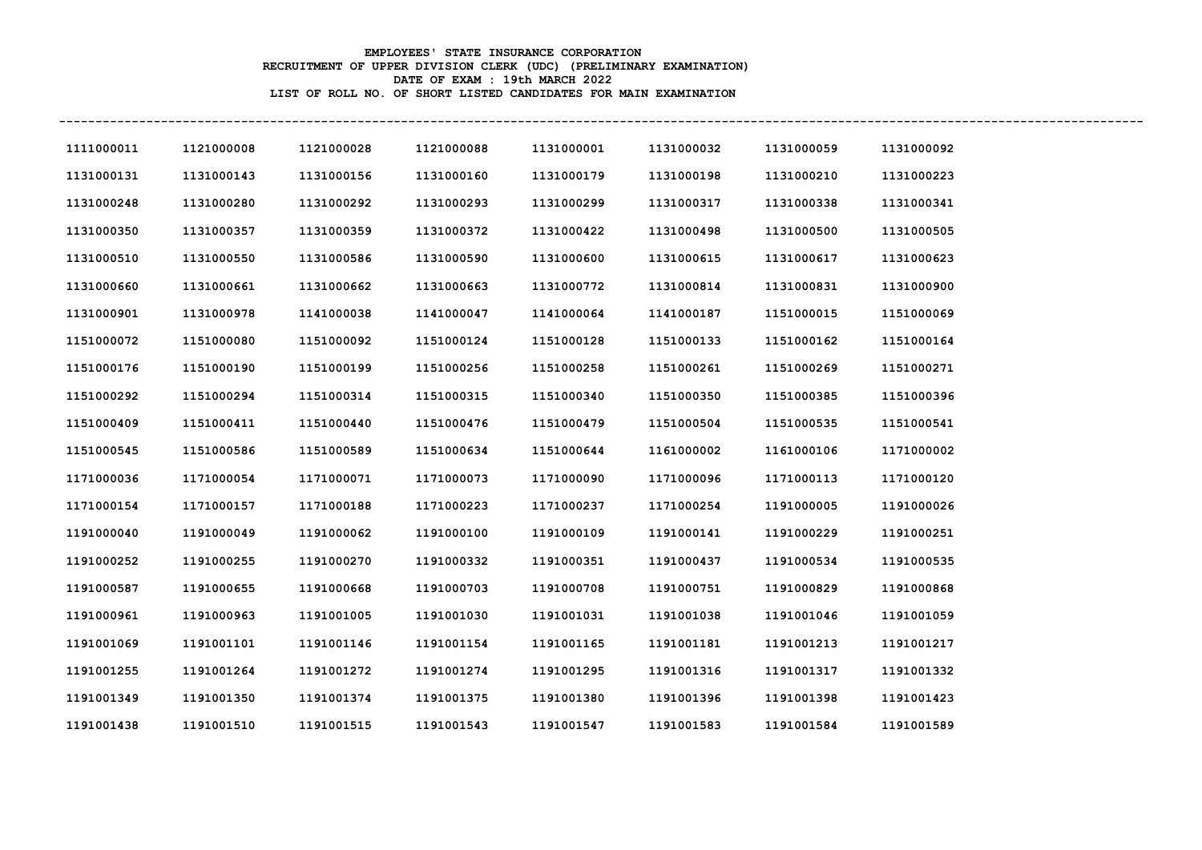## **EMPLOYEES' STATE INSURANCE CORPORATION RECRUITMENT OF UPPER DIVISION CLERK (UDC) (PRELIMINARY EXAMINATION) DATE OF EXAM : 19th MARCH 2022 LIST OF ROLL NO. OF SHORT LISTED CANDIDATES FOR MAIN EXAMINATION**

| 1111000011 | 1121000008 | 1121000028 | 1121000088 | 1131000001 | 1131000032 | 1131000059 | 1131000092 |
|------------|------------|------------|------------|------------|------------|------------|------------|
| 1131000131 | 1131000143 | 1131000156 | 1131000160 | 1131000179 | 1131000198 | 1131000210 | 1131000223 |
| 1131000248 | 1131000280 | 1131000292 | 1131000293 | 1131000299 | 1131000317 | 1131000338 | 1131000341 |
| 1131000350 | 1131000357 | 1131000359 | 1131000372 | 1131000422 | 1131000498 | 1131000500 | 1131000505 |
| 1131000510 | 1131000550 | 1131000586 | 1131000590 | 1131000600 | 1131000615 | 1131000617 | 1131000623 |
| 1131000660 | 1131000661 | 1131000662 | 1131000663 | 1131000772 | 1131000814 | 1131000831 | 1131000900 |
| 1131000901 | 1131000978 | 1141000038 | 1141000047 | 1141000064 | 1141000187 | 1151000015 | 1151000069 |
| 1151000072 | 1151000080 | 1151000092 | 1151000124 | 1151000128 | 1151000133 | 1151000162 | 1151000164 |
| 1151000176 | 1151000190 | 1151000199 | 1151000256 | 1151000258 | 1151000261 | 1151000269 | 1151000271 |
| 1151000292 | 1151000294 | 1151000314 | 1151000315 | 1151000340 | 1151000350 | 1151000385 | 1151000396 |
| 1151000409 | 1151000411 | 1151000440 | 1151000476 | 1151000479 | 1151000504 | 1151000535 | 1151000541 |
| 1151000545 | 1151000586 | 1151000589 | 1151000634 | 1151000644 | 1161000002 | 1161000106 | 1171000002 |
| 1171000036 | 1171000054 | 1171000071 | 1171000073 | 1171000090 | 1171000096 | 1171000113 | 1171000120 |
| 1171000154 | 1171000157 | 1171000188 | 1171000223 | 1171000237 | 1171000254 | 1191000005 | 1191000026 |
| 1191000040 | 1191000049 | 1191000062 | 1191000100 | 1191000109 | 1191000141 | 1191000229 | 1191000251 |
| 1191000252 | 1191000255 | 1191000270 | 1191000332 | 1191000351 | 1191000437 | 1191000534 | 1191000535 |
| 1191000587 | 1191000655 | 1191000668 | 1191000703 | 1191000708 | 1191000751 | 1191000829 | 1191000868 |
| 1191000961 | 1191000963 | 1191001005 | 1191001030 | 1191001031 | 1191001038 | 1191001046 | 1191001059 |
| 1191001069 | 1191001101 | 1191001146 | 1191001154 | 1191001165 | 1191001181 | 1191001213 | 1191001217 |
| 1191001255 | 1191001264 | 1191001272 | 1191001274 | 1191001295 | 1191001316 | 1191001317 | 1191001332 |
| 1191001349 | 1191001350 | 1191001374 | 1191001375 | 1191001380 | 1191001396 | 1191001398 | 1191001423 |
| 1191001438 | 1191001510 | 1191001515 | 1191001543 | 1191001547 | 1191001583 | 1191001584 | 1191001589 |

**-----------------------------------------------------------------------------------------------------------------------------------------------------**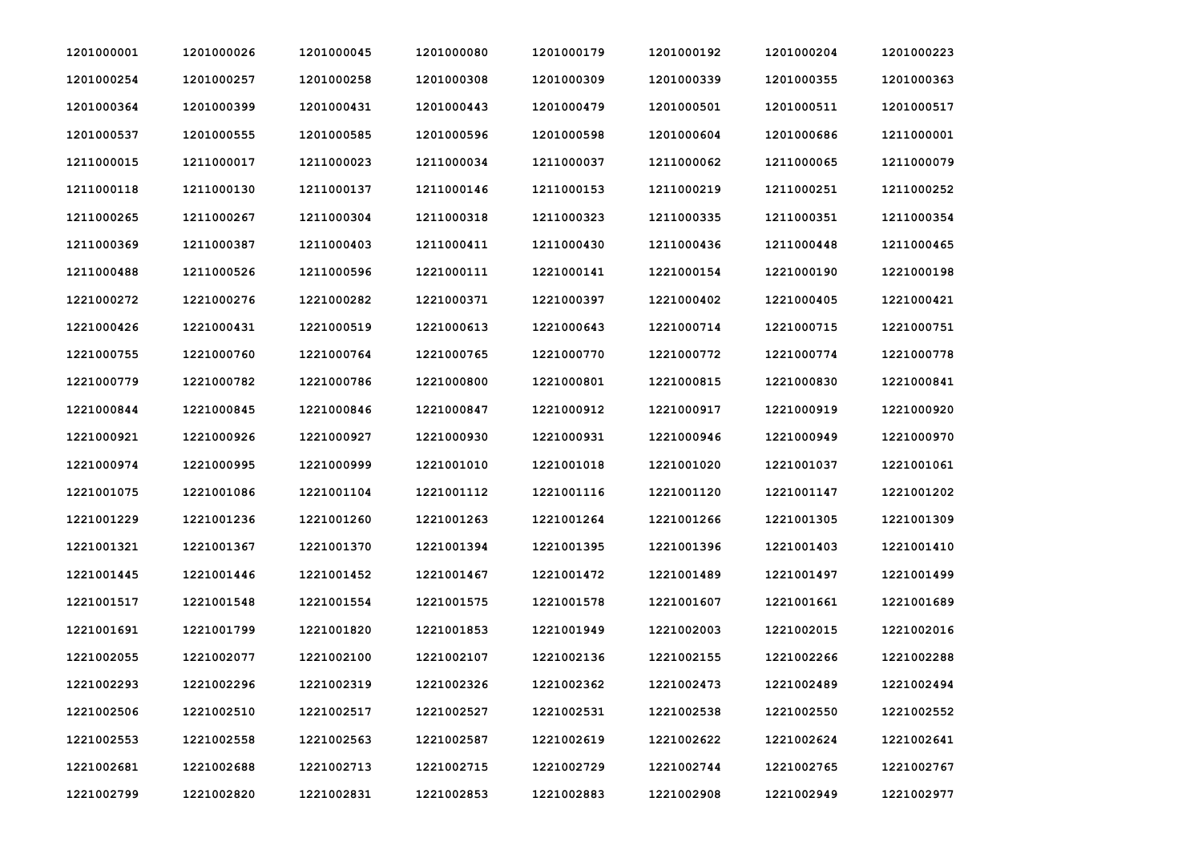| 1201000001 | 1201000026 | 1201000045 | 1201000080 | 1201000179 | 1201000192 | 1201000204 | 1201000223 |
|------------|------------|------------|------------|------------|------------|------------|------------|
| 1201000254 | 1201000257 | 1201000258 | 1201000308 | 1201000309 | 1201000339 | 1201000355 | 1201000363 |
| 1201000364 | 1201000399 | 1201000431 | 1201000443 | 1201000479 | 1201000501 | 1201000511 | 1201000517 |
| 1201000537 | 1201000555 | 1201000585 | 1201000596 | 1201000598 | 1201000604 | 1201000686 | 1211000001 |
| 1211000015 | 1211000017 | 1211000023 | 1211000034 | 1211000037 | 1211000062 | 1211000065 | 1211000079 |
| 1211000118 | 1211000130 | 1211000137 | 1211000146 | 1211000153 | 1211000219 | 1211000251 | 1211000252 |
| 1211000265 | 1211000267 | 1211000304 | 1211000318 | 1211000323 | 1211000335 | 1211000351 | 1211000354 |
| 1211000369 | 1211000387 | 1211000403 | 1211000411 | 1211000430 | 1211000436 | 1211000448 | 1211000465 |
| 1211000488 | 1211000526 | 1211000596 | 1221000111 | 1221000141 | 1221000154 | 1221000190 | 1221000198 |
| 1221000272 | 1221000276 | 1221000282 | 1221000371 | 1221000397 | 1221000402 | 1221000405 | 1221000421 |
| 1221000426 | 1221000431 | 1221000519 | 1221000613 | 1221000643 | 1221000714 | 1221000715 | 1221000751 |
| 1221000755 | 1221000760 | 1221000764 | 1221000765 | 1221000770 | 1221000772 | 1221000774 | 1221000778 |
| 1221000779 | 1221000782 | 1221000786 | 1221000800 | 1221000801 | 1221000815 | 1221000830 | 1221000841 |
| 1221000844 | 1221000845 | 1221000846 | 1221000847 | 1221000912 | 1221000917 | 1221000919 | 1221000920 |
| 1221000921 | 1221000926 | 1221000927 | 1221000930 | 1221000931 | 1221000946 | 1221000949 | 1221000970 |
| 1221000974 | 1221000995 | 1221000999 | 1221001010 | 1221001018 | 1221001020 | 1221001037 | 1221001061 |
| 1221001075 | 1221001086 | 1221001104 | 1221001112 | 1221001116 | 1221001120 | 1221001147 | 1221001202 |
| 1221001229 | 1221001236 | 1221001260 | 1221001263 | 1221001264 | 1221001266 | 1221001305 | 1221001309 |
| 1221001321 | 1221001367 | 1221001370 | 1221001394 | 1221001395 | 1221001396 | 1221001403 | 1221001410 |
| 1221001445 | 1221001446 | 1221001452 | 1221001467 | 1221001472 | 1221001489 | 1221001497 | 1221001499 |
| 1221001517 | 1221001548 | 1221001554 | 1221001575 | 1221001578 | 1221001607 | 1221001661 | 1221001689 |
| 1221001691 | 1221001799 | 1221001820 | 1221001853 | 1221001949 | 1221002003 | 1221002015 | 1221002016 |
| 1221002055 | 1221002077 | 1221002100 | 1221002107 | 1221002136 | 1221002155 | 1221002266 | 1221002288 |
| 1221002293 | 1221002296 | 1221002319 | 1221002326 | 1221002362 | 1221002473 | 1221002489 | 1221002494 |
| 1221002506 | 1221002510 | 1221002517 | 1221002527 | 1221002531 | 1221002538 | 1221002550 | 1221002552 |
| 1221002553 | 1221002558 | 1221002563 | 1221002587 | 1221002619 | 1221002622 | 1221002624 | 1221002641 |
| 1221002681 | 1221002688 | 1221002713 | 1221002715 | 1221002729 | 1221002744 | 1221002765 | 1221002767 |
| 1221002799 | 1221002820 | 1221002831 | 1221002853 | 1221002883 | 1221002908 | 1221002949 | 1221002977 |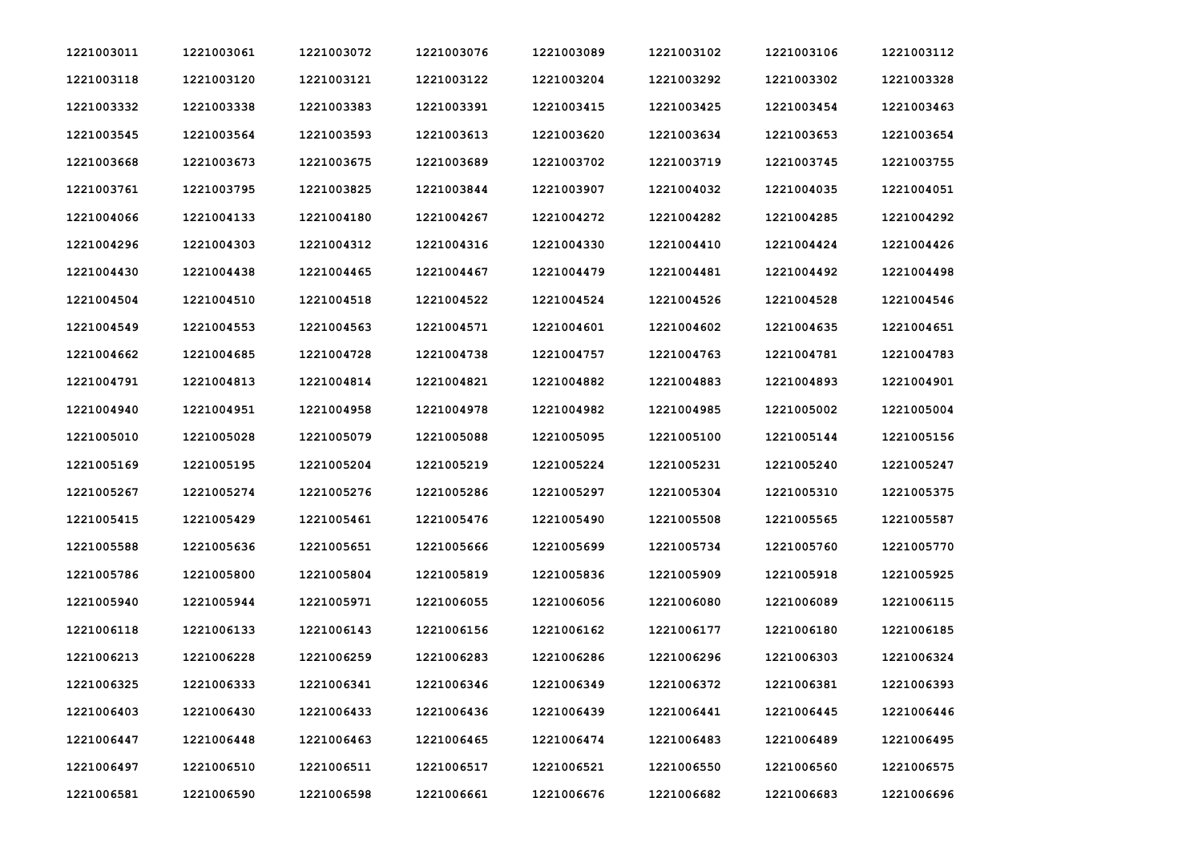| 1221003011 | 1221003061 | 1221003072 | 1221003076 | 1221003089 | 1221003102 | 1221003106 | 1221003112 |
|------------|------------|------------|------------|------------|------------|------------|------------|
| 1221003118 | 1221003120 | 1221003121 | 1221003122 | 1221003204 | 1221003292 | 1221003302 | 1221003328 |
| 1221003332 | 1221003338 | 1221003383 | 1221003391 | 1221003415 | 1221003425 | 1221003454 | 1221003463 |
| 1221003545 | 1221003564 | 1221003593 | 1221003613 | 1221003620 | 1221003634 | 1221003653 | 1221003654 |
| 1221003668 | 1221003673 | 1221003675 | 1221003689 | 1221003702 | 1221003719 | 1221003745 | 1221003755 |
| 1221003761 | 1221003795 | 1221003825 | 1221003844 | 1221003907 | 1221004032 | 1221004035 | 1221004051 |
| 1221004066 | 1221004133 | 1221004180 | 1221004267 | 1221004272 | 1221004282 | 1221004285 | 1221004292 |
| 1221004296 | 1221004303 | 1221004312 | 1221004316 | 1221004330 | 1221004410 | 1221004424 | 1221004426 |
| 1221004430 | 1221004438 | 1221004465 | 1221004467 | 1221004479 | 1221004481 | 1221004492 | 1221004498 |
| 1221004504 | 1221004510 | 1221004518 | 1221004522 | 1221004524 | 1221004526 | 1221004528 | 1221004546 |
| 1221004549 | 1221004553 | 1221004563 | 1221004571 | 1221004601 | 1221004602 | 1221004635 | 1221004651 |
| 1221004662 | 1221004685 | 1221004728 | 1221004738 | 1221004757 | 1221004763 | 1221004781 | 1221004783 |
| 1221004791 | 1221004813 | 1221004814 | 1221004821 | 1221004882 | 1221004883 | 1221004893 | 1221004901 |
| 1221004940 | 1221004951 | 1221004958 | 1221004978 | 1221004982 | 1221004985 | 1221005002 | 1221005004 |
| 1221005010 | 1221005028 | 1221005079 | 1221005088 | 1221005095 | 1221005100 | 1221005144 | 1221005156 |
| 1221005169 | 1221005195 | 1221005204 | 1221005219 | 1221005224 | 1221005231 | 1221005240 | 1221005247 |
| 1221005267 | 1221005274 | 1221005276 | 1221005286 | 1221005297 | 1221005304 | 1221005310 | 1221005375 |
| 1221005415 | 1221005429 | 1221005461 | 1221005476 | 1221005490 | 1221005508 | 1221005565 | 1221005587 |
| 1221005588 | 1221005636 | 1221005651 | 1221005666 | 1221005699 | 1221005734 | 1221005760 | 1221005770 |
| 1221005786 | 1221005800 | 1221005804 | 1221005819 | 1221005836 | 1221005909 | 1221005918 | 1221005925 |
| 1221005940 | 1221005944 | 1221005971 | 1221006055 | 1221006056 | 1221006080 | 1221006089 | 1221006115 |
| 1221006118 | 1221006133 | 1221006143 | 1221006156 | 1221006162 | 1221006177 | 1221006180 | 1221006185 |
| 1221006213 | 1221006228 | 1221006259 | 1221006283 | 1221006286 | 1221006296 | 1221006303 | 1221006324 |
| 1221006325 | 1221006333 | 1221006341 | 1221006346 | 1221006349 | 1221006372 | 1221006381 | 1221006393 |
| 1221006403 | 1221006430 | 1221006433 | 1221006436 | 1221006439 | 1221006441 | 1221006445 | 1221006446 |
| 1221006447 | 1221006448 | 1221006463 | 1221006465 | 1221006474 | 1221006483 | 1221006489 | 1221006495 |
| 1221006497 | 1221006510 | 1221006511 | 1221006517 | 1221006521 | 1221006550 | 1221006560 | 1221006575 |
| 1221006581 | 1221006590 | 1221006598 | 1221006661 | 1221006676 | 1221006682 | 1221006683 | 1221006696 |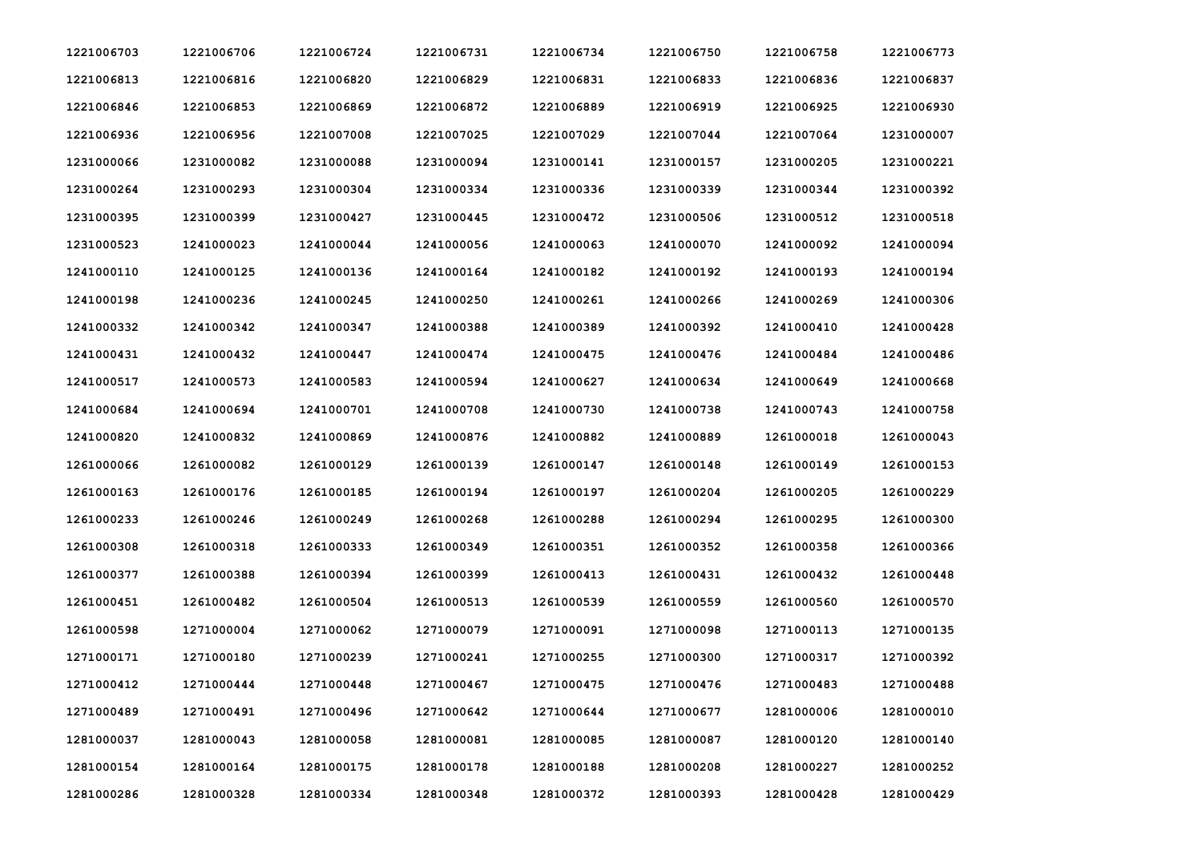| 1221006703 | 1221006706 | 1221006724 | 1221006731 | 1221006734 | 1221006750 | 1221006758 | 1221006773 |
|------------|------------|------------|------------|------------|------------|------------|------------|
| 1221006813 | 1221006816 | 1221006820 | 1221006829 | 1221006831 | 1221006833 | 1221006836 | 1221006837 |
| 1221006846 | 1221006853 | 1221006869 | 1221006872 | 1221006889 | 1221006919 | 1221006925 | 1221006930 |
| 1221006936 | 1221006956 | 1221007008 | 1221007025 | 1221007029 | 1221007044 | 1221007064 | 1231000007 |
| 1231000066 | 1231000082 | 1231000088 | 1231000094 | 1231000141 | 1231000157 | 1231000205 | 1231000221 |
| 1231000264 | 1231000293 | 1231000304 | 1231000334 | 1231000336 | 1231000339 | 1231000344 | 1231000392 |
| 1231000395 | 1231000399 | 1231000427 | 1231000445 | 1231000472 | 1231000506 | 1231000512 | 1231000518 |
| 1231000523 | 1241000023 | 1241000044 | 1241000056 | 1241000063 | 1241000070 | 1241000092 | 1241000094 |
| 1241000110 | 1241000125 | 1241000136 | 1241000164 | 1241000182 | 1241000192 | 1241000193 | 1241000194 |
| 1241000198 | 1241000236 | 1241000245 | 1241000250 | 1241000261 | 1241000266 | 1241000269 | 1241000306 |
| 1241000332 | 1241000342 | 1241000347 | 1241000388 | 1241000389 | 1241000392 | 1241000410 | 1241000428 |
| 1241000431 | 1241000432 | 1241000447 | 1241000474 | 1241000475 | 1241000476 | 1241000484 | 1241000486 |
| 1241000517 | 1241000573 | 1241000583 | 1241000594 | 1241000627 | 1241000634 | 1241000649 | 1241000668 |
| 1241000684 | 1241000694 | 1241000701 | 1241000708 | 1241000730 | 1241000738 | 1241000743 | 1241000758 |
| 1241000820 | 1241000832 | 1241000869 | 1241000876 | 1241000882 | 1241000889 | 1261000018 | 1261000043 |
| 1261000066 | 1261000082 | 1261000129 | 1261000139 | 1261000147 | 1261000148 | 1261000149 | 1261000153 |
| 1261000163 | 1261000176 | 1261000185 | 1261000194 | 1261000197 | 1261000204 | 1261000205 | 1261000229 |
| 1261000233 | 1261000246 | 1261000249 | 1261000268 | 1261000288 | 1261000294 | 1261000295 | 1261000300 |
| 1261000308 | 1261000318 | 1261000333 | 1261000349 | 1261000351 | 1261000352 | 1261000358 | 1261000366 |
| 1261000377 | 1261000388 | 1261000394 | 1261000399 | 1261000413 | 1261000431 | 1261000432 | 1261000448 |
| 1261000451 | 1261000482 | 1261000504 | 1261000513 | 1261000539 | 1261000559 | 1261000560 | 1261000570 |
| 1261000598 | 1271000004 | 1271000062 | 1271000079 | 1271000091 | 1271000098 | 1271000113 | 1271000135 |
| 1271000171 | 1271000180 | 1271000239 | 1271000241 | 1271000255 | 1271000300 | 1271000317 | 1271000392 |
| 1271000412 | 1271000444 | 1271000448 | 1271000467 | 1271000475 | 1271000476 | 1271000483 | 1271000488 |
| 1271000489 | 1271000491 | 1271000496 | 1271000642 | 1271000644 | 1271000677 | 1281000006 | 1281000010 |
| 1281000037 | 1281000043 | 1281000058 | 1281000081 | 1281000085 | 1281000087 | 1281000120 | 1281000140 |
| 1281000154 | 1281000164 | 1281000175 | 1281000178 | 1281000188 | 1281000208 | 1281000227 | 1281000252 |
| 1281000286 | 1281000328 | 1281000334 | 1281000348 | 1281000372 | 1281000393 | 1281000428 | 1281000429 |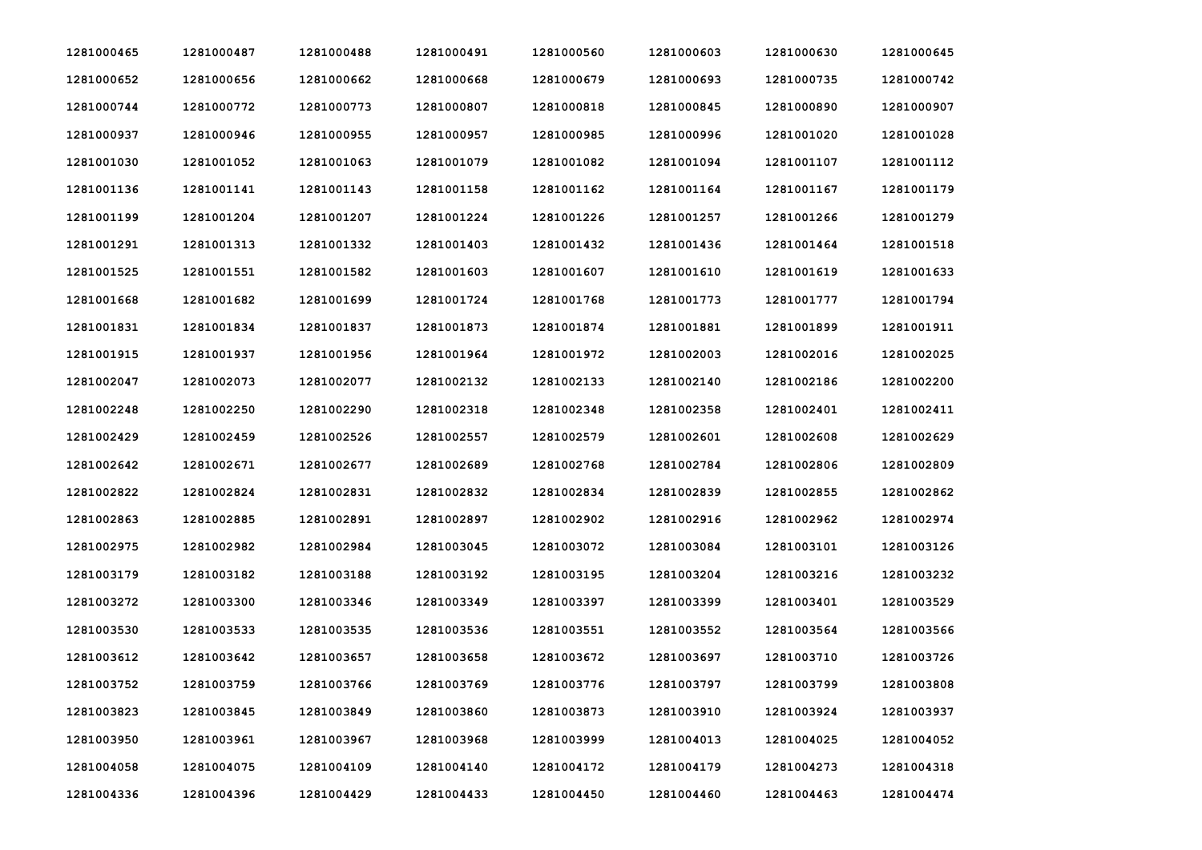| 1281000465 | 1281000487 | 1281000488 | 1281000491 | 1281000560 | 1281000603 | 1281000630 | 1281000645 |
|------------|------------|------------|------------|------------|------------|------------|------------|
| 1281000652 | 1281000656 | 1281000662 | 1281000668 | 1281000679 | 1281000693 | 1281000735 | 1281000742 |
| 1281000744 | 1281000772 | 1281000773 | 1281000807 | 1281000818 | 1281000845 | 1281000890 | 1281000907 |
| 1281000937 | 1281000946 | 1281000955 | 1281000957 | 1281000985 | 1281000996 | 1281001020 | 1281001028 |
| 1281001030 | 1281001052 | 1281001063 | 1281001079 | 1281001082 | 1281001094 | 1281001107 | 1281001112 |
| 1281001136 | 1281001141 | 1281001143 | 1281001158 | 1281001162 | 1281001164 | 1281001167 | 1281001179 |
| 1281001199 | 1281001204 | 1281001207 | 1281001224 | 1281001226 | 1281001257 | 1281001266 | 1281001279 |
| 1281001291 | 1281001313 | 1281001332 | 1281001403 | 1281001432 | 1281001436 | 1281001464 | 1281001518 |
| 1281001525 | 1281001551 | 1281001582 | 1281001603 | 1281001607 | 1281001610 | 1281001619 | 1281001633 |
| 1281001668 | 1281001682 | 1281001699 | 1281001724 | 1281001768 | 1281001773 | 1281001777 | 1281001794 |
| 1281001831 | 1281001834 | 1281001837 | 1281001873 | 1281001874 | 1281001881 | 1281001899 | 1281001911 |
| 1281001915 | 1281001937 | 1281001956 | 1281001964 | 1281001972 | 1281002003 | 1281002016 | 1281002025 |
| 1281002047 | 1281002073 | 1281002077 | 1281002132 | 1281002133 | 1281002140 | 1281002186 | 1281002200 |
| 1281002248 | 1281002250 | 1281002290 | 1281002318 | 1281002348 | 1281002358 | 1281002401 | 1281002411 |
| 1281002429 | 1281002459 | 1281002526 | 1281002557 | 1281002579 | 1281002601 | 1281002608 | 1281002629 |
| 1281002642 | 1281002671 | 1281002677 | 1281002689 | 1281002768 | 1281002784 | 1281002806 | 1281002809 |
| 1281002822 | 1281002824 | 1281002831 | 1281002832 | 1281002834 | 1281002839 | 1281002855 | 1281002862 |
| 1281002863 | 1281002885 | 1281002891 | 1281002897 | 1281002902 | 1281002916 | 1281002962 | 1281002974 |
| 1281002975 | 1281002982 | 1281002984 | 1281003045 | 1281003072 | 1281003084 | 1281003101 | 1281003126 |
| 1281003179 | 1281003182 | 1281003188 | 1281003192 | 1281003195 | 1281003204 | 1281003216 | 1281003232 |
| 1281003272 | 1281003300 | 1281003346 | 1281003349 | 1281003397 | 1281003399 | 1281003401 | 1281003529 |
| 1281003530 | 1281003533 | 1281003535 | 1281003536 | 1281003551 | 1281003552 | 1281003564 | 1281003566 |
| 1281003612 | 1281003642 | 1281003657 | 1281003658 | 1281003672 | 1281003697 | 1281003710 | 1281003726 |
| 1281003752 | 1281003759 | 1281003766 | 1281003769 | 1281003776 | 1281003797 | 1281003799 | 1281003808 |
| 1281003823 | 1281003845 | 1281003849 | 1281003860 | 1281003873 | 1281003910 | 1281003924 | 1281003937 |
| 1281003950 | 1281003961 | 1281003967 | 1281003968 | 1281003999 | 1281004013 | 1281004025 | 1281004052 |
| 1281004058 | 1281004075 | 1281004109 | 1281004140 | 1281004172 | 1281004179 | 1281004273 | 1281004318 |
| 1281004336 | 1281004396 | 1281004429 | 1281004433 | 1281004450 | 1281004460 | 1281004463 | 1281004474 |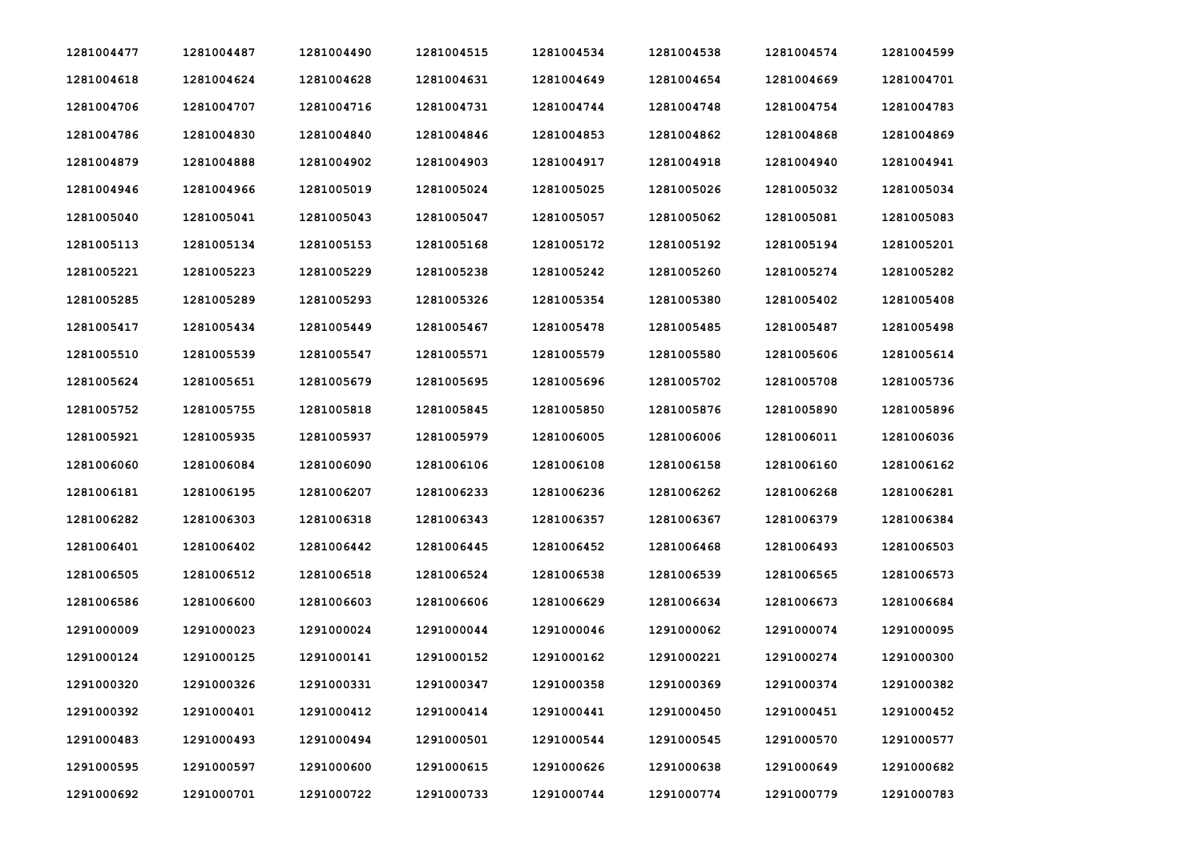| 1281004477 | 1281004487 | 1281004490 | 1281004515 | 1281004534 | 1281004538 | 1281004574 | 1281004599 |
|------------|------------|------------|------------|------------|------------|------------|------------|
| 1281004618 | 1281004624 | 1281004628 | 1281004631 | 1281004649 | 1281004654 | 1281004669 | 1281004701 |
| 1281004706 | 1281004707 | 1281004716 | 1281004731 | 1281004744 | 1281004748 | 1281004754 | 1281004783 |
| 1281004786 | 1281004830 | 1281004840 | 1281004846 | 1281004853 | 1281004862 | 1281004868 | 1281004869 |
| 1281004879 | 1281004888 | 1281004902 | 1281004903 | 1281004917 | 1281004918 | 1281004940 | 1281004941 |
| 1281004946 | 1281004966 | 1281005019 | 1281005024 | 1281005025 | 1281005026 | 1281005032 | 1281005034 |
| 1281005040 | 1281005041 | 1281005043 | 1281005047 | 1281005057 | 1281005062 | 1281005081 | 1281005083 |
| 1281005113 | 1281005134 | 1281005153 | 1281005168 | 1281005172 | 1281005192 | 1281005194 | 1281005201 |
| 1281005221 | 1281005223 | 1281005229 | 1281005238 | 1281005242 | 1281005260 | 1281005274 | 1281005282 |
| 1281005285 | 1281005289 | 1281005293 | 1281005326 | 1281005354 | 1281005380 | 1281005402 | 1281005408 |
| 1281005417 | 1281005434 | 1281005449 | 1281005467 | 1281005478 | 1281005485 | 1281005487 | 1281005498 |
| 1281005510 | 1281005539 | 1281005547 | 1281005571 | 1281005579 | 1281005580 | 1281005606 | 1281005614 |
| 1281005624 | 1281005651 | 1281005679 | 1281005695 | 1281005696 | 1281005702 | 1281005708 | 1281005736 |
| 1281005752 | 1281005755 | 1281005818 | 1281005845 | 1281005850 | 1281005876 | 1281005890 | 1281005896 |
| 1281005921 | 1281005935 | 1281005937 | 1281005979 | 1281006005 | 1281006006 | 1281006011 | 1281006036 |
| 1281006060 | 1281006084 | 1281006090 | 1281006106 | 1281006108 | 1281006158 | 1281006160 | 1281006162 |
| 1281006181 | 1281006195 | 1281006207 | 1281006233 | 1281006236 | 1281006262 | 1281006268 | 1281006281 |
| 1281006282 | 1281006303 | 1281006318 | 1281006343 | 1281006357 | 1281006367 | 1281006379 | 1281006384 |
| 1281006401 | 1281006402 | 1281006442 | 1281006445 | 1281006452 | 1281006468 | 1281006493 | 1281006503 |
| 1281006505 | 1281006512 | 1281006518 | 1281006524 | 1281006538 | 1281006539 | 1281006565 | 1281006573 |
| 1281006586 | 1281006600 | 1281006603 | 1281006606 | 1281006629 | 1281006634 | 1281006673 | 1281006684 |
| 1291000009 | 1291000023 | 1291000024 | 1291000044 | 1291000046 | 1291000062 | 1291000074 | 1291000095 |
| 1291000124 | 1291000125 | 1291000141 | 1291000152 | 1291000162 | 1291000221 | 1291000274 | 1291000300 |
| 1291000320 | 1291000326 | 1291000331 | 1291000347 | 1291000358 | 1291000369 | 1291000374 | 1291000382 |
| 1291000392 | 1291000401 | 1291000412 | 1291000414 | 1291000441 | 1291000450 | 1291000451 | 1291000452 |
| 1291000483 | 1291000493 | 1291000494 | 1291000501 | 1291000544 | 1291000545 | 1291000570 | 1291000577 |
| 1291000595 | 1291000597 | 1291000600 | 1291000615 | 1291000626 | 1291000638 | 1291000649 | 1291000682 |
| 1291000692 | 1291000701 | 1291000722 | 1291000733 | 1291000744 | 1291000774 | 1291000779 | 1291000783 |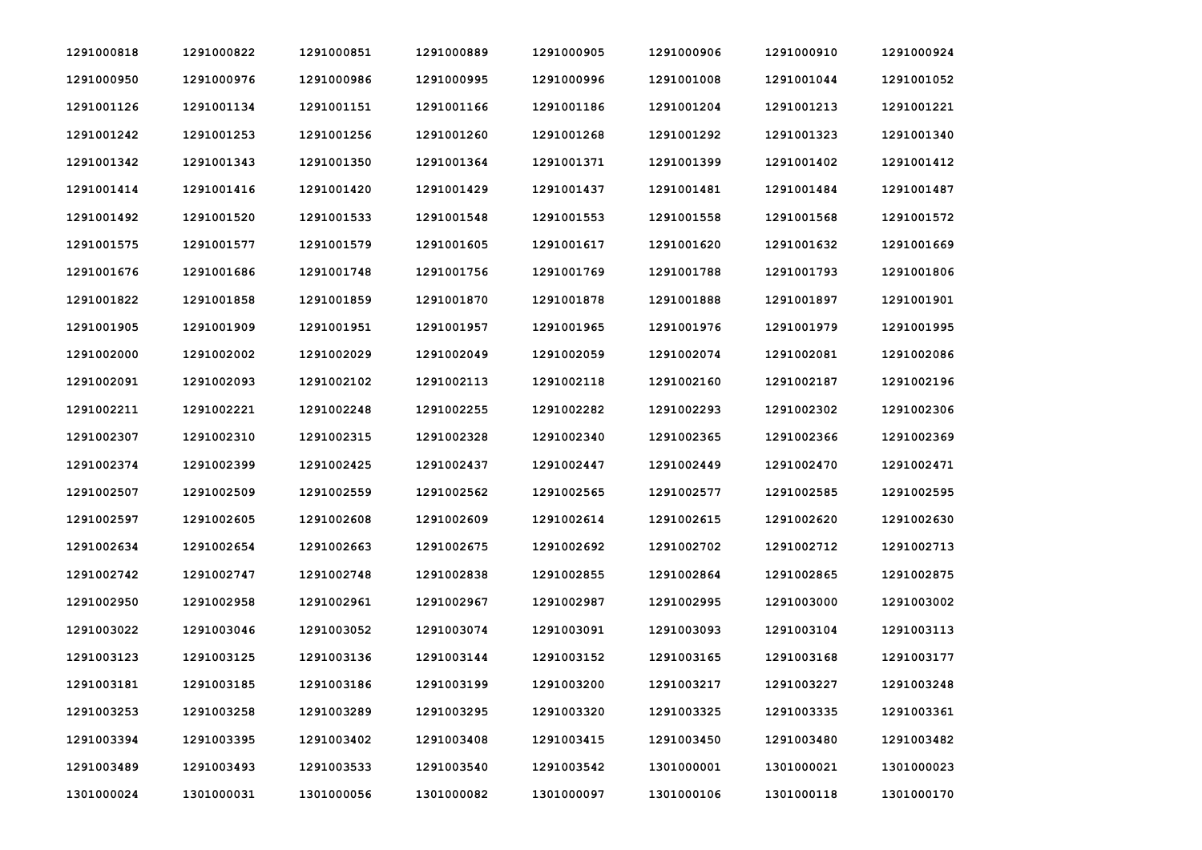| 1291000818 | 1291000822 | 1291000851 | 1291000889 | 1291000905 | 1291000906 | 1291000910 | 1291000924 |
|------------|------------|------------|------------|------------|------------|------------|------------|
| 1291000950 | 1291000976 | 1291000986 | 1291000995 | 1291000996 | 1291001008 | 1291001044 | 1291001052 |
| 1291001126 | 1291001134 | 1291001151 | 1291001166 | 1291001186 | 1291001204 | 1291001213 | 1291001221 |
| 1291001242 | 1291001253 | 1291001256 | 1291001260 | 1291001268 | 1291001292 | 1291001323 | 1291001340 |
| 1291001342 | 1291001343 | 1291001350 | 1291001364 | 1291001371 | 1291001399 | 1291001402 | 1291001412 |
| 1291001414 | 1291001416 | 1291001420 | 1291001429 | 1291001437 | 1291001481 | 1291001484 | 1291001487 |
| 1291001492 | 1291001520 | 1291001533 | 1291001548 | 1291001553 | 1291001558 | 1291001568 | 1291001572 |
| 1291001575 | 1291001577 | 1291001579 | 1291001605 | 1291001617 | 1291001620 | 1291001632 | 1291001669 |
| 1291001676 | 1291001686 | 1291001748 | 1291001756 | 1291001769 | 1291001788 | 1291001793 | 1291001806 |
| 1291001822 | 1291001858 | 1291001859 | 1291001870 | 1291001878 | 1291001888 | 1291001897 | 1291001901 |
| 1291001905 | 1291001909 | 1291001951 | 1291001957 | 1291001965 | 1291001976 | 1291001979 | 1291001995 |
| 1291002000 | 1291002002 | 1291002029 | 1291002049 | 1291002059 | 1291002074 | 1291002081 | 1291002086 |
| 1291002091 | 1291002093 | 1291002102 | 1291002113 | 1291002118 | 1291002160 | 1291002187 | 1291002196 |
| 1291002211 | 1291002221 | 1291002248 | 1291002255 | 1291002282 | 1291002293 | 1291002302 | 1291002306 |
| 1291002307 | 1291002310 | 1291002315 | 1291002328 | 1291002340 | 1291002365 | 1291002366 | 1291002369 |
| 1291002374 | 1291002399 | 1291002425 | 1291002437 | 1291002447 | 1291002449 | 1291002470 | 1291002471 |
| 1291002507 | 1291002509 | 1291002559 | 1291002562 | 1291002565 | 1291002577 | 1291002585 | 1291002595 |
| 1291002597 | 1291002605 | 1291002608 | 1291002609 | 1291002614 | 1291002615 | 1291002620 | 1291002630 |
| 1291002634 | 1291002654 | 1291002663 | 1291002675 | 1291002692 | 1291002702 | 1291002712 | 1291002713 |
| 1291002742 | 1291002747 | 1291002748 | 1291002838 | 1291002855 | 1291002864 | 1291002865 | 1291002875 |
| 1291002950 | 1291002958 | 1291002961 | 1291002967 | 1291002987 | 1291002995 | 1291003000 | 1291003002 |
| 1291003022 | 1291003046 | 1291003052 | 1291003074 | 1291003091 | 1291003093 | 1291003104 | 1291003113 |
| 1291003123 | 1291003125 | 1291003136 | 1291003144 | 1291003152 | 1291003165 | 1291003168 | 1291003177 |
| 1291003181 | 1291003185 | 1291003186 | 1291003199 | 1291003200 | 1291003217 | 1291003227 | 1291003248 |
| 1291003253 | 1291003258 | 1291003289 | 1291003295 | 1291003320 | 1291003325 | 1291003335 | 1291003361 |
| 1291003394 | 1291003395 | 1291003402 | 1291003408 | 1291003415 | 1291003450 | 1291003480 | 1291003482 |
| 1291003489 | 1291003493 | 1291003533 | 1291003540 | 1291003542 | 1301000001 | 1301000021 | 1301000023 |
| 1301000024 | 1301000031 | 1301000056 | 1301000082 | 1301000097 | 1301000106 | 1301000118 | 1301000170 |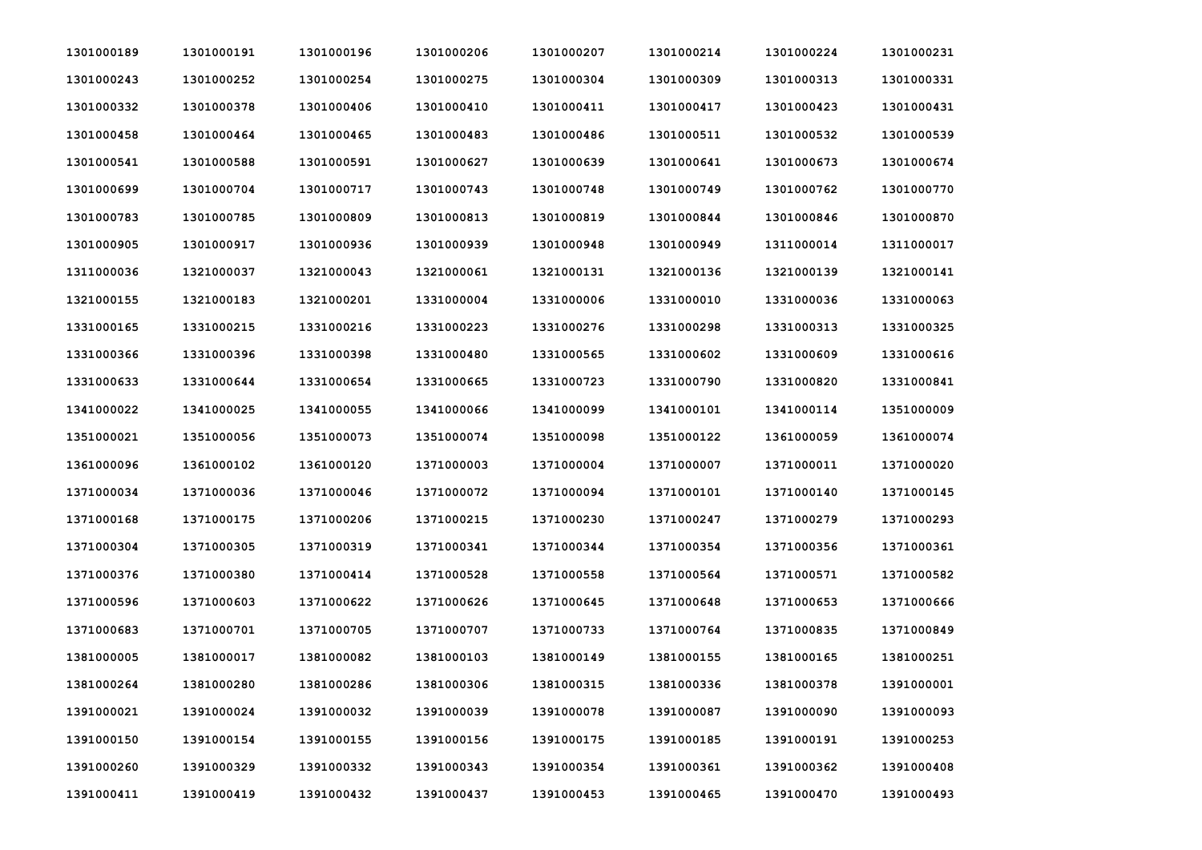| 1301000189 | 1301000191 | 1301000196 | 1301000206 | 1301000207 | 1301000214 | 1301000224 | 1301000231 |
|------------|------------|------------|------------|------------|------------|------------|------------|
| 1301000243 | 1301000252 | 1301000254 | 1301000275 | 1301000304 | 1301000309 | 1301000313 | 1301000331 |
| 1301000332 | 1301000378 | 1301000406 | 1301000410 | 1301000411 | 1301000417 | 1301000423 | 1301000431 |
| 1301000458 | 1301000464 | 1301000465 | 1301000483 | 1301000486 | 1301000511 | 1301000532 | 1301000539 |
| 1301000541 | 1301000588 | 1301000591 | 1301000627 | 1301000639 | 1301000641 | 1301000673 | 1301000674 |
| 1301000699 | 1301000704 | 1301000717 | 1301000743 | 1301000748 | 1301000749 | 1301000762 | 1301000770 |
| 1301000783 | 1301000785 | 1301000809 | 1301000813 | 1301000819 | 1301000844 | 1301000846 | 1301000870 |
| 1301000905 | 1301000917 | 1301000936 | 1301000939 | 1301000948 | 1301000949 | 1311000014 | 1311000017 |
| 1311000036 | 1321000037 | 1321000043 | 1321000061 | 1321000131 | 1321000136 | 1321000139 | 1321000141 |
| 1321000155 | 1321000183 | 1321000201 | 1331000004 | 1331000006 | 1331000010 | 1331000036 | 1331000063 |
| 1331000165 | 1331000215 | 1331000216 | 1331000223 | 1331000276 | 1331000298 | 1331000313 | 1331000325 |
| 1331000366 | 1331000396 | 1331000398 | 1331000480 | 1331000565 | 1331000602 | 1331000609 | 1331000616 |
| 1331000633 | 1331000644 | 1331000654 | 1331000665 | 1331000723 | 1331000790 | 1331000820 | 1331000841 |
| 1341000022 | 1341000025 | 1341000055 | 1341000066 | 1341000099 | 1341000101 | 1341000114 | 1351000009 |
| 1351000021 | 1351000056 | 1351000073 | 1351000074 | 1351000098 | 1351000122 | 1361000059 | 1361000074 |
| 1361000096 | 1361000102 | 1361000120 | 1371000003 | 1371000004 | 1371000007 | 1371000011 | 1371000020 |
| 1371000034 | 1371000036 | 1371000046 | 1371000072 | 1371000094 | 1371000101 | 1371000140 | 1371000145 |
| 1371000168 | 1371000175 | 1371000206 | 1371000215 | 1371000230 | 1371000247 | 1371000279 | 1371000293 |
| 1371000304 | 1371000305 | 1371000319 | 1371000341 | 1371000344 | 1371000354 | 1371000356 | 1371000361 |
| 1371000376 | 1371000380 | 1371000414 | 1371000528 | 1371000558 | 1371000564 | 1371000571 | 1371000582 |
| 1371000596 | 1371000603 | 1371000622 | 1371000626 | 1371000645 | 1371000648 | 1371000653 | 1371000666 |
| 1371000683 | 1371000701 | 1371000705 | 1371000707 | 1371000733 | 1371000764 | 1371000835 | 1371000849 |
| 1381000005 | 1381000017 | 1381000082 | 1381000103 | 1381000149 | 1381000155 | 1381000165 | 1381000251 |
| 1381000264 | 1381000280 | 1381000286 | 1381000306 | 1381000315 | 1381000336 | 1381000378 | 1391000001 |
| 1391000021 | 1391000024 | 1391000032 | 1391000039 | 1391000078 | 1391000087 | 1391000090 | 1391000093 |
| 1391000150 | 1391000154 | 1391000155 | 1391000156 | 1391000175 | 1391000185 | 1391000191 | 1391000253 |
| 1391000260 | 1391000329 | 1391000332 | 1391000343 | 1391000354 | 1391000361 | 1391000362 | 1391000408 |
| 1391000411 | 1391000419 | 1391000432 | 1391000437 | 1391000453 | 1391000465 | 1391000470 | 1391000493 |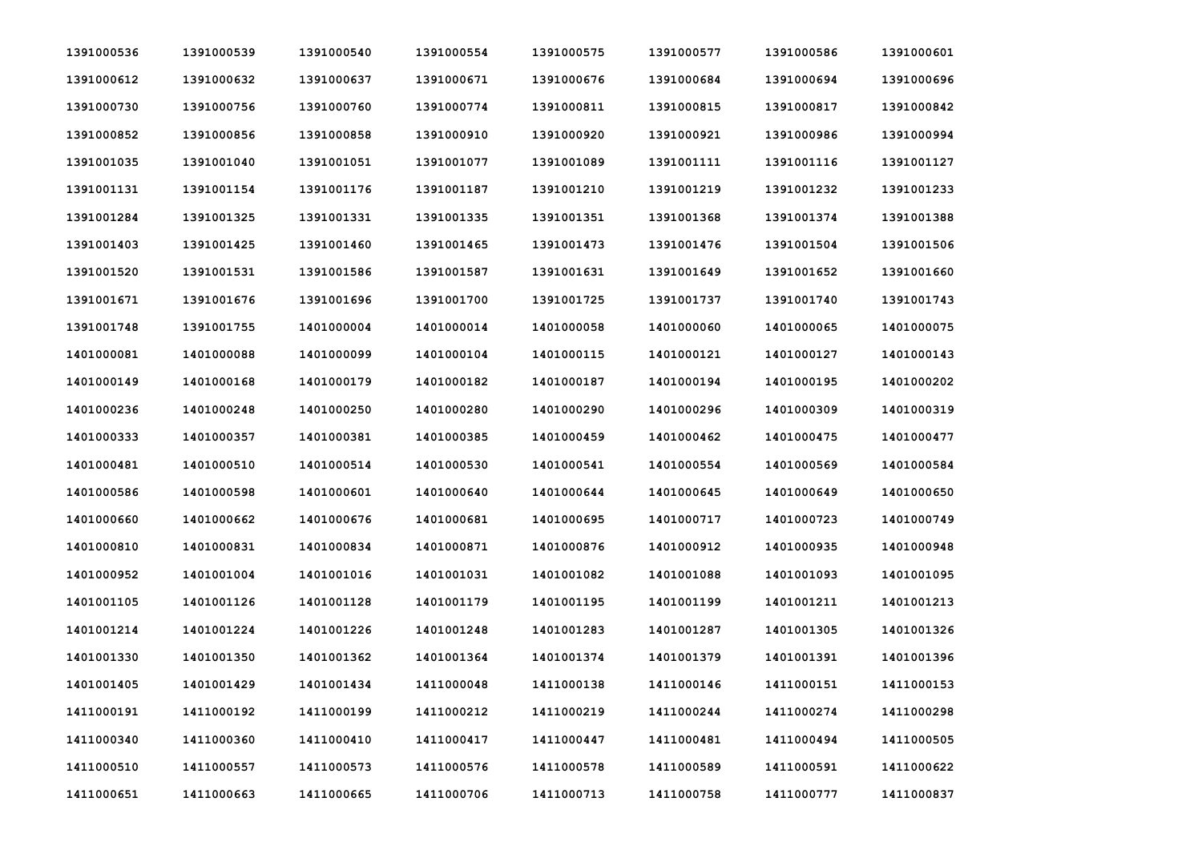| 1391000536 | 1391000539 | 1391000540 | 1391000554 | 1391000575 | 1391000577 | 1391000586 | 1391000601 |
|------------|------------|------------|------------|------------|------------|------------|------------|
| 1391000612 | 1391000632 | 1391000637 | 1391000671 | 1391000676 | 1391000684 | 1391000694 | 1391000696 |
| 1391000730 | 1391000756 | 1391000760 | 1391000774 | 1391000811 | 1391000815 | 1391000817 | 1391000842 |
| 1391000852 | 1391000856 | 1391000858 | 1391000910 | 1391000920 | 1391000921 | 1391000986 | 1391000994 |
| 1391001035 | 1391001040 | 1391001051 | 1391001077 | 1391001089 | 1391001111 | 1391001116 | 1391001127 |
| 1391001131 | 1391001154 | 1391001176 | 1391001187 | 1391001210 | 1391001219 | 1391001232 | 1391001233 |
| 1391001284 | 1391001325 | 1391001331 | 1391001335 | 1391001351 | 1391001368 | 1391001374 | 1391001388 |
| 1391001403 | 1391001425 | 1391001460 | 1391001465 | 1391001473 | 1391001476 | 1391001504 | 1391001506 |
| 1391001520 | 1391001531 | 1391001586 | 1391001587 | 1391001631 | 1391001649 | 1391001652 | 1391001660 |
| 1391001671 | 1391001676 | 1391001696 | 1391001700 | 1391001725 | 1391001737 | 1391001740 | 1391001743 |
| 1391001748 | 1391001755 | 1401000004 | 1401000014 | 1401000058 | 1401000060 | 1401000065 | 1401000075 |
| 1401000081 | 1401000088 | 1401000099 | 1401000104 | 1401000115 | 1401000121 | 1401000127 | 1401000143 |
| 1401000149 | 1401000168 | 1401000179 | 1401000182 | 1401000187 | 1401000194 | 1401000195 | 1401000202 |
| 1401000236 | 1401000248 | 1401000250 | 1401000280 | 1401000290 | 1401000296 | 1401000309 | 1401000319 |
| 1401000333 | 1401000357 | 1401000381 | 1401000385 | 1401000459 | 1401000462 | 1401000475 | 1401000477 |
| 1401000481 | 1401000510 | 1401000514 | 1401000530 | 1401000541 | 1401000554 | 1401000569 | 1401000584 |
| 1401000586 | 1401000598 | 1401000601 | 1401000640 | 1401000644 | 1401000645 | 1401000649 | 1401000650 |
| 1401000660 | 1401000662 | 1401000676 | 1401000681 | 1401000695 | 1401000717 | 1401000723 | 1401000749 |
| 1401000810 | 1401000831 | 1401000834 | 1401000871 | 1401000876 | 1401000912 | 1401000935 | 1401000948 |
| 1401000952 | 1401001004 | 1401001016 | 1401001031 | 1401001082 | 1401001088 | 1401001093 | 1401001095 |
| 1401001105 | 1401001126 | 1401001128 | 1401001179 | 1401001195 | 1401001199 | 1401001211 | 1401001213 |
| 1401001214 | 1401001224 | 1401001226 | 1401001248 | 1401001283 | 1401001287 | 1401001305 | 1401001326 |
| 1401001330 | 1401001350 | 1401001362 | 1401001364 | 1401001374 | 1401001379 | 1401001391 | 1401001396 |
| 1401001405 | 1401001429 | 1401001434 | 1411000048 | 1411000138 | 1411000146 | 1411000151 | 1411000153 |
| 1411000191 | 1411000192 | 1411000199 | 1411000212 | 1411000219 | 1411000244 | 1411000274 | 1411000298 |
| 1411000340 | 1411000360 | 1411000410 | 1411000417 | 1411000447 | 1411000481 | 1411000494 | 1411000505 |
| 1411000510 | 1411000557 | 1411000573 | 1411000576 | 1411000578 | 1411000589 | 1411000591 | 1411000622 |
| 1411000651 | 1411000663 | 1411000665 | 1411000706 | 1411000713 | 1411000758 | 1411000777 | 1411000837 |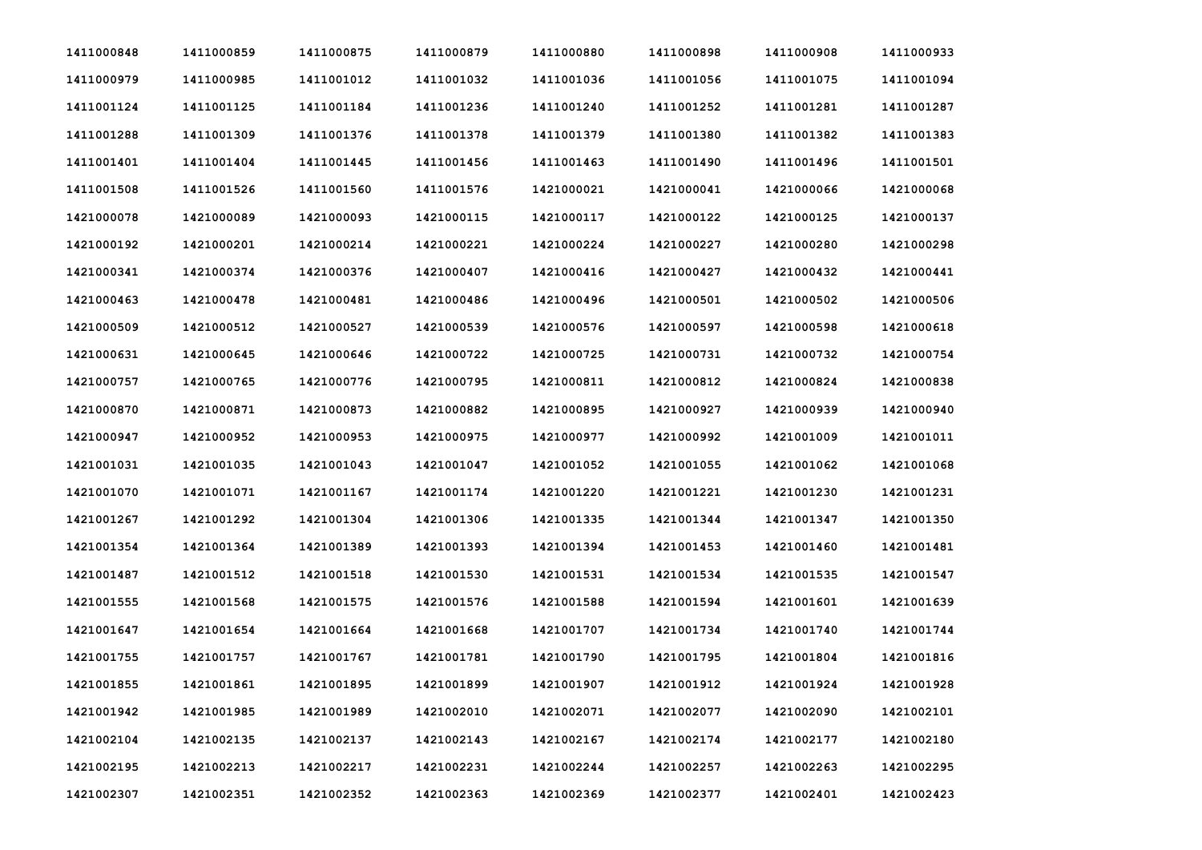| 1411000848 | 1411000859 | 1411000875 | 1411000879 | 1411000880 | 1411000898 | 1411000908 | 1411000933 |
|------------|------------|------------|------------|------------|------------|------------|------------|
| 1411000979 | 1411000985 | 1411001012 | 1411001032 | 1411001036 | 1411001056 | 1411001075 | 1411001094 |
| 1411001124 | 1411001125 | 1411001184 | 1411001236 | 1411001240 | 1411001252 | 1411001281 | 1411001287 |
| 1411001288 | 1411001309 | 1411001376 | 1411001378 | 1411001379 | 1411001380 | 1411001382 | 1411001383 |
| 1411001401 | 1411001404 | 1411001445 | 1411001456 | 1411001463 | 1411001490 | 1411001496 | 1411001501 |
| 1411001508 | 1411001526 | 1411001560 | 1411001576 | 1421000021 | 1421000041 | 1421000066 | 1421000068 |
| 1421000078 | 1421000089 | 1421000093 | 1421000115 | 1421000117 | 1421000122 | 1421000125 | 1421000137 |
| 1421000192 | 1421000201 | 1421000214 | 1421000221 | 1421000224 | 1421000227 | 1421000280 | 1421000298 |
| 1421000341 | 1421000374 | 1421000376 | 1421000407 | 1421000416 | 1421000427 | 1421000432 | 1421000441 |
| 1421000463 | 1421000478 | 1421000481 | 1421000486 | 1421000496 | 1421000501 | 1421000502 | 1421000506 |
| 1421000509 | 1421000512 | 1421000527 | 1421000539 | 1421000576 | 1421000597 | 1421000598 | 1421000618 |
| 1421000631 | 1421000645 | 1421000646 | 1421000722 | 1421000725 | 1421000731 | 1421000732 | 1421000754 |
| 1421000757 | 1421000765 | 1421000776 | 1421000795 | 1421000811 | 1421000812 | 1421000824 | 1421000838 |
| 1421000870 | 1421000871 | 1421000873 | 1421000882 | 1421000895 | 1421000927 | 1421000939 | 1421000940 |
| 1421000947 | 1421000952 | 1421000953 | 1421000975 | 1421000977 | 1421000992 | 1421001009 | 1421001011 |
| 1421001031 | 1421001035 | 1421001043 | 1421001047 | 1421001052 | 1421001055 | 1421001062 | 1421001068 |
| 1421001070 | 1421001071 | 1421001167 | 1421001174 | 1421001220 | 1421001221 | 1421001230 | 1421001231 |
| 1421001267 | 1421001292 | 1421001304 | 1421001306 | 1421001335 | 1421001344 | 1421001347 | 1421001350 |
| 1421001354 | 1421001364 | 1421001389 | 1421001393 | 1421001394 | 1421001453 | 1421001460 | 1421001481 |
| 1421001487 | 1421001512 | 1421001518 | 1421001530 | 1421001531 | 1421001534 | 1421001535 | 1421001547 |
| 1421001555 | 1421001568 | 1421001575 | 1421001576 | 1421001588 | 1421001594 | 1421001601 | 1421001639 |
| 1421001647 | 1421001654 | 1421001664 | 1421001668 | 1421001707 | 1421001734 | 1421001740 | 1421001744 |
| 1421001755 | 1421001757 | 1421001767 | 1421001781 | 1421001790 | 1421001795 | 1421001804 | 1421001816 |
| 1421001855 | 1421001861 | 1421001895 | 1421001899 | 1421001907 | 1421001912 | 1421001924 | 1421001928 |
| 1421001942 | 1421001985 | 1421001989 | 1421002010 | 1421002071 | 1421002077 | 1421002090 | 1421002101 |
| 1421002104 | 1421002135 | 1421002137 | 1421002143 | 1421002167 | 1421002174 | 1421002177 | 1421002180 |
| 1421002195 | 1421002213 | 1421002217 | 1421002231 | 1421002244 | 1421002257 | 1421002263 | 1421002295 |
| 1421002307 | 1421002351 | 1421002352 | 1421002363 | 1421002369 | 1421002377 | 1421002401 | 1421002423 |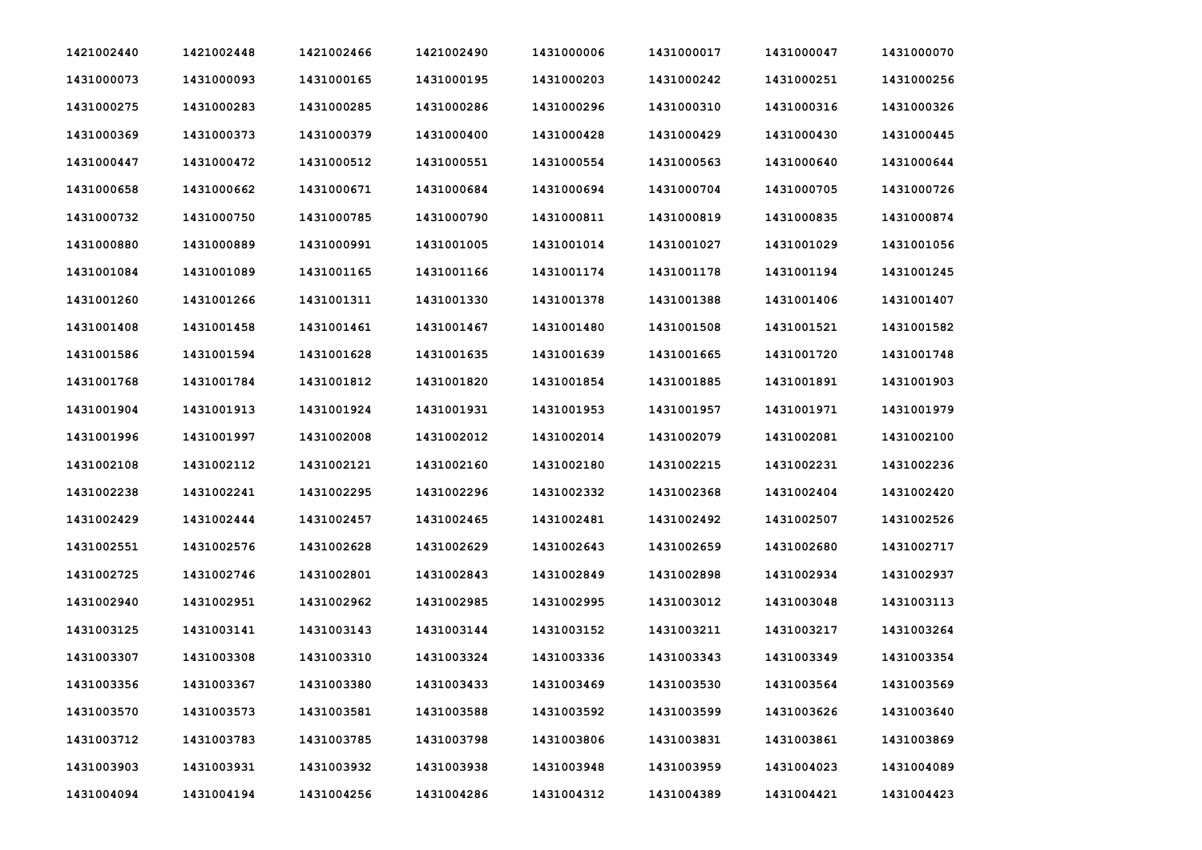| 1421002440 | 1421002448 | 1421002466 | 1421002490 | 1431000006 | 1431000017 | 1431000047 | 1431000070 |
|------------|------------|------------|------------|------------|------------|------------|------------|
| 1431000073 | 1431000093 | 1431000165 | 1431000195 | 1431000203 | 1431000242 | 1431000251 | 1431000256 |
| 1431000275 | 1431000283 | 1431000285 | 1431000286 | 1431000296 | 1431000310 | 1431000316 | 1431000326 |
| 1431000369 | 1431000373 | 1431000379 | 1431000400 | 1431000428 | 1431000429 | 1431000430 | 1431000445 |
| 1431000447 | 1431000472 | 1431000512 | 1431000551 | 1431000554 | 1431000563 | 1431000640 | 1431000644 |
| 1431000658 | 1431000662 | 1431000671 | 1431000684 | 1431000694 | 1431000704 | 1431000705 | 1431000726 |
| 1431000732 | 1431000750 | 1431000785 | 1431000790 | 1431000811 | 1431000819 | 1431000835 | 1431000874 |
| 1431000880 | 1431000889 | 1431000991 | 1431001005 | 1431001014 | 1431001027 | 1431001029 | 1431001056 |
| 1431001084 | 1431001089 | 1431001165 | 1431001166 | 1431001174 | 1431001178 | 1431001194 | 1431001245 |
| 1431001260 | 1431001266 | 1431001311 | 1431001330 | 1431001378 | 1431001388 | 1431001406 | 1431001407 |
| 1431001408 | 1431001458 | 1431001461 | 1431001467 | 1431001480 | 1431001508 | 1431001521 | 1431001582 |
| 1431001586 | 1431001594 | 1431001628 | 1431001635 | 1431001639 | 1431001665 | 1431001720 | 1431001748 |
| 1431001768 | 1431001784 | 1431001812 | 1431001820 | 1431001854 | 1431001885 | 1431001891 | 1431001903 |
| 1431001904 | 1431001913 | 1431001924 | 1431001931 | 1431001953 | 1431001957 | 1431001971 | 1431001979 |
| 1431001996 | 1431001997 | 1431002008 | 1431002012 | 1431002014 | 1431002079 | 1431002081 | 1431002100 |
| 1431002108 | 1431002112 | 1431002121 | 1431002160 | 1431002180 | 1431002215 | 1431002231 | 1431002236 |
| 1431002238 | 1431002241 | 1431002295 | 1431002296 | 1431002332 | 1431002368 | 1431002404 | 1431002420 |
| 1431002429 | 1431002444 | 1431002457 | 1431002465 | 1431002481 | 1431002492 | 1431002507 | 1431002526 |
| 1431002551 | 1431002576 | 1431002628 | 1431002629 | 1431002643 | 1431002659 | 1431002680 | 1431002717 |
| 1431002725 | 1431002746 | 1431002801 | 1431002843 | 1431002849 | 1431002898 | 1431002934 | 1431002937 |
| 1431002940 | 1431002951 | 1431002962 | 1431002985 | 1431002995 | 1431003012 | 1431003048 | 1431003113 |
| 1431003125 | 1431003141 | 1431003143 | 1431003144 | 1431003152 | 1431003211 | 1431003217 | 1431003264 |
| 1431003307 | 1431003308 | 1431003310 | 1431003324 | 1431003336 | 1431003343 | 1431003349 | 1431003354 |
| 1431003356 | 1431003367 | 1431003380 | 1431003433 | 1431003469 | 1431003530 | 1431003564 | 1431003569 |
| 1431003570 | 1431003573 | 1431003581 | 1431003588 | 1431003592 | 1431003599 | 1431003626 | 1431003640 |
| 1431003712 | 1431003783 | 1431003785 | 1431003798 | 1431003806 | 1431003831 | 1431003861 | 1431003869 |
| 1431003903 | 1431003931 | 1431003932 | 1431003938 | 1431003948 | 1431003959 | 1431004023 | 1431004089 |
| 1431004094 | 1431004194 | 1431004256 | 1431004286 | 1431004312 | 1431004389 | 1431004421 | 1431004423 |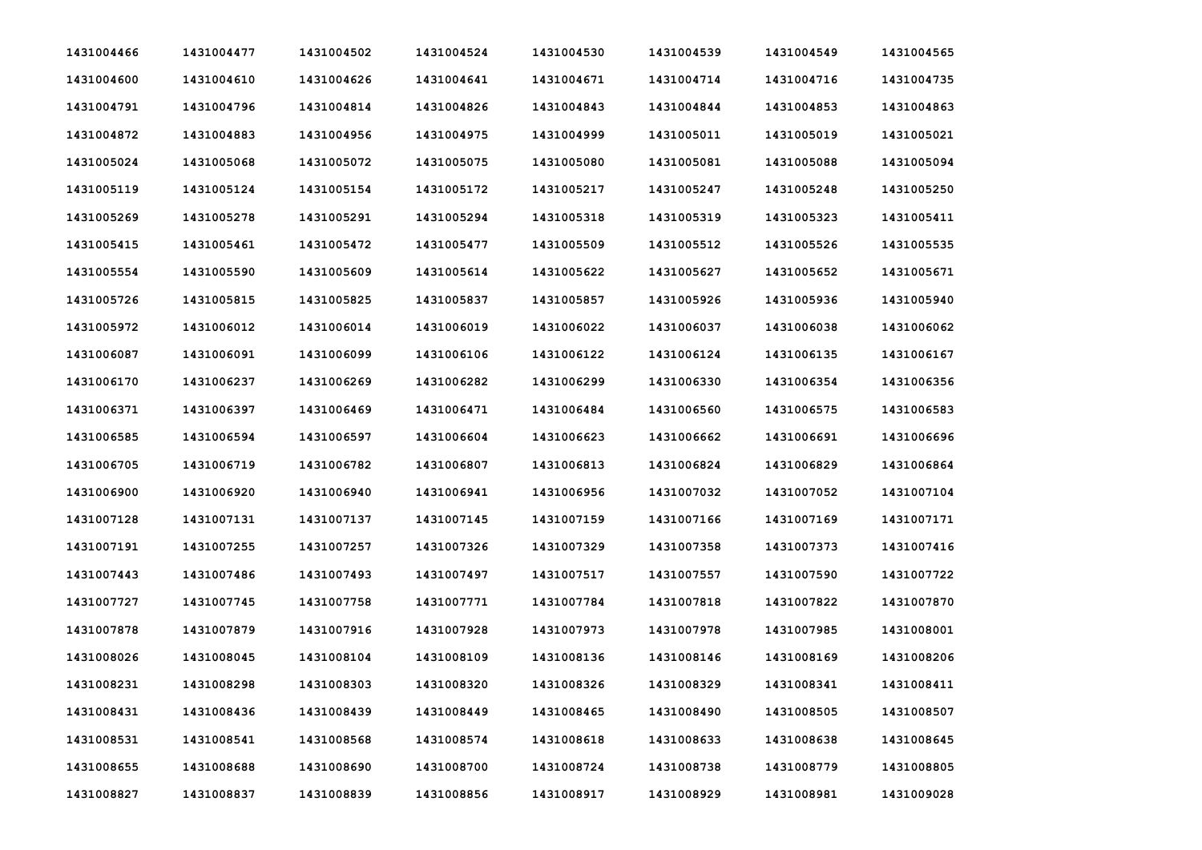| 1431004466 | 1431004477 | 1431004502 | 1431004524 | 1431004530 | 1431004539 | 1431004549 | 1431004565 |
|------------|------------|------------|------------|------------|------------|------------|------------|
| 1431004600 | 1431004610 | 1431004626 | 1431004641 | 1431004671 | 1431004714 | 1431004716 | 1431004735 |
| 1431004791 | 1431004796 | 1431004814 | 1431004826 | 1431004843 | 1431004844 | 1431004853 | 1431004863 |
| 1431004872 | 1431004883 | 1431004956 | 1431004975 | 1431004999 | 1431005011 | 1431005019 | 1431005021 |
| 1431005024 | 1431005068 | 1431005072 | 1431005075 | 1431005080 | 1431005081 | 1431005088 | 1431005094 |
| 1431005119 | 1431005124 | 1431005154 | 1431005172 | 1431005217 | 1431005247 | 1431005248 | 1431005250 |
| 1431005269 | 1431005278 | 1431005291 | 1431005294 | 1431005318 | 1431005319 | 1431005323 | 1431005411 |
| 1431005415 | 1431005461 | 1431005472 | 1431005477 | 1431005509 | 1431005512 | 1431005526 | 1431005535 |
| 1431005554 | 1431005590 | 1431005609 | 1431005614 | 1431005622 | 1431005627 | 1431005652 | 1431005671 |
| 1431005726 | 1431005815 | 1431005825 | 1431005837 | 1431005857 | 1431005926 | 1431005936 | 1431005940 |
| 1431005972 | 1431006012 | 1431006014 | 1431006019 | 1431006022 | 1431006037 | 1431006038 | 1431006062 |
| 1431006087 | 1431006091 | 1431006099 | 1431006106 | 1431006122 | 1431006124 | 1431006135 | 1431006167 |
| 1431006170 | 1431006237 | 1431006269 | 1431006282 | 1431006299 | 1431006330 | 1431006354 | 1431006356 |
| 1431006371 | 1431006397 | 1431006469 | 1431006471 | 1431006484 | 1431006560 | 1431006575 | 1431006583 |
| 1431006585 | 1431006594 | 1431006597 | 1431006604 | 1431006623 | 1431006662 | 1431006691 | 1431006696 |
| 1431006705 | 1431006719 | 1431006782 | 1431006807 | 1431006813 | 1431006824 | 1431006829 | 1431006864 |
| 1431006900 | 1431006920 | 1431006940 | 1431006941 | 1431006956 | 1431007032 | 1431007052 | 1431007104 |
| 1431007128 | 1431007131 | 1431007137 | 1431007145 | 1431007159 | 1431007166 | 1431007169 | 1431007171 |
| 1431007191 | 1431007255 | 1431007257 | 1431007326 | 1431007329 | 1431007358 | 1431007373 | 1431007416 |
| 1431007443 | 1431007486 | 1431007493 | 1431007497 | 1431007517 | 1431007557 | 1431007590 | 1431007722 |
| 1431007727 | 1431007745 | 1431007758 | 1431007771 | 1431007784 | 1431007818 | 1431007822 | 1431007870 |
| 1431007878 | 1431007879 | 1431007916 | 1431007928 | 1431007973 | 1431007978 | 1431007985 | 1431008001 |
| 1431008026 | 1431008045 | 1431008104 | 1431008109 | 1431008136 | 1431008146 | 1431008169 | 1431008206 |
| 1431008231 | 1431008298 | 1431008303 | 1431008320 | 1431008326 | 1431008329 | 1431008341 | 1431008411 |
| 1431008431 | 1431008436 | 1431008439 | 1431008449 | 1431008465 | 1431008490 | 1431008505 | 1431008507 |
| 1431008531 | 1431008541 | 1431008568 | 1431008574 | 1431008618 | 1431008633 | 1431008638 | 1431008645 |
| 1431008655 | 1431008688 | 1431008690 | 1431008700 | 1431008724 | 1431008738 | 1431008779 | 1431008805 |
| 1431008827 | 1431008837 | 1431008839 | 1431008856 | 1431008917 | 1431008929 | 1431008981 | 1431009028 |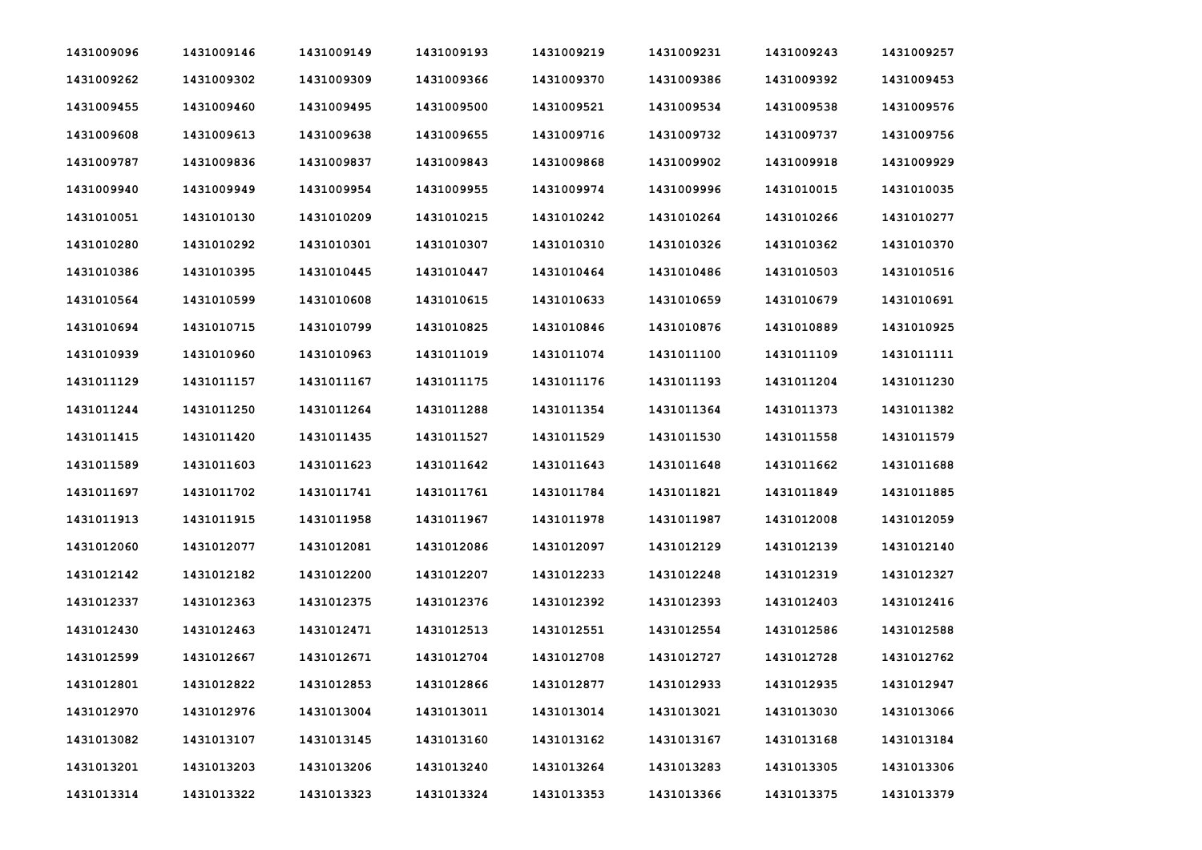| 1431009096 | 1431009146 | 1431009149 | 1431009193 | 1431009219 | 1431009231 | 1431009243 | 1431009257 |
|------------|------------|------------|------------|------------|------------|------------|------------|
| 1431009262 | 1431009302 | 1431009309 | 1431009366 | 1431009370 | 1431009386 | 1431009392 | 1431009453 |
| 1431009455 | 1431009460 | 1431009495 | 1431009500 | 1431009521 | 1431009534 | 1431009538 | 1431009576 |
| 1431009608 | 1431009613 | 1431009638 | 1431009655 | 1431009716 | 1431009732 | 1431009737 | 1431009756 |
| 1431009787 | 1431009836 | 1431009837 | 1431009843 | 1431009868 | 1431009902 | 1431009918 | 1431009929 |
| 1431009940 | 1431009949 | 1431009954 | 1431009955 | 1431009974 | 1431009996 | 1431010015 | 1431010035 |
| 1431010051 | 1431010130 | 1431010209 | 1431010215 | 1431010242 | 1431010264 | 1431010266 | 1431010277 |
| 1431010280 | 1431010292 | 1431010301 | 1431010307 | 1431010310 | 1431010326 | 1431010362 | 1431010370 |
| 1431010386 | 1431010395 | 1431010445 | 1431010447 | 1431010464 | 1431010486 | 1431010503 | 1431010516 |
| 1431010564 | 1431010599 | 1431010608 | 1431010615 | 1431010633 | 1431010659 | 1431010679 | 1431010691 |
| 1431010694 | 1431010715 | 1431010799 | 1431010825 | 1431010846 | 1431010876 | 1431010889 | 1431010925 |
| 1431010939 | 1431010960 | 1431010963 | 1431011019 | 1431011074 | 1431011100 | 1431011109 | 1431011111 |
| 1431011129 | 1431011157 | 1431011167 | 1431011175 | 1431011176 | 1431011193 | 1431011204 | 1431011230 |
| 1431011244 | 1431011250 | 1431011264 | 1431011288 | 1431011354 | 1431011364 | 1431011373 | 1431011382 |
| 1431011415 | 1431011420 | 1431011435 | 1431011527 | 1431011529 | 1431011530 | 1431011558 | 1431011579 |
| 1431011589 | 1431011603 | 1431011623 | 1431011642 | 1431011643 | 1431011648 | 1431011662 | 1431011688 |
| 1431011697 | 1431011702 | 1431011741 | 1431011761 | 1431011784 | 1431011821 | 1431011849 | 1431011885 |
| 1431011913 | 1431011915 | 1431011958 | 1431011967 | 1431011978 | 1431011987 | 1431012008 | 1431012059 |
| 1431012060 | 1431012077 | 1431012081 | 1431012086 | 1431012097 | 1431012129 | 1431012139 | 1431012140 |
| 1431012142 | 1431012182 | 1431012200 | 1431012207 | 1431012233 | 1431012248 | 1431012319 | 1431012327 |
| 1431012337 | 1431012363 | 1431012375 | 1431012376 | 1431012392 | 1431012393 | 1431012403 | 1431012416 |
| 1431012430 | 1431012463 | 1431012471 | 1431012513 | 1431012551 | 1431012554 | 1431012586 | 1431012588 |
| 1431012599 | 1431012667 | 1431012671 | 1431012704 | 1431012708 | 1431012727 | 1431012728 | 1431012762 |
| 1431012801 | 1431012822 | 1431012853 | 1431012866 | 1431012877 | 1431012933 | 1431012935 | 1431012947 |
| 1431012970 | 1431012976 | 1431013004 | 1431013011 | 1431013014 | 1431013021 | 1431013030 | 1431013066 |
| 1431013082 | 1431013107 | 1431013145 | 1431013160 | 1431013162 | 1431013167 | 1431013168 | 1431013184 |
| 1431013201 | 1431013203 | 1431013206 | 1431013240 | 1431013264 | 1431013283 | 1431013305 | 1431013306 |
| 1431013314 | 1431013322 | 1431013323 | 1431013324 | 1431013353 | 1431013366 | 1431013375 | 1431013379 |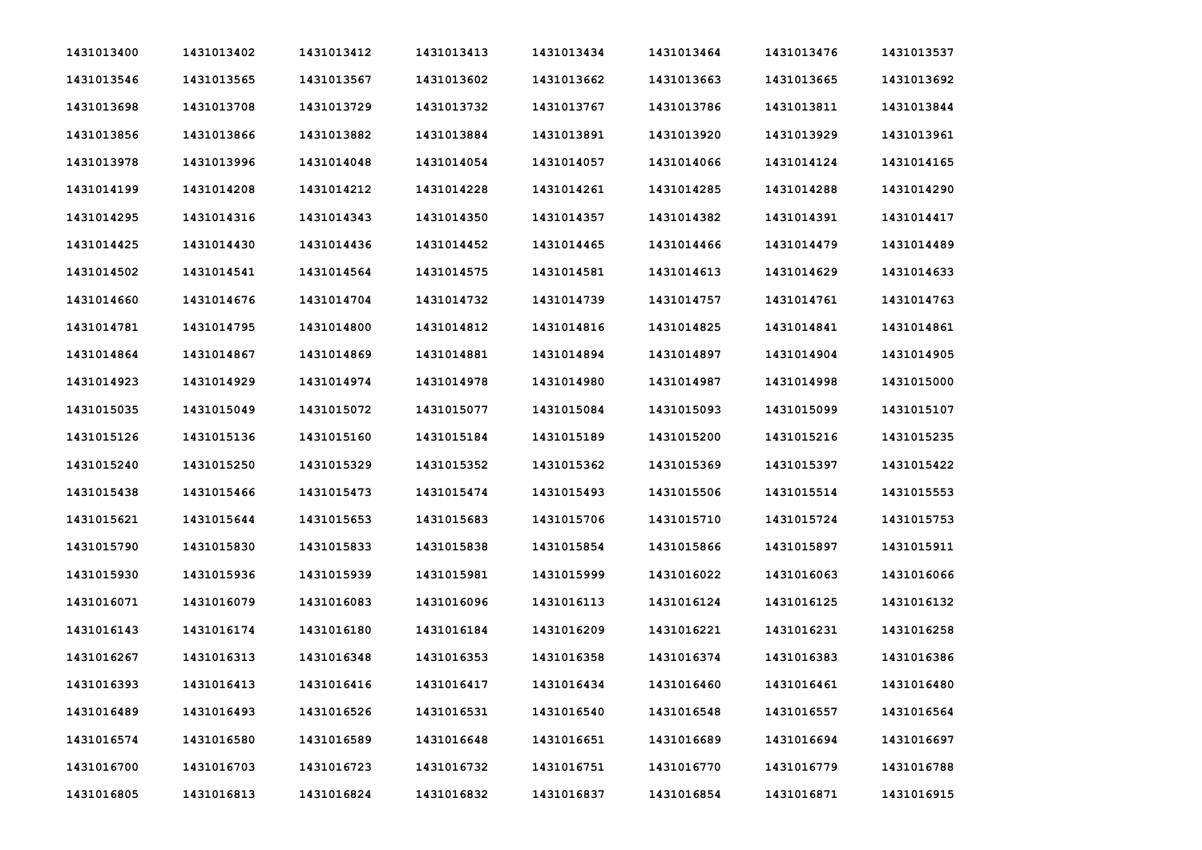| 1431013400 | 1431013402 | 1431013412 | 1431013413 | 1431013434 | 1431013464 | 1431013476 | 1431013537 |
|------------|------------|------------|------------|------------|------------|------------|------------|
| 1431013546 | 1431013565 | 1431013567 | 1431013602 | 1431013662 | 1431013663 | 1431013665 | 1431013692 |
| 1431013698 | 1431013708 | 1431013729 | 1431013732 | 1431013767 | 1431013786 | 1431013811 | 1431013844 |
| 1431013856 | 1431013866 | 1431013882 | 1431013884 | 1431013891 | 1431013920 | 1431013929 | 1431013961 |
| 1431013978 | 1431013996 | 1431014048 | 1431014054 | 1431014057 | 1431014066 | 1431014124 | 1431014165 |
| 1431014199 | 1431014208 | 1431014212 | 1431014228 | 1431014261 | 1431014285 | 1431014288 | 1431014290 |
| 1431014295 | 1431014316 | 1431014343 | 1431014350 | 1431014357 | 1431014382 | 1431014391 | 1431014417 |
| 1431014425 | 1431014430 | 1431014436 | 1431014452 | 1431014465 | 1431014466 | 1431014479 | 1431014489 |
| 1431014502 | 1431014541 | 1431014564 | 1431014575 | 1431014581 | 1431014613 | 1431014629 | 1431014633 |
| 1431014660 | 1431014676 | 1431014704 | 1431014732 | 1431014739 | 1431014757 | 1431014761 | 1431014763 |
| 1431014781 | 1431014795 | 1431014800 | 1431014812 | 1431014816 | 1431014825 | 1431014841 | 1431014861 |
| 1431014864 | 1431014867 | 1431014869 | 1431014881 | 1431014894 | 1431014897 | 1431014904 | 1431014905 |
| 1431014923 | 1431014929 | 1431014974 | 1431014978 | 1431014980 | 1431014987 | 1431014998 | 1431015000 |
| 1431015035 | 1431015049 | 1431015072 | 1431015077 | 1431015084 | 1431015093 | 1431015099 | 1431015107 |
| 1431015126 | 1431015136 | 1431015160 | 1431015184 | 1431015189 | 1431015200 | 1431015216 | 1431015235 |
| 1431015240 | 1431015250 | 1431015329 | 1431015352 | 1431015362 | 1431015369 | 1431015397 | 1431015422 |
| 1431015438 | 1431015466 | 1431015473 | 1431015474 | 1431015493 | 1431015506 | 1431015514 | 1431015553 |
| 1431015621 | 1431015644 | 1431015653 | 1431015683 | 1431015706 | 1431015710 | 1431015724 | 1431015753 |
| 1431015790 | 1431015830 | 1431015833 | 1431015838 | 1431015854 | 1431015866 | 1431015897 | 1431015911 |
| 1431015930 | 1431015936 | 1431015939 | 1431015981 | 1431015999 | 1431016022 | 1431016063 | 1431016066 |
| 1431016071 | 1431016079 | 1431016083 | 1431016096 | 1431016113 | 1431016124 | 1431016125 | 1431016132 |
| 1431016143 | 1431016174 | 1431016180 | 1431016184 | 1431016209 | 1431016221 | 1431016231 | 1431016258 |
| 1431016267 | 1431016313 | 1431016348 | 1431016353 | 1431016358 | 1431016374 | 1431016383 | 1431016386 |
| 1431016393 | 1431016413 | 1431016416 | 1431016417 | 1431016434 | 1431016460 | 1431016461 | 1431016480 |
| 1431016489 | 1431016493 | 1431016526 | 1431016531 | 1431016540 | 1431016548 | 1431016557 | 1431016564 |
| 1431016574 | 1431016580 | 1431016589 | 1431016648 | 1431016651 | 1431016689 | 1431016694 | 1431016697 |
| 1431016700 | 1431016703 | 1431016723 | 1431016732 | 1431016751 | 1431016770 | 1431016779 | 1431016788 |
| 1431016805 | 1431016813 | 1431016824 | 1431016832 | 1431016837 | 1431016854 | 1431016871 | 1431016915 |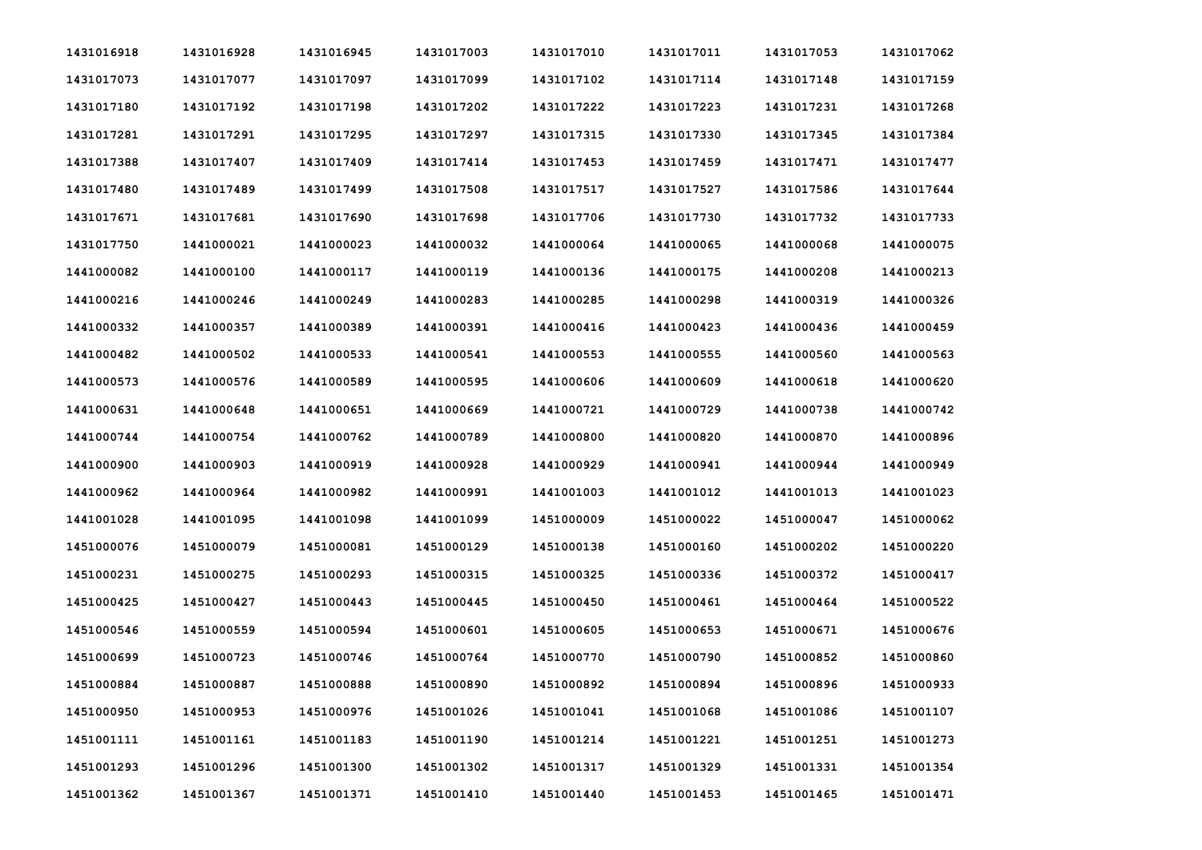| 1431016918 | 1431016928 | 1431016945 | 1431017003 | 1431017010 | 1431017011 | 1431017053 | 1431017062 |
|------------|------------|------------|------------|------------|------------|------------|------------|
| 1431017073 | 1431017077 | 1431017097 | 1431017099 | 1431017102 | 1431017114 | 1431017148 | 1431017159 |
| 1431017180 | 1431017192 | 1431017198 | 1431017202 | 1431017222 | 1431017223 | 1431017231 | 1431017268 |
| 1431017281 | 1431017291 | 1431017295 | 1431017297 | 1431017315 | 1431017330 | 1431017345 | 1431017384 |
| 1431017388 | 1431017407 | 1431017409 | 1431017414 | 1431017453 | 1431017459 | 1431017471 | 1431017477 |
| 1431017480 | 1431017489 | 1431017499 | 1431017508 | 1431017517 | 1431017527 | 1431017586 | 1431017644 |
| 1431017671 | 1431017681 | 1431017690 | 1431017698 | 1431017706 | 1431017730 | 1431017732 | 1431017733 |
| 1431017750 | 1441000021 | 1441000023 | 1441000032 | 1441000064 | 1441000065 | 1441000068 | 1441000075 |
| 1441000082 | 1441000100 | 1441000117 | 1441000119 | 1441000136 | 1441000175 | 1441000208 | 1441000213 |
| 1441000216 | 1441000246 | 1441000249 | 1441000283 | 1441000285 | 1441000298 | 1441000319 | 1441000326 |
| 1441000332 | 1441000357 | 1441000389 | 1441000391 | 1441000416 | 1441000423 | 1441000436 | 1441000459 |
| 1441000482 | 1441000502 | 1441000533 | 1441000541 | 1441000553 | 1441000555 | 1441000560 | 1441000563 |
| 1441000573 | 1441000576 | 1441000589 | 1441000595 | 1441000606 | 1441000609 | 1441000618 | 1441000620 |
| 1441000631 | 1441000648 | 1441000651 | 1441000669 | 1441000721 | 1441000729 | 1441000738 | 1441000742 |
| 1441000744 | 1441000754 | 1441000762 | 1441000789 | 1441000800 | 1441000820 | 1441000870 | 1441000896 |
| 1441000900 | 1441000903 | 1441000919 | 1441000928 | 1441000929 | 1441000941 | 1441000944 | 1441000949 |
| 1441000962 | 1441000964 | 1441000982 | 1441000991 | 1441001003 | 1441001012 | 1441001013 | 1441001023 |
| 1441001028 | 1441001095 | 1441001098 | 1441001099 | 1451000009 | 1451000022 | 1451000047 | 1451000062 |
| 1451000076 | 1451000079 | 1451000081 | 1451000129 | 1451000138 | 1451000160 | 1451000202 | 1451000220 |
| 1451000231 | 1451000275 | 1451000293 | 1451000315 | 1451000325 | 1451000336 | 1451000372 | 1451000417 |
| 1451000425 | 1451000427 | 1451000443 | 1451000445 | 1451000450 | 1451000461 | 1451000464 | 1451000522 |
| 1451000546 | 1451000559 | 1451000594 | 1451000601 | 1451000605 | 1451000653 | 1451000671 | 1451000676 |
| 1451000699 | 1451000723 | 1451000746 | 1451000764 | 1451000770 | 1451000790 | 1451000852 | 1451000860 |
| 1451000884 | 1451000887 | 1451000888 | 1451000890 | 1451000892 | 1451000894 | 1451000896 | 1451000933 |
| 1451000950 | 1451000953 | 1451000976 | 1451001026 | 1451001041 | 1451001068 | 1451001086 | 1451001107 |
| 1451001111 | 1451001161 | 1451001183 | 1451001190 | 1451001214 | 1451001221 | 1451001251 | 1451001273 |
| 1451001293 | 1451001296 | 1451001300 | 1451001302 | 1451001317 | 1451001329 | 1451001331 | 1451001354 |
| 1451001362 | 1451001367 | 1451001371 | 1451001410 | 1451001440 | 1451001453 | 1451001465 | 1451001471 |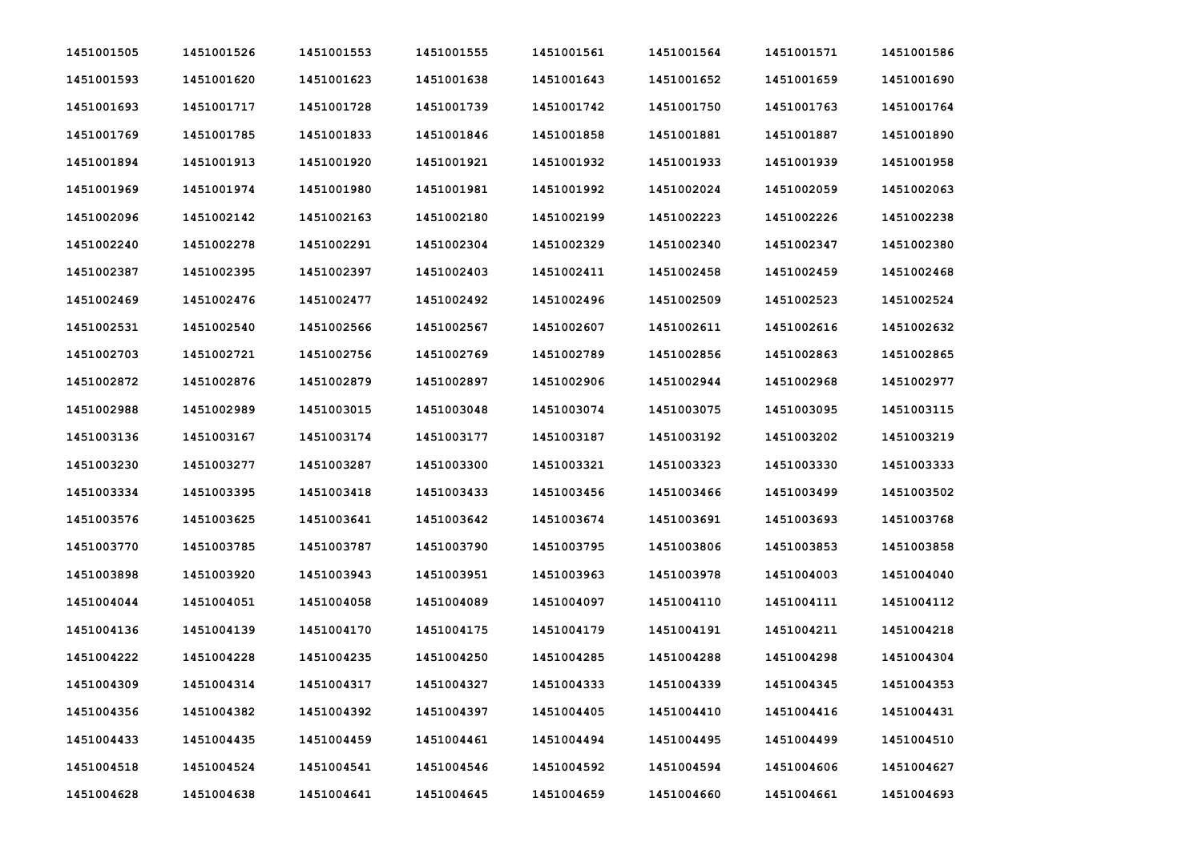| 1451001505 | 1451001526 | 1451001553 | 1451001555 | 1451001561 | 1451001564 | 1451001571 | 1451001586 |
|------------|------------|------------|------------|------------|------------|------------|------------|
| 1451001593 | 1451001620 | 1451001623 | 1451001638 | 1451001643 | 1451001652 | 1451001659 | 1451001690 |
| 1451001693 | 1451001717 | 1451001728 | 1451001739 | 1451001742 | 1451001750 | 1451001763 | 1451001764 |
| 1451001769 | 1451001785 | 1451001833 | 1451001846 | 1451001858 | 1451001881 | 1451001887 | 1451001890 |
| 1451001894 | 1451001913 | 1451001920 | 1451001921 | 1451001932 | 1451001933 | 1451001939 | 1451001958 |
| 1451001969 | 1451001974 | 1451001980 | 1451001981 | 1451001992 | 1451002024 | 1451002059 | 1451002063 |
| 1451002096 | 1451002142 | 1451002163 | 1451002180 | 1451002199 | 1451002223 | 1451002226 | 1451002238 |
| 1451002240 | 1451002278 | 1451002291 | 1451002304 | 1451002329 | 1451002340 | 1451002347 | 1451002380 |
| 1451002387 | 1451002395 | 1451002397 | 1451002403 | 1451002411 | 1451002458 | 1451002459 | 1451002468 |
| 1451002469 | 1451002476 | 1451002477 | 1451002492 | 1451002496 | 1451002509 | 1451002523 | 1451002524 |
| 1451002531 | 1451002540 | 1451002566 | 1451002567 | 1451002607 | 1451002611 | 1451002616 | 1451002632 |
| 1451002703 | 1451002721 | 1451002756 | 1451002769 | 1451002789 | 1451002856 | 1451002863 | 1451002865 |
| 1451002872 | 1451002876 | 1451002879 | 1451002897 | 1451002906 | 1451002944 | 1451002968 | 1451002977 |
| 1451002988 | 1451002989 | 1451003015 | 1451003048 | 1451003074 | 1451003075 | 1451003095 | 1451003115 |
| 1451003136 | 1451003167 | 1451003174 | 1451003177 | 1451003187 | 1451003192 | 1451003202 | 1451003219 |
| 1451003230 | 1451003277 | 1451003287 | 1451003300 | 1451003321 | 1451003323 | 1451003330 | 1451003333 |
| 1451003334 | 1451003395 | 1451003418 | 1451003433 | 1451003456 | 1451003466 | 1451003499 | 1451003502 |
| 1451003576 | 1451003625 | 1451003641 | 1451003642 | 1451003674 | 1451003691 | 1451003693 | 1451003768 |
| 1451003770 | 1451003785 | 1451003787 | 1451003790 | 1451003795 | 1451003806 | 1451003853 | 1451003858 |
| 1451003898 | 1451003920 | 1451003943 | 1451003951 | 1451003963 | 1451003978 | 1451004003 | 1451004040 |
| 1451004044 | 1451004051 | 1451004058 | 1451004089 | 1451004097 | 1451004110 | 1451004111 | 1451004112 |
| 1451004136 | 1451004139 | 1451004170 | 1451004175 | 1451004179 | 1451004191 | 1451004211 | 1451004218 |
| 1451004222 | 1451004228 | 1451004235 | 1451004250 | 1451004285 | 1451004288 | 1451004298 | 1451004304 |
| 1451004309 | 1451004314 | 1451004317 | 1451004327 | 1451004333 | 1451004339 | 1451004345 | 1451004353 |
| 1451004356 | 1451004382 | 1451004392 | 1451004397 | 1451004405 | 1451004410 | 1451004416 | 1451004431 |
| 1451004433 | 1451004435 | 1451004459 | 1451004461 | 1451004494 | 1451004495 | 1451004499 | 1451004510 |
| 1451004518 | 1451004524 | 1451004541 | 1451004546 | 1451004592 | 1451004594 | 1451004606 | 1451004627 |
| 1451004628 | 1451004638 | 1451004641 | 1451004645 | 1451004659 | 1451004660 | 1451004661 | 1451004693 |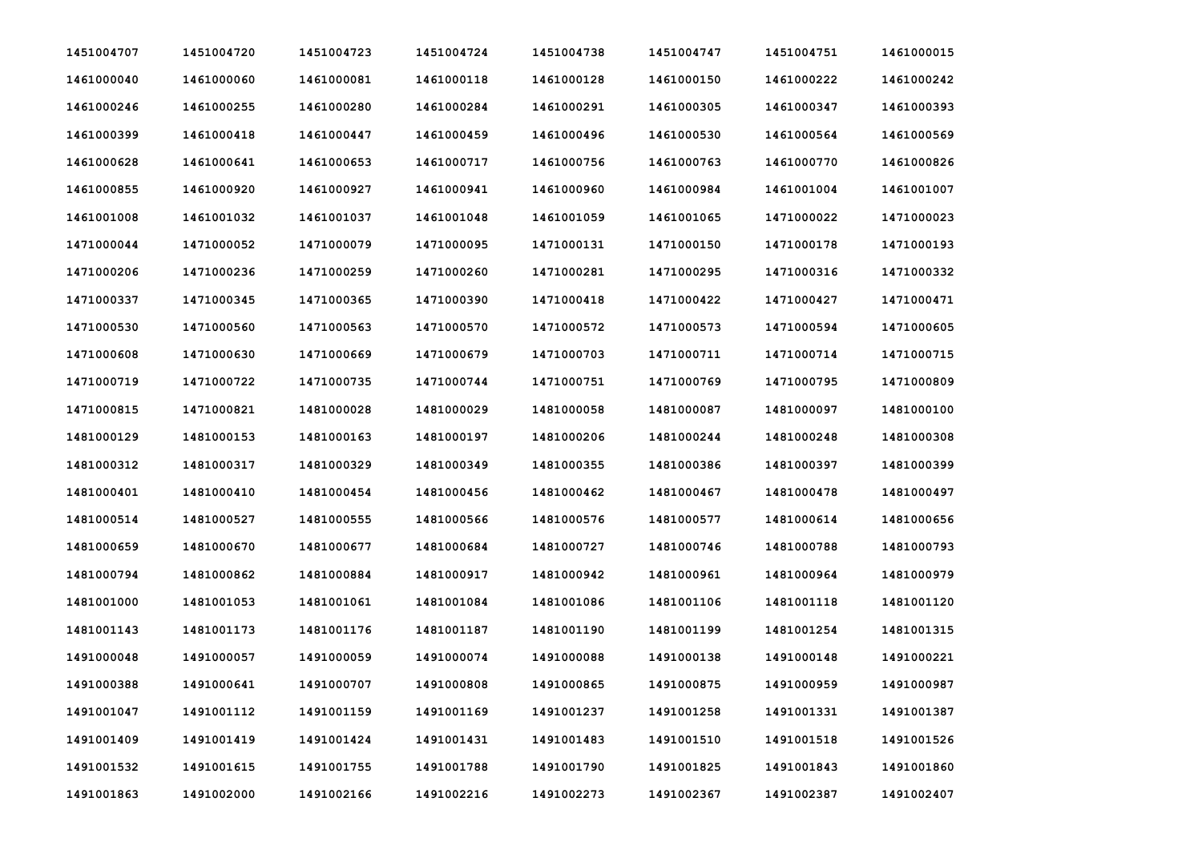| 1451004707 | 1451004720 | 1451004723 | 1451004724 | 1451004738 | 1451004747 | 1451004751 | 1461000015 |
|------------|------------|------------|------------|------------|------------|------------|------------|
| 1461000040 | 1461000060 | 1461000081 | 1461000118 | 1461000128 | 1461000150 | 1461000222 | 1461000242 |
| 1461000246 | 1461000255 | 1461000280 | 1461000284 | 1461000291 | 1461000305 | 1461000347 | 1461000393 |
| 1461000399 | 1461000418 | 1461000447 | 1461000459 | 1461000496 | 1461000530 | 1461000564 | 1461000569 |
| 1461000628 | 1461000641 | 1461000653 | 1461000717 | 1461000756 | 1461000763 | 1461000770 | 1461000826 |
| 1461000855 | 1461000920 | 1461000927 | 1461000941 | 1461000960 | 1461000984 | 1461001004 | 1461001007 |
| 1461001008 | 1461001032 | 1461001037 | 1461001048 | 1461001059 | 1461001065 | 1471000022 | 1471000023 |
| 1471000044 | 1471000052 | 1471000079 | 1471000095 | 1471000131 | 1471000150 | 1471000178 | 1471000193 |
| 1471000206 | 1471000236 | 1471000259 | 1471000260 | 1471000281 | 1471000295 | 1471000316 | 1471000332 |
| 1471000337 | 1471000345 | 1471000365 | 1471000390 | 1471000418 | 1471000422 | 1471000427 | 1471000471 |
| 1471000530 | 1471000560 | 1471000563 | 1471000570 | 1471000572 | 1471000573 | 1471000594 | 1471000605 |
| 1471000608 | 1471000630 | 1471000669 | 1471000679 | 1471000703 | 1471000711 | 1471000714 | 1471000715 |
| 1471000719 | 1471000722 | 1471000735 | 1471000744 | 1471000751 | 1471000769 | 1471000795 | 1471000809 |
| 1471000815 | 1471000821 | 1481000028 | 1481000029 | 1481000058 | 1481000087 | 1481000097 | 1481000100 |
| 1481000129 | 1481000153 | 1481000163 | 1481000197 | 1481000206 | 1481000244 | 1481000248 | 1481000308 |
| 1481000312 | 1481000317 | 1481000329 | 1481000349 | 1481000355 | 1481000386 | 1481000397 | 1481000399 |
| 1481000401 | 1481000410 | 1481000454 | 1481000456 | 1481000462 | 1481000467 | 1481000478 | 1481000497 |
| 1481000514 | 1481000527 | 1481000555 | 1481000566 | 1481000576 | 1481000577 | 1481000614 | 1481000656 |
| 1481000659 | 1481000670 | 1481000677 | 1481000684 | 1481000727 | 1481000746 | 1481000788 | 1481000793 |
| 1481000794 | 1481000862 | 1481000884 | 1481000917 | 1481000942 | 1481000961 | 1481000964 | 1481000979 |
| 1481001000 | 1481001053 | 1481001061 | 1481001084 | 1481001086 | 1481001106 | 1481001118 | 1481001120 |
| 1481001143 | 1481001173 | 1481001176 | 1481001187 | 1481001190 | 1481001199 | 1481001254 | 1481001315 |
| 1491000048 | 1491000057 | 1491000059 | 1491000074 | 1491000088 | 1491000138 | 1491000148 | 1491000221 |
| 1491000388 | 1491000641 | 1491000707 | 1491000808 | 1491000865 | 1491000875 | 1491000959 | 1491000987 |
| 1491001047 | 1491001112 | 1491001159 | 1491001169 | 1491001237 | 1491001258 | 1491001331 | 1491001387 |
| 1491001409 | 1491001419 | 1491001424 | 1491001431 | 1491001483 | 1491001510 | 1491001518 | 1491001526 |
| 1491001532 | 1491001615 | 1491001755 | 1491001788 | 1491001790 | 1491001825 | 1491001843 | 1491001860 |
| 1491001863 | 1491002000 | 1491002166 | 1491002216 | 1491002273 | 1491002367 | 1491002387 | 1491002407 |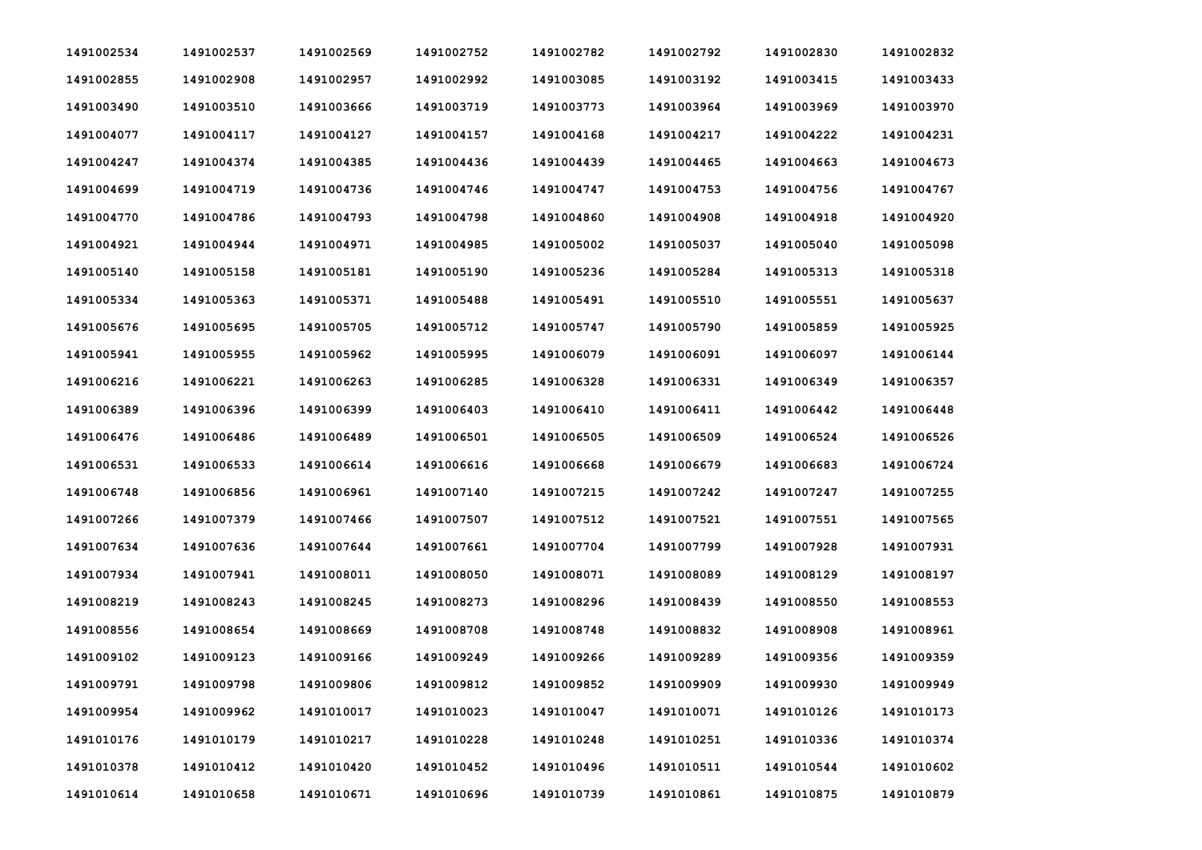| 1491002534 | 1491002537 | 1491002569 | 1491002752 | 1491002782 | 1491002792 | 1491002830 | 1491002832 |
|------------|------------|------------|------------|------------|------------|------------|------------|
| 1491002855 | 1491002908 | 1491002957 | 1491002992 | 1491003085 | 1491003192 | 1491003415 | 1491003433 |
| 1491003490 | 1491003510 | 1491003666 | 1491003719 | 1491003773 | 1491003964 | 1491003969 | 1491003970 |
| 1491004077 | 1491004117 | 1491004127 | 1491004157 | 1491004168 | 1491004217 | 1491004222 | 1491004231 |
| 1491004247 | 1491004374 | 1491004385 | 1491004436 | 1491004439 | 1491004465 | 1491004663 | 1491004673 |
| 1491004699 | 1491004719 | 1491004736 | 1491004746 | 1491004747 | 1491004753 | 1491004756 | 1491004767 |
| 1491004770 | 1491004786 | 1491004793 | 1491004798 | 1491004860 | 1491004908 | 1491004918 | 1491004920 |
| 1491004921 | 1491004944 | 1491004971 | 1491004985 | 1491005002 | 1491005037 | 1491005040 | 1491005098 |
| 1491005140 | 1491005158 | 1491005181 | 1491005190 | 1491005236 | 1491005284 | 1491005313 | 1491005318 |
| 1491005334 | 1491005363 | 1491005371 | 1491005488 | 1491005491 | 1491005510 | 1491005551 | 1491005637 |
| 1491005676 | 1491005695 | 1491005705 | 1491005712 | 1491005747 | 1491005790 | 1491005859 | 1491005925 |
| 1491005941 | 1491005955 | 1491005962 | 1491005995 | 1491006079 | 1491006091 | 1491006097 | 1491006144 |
| 1491006216 | 1491006221 | 1491006263 | 1491006285 | 1491006328 | 1491006331 | 1491006349 | 1491006357 |
| 1491006389 | 1491006396 | 1491006399 | 1491006403 | 1491006410 | 1491006411 | 1491006442 | 1491006448 |
| 1491006476 | 1491006486 | 1491006489 | 1491006501 | 1491006505 | 1491006509 | 1491006524 | 1491006526 |
| 1491006531 | 1491006533 | 1491006614 | 1491006616 | 1491006668 | 1491006679 | 1491006683 | 1491006724 |
| 1491006748 | 1491006856 | 1491006961 | 1491007140 | 1491007215 | 1491007242 | 1491007247 | 1491007255 |
| 1491007266 | 1491007379 | 1491007466 | 1491007507 | 1491007512 | 1491007521 | 1491007551 | 1491007565 |
| 1491007634 | 1491007636 | 1491007644 | 1491007661 | 1491007704 | 1491007799 | 1491007928 | 1491007931 |
| 1491007934 | 1491007941 | 1491008011 | 1491008050 | 1491008071 | 1491008089 | 1491008129 | 1491008197 |
| 1491008219 | 1491008243 | 1491008245 | 1491008273 | 1491008296 | 1491008439 | 1491008550 | 1491008553 |
| 1491008556 | 1491008654 | 1491008669 | 1491008708 | 1491008748 | 1491008832 | 1491008908 | 1491008961 |
| 1491009102 | 1491009123 | 1491009166 | 1491009249 | 1491009266 | 1491009289 | 1491009356 | 1491009359 |
| 1491009791 | 1491009798 | 1491009806 | 1491009812 | 1491009852 | 1491009909 | 1491009930 | 1491009949 |
| 1491009954 | 1491009962 | 1491010017 | 1491010023 | 1491010047 | 1491010071 | 1491010126 | 1491010173 |
| 1491010176 | 1491010179 | 1491010217 | 1491010228 | 1491010248 | 1491010251 | 1491010336 | 1491010374 |
| 1491010378 | 1491010412 | 1491010420 | 1491010452 | 1491010496 | 1491010511 | 1491010544 | 1491010602 |
| 1491010614 | 1491010658 | 1491010671 | 1491010696 | 1491010739 | 1491010861 | 1491010875 | 1491010879 |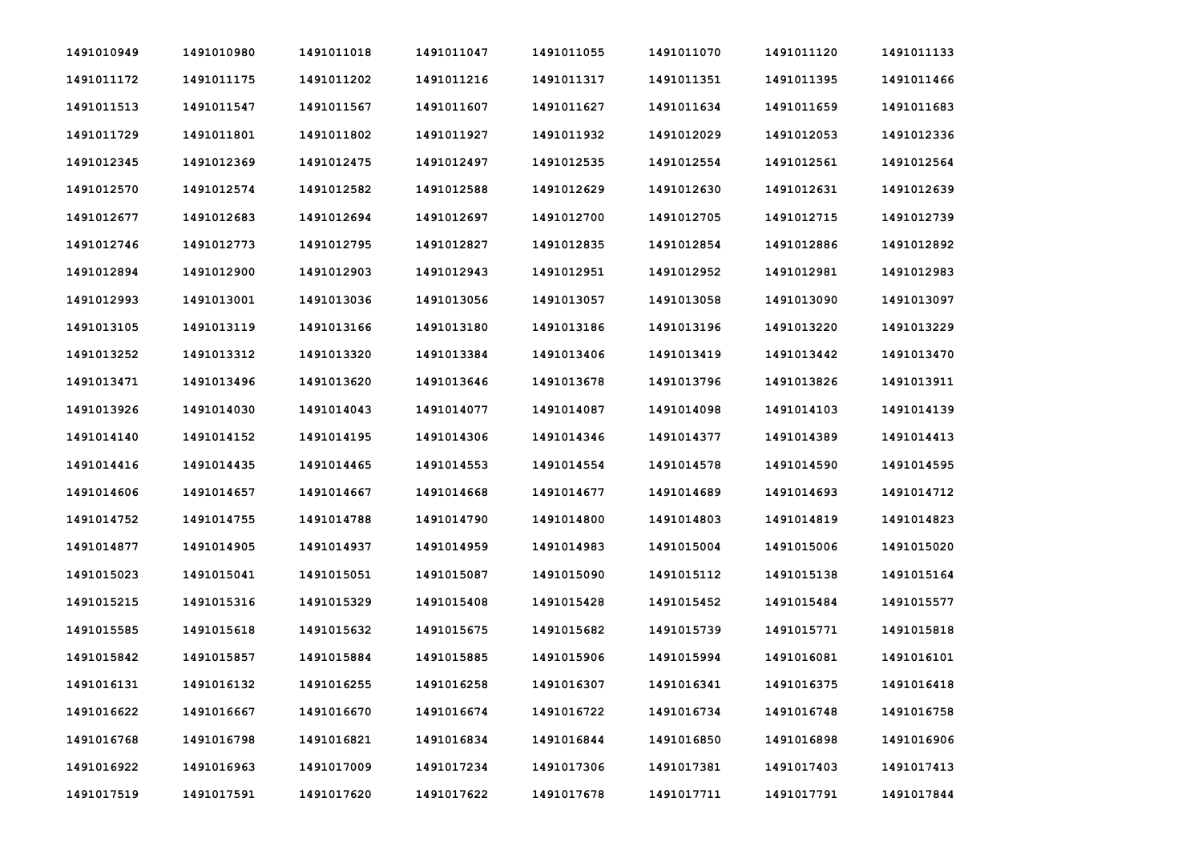| 1491010949 | 1491010980 | 1491011018 | 1491011047 | 1491011055 | 1491011070 | 1491011120 | 1491011133 |
|------------|------------|------------|------------|------------|------------|------------|------------|
| 1491011172 | 1491011175 | 1491011202 | 1491011216 | 1491011317 | 1491011351 | 1491011395 | 1491011466 |
| 1491011513 | 1491011547 | 1491011567 | 1491011607 | 1491011627 | 1491011634 | 1491011659 | 1491011683 |
| 1491011729 | 1491011801 | 1491011802 | 1491011927 | 1491011932 | 1491012029 | 1491012053 | 1491012336 |
| 1491012345 | 1491012369 | 1491012475 | 1491012497 | 1491012535 | 1491012554 | 1491012561 | 1491012564 |
| 1491012570 | 1491012574 | 1491012582 | 1491012588 | 1491012629 | 1491012630 | 1491012631 | 1491012639 |
| 1491012677 | 1491012683 | 1491012694 | 1491012697 | 1491012700 | 1491012705 | 1491012715 | 1491012739 |
| 1491012746 | 1491012773 | 1491012795 | 1491012827 | 1491012835 | 1491012854 | 1491012886 | 1491012892 |
| 1491012894 | 1491012900 | 1491012903 | 1491012943 | 1491012951 | 1491012952 | 1491012981 | 1491012983 |
| 1491012993 | 1491013001 | 1491013036 | 1491013056 | 1491013057 | 1491013058 | 1491013090 | 1491013097 |
| 1491013105 | 1491013119 | 1491013166 | 1491013180 | 1491013186 | 1491013196 | 1491013220 | 1491013229 |
| 1491013252 | 1491013312 | 1491013320 | 1491013384 | 1491013406 | 1491013419 | 1491013442 | 1491013470 |
| 1491013471 | 1491013496 | 1491013620 | 1491013646 | 1491013678 | 1491013796 | 1491013826 | 1491013911 |
| 1491013926 | 1491014030 | 1491014043 | 1491014077 | 1491014087 | 1491014098 | 1491014103 | 1491014139 |
| 1491014140 | 1491014152 | 1491014195 | 1491014306 | 1491014346 | 1491014377 | 1491014389 | 1491014413 |
| 1491014416 | 1491014435 | 1491014465 | 1491014553 | 1491014554 | 1491014578 | 1491014590 | 1491014595 |
| 1491014606 | 1491014657 | 1491014667 | 1491014668 | 1491014677 | 1491014689 | 1491014693 | 1491014712 |
| 1491014752 | 1491014755 | 1491014788 | 1491014790 | 1491014800 | 1491014803 | 1491014819 | 1491014823 |
| 1491014877 | 1491014905 | 1491014937 | 1491014959 | 1491014983 | 1491015004 | 1491015006 | 1491015020 |
| 1491015023 | 1491015041 | 1491015051 | 1491015087 | 1491015090 | 1491015112 | 1491015138 | 1491015164 |
| 1491015215 | 1491015316 | 1491015329 | 1491015408 | 1491015428 | 1491015452 | 1491015484 | 1491015577 |
| 1491015585 | 1491015618 | 1491015632 | 1491015675 | 1491015682 | 1491015739 | 1491015771 | 1491015818 |
| 1491015842 | 1491015857 | 1491015884 | 1491015885 | 1491015906 | 1491015994 | 1491016081 | 1491016101 |
| 1491016131 | 1491016132 | 1491016255 | 1491016258 | 1491016307 | 1491016341 | 1491016375 | 1491016418 |
| 1491016622 | 1491016667 | 1491016670 | 1491016674 | 1491016722 | 1491016734 | 1491016748 | 1491016758 |
| 1491016768 | 1491016798 | 1491016821 | 1491016834 | 1491016844 | 1491016850 | 1491016898 | 1491016906 |
| 1491016922 | 1491016963 | 1491017009 | 1491017234 | 1491017306 | 1491017381 | 1491017403 | 1491017413 |
| 1491017519 | 1491017591 | 1491017620 | 1491017622 | 1491017678 | 1491017711 | 1491017791 | 1491017844 |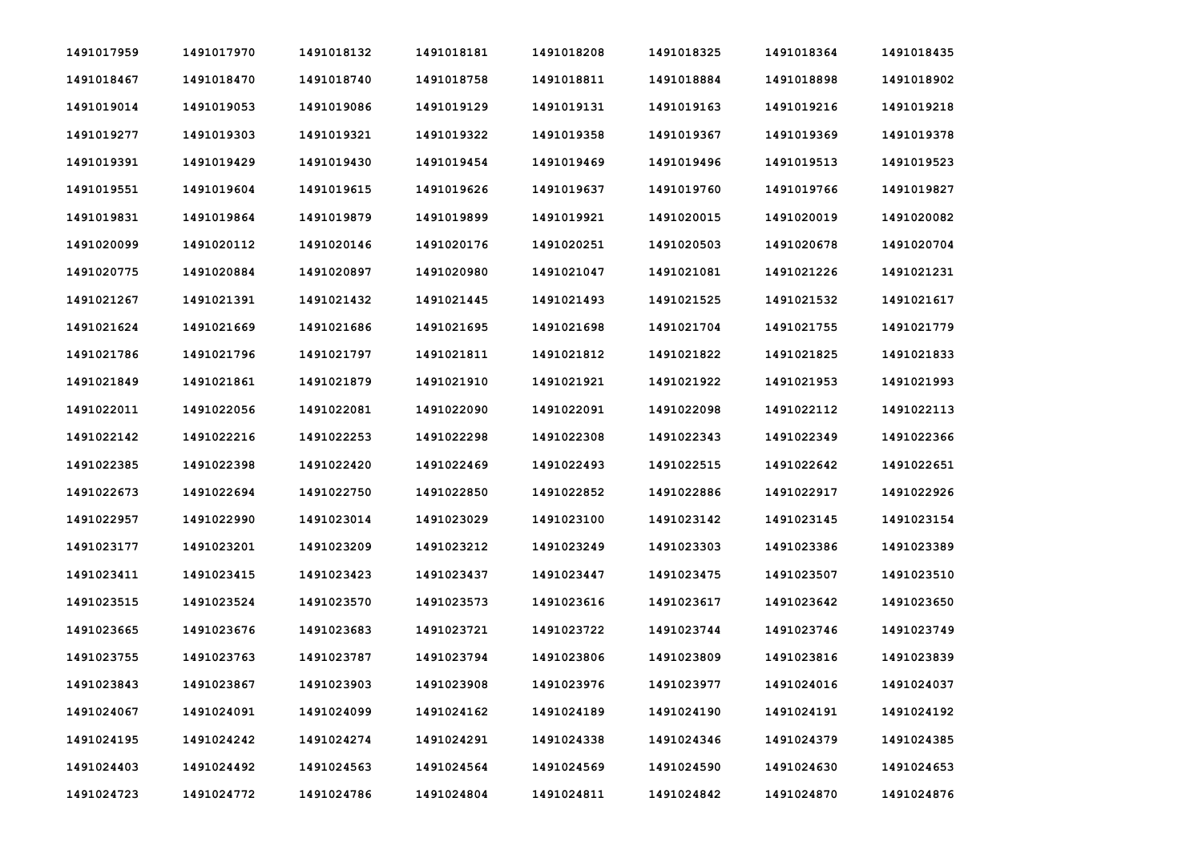| 1491017959 | 1491017970 | 1491018132 | 1491018181 | 1491018208 | 1491018325 | 1491018364 | 1491018435 |
|------------|------------|------------|------------|------------|------------|------------|------------|
| 1491018467 | 1491018470 | 1491018740 | 1491018758 | 1491018811 | 1491018884 | 1491018898 | 1491018902 |
| 1491019014 | 1491019053 | 1491019086 | 1491019129 | 1491019131 | 1491019163 | 1491019216 | 1491019218 |
| 1491019277 | 1491019303 | 1491019321 | 1491019322 | 1491019358 | 1491019367 | 1491019369 | 1491019378 |
| 1491019391 | 1491019429 | 1491019430 | 1491019454 | 1491019469 | 1491019496 | 1491019513 | 1491019523 |
| 1491019551 | 1491019604 | 1491019615 | 1491019626 | 1491019637 | 1491019760 | 1491019766 | 1491019827 |
| 1491019831 | 1491019864 | 1491019879 | 1491019899 | 1491019921 | 1491020015 | 1491020019 | 1491020082 |
| 1491020099 | 1491020112 | 1491020146 | 1491020176 | 1491020251 | 1491020503 | 1491020678 | 1491020704 |
| 1491020775 | 1491020884 | 1491020897 | 1491020980 | 1491021047 | 1491021081 | 1491021226 | 1491021231 |
| 1491021267 | 1491021391 | 1491021432 | 1491021445 | 1491021493 | 1491021525 | 1491021532 | 1491021617 |
| 1491021624 | 1491021669 | 1491021686 | 1491021695 | 1491021698 | 1491021704 | 1491021755 | 1491021779 |
| 1491021786 | 1491021796 | 1491021797 | 1491021811 | 1491021812 | 1491021822 | 1491021825 | 1491021833 |
| 1491021849 | 1491021861 | 1491021879 | 1491021910 | 1491021921 | 1491021922 | 1491021953 | 1491021993 |
| 1491022011 | 1491022056 | 1491022081 | 1491022090 | 1491022091 | 1491022098 | 1491022112 | 1491022113 |
| 1491022142 | 1491022216 | 1491022253 | 1491022298 | 1491022308 | 1491022343 | 1491022349 | 1491022366 |
| 1491022385 | 1491022398 | 1491022420 | 1491022469 | 1491022493 | 1491022515 | 1491022642 | 1491022651 |
| 1491022673 | 1491022694 | 1491022750 | 1491022850 | 1491022852 | 1491022886 | 1491022917 | 1491022926 |
| 1491022957 | 1491022990 | 1491023014 | 1491023029 | 1491023100 | 1491023142 | 1491023145 | 1491023154 |
| 1491023177 | 1491023201 | 1491023209 | 1491023212 | 1491023249 | 1491023303 | 1491023386 | 1491023389 |
| 1491023411 | 1491023415 | 1491023423 | 1491023437 | 1491023447 | 1491023475 | 1491023507 | 1491023510 |
| 1491023515 | 1491023524 | 1491023570 | 1491023573 | 1491023616 | 1491023617 | 1491023642 | 1491023650 |
| 1491023665 | 1491023676 | 1491023683 | 1491023721 | 1491023722 | 1491023744 | 1491023746 | 1491023749 |
| 1491023755 | 1491023763 | 1491023787 | 1491023794 | 1491023806 | 1491023809 | 1491023816 | 1491023839 |
| 1491023843 | 1491023867 | 1491023903 | 1491023908 | 1491023976 | 1491023977 | 1491024016 | 1491024037 |
| 1491024067 | 1491024091 | 1491024099 | 1491024162 | 1491024189 | 1491024190 | 1491024191 | 1491024192 |
| 1491024195 | 1491024242 | 1491024274 | 1491024291 | 1491024338 | 1491024346 | 1491024379 | 1491024385 |
| 1491024403 | 1491024492 | 1491024563 | 1491024564 | 1491024569 | 1491024590 | 1491024630 | 1491024653 |
| 1491024723 | 1491024772 | 1491024786 | 1491024804 | 1491024811 | 1491024842 | 1491024870 | 1491024876 |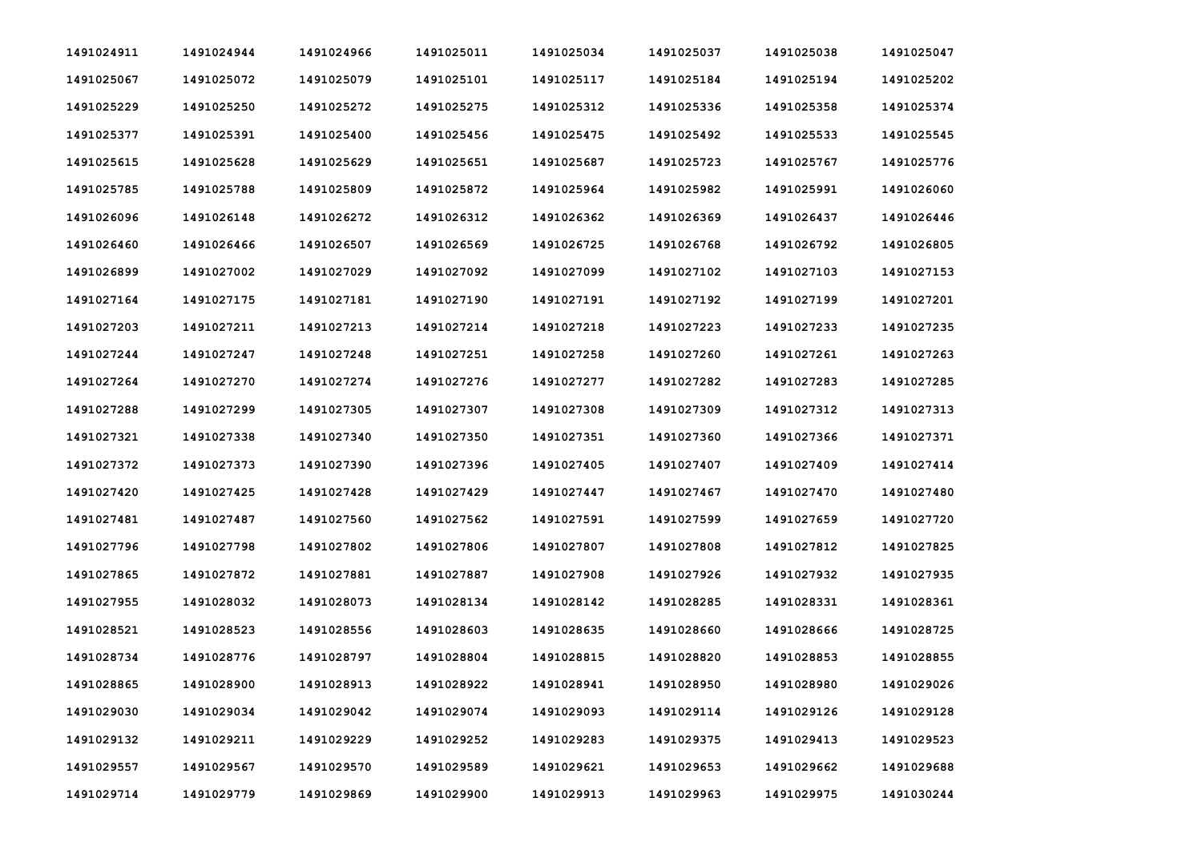| 1491024911 | 1491024944 | 1491024966 | 1491025011 | 1491025034 | 1491025037 | 1491025038 | 1491025047 |
|------------|------------|------------|------------|------------|------------|------------|------------|
| 1491025067 | 1491025072 | 1491025079 | 1491025101 | 1491025117 | 1491025184 | 1491025194 | 1491025202 |
| 1491025229 | 1491025250 | 1491025272 | 1491025275 | 1491025312 | 1491025336 | 1491025358 | 1491025374 |
| 1491025377 | 1491025391 | 1491025400 | 1491025456 | 1491025475 | 1491025492 | 1491025533 | 1491025545 |
| 1491025615 | 1491025628 | 1491025629 | 1491025651 | 1491025687 | 1491025723 | 1491025767 | 1491025776 |
| 1491025785 | 1491025788 | 1491025809 | 1491025872 | 1491025964 | 1491025982 | 1491025991 | 1491026060 |
| 1491026096 | 1491026148 | 1491026272 | 1491026312 | 1491026362 | 1491026369 | 1491026437 | 1491026446 |
| 1491026460 | 1491026466 | 1491026507 | 1491026569 | 1491026725 | 1491026768 | 1491026792 | 1491026805 |
| 1491026899 | 1491027002 | 1491027029 | 1491027092 | 1491027099 | 1491027102 | 1491027103 | 1491027153 |
| 1491027164 | 1491027175 | 1491027181 | 1491027190 | 1491027191 | 1491027192 | 1491027199 | 1491027201 |
| 1491027203 | 1491027211 | 1491027213 | 1491027214 | 1491027218 | 1491027223 | 1491027233 | 1491027235 |
| 1491027244 | 1491027247 | 1491027248 | 1491027251 | 1491027258 | 1491027260 | 1491027261 | 1491027263 |
| 1491027264 | 1491027270 | 1491027274 | 1491027276 | 1491027277 | 1491027282 | 1491027283 | 1491027285 |
| 1491027288 | 1491027299 | 1491027305 | 1491027307 | 1491027308 | 1491027309 | 1491027312 | 1491027313 |
| 1491027321 | 1491027338 | 1491027340 | 1491027350 | 1491027351 | 1491027360 | 1491027366 | 1491027371 |
| 1491027372 | 1491027373 | 1491027390 | 1491027396 | 1491027405 | 1491027407 | 1491027409 | 1491027414 |
| 1491027420 | 1491027425 | 1491027428 | 1491027429 | 1491027447 | 1491027467 | 1491027470 | 1491027480 |
| 1491027481 | 1491027487 | 1491027560 | 1491027562 | 1491027591 | 1491027599 | 1491027659 | 1491027720 |
| 1491027796 | 1491027798 | 1491027802 | 1491027806 | 1491027807 | 1491027808 | 1491027812 | 1491027825 |
| 1491027865 | 1491027872 | 1491027881 | 1491027887 | 1491027908 | 1491027926 | 1491027932 | 1491027935 |
| 1491027955 | 1491028032 | 1491028073 | 1491028134 | 1491028142 | 1491028285 | 1491028331 | 1491028361 |
| 1491028521 | 1491028523 | 1491028556 | 1491028603 | 1491028635 | 1491028660 | 1491028666 | 1491028725 |
| 1491028734 | 1491028776 | 1491028797 | 1491028804 | 1491028815 | 1491028820 | 1491028853 | 1491028855 |
| 1491028865 | 1491028900 | 1491028913 | 1491028922 | 1491028941 | 1491028950 | 1491028980 | 1491029026 |
| 1491029030 | 1491029034 | 1491029042 | 1491029074 | 1491029093 | 1491029114 | 1491029126 | 1491029128 |
| 1491029132 | 1491029211 | 1491029229 | 1491029252 | 1491029283 | 1491029375 | 1491029413 | 1491029523 |
| 1491029557 | 1491029567 | 1491029570 | 1491029589 | 1491029621 | 1491029653 | 1491029662 | 1491029688 |
| 1491029714 | 1491029779 | 1491029869 | 1491029900 | 1491029913 | 1491029963 | 1491029975 | 1491030244 |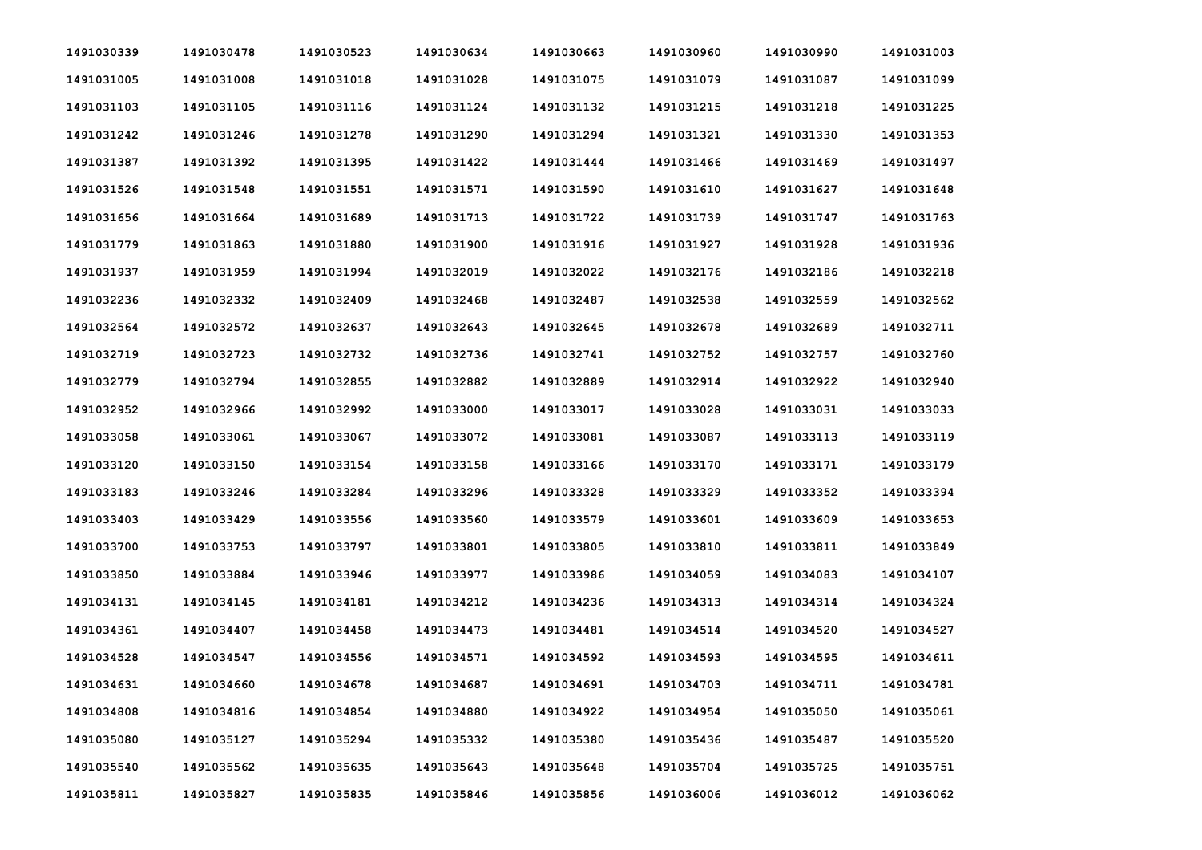| 1491030339 | 1491030478 | 1491030523 | 1491030634 | 1491030663 | 1491030960 | 1491030990 | 1491031003 |
|------------|------------|------------|------------|------------|------------|------------|------------|
| 1491031005 | 1491031008 | 1491031018 | 1491031028 | 1491031075 | 1491031079 | 1491031087 | 1491031099 |
| 1491031103 | 1491031105 | 1491031116 | 1491031124 | 1491031132 | 1491031215 | 1491031218 | 1491031225 |
| 1491031242 | 1491031246 | 1491031278 | 1491031290 | 1491031294 | 1491031321 | 1491031330 | 1491031353 |
| 1491031387 | 1491031392 | 1491031395 | 1491031422 | 1491031444 | 1491031466 | 1491031469 | 1491031497 |
| 1491031526 | 1491031548 | 1491031551 | 1491031571 | 1491031590 | 1491031610 | 1491031627 | 1491031648 |
| 1491031656 | 1491031664 | 1491031689 | 1491031713 | 1491031722 | 1491031739 | 1491031747 | 1491031763 |
| 1491031779 | 1491031863 | 1491031880 | 1491031900 | 1491031916 | 1491031927 | 1491031928 | 1491031936 |
| 1491031937 | 1491031959 | 1491031994 | 1491032019 | 1491032022 | 1491032176 | 1491032186 | 1491032218 |
| 1491032236 | 1491032332 | 1491032409 | 1491032468 | 1491032487 | 1491032538 | 1491032559 | 1491032562 |
| 1491032564 | 1491032572 | 1491032637 | 1491032643 | 1491032645 | 1491032678 | 1491032689 | 1491032711 |
| 1491032719 | 1491032723 | 1491032732 | 1491032736 | 1491032741 | 1491032752 | 1491032757 | 1491032760 |
| 1491032779 | 1491032794 | 1491032855 | 1491032882 | 1491032889 | 1491032914 | 1491032922 | 1491032940 |
| 1491032952 | 1491032966 | 1491032992 | 1491033000 | 1491033017 | 1491033028 | 1491033031 | 1491033033 |
| 1491033058 | 1491033061 | 1491033067 | 1491033072 | 1491033081 | 1491033087 | 1491033113 | 1491033119 |
| 1491033120 | 1491033150 | 1491033154 | 1491033158 | 1491033166 | 1491033170 | 1491033171 | 1491033179 |
| 1491033183 | 1491033246 | 1491033284 | 1491033296 | 1491033328 | 1491033329 | 1491033352 | 1491033394 |
| 1491033403 | 1491033429 | 1491033556 | 1491033560 | 1491033579 | 1491033601 | 1491033609 | 1491033653 |
| 1491033700 | 1491033753 | 1491033797 | 1491033801 | 1491033805 | 1491033810 | 1491033811 | 1491033849 |
| 1491033850 | 1491033884 | 1491033946 | 1491033977 | 1491033986 | 1491034059 | 1491034083 | 1491034107 |
| 1491034131 | 1491034145 | 1491034181 | 1491034212 | 1491034236 | 1491034313 | 1491034314 | 1491034324 |
| 1491034361 | 1491034407 | 1491034458 | 1491034473 | 1491034481 | 1491034514 | 1491034520 | 1491034527 |
| 1491034528 | 1491034547 | 1491034556 | 1491034571 | 1491034592 | 1491034593 | 1491034595 | 1491034611 |
| 1491034631 | 1491034660 | 1491034678 | 1491034687 | 1491034691 | 1491034703 | 1491034711 | 1491034781 |
| 1491034808 | 1491034816 | 1491034854 | 1491034880 | 1491034922 | 1491034954 | 1491035050 | 1491035061 |
| 1491035080 | 1491035127 | 1491035294 | 1491035332 | 1491035380 | 1491035436 | 1491035487 | 1491035520 |
| 1491035540 | 1491035562 | 1491035635 | 1491035643 | 1491035648 | 1491035704 | 1491035725 | 1491035751 |
| 1491035811 | 1491035827 | 1491035835 | 1491035846 | 1491035856 | 1491036006 | 1491036012 | 1491036062 |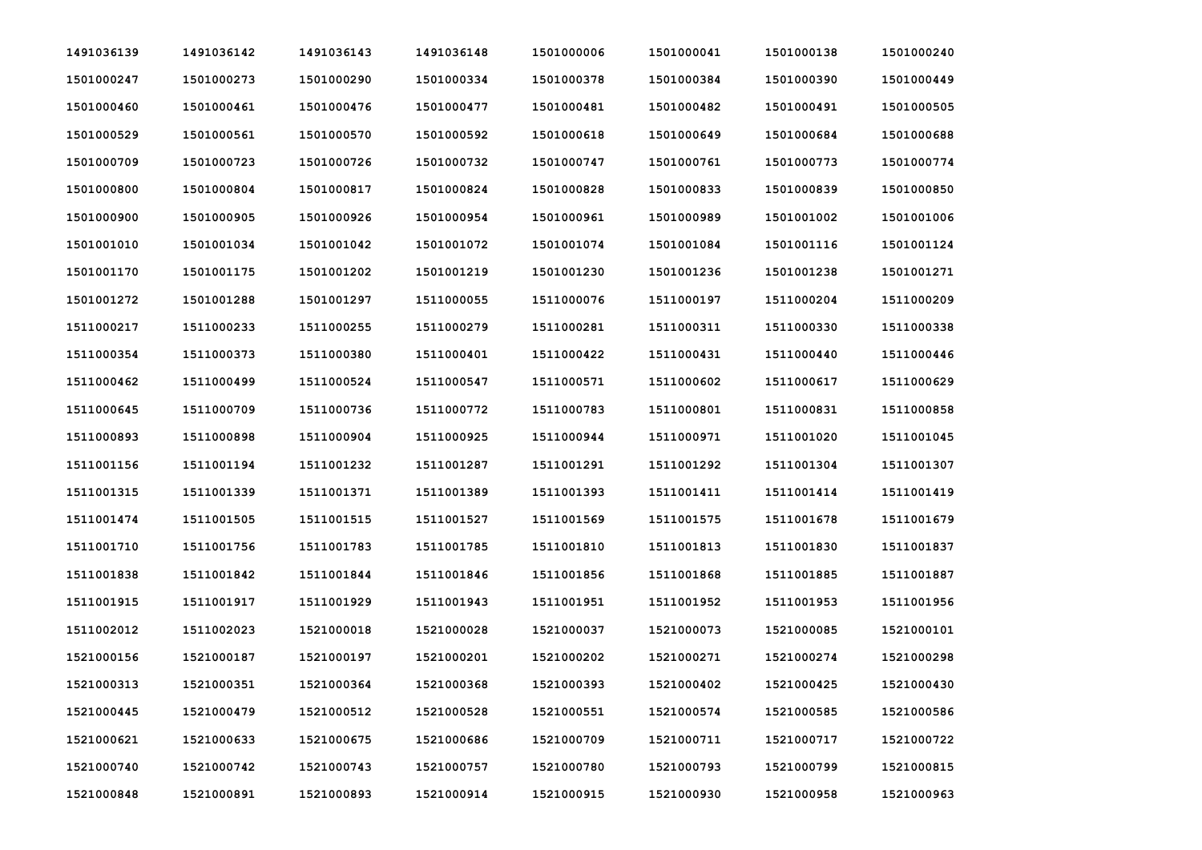| 1491036139 | 1491036142 | 1491036143 | 1491036148 | 1501000006 | 1501000041 | 1501000138 | 1501000240 |
|------------|------------|------------|------------|------------|------------|------------|------------|
| 1501000247 | 1501000273 | 1501000290 | 1501000334 | 1501000378 | 1501000384 | 1501000390 | 1501000449 |
| 1501000460 | 1501000461 | 1501000476 | 1501000477 | 1501000481 | 1501000482 | 1501000491 | 1501000505 |
| 1501000529 | 1501000561 | 1501000570 | 1501000592 | 1501000618 | 1501000649 | 1501000684 | 1501000688 |
| 1501000709 | 1501000723 | 1501000726 | 1501000732 | 1501000747 | 1501000761 | 1501000773 | 1501000774 |
| 1501000800 | 1501000804 | 1501000817 | 1501000824 | 1501000828 | 1501000833 | 1501000839 | 1501000850 |
| 1501000900 | 1501000905 | 1501000926 | 1501000954 | 1501000961 | 1501000989 | 1501001002 | 1501001006 |
| 1501001010 | 1501001034 | 1501001042 | 1501001072 | 1501001074 | 1501001084 | 1501001116 | 1501001124 |
| 1501001170 | 1501001175 | 1501001202 | 1501001219 | 1501001230 | 1501001236 | 1501001238 | 1501001271 |
| 1501001272 | 1501001288 | 1501001297 | 1511000055 | 1511000076 | 1511000197 | 1511000204 | 1511000209 |
| 1511000217 | 1511000233 | 1511000255 | 1511000279 | 1511000281 | 1511000311 | 1511000330 | 1511000338 |
| 1511000354 | 1511000373 | 1511000380 | 1511000401 | 1511000422 | 1511000431 | 1511000440 | 1511000446 |
| 1511000462 | 1511000499 | 1511000524 | 1511000547 | 1511000571 | 1511000602 | 1511000617 | 1511000629 |
| 1511000645 | 1511000709 | 1511000736 | 1511000772 | 1511000783 | 1511000801 | 1511000831 | 1511000858 |
| 1511000893 | 1511000898 | 1511000904 | 1511000925 | 1511000944 | 1511000971 | 1511001020 | 1511001045 |
| 1511001156 | 1511001194 | 1511001232 | 1511001287 | 1511001291 | 1511001292 | 1511001304 | 1511001307 |
| 1511001315 | 1511001339 | 1511001371 | 1511001389 | 1511001393 | 1511001411 | 1511001414 | 1511001419 |
| 1511001474 | 1511001505 | 1511001515 | 1511001527 | 1511001569 | 1511001575 | 1511001678 | 1511001679 |
| 1511001710 | 1511001756 | 1511001783 | 1511001785 | 1511001810 | 1511001813 | 1511001830 | 1511001837 |
| 1511001838 | 1511001842 | 1511001844 | 1511001846 | 1511001856 | 1511001868 | 1511001885 | 1511001887 |
| 1511001915 | 1511001917 | 1511001929 | 1511001943 | 1511001951 | 1511001952 | 1511001953 | 1511001956 |
| 1511002012 | 1511002023 | 1521000018 | 1521000028 | 1521000037 | 1521000073 | 1521000085 | 1521000101 |
| 1521000156 | 1521000187 | 1521000197 | 1521000201 | 1521000202 | 1521000271 | 1521000274 | 1521000298 |
| 1521000313 | 1521000351 | 1521000364 | 1521000368 | 1521000393 | 1521000402 | 1521000425 | 1521000430 |
| 1521000445 | 1521000479 | 1521000512 | 1521000528 | 1521000551 | 1521000574 | 1521000585 | 1521000586 |
| 1521000621 | 1521000633 | 1521000675 | 1521000686 | 1521000709 | 1521000711 | 1521000717 | 1521000722 |
| 1521000740 | 1521000742 | 1521000743 | 1521000757 | 1521000780 | 1521000793 | 1521000799 | 1521000815 |
| 1521000848 | 1521000891 | 1521000893 | 1521000914 | 1521000915 | 1521000930 | 1521000958 | 1521000963 |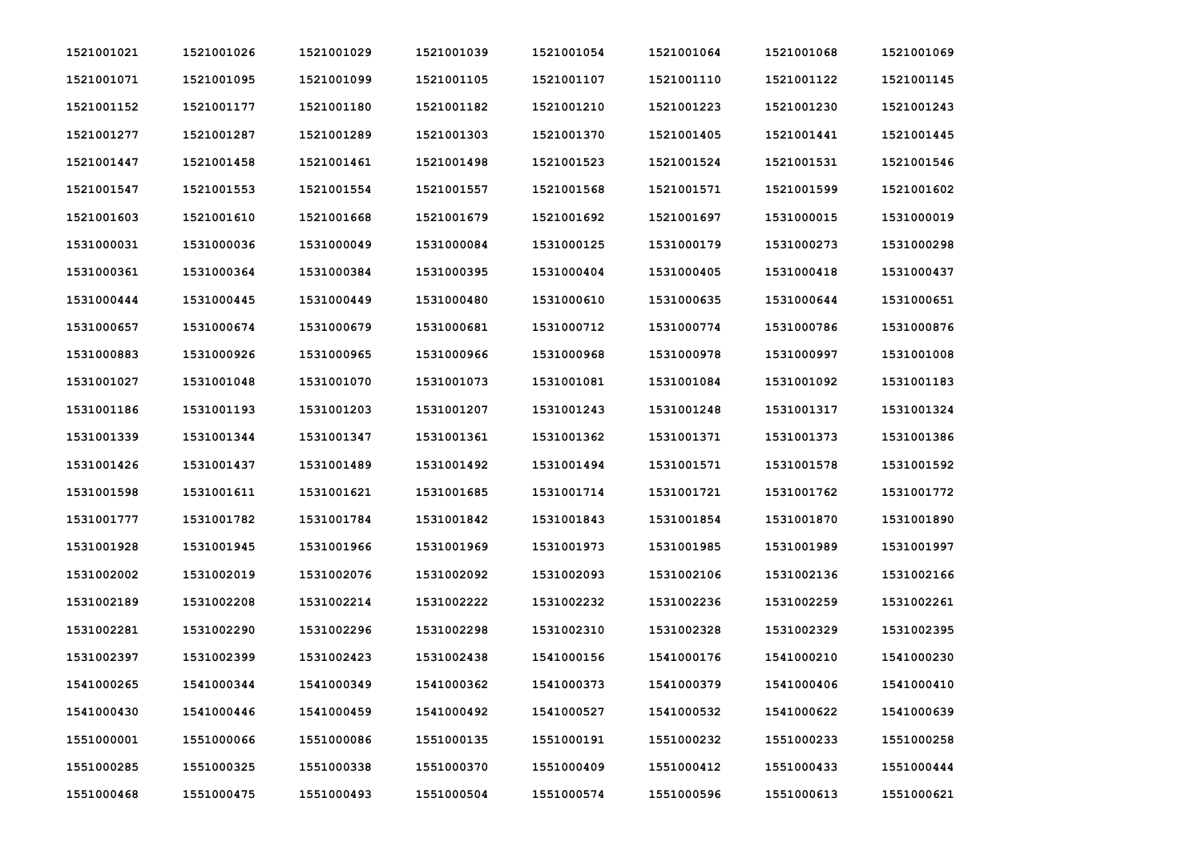| 1521001021 | 1521001026 | 1521001029 | 1521001039 | 1521001054 | 1521001064 | 1521001068 | 1521001069 |
|------------|------------|------------|------------|------------|------------|------------|------------|
| 1521001071 | 1521001095 | 1521001099 | 1521001105 | 1521001107 | 1521001110 | 1521001122 | 1521001145 |
| 1521001152 | 1521001177 | 1521001180 | 1521001182 | 1521001210 | 1521001223 | 1521001230 | 1521001243 |
| 1521001277 | 1521001287 | 1521001289 | 1521001303 | 1521001370 | 1521001405 | 1521001441 | 1521001445 |
| 1521001447 | 1521001458 | 1521001461 | 1521001498 | 1521001523 | 1521001524 | 1521001531 | 1521001546 |
| 1521001547 | 1521001553 | 1521001554 | 1521001557 | 1521001568 | 1521001571 | 1521001599 | 1521001602 |
| 1521001603 | 1521001610 | 1521001668 | 1521001679 | 1521001692 | 1521001697 | 1531000015 | 1531000019 |
| 1531000031 | 1531000036 | 1531000049 | 1531000084 | 1531000125 | 1531000179 | 1531000273 | 1531000298 |
| 1531000361 | 1531000364 | 1531000384 | 1531000395 | 1531000404 | 1531000405 | 1531000418 | 1531000437 |
| 1531000444 | 1531000445 | 1531000449 | 1531000480 | 1531000610 | 1531000635 | 1531000644 | 1531000651 |
| 1531000657 | 1531000674 | 1531000679 | 1531000681 | 1531000712 | 1531000774 | 1531000786 | 1531000876 |
| 1531000883 | 1531000926 | 1531000965 | 1531000966 | 1531000968 | 1531000978 | 1531000997 | 1531001008 |
| 1531001027 | 1531001048 | 1531001070 | 1531001073 | 1531001081 | 1531001084 | 1531001092 | 1531001183 |
| 1531001186 | 1531001193 | 1531001203 | 1531001207 | 1531001243 | 1531001248 | 1531001317 | 1531001324 |
| 1531001339 | 1531001344 | 1531001347 | 1531001361 | 1531001362 | 1531001371 | 1531001373 | 1531001386 |
| 1531001426 | 1531001437 | 1531001489 | 1531001492 | 1531001494 | 1531001571 | 1531001578 | 1531001592 |
| 1531001598 | 1531001611 | 1531001621 | 1531001685 | 1531001714 | 1531001721 | 1531001762 | 1531001772 |
| 1531001777 | 1531001782 | 1531001784 | 1531001842 | 1531001843 | 1531001854 | 1531001870 | 1531001890 |
| 1531001928 | 1531001945 | 1531001966 | 1531001969 | 1531001973 | 1531001985 | 1531001989 | 1531001997 |
| 1531002002 | 1531002019 | 1531002076 | 1531002092 | 1531002093 | 1531002106 | 1531002136 | 1531002166 |
| 1531002189 | 1531002208 | 1531002214 | 1531002222 | 1531002232 | 1531002236 | 1531002259 | 1531002261 |
| 1531002281 | 1531002290 | 1531002296 | 1531002298 | 1531002310 | 1531002328 | 1531002329 | 1531002395 |
| 1531002397 | 1531002399 | 1531002423 | 1531002438 | 1541000156 | 1541000176 | 1541000210 | 1541000230 |
| 1541000265 | 1541000344 | 1541000349 | 1541000362 | 1541000373 | 1541000379 | 1541000406 | 1541000410 |
| 1541000430 | 1541000446 | 1541000459 | 1541000492 | 1541000527 | 1541000532 | 1541000622 | 1541000639 |
| 1551000001 | 1551000066 | 1551000086 | 1551000135 | 1551000191 | 1551000232 | 1551000233 | 1551000258 |
| 1551000285 | 1551000325 | 1551000338 | 1551000370 | 1551000409 | 1551000412 | 1551000433 | 1551000444 |
| 1551000468 | 1551000475 | 1551000493 | 1551000504 | 1551000574 | 1551000596 | 1551000613 | 1551000621 |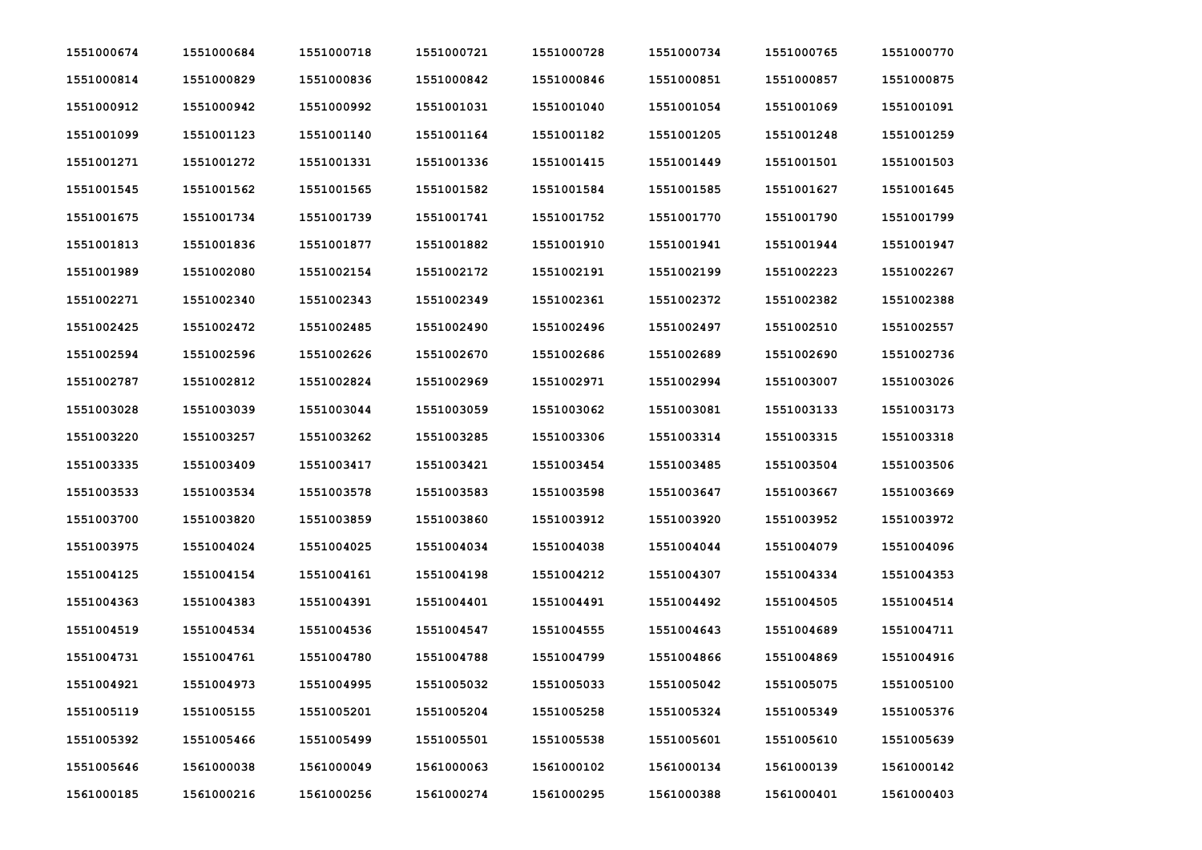| 1551000674 | 1551000684 | 1551000718 | 1551000721 | 1551000728 | 1551000734 | 1551000765 | 1551000770 |
|------------|------------|------------|------------|------------|------------|------------|------------|
| 1551000814 | 1551000829 | 1551000836 | 1551000842 | 1551000846 | 1551000851 | 1551000857 | 1551000875 |
| 1551000912 | 1551000942 | 1551000992 | 1551001031 | 1551001040 | 1551001054 | 1551001069 | 1551001091 |
| 1551001099 | 1551001123 | 1551001140 | 1551001164 | 1551001182 | 1551001205 | 1551001248 | 1551001259 |
| 1551001271 | 1551001272 | 1551001331 | 1551001336 | 1551001415 | 1551001449 | 1551001501 | 1551001503 |
| 1551001545 | 1551001562 | 1551001565 | 1551001582 | 1551001584 | 1551001585 | 1551001627 | 1551001645 |
| 1551001675 | 1551001734 | 1551001739 | 1551001741 | 1551001752 | 1551001770 | 1551001790 | 1551001799 |
| 1551001813 | 1551001836 | 1551001877 | 1551001882 | 1551001910 | 1551001941 | 1551001944 | 1551001947 |
| 1551001989 | 1551002080 | 1551002154 | 1551002172 | 1551002191 | 1551002199 | 1551002223 | 1551002267 |
| 1551002271 | 1551002340 | 1551002343 | 1551002349 | 1551002361 | 1551002372 | 1551002382 | 1551002388 |
| 1551002425 | 1551002472 | 1551002485 | 1551002490 | 1551002496 | 1551002497 | 1551002510 | 1551002557 |
| 1551002594 | 1551002596 | 1551002626 | 1551002670 | 1551002686 | 1551002689 | 1551002690 | 1551002736 |
| 1551002787 | 1551002812 | 1551002824 | 1551002969 | 1551002971 | 1551002994 | 1551003007 | 1551003026 |
| 1551003028 | 1551003039 | 1551003044 | 1551003059 | 1551003062 | 1551003081 | 1551003133 | 1551003173 |
| 1551003220 | 1551003257 | 1551003262 | 1551003285 | 1551003306 | 1551003314 | 1551003315 | 1551003318 |
| 1551003335 | 1551003409 | 1551003417 | 1551003421 | 1551003454 | 1551003485 | 1551003504 | 1551003506 |
| 1551003533 | 1551003534 | 1551003578 | 1551003583 | 1551003598 | 1551003647 | 1551003667 | 1551003669 |
| 1551003700 | 1551003820 | 1551003859 | 1551003860 | 1551003912 | 1551003920 | 1551003952 | 1551003972 |
| 1551003975 | 1551004024 | 1551004025 | 1551004034 | 1551004038 | 1551004044 | 1551004079 | 1551004096 |
| 1551004125 | 1551004154 | 1551004161 | 1551004198 | 1551004212 | 1551004307 | 1551004334 | 1551004353 |
| 1551004363 | 1551004383 | 1551004391 | 1551004401 | 1551004491 | 1551004492 | 1551004505 | 1551004514 |
| 1551004519 | 1551004534 | 1551004536 | 1551004547 | 1551004555 | 1551004643 | 1551004689 | 1551004711 |
| 1551004731 | 1551004761 | 1551004780 | 1551004788 | 1551004799 | 1551004866 | 1551004869 | 1551004916 |
| 1551004921 | 1551004973 | 1551004995 | 1551005032 | 1551005033 | 1551005042 | 1551005075 | 1551005100 |
| 1551005119 | 1551005155 | 1551005201 | 1551005204 | 1551005258 | 1551005324 | 1551005349 | 1551005376 |
| 1551005392 | 1551005466 | 1551005499 | 1551005501 | 1551005538 | 1551005601 | 1551005610 | 1551005639 |
| 1551005646 | 1561000038 | 1561000049 | 1561000063 | 1561000102 | 1561000134 | 1561000139 | 1561000142 |
| 1561000185 | 1561000216 | 1561000256 | 1561000274 | 1561000295 | 1561000388 | 1561000401 | 1561000403 |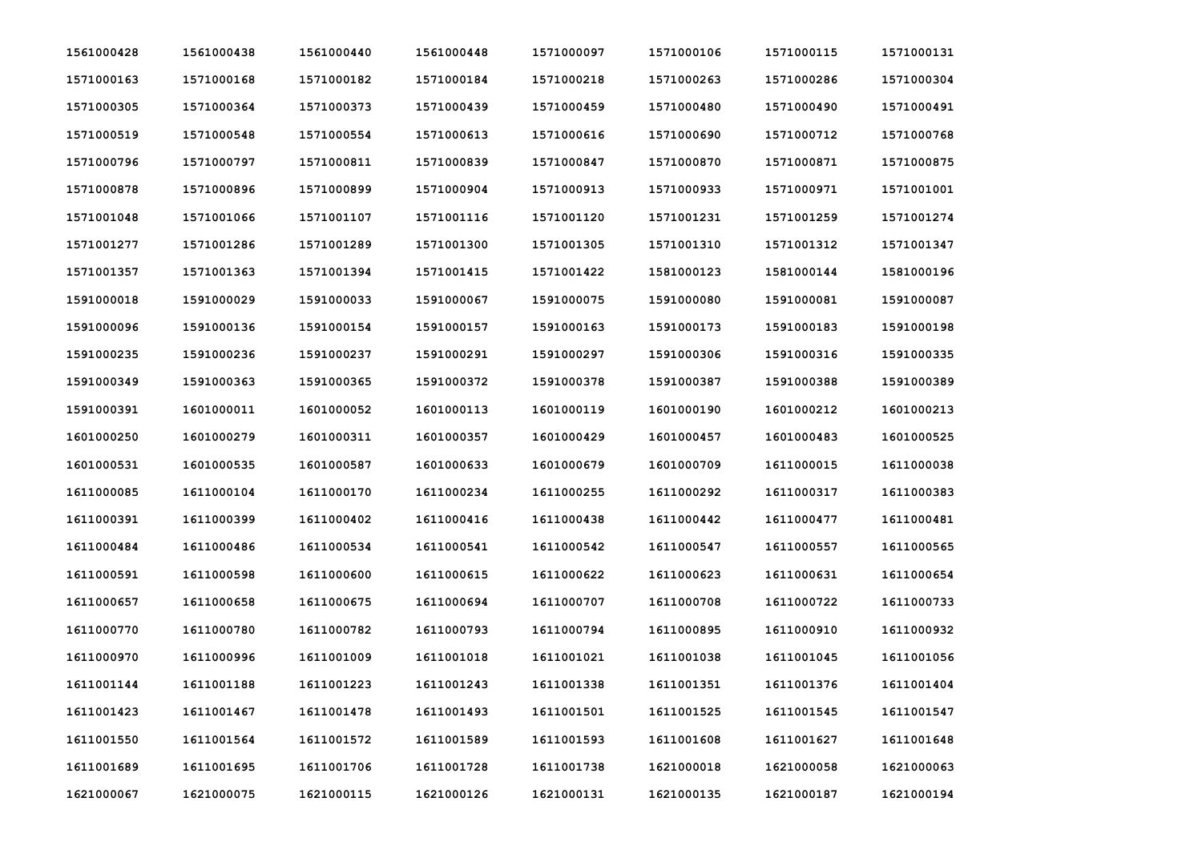| 1561000428 | 1561000438 | 1561000440 | 1561000448 | 1571000097 | 1571000106 | 1571000115 | 1571000131 |
|------------|------------|------------|------------|------------|------------|------------|------------|
| 1571000163 | 1571000168 | 1571000182 | 1571000184 | 1571000218 | 1571000263 | 1571000286 | 1571000304 |
| 1571000305 | 1571000364 | 1571000373 | 1571000439 | 1571000459 | 1571000480 | 1571000490 | 1571000491 |
| 1571000519 | 1571000548 | 1571000554 | 1571000613 | 1571000616 | 1571000690 | 1571000712 | 1571000768 |
| 1571000796 | 1571000797 | 1571000811 | 1571000839 | 1571000847 | 1571000870 | 1571000871 | 1571000875 |
| 1571000878 | 1571000896 | 1571000899 | 1571000904 | 1571000913 | 1571000933 | 1571000971 | 1571001001 |
| 1571001048 | 1571001066 | 1571001107 | 1571001116 | 1571001120 | 1571001231 | 1571001259 | 1571001274 |
| 1571001277 | 1571001286 | 1571001289 | 1571001300 | 1571001305 | 1571001310 | 1571001312 | 1571001347 |
| 1571001357 | 1571001363 | 1571001394 | 1571001415 | 1571001422 | 1581000123 | 1581000144 | 1581000196 |
| 1591000018 | 1591000029 | 1591000033 | 1591000067 | 1591000075 | 1591000080 | 1591000081 | 1591000087 |
| 1591000096 | 1591000136 | 1591000154 | 1591000157 | 1591000163 | 1591000173 | 1591000183 | 1591000198 |
| 1591000235 | 1591000236 | 1591000237 | 1591000291 | 1591000297 | 1591000306 | 1591000316 | 1591000335 |
| 1591000349 | 1591000363 | 1591000365 | 1591000372 | 1591000378 | 1591000387 | 1591000388 | 1591000389 |
| 1591000391 | 1601000011 | 1601000052 | 1601000113 | 1601000119 | 1601000190 | 1601000212 | 1601000213 |
| 1601000250 | 1601000279 | 1601000311 | 1601000357 | 1601000429 | 1601000457 | 1601000483 | 1601000525 |
| 1601000531 | 1601000535 | 1601000587 | 1601000633 | 1601000679 | 1601000709 | 1611000015 | 1611000038 |
| 1611000085 | 1611000104 | 1611000170 | 1611000234 | 1611000255 | 1611000292 | 1611000317 | 1611000383 |
| 1611000391 | 1611000399 | 1611000402 | 1611000416 | 1611000438 | 1611000442 | 1611000477 | 1611000481 |
| 1611000484 | 1611000486 | 1611000534 | 1611000541 | 1611000542 | 1611000547 | 1611000557 | 1611000565 |
| 1611000591 | 1611000598 | 1611000600 | 1611000615 | 1611000622 | 1611000623 | 1611000631 | 1611000654 |
| 1611000657 | 1611000658 | 1611000675 | 1611000694 | 1611000707 | 1611000708 | 1611000722 | 1611000733 |
| 1611000770 | 1611000780 | 1611000782 | 1611000793 | 1611000794 | 1611000895 | 1611000910 | 1611000932 |
| 1611000970 | 1611000996 | 1611001009 | 1611001018 | 1611001021 | 1611001038 | 1611001045 | 1611001056 |
| 1611001144 | 1611001188 | 1611001223 | 1611001243 | 1611001338 | 1611001351 | 1611001376 | 1611001404 |
| 1611001423 | 1611001467 | 1611001478 | 1611001493 | 1611001501 | 1611001525 | 1611001545 | 1611001547 |
| 1611001550 | 1611001564 | 1611001572 | 1611001589 | 1611001593 | 1611001608 | 1611001627 | 1611001648 |
| 1611001689 | 1611001695 | 1611001706 | 1611001728 | 1611001738 | 1621000018 | 1621000058 | 1621000063 |
| 1621000067 | 1621000075 | 1621000115 | 1621000126 | 1621000131 | 1621000135 | 1621000187 | 1621000194 |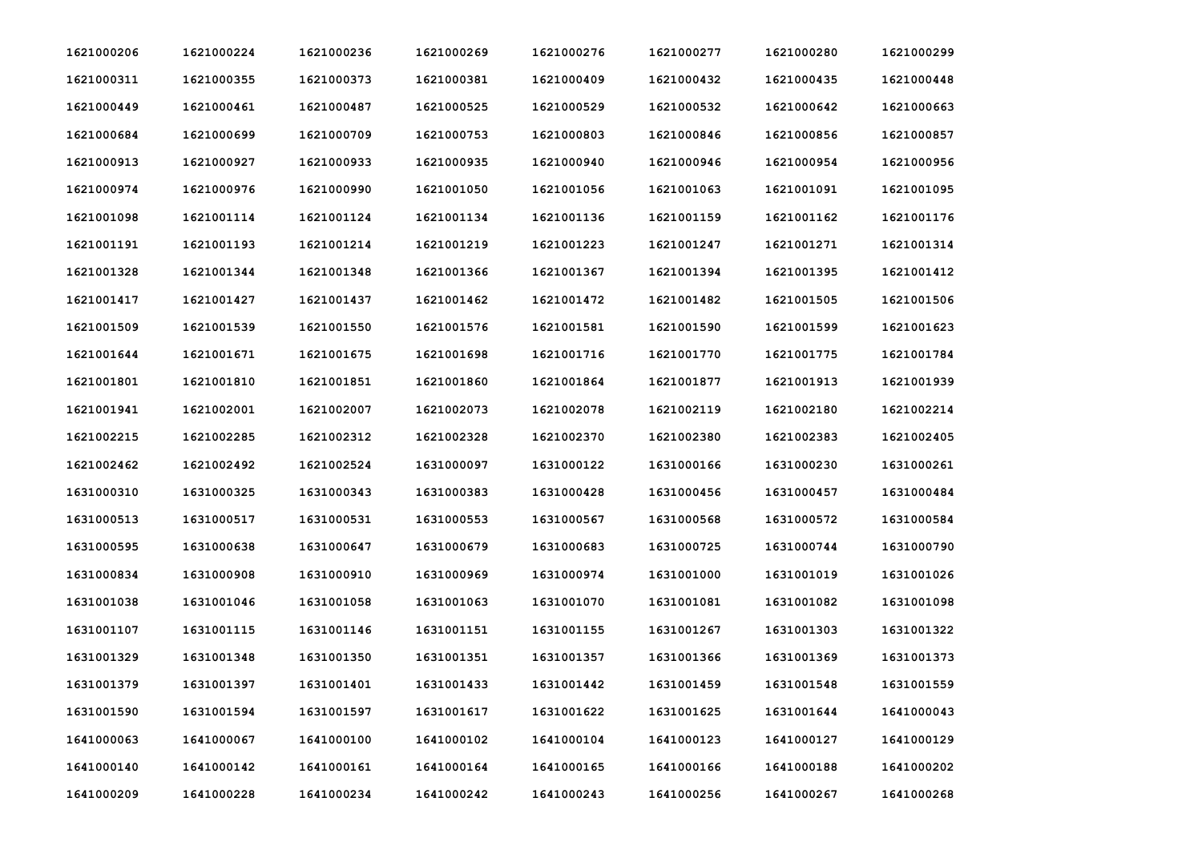| 1621000206 | 1621000224 | 1621000236 | 1621000269 | 1621000276 | 1621000277 | 1621000280 | 1621000299 |
|------------|------------|------------|------------|------------|------------|------------|------------|
| 1621000311 | 1621000355 | 1621000373 | 1621000381 | 1621000409 | 1621000432 | 1621000435 | 1621000448 |
| 1621000449 | 1621000461 | 1621000487 | 1621000525 | 1621000529 | 1621000532 | 1621000642 | 1621000663 |
| 1621000684 | 1621000699 | 1621000709 | 1621000753 | 1621000803 | 1621000846 | 1621000856 | 1621000857 |
| 1621000913 | 1621000927 | 1621000933 | 1621000935 | 1621000940 | 1621000946 | 1621000954 | 1621000956 |
| 1621000974 | 1621000976 | 1621000990 | 1621001050 | 1621001056 | 1621001063 | 1621001091 | 1621001095 |
| 1621001098 | 1621001114 | 1621001124 | 1621001134 | 1621001136 | 1621001159 | 1621001162 | 1621001176 |
| 1621001191 | 1621001193 | 1621001214 | 1621001219 | 1621001223 | 1621001247 | 1621001271 | 1621001314 |
| 1621001328 | 1621001344 | 1621001348 | 1621001366 | 1621001367 | 1621001394 | 1621001395 | 1621001412 |
| 1621001417 | 1621001427 | 1621001437 | 1621001462 | 1621001472 | 1621001482 | 1621001505 | 1621001506 |
| 1621001509 | 1621001539 | 1621001550 | 1621001576 | 1621001581 | 1621001590 | 1621001599 | 1621001623 |
| 1621001644 | 1621001671 | 1621001675 | 1621001698 | 1621001716 | 1621001770 | 1621001775 | 1621001784 |
| 1621001801 | 1621001810 | 1621001851 | 1621001860 | 1621001864 | 1621001877 | 1621001913 | 1621001939 |
| 1621001941 | 1621002001 | 1621002007 | 1621002073 | 1621002078 | 1621002119 | 1621002180 | 1621002214 |
| 1621002215 | 1621002285 | 1621002312 | 1621002328 | 1621002370 | 1621002380 | 1621002383 | 1621002405 |
| 1621002462 | 1621002492 | 1621002524 | 1631000097 | 1631000122 | 1631000166 | 1631000230 | 1631000261 |
| 1631000310 | 1631000325 | 1631000343 | 1631000383 | 1631000428 | 1631000456 | 1631000457 | 1631000484 |
| 1631000513 | 1631000517 | 1631000531 | 1631000553 | 1631000567 | 1631000568 | 1631000572 | 1631000584 |
| 1631000595 | 1631000638 | 1631000647 | 1631000679 | 1631000683 | 1631000725 | 1631000744 | 1631000790 |
| 1631000834 | 1631000908 | 1631000910 | 1631000969 | 1631000974 | 1631001000 | 1631001019 | 1631001026 |
| 1631001038 | 1631001046 | 1631001058 | 1631001063 | 1631001070 | 1631001081 | 1631001082 | 1631001098 |
| 1631001107 | 1631001115 | 1631001146 | 1631001151 | 1631001155 | 1631001267 | 1631001303 | 1631001322 |
| 1631001329 | 1631001348 | 1631001350 | 1631001351 | 1631001357 | 1631001366 | 1631001369 | 1631001373 |
| 1631001379 | 1631001397 | 1631001401 | 1631001433 | 1631001442 | 1631001459 | 1631001548 | 1631001559 |
| 1631001590 | 1631001594 | 1631001597 | 1631001617 | 1631001622 | 1631001625 | 1631001644 | 1641000043 |
| 1641000063 | 1641000067 | 1641000100 | 1641000102 | 1641000104 | 1641000123 | 1641000127 | 1641000129 |
| 1641000140 | 1641000142 | 1641000161 | 1641000164 | 1641000165 | 1641000166 | 1641000188 | 1641000202 |
| 1641000209 | 1641000228 | 1641000234 | 1641000242 | 1641000243 | 1641000256 | 1641000267 | 1641000268 |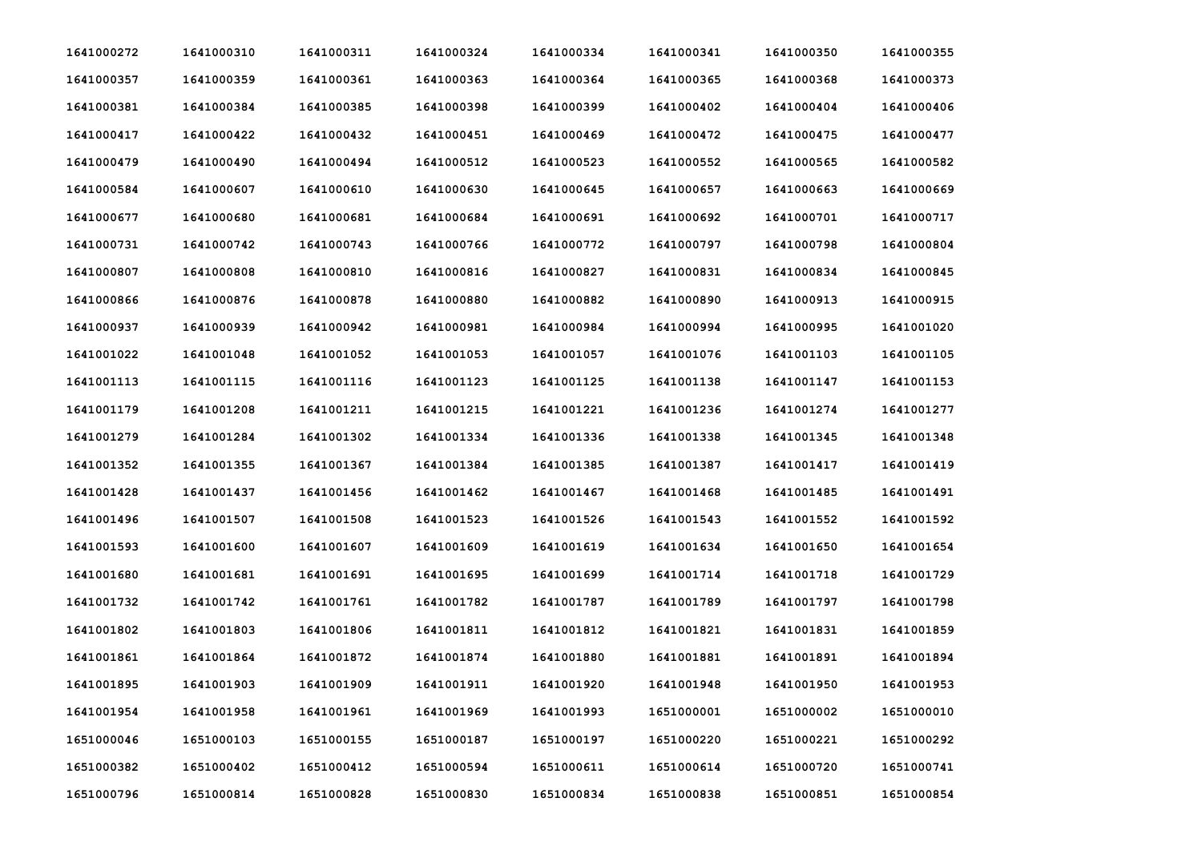| 1641000272 | 1641000310 | 1641000311 | 1641000324 | 1641000334 | 1641000341 | 1641000350 | 1641000355 |
|------------|------------|------------|------------|------------|------------|------------|------------|
| 1641000357 | 1641000359 | 1641000361 | 1641000363 | 1641000364 | 1641000365 | 1641000368 | 1641000373 |
| 1641000381 | 1641000384 | 1641000385 | 1641000398 | 1641000399 | 1641000402 | 1641000404 | 1641000406 |
| 1641000417 | 1641000422 | 1641000432 | 1641000451 | 1641000469 | 1641000472 | 1641000475 | 1641000477 |
| 1641000479 | 1641000490 | 1641000494 | 1641000512 | 1641000523 | 1641000552 | 1641000565 | 1641000582 |
| 1641000584 | 1641000607 | 1641000610 | 1641000630 | 1641000645 | 1641000657 | 1641000663 | 1641000669 |
| 1641000677 | 1641000680 | 1641000681 | 1641000684 | 1641000691 | 1641000692 | 1641000701 | 1641000717 |
| 1641000731 | 1641000742 | 1641000743 | 1641000766 | 1641000772 | 1641000797 | 1641000798 | 1641000804 |
| 1641000807 | 1641000808 | 1641000810 | 1641000816 | 1641000827 | 1641000831 | 1641000834 | 1641000845 |
| 1641000866 | 1641000876 | 1641000878 | 1641000880 | 1641000882 | 1641000890 | 1641000913 | 1641000915 |
| 1641000937 | 1641000939 | 1641000942 | 1641000981 | 1641000984 | 1641000994 | 1641000995 | 1641001020 |
| 1641001022 | 1641001048 | 1641001052 | 1641001053 | 1641001057 | 1641001076 | 1641001103 | 1641001105 |
| 1641001113 | 1641001115 | 1641001116 | 1641001123 | 1641001125 | 1641001138 | 1641001147 | 1641001153 |
| 1641001179 | 1641001208 | 1641001211 | 1641001215 | 1641001221 | 1641001236 | 1641001274 | 1641001277 |
| 1641001279 | 1641001284 | 1641001302 | 1641001334 | 1641001336 | 1641001338 | 1641001345 | 1641001348 |
| 1641001352 | 1641001355 | 1641001367 | 1641001384 | 1641001385 | 1641001387 | 1641001417 | 1641001419 |
| 1641001428 | 1641001437 | 1641001456 | 1641001462 | 1641001467 | 1641001468 | 1641001485 | 1641001491 |
| 1641001496 | 1641001507 | 1641001508 | 1641001523 | 1641001526 | 1641001543 | 1641001552 | 1641001592 |
| 1641001593 | 1641001600 | 1641001607 | 1641001609 | 1641001619 | 1641001634 | 1641001650 | 1641001654 |
| 1641001680 | 1641001681 | 1641001691 | 1641001695 | 1641001699 | 1641001714 | 1641001718 | 1641001729 |
| 1641001732 | 1641001742 | 1641001761 | 1641001782 | 1641001787 | 1641001789 | 1641001797 | 1641001798 |
| 1641001802 | 1641001803 | 1641001806 | 1641001811 | 1641001812 | 1641001821 | 1641001831 | 1641001859 |
| 1641001861 | 1641001864 | 1641001872 | 1641001874 | 1641001880 | 1641001881 | 1641001891 | 1641001894 |
| 1641001895 | 1641001903 | 1641001909 | 1641001911 | 1641001920 | 1641001948 | 1641001950 | 1641001953 |
| 1641001954 | 1641001958 | 1641001961 | 1641001969 | 1641001993 | 1651000001 | 1651000002 | 1651000010 |
| 1651000046 | 1651000103 | 1651000155 | 1651000187 | 1651000197 | 1651000220 | 1651000221 | 1651000292 |
| 1651000382 | 1651000402 | 1651000412 | 1651000594 | 1651000611 | 1651000614 | 1651000720 | 1651000741 |
| 1651000796 | 1651000814 | 1651000828 | 1651000830 | 1651000834 | 1651000838 | 1651000851 | 1651000854 |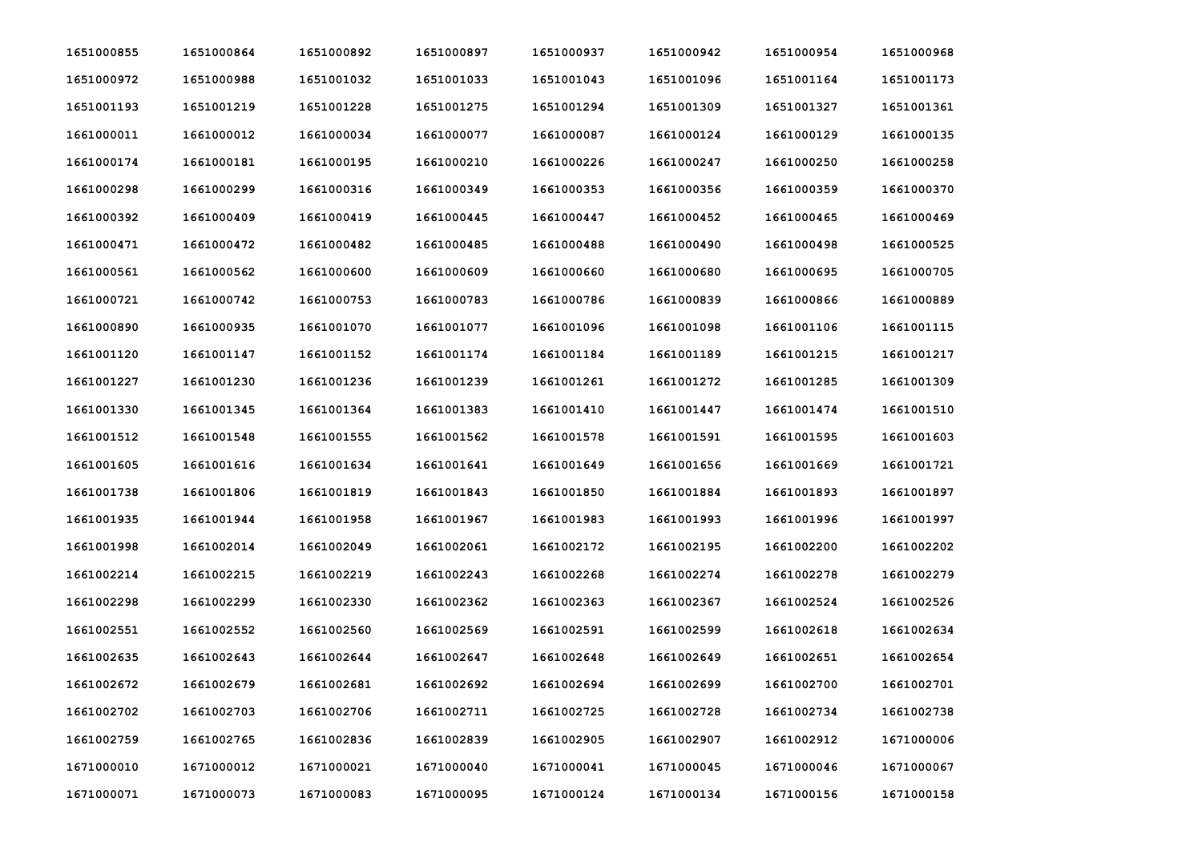| 1651000855 | 1651000864 | 1651000892 | 1651000897 | 1651000937 | 1651000942 | 1651000954 | 1651000968 |
|------------|------------|------------|------------|------------|------------|------------|------------|
| 1651000972 | 1651000988 | 1651001032 | 1651001033 | 1651001043 | 1651001096 | 1651001164 | 1651001173 |
| 1651001193 | 1651001219 | 1651001228 | 1651001275 | 1651001294 | 1651001309 | 1651001327 | 1651001361 |
| 1661000011 | 1661000012 | 1661000034 | 1661000077 | 1661000087 | 1661000124 | 1661000129 | 1661000135 |
| 1661000174 | 1661000181 | 1661000195 | 1661000210 | 1661000226 | 1661000247 | 1661000250 | 1661000258 |
| 1661000298 | 1661000299 | 1661000316 | 1661000349 | 1661000353 | 1661000356 | 1661000359 | 1661000370 |
| 1661000392 | 1661000409 | 1661000419 | 1661000445 | 1661000447 | 1661000452 | 1661000465 | 1661000469 |
| 1661000471 | 1661000472 | 1661000482 | 1661000485 | 1661000488 | 1661000490 | 1661000498 | 1661000525 |
| 1661000561 | 1661000562 | 1661000600 | 1661000609 | 1661000660 | 1661000680 | 1661000695 | 1661000705 |
| 1661000721 | 1661000742 | 1661000753 | 1661000783 | 1661000786 | 1661000839 | 1661000866 | 1661000889 |
| 1661000890 | 1661000935 | 1661001070 | 1661001077 | 1661001096 | 1661001098 | 1661001106 | 1661001115 |
| 1661001120 | 1661001147 | 1661001152 | 1661001174 | 1661001184 | 1661001189 | 1661001215 | 1661001217 |
| 1661001227 | 1661001230 | 1661001236 | 1661001239 | 1661001261 | 1661001272 | 1661001285 | 1661001309 |
| 1661001330 | 1661001345 | 1661001364 | 1661001383 | 1661001410 | 1661001447 | 1661001474 | 1661001510 |
| 1661001512 | 1661001548 | 1661001555 | 1661001562 | 1661001578 | 1661001591 | 1661001595 | 1661001603 |
| 1661001605 | 1661001616 | 1661001634 | 1661001641 | 1661001649 | 1661001656 | 1661001669 | 1661001721 |
| 1661001738 | 1661001806 | 1661001819 | 1661001843 | 1661001850 | 1661001884 | 1661001893 | 1661001897 |
| 1661001935 | 1661001944 | 1661001958 | 1661001967 | 1661001983 | 1661001993 | 1661001996 | 1661001997 |
| 1661001998 | 1661002014 | 1661002049 | 1661002061 | 1661002172 | 1661002195 | 1661002200 | 1661002202 |
| 1661002214 | 1661002215 | 1661002219 | 1661002243 | 1661002268 | 1661002274 | 1661002278 | 1661002279 |
| 1661002298 | 1661002299 | 1661002330 | 1661002362 | 1661002363 | 1661002367 | 1661002524 | 1661002526 |
| 1661002551 | 1661002552 | 1661002560 | 1661002569 | 1661002591 | 1661002599 | 1661002618 | 1661002634 |
| 1661002635 | 1661002643 | 1661002644 | 1661002647 | 1661002648 | 1661002649 | 1661002651 | 1661002654 |
| 1661002672 | 1661002679 | 1661002681 | 1661002692 | 1661002694 | 1661002699 | 1661002700 | 1661002701 |
| 1661002702 | 1661002703 | 1661002706 | 1661002711 | 1661002725 | 1661002728 | 1661002734 | 1661002738 |
| 1661002759 | 1661002765 | 1661002836 | 1661002839 | 1661002905 | 1661002907 | 1661002912 | 1671000006 |
| 1671000010 | 1671000012 | 1671000021 | 1671000040 | 1671000041 | 1671000045 | 1671000046 | 1671000067 |
| 1671000071 | 1671000073 | 1671000083 | 1671000095 | 1671000124 | 1671000134 | 1671000156 | 1671000158 |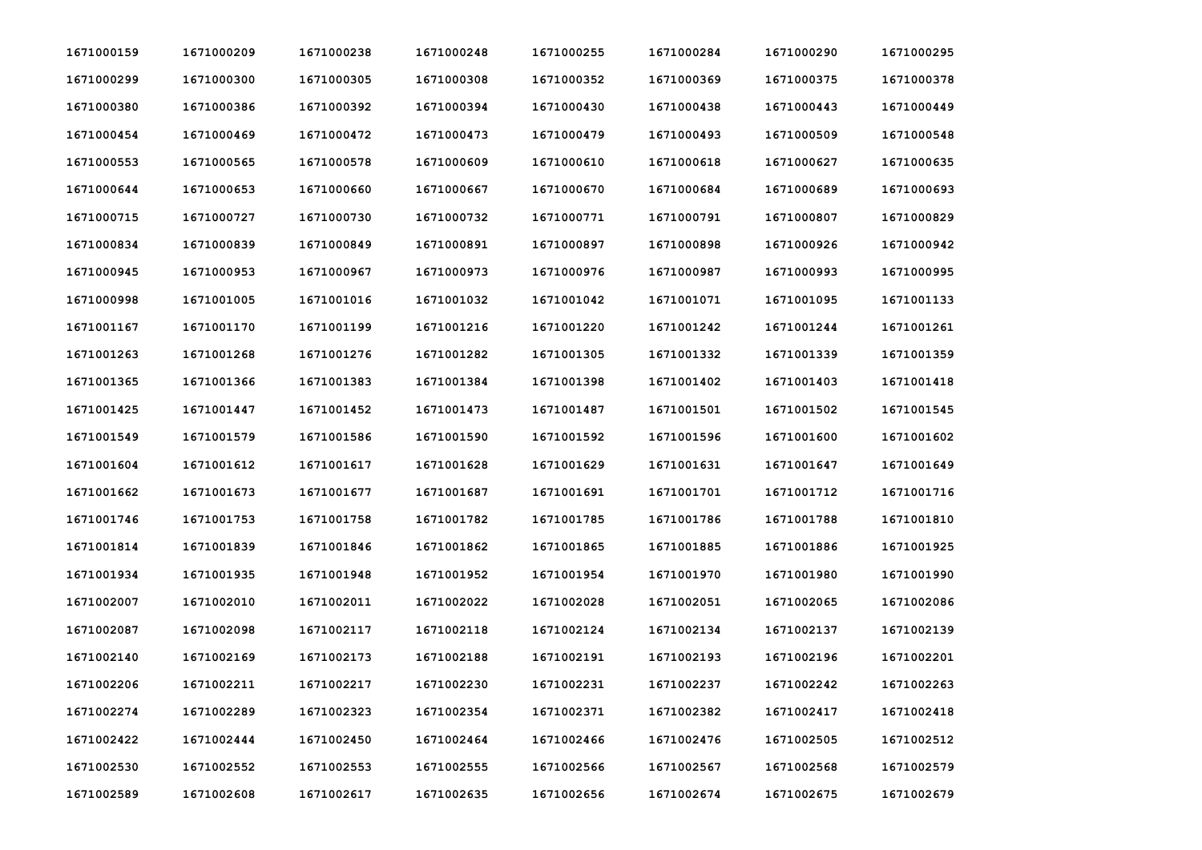| 1671000159 | 1671000209 | 1671000238 | 1671000248 | 1671000255 | 1671000284 | 1671000290 | 1671000295 |
|------------|------------|------------|------------|------------|------------|------------|------------|
| 1671000299 | 1671000300 | 1671000305 | 1671000308 | 1671000352 | 1671000369 | 1671000375 | 1671000378 |
| 1671000380 | 1671000386 | 1671000392 | 1671000394 | 1671000430 | 1671000438 | 1671000443 | 1671000449 |
| 1671000454 | 1671000469 | 1671000472 | 1671000473 | 1671000479 | 1671000493 | 1671000509 | 1671000548 |
| 1671000553 | 1671000565 | 1671000578 | 1671000609 | 1671000610 | 1671000618 | 1671000627 | 1671000635 |
| 1671000644 | 1671000653 | 1671000660 | 1671000667 | 1671000670 | 1671000684 | 1671000689 | 1671000693 |
| 1671000715 | 1671000727 | 1671000730 | 1671000732 | 1671000771 | 1671000791 | 1671000807 | 1671000829 |
| 1671000834 | 1671000839 | 1671000849 | 1671000891 | 1671000897 | 1671000898 | 1671000926 | 1671000942 |
| 1671000945 | 1671000953 | 1671000967 | 1671000973 | 1671000976 | 1671000987 | 1671000993 | 1671000995 |
| 1671000998 | 1671001005 | 1671001016 | 1671001032 | 1671001042 | 1671001071 | 1671001095 | 1671001133 |
| 1671001167 | 1671001170 | 1671001199 | 1671001216 | 1671001220 | 1671001242 | 1671001244 | 1671001261 |
| 1671001263 | 1671001268 | 1671001276 | 1671001282 | 1671001305 | 1671001332 | 1671001339 | 1671001359 |
| 1671001365 | 1671001366 | 1671001383 | 1671001384 | 1671001398 | 1671001402 | 1671001403 | 1671001418 |
| 1671001425 | 1671001447 | 1671001452 | 1671001473 | 1671001487 | 1671001501 | 1671001502 | 1671001545 |
| 1671001549 | 1671001579 | 1671001586 | 1671001590 | 1671001592 | 1671001596 | 1671001600 | 1671001602 |
| 1671001604 | 1671001612 | 1671001617 | 1671001628 | 1671001629 | 1671001631 | 1671001647 | 1671001649 |
| 1671001662 | 1671001673 | 1671001677 | 1671001687 | 1671001691 | 1671001701 | 1671001712 | 1671001716 |
| 1671001746 | 1671001753 | 1671001758 | 1671001782 | 1671001785 | 1671001786 | 1671001788 | 1671001810 |
| 1671001814 | 1671001839 | 1671001846 | 1671001862 | 1671001865 | 1671001885 | 1671001886 | 1671001925 |
| 1671001934 | 1671001935 | 1671001948 | 1671001952 | 1671001954 | 1671001970 | 1671001980 | 1671001990 |
| 1671002007 | 1671002010 | 1671002011 | 1671002022 | 1671002028 | 1671002051 | 1671002065 | 1671002086 |
| 1671002087 | 1671002098 | 1671002117 | 1671002118 | 1671002124 | 1671002134 | 1671002137 | 1671002139 |
| 1671002140 | 1671002169 | 1671002173 | 1671002188 | 1671002191 | 1671002193 | 1671002196 | 1671002201 |
| 1671002206 | 1671002211 | 1671002217 | 1671002230 | 1671002231 | 1671002237 | 1671002242 | 1671002263 |
| 1671002274 | 1671002289 | 1671002323 | 1671002354 | 1671002371 | 1671002382 | 1671002417 | 1671002418 |
| 1671002422 | 1671002444 | 1671002450 | 1671002464 | 1671002466 | 1671002476 | 1671002505 | 1671002512 |
| 1671002530 | 1671002552 | 1671002553 | 1671002555 | 1671002566 | 1671002567 | 1671002568 | 1671002579 |
| 1671002589 | 1671002608 | 1671002617 | 1671002635 | 1671002656 | 1671002674 | 1671002675 | 1671002679 |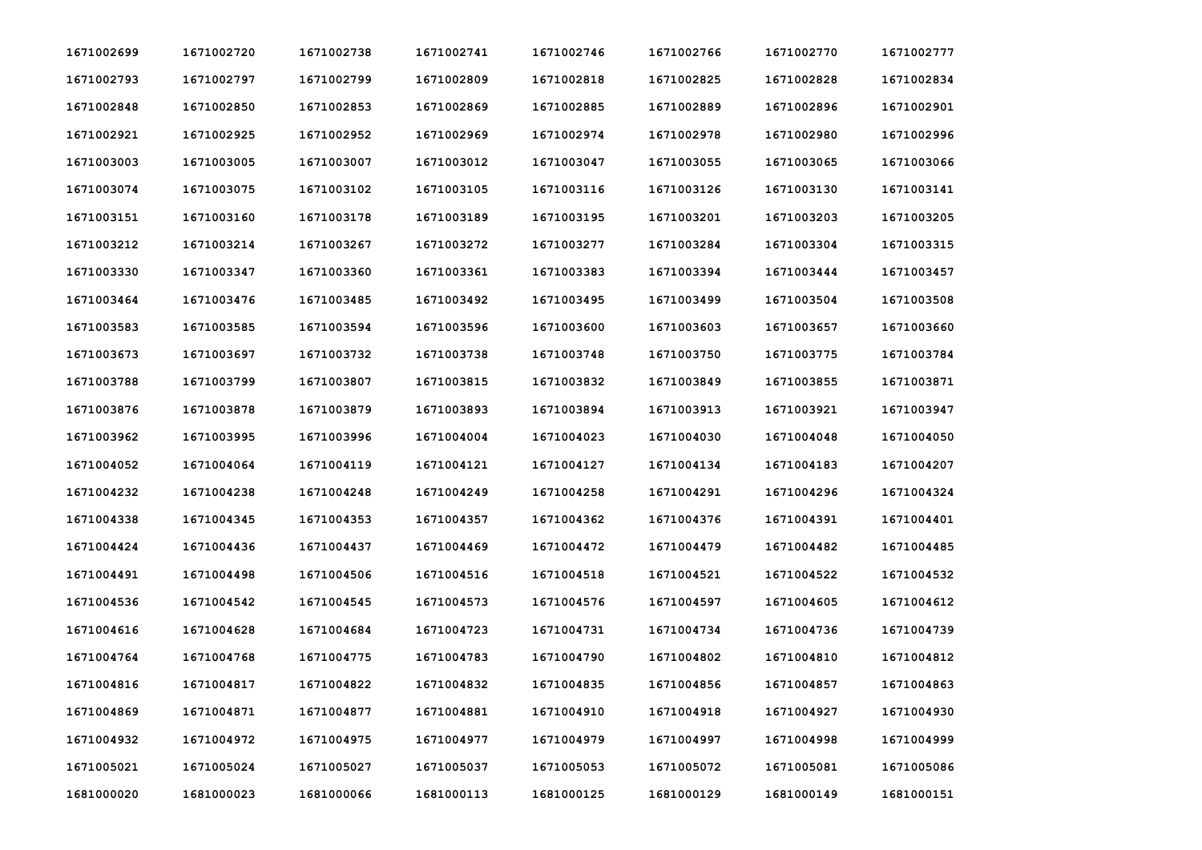| 1671002699 | 1671002720 | 1671002738 | 1671002741 | 1671002746 | 1671002766 | 1671002770 | 1671002777 |
|------------|------------|------------|------------|------------|------------|------------|------------|
| 1671002793 | 1671002797 | 1671002799 | 1671002809 | 1671002818 | 1671002825 | 1671002828 | 1671002834 |
| 1671002848 | 1671002850 | 1671002853 | 1671002869 | 1671002885 | 1671002889 | 1671002896 | 1671002901 |
| 1671002921 | 1671002925 | 1671002952 | 1671002969 | 1671002974 | 1671002978 | 1671002980 | 1671002996 |
| 1671003003 | 1671003005 | 1671003007 | 1671003012 | 1671003047 | 1671003055 | 1671003065 | 1671003066 |
| 1671003074 | 1671003075 | 1671003102 | 1671003105 | 1671003116 | 1671003126 | 1671003130 | 1671003141 |
| 1671003151 | 1671003160 | 1671003178 | 1671003189 | 1671003195 | 1671003201 | 1671003203 | 1671003205 |
| 1671003212 | 1671003214 | 1671003267 | 1671003272 | 1671003277 | 1671003284 | 1671003304 | 1671003315 |
| 1671003330 | 1671003347 | 1671003360 | 1671003361 | 1671003383 | 1671003394 | 1671003444 | 1671003457 |
| 1671003464 | 1671003476 | 1671003485 | 1671003492 | 1671003495 | 1671003499 | 1671003504 | 1671003508 |
| 1671003583 | 1671003585 | 1671003594 | 1671003596 | 1671003600 | 1671003603 | 1671003657 | 1671003660 |
| 1671003673 | 1671003697 | 1671003732 | 1671003738 | 1671003748 | 1671003750 | 1671003775 | 1671003784 |
| 1671003788 | 1671003799 | 1671003807 | 1671003815 | 1671003832 | 1671003849 | 1671003855 | 1671003871 |
| 1671003876 | 1671003878 | 1671003879 | 1671003893 | 1671003894 | 1671003913 | 1671003921 | 1671003947 |
| 1671003962 | 1671003995 | 1671003996 | 1671004004 | 1671004023 | 1671004030 | 1671004048 | 1671004050 |
| 1671004052 | 1671004064 | 1671004119 | 1671004121 | 1671004127 | 1671004134 | 1671004183 | 1671004207 |
| 1671004232 | 1671004238 | 1671004248 | 1671004249 | 1671004258 | 1671004291 | 1671004296 | 1671004324 |
| 1671004338 | 1671004345 | 1671004353 | 1671004357 | 1671004362 | 1671004376 | 1671004391 | 1671004401 |
| 1671004424 | 1671004436 | 1671004437 | 1671004469 | 1671004472 | 1671004479 | 1671004482 | 1671004485 |
| 1671004491 | 1671004498 | 1671004506 | 1671004516 | 1671004518 | 1671004521 | 1671004522 | 1671004532 |
| 1671004536 | 1671004542 | 1671004545 | 1671004573 | 1671004576 | 1671004597 | 1671004605 | 1671004612 |
| 1671004616 | 1671004628 | 1671004684 | 1671004723 | 1671004731 | 1671004734 | 1671004736 | 1671004739 |
| 1671004764 | 1671004768 | 1671004775 | 1671004783 | 1671004790 | 1671004802 | 1671004810 | 1671004812 |
| 1671004816 | 1671004817 | 1671004822 | 1671004832 | 1671004835 | 1671004856 | 1671004857 | 1671004863 |
| 1671004869 | 1671004871 | 1671004877 | 1671004881 | 1671004910 | 1671004918 | 1671004927 | 1671004930 |
| 1671004932 | 1671004972 | 1671004975 | 1671004977 | 1671004979 | 1671004997 | 1671004998 | 1671004999 |
| 1671005021 | 1671005024 | 1671005027 | 1671005037 | 1671005053 | 1671005072 | 1671005081 | 1671005086 |
| 1681000020 | 1681000023 | 1681000066 | 1681000113 | 1681000125 | 1681000129 | 1681000149 | 1681000151 |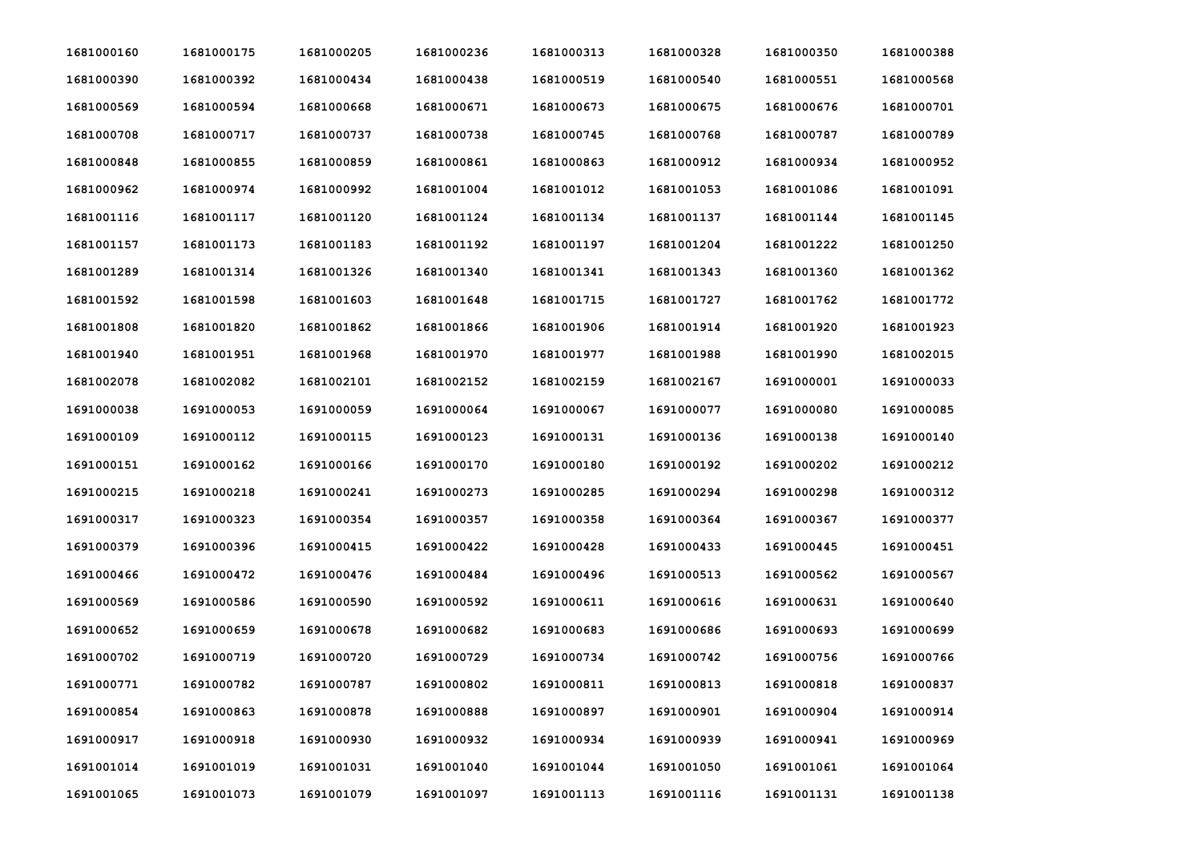| 1681000160 | 1681000175 | 1681000205 | 1681000236 | 1681000313 | 1681000328 | 1681000350 | 1681000388 |
|------------|------------|------------|------------|------------|------------|------------|------------|
| 1681000390 | 1681000392 | 1681000434 | 1681000438 | 1681000519 | 1681000540 | 1681000551 | 1681000568 |
| 1681000569 | 1681000594 | 1681000668 | 1681000671 | 1681000673 | 1681000675 | 1681000676 | 1681000701 |
| 1681000708 | 1681000717 | 1681000737 | 1681000738 | 1681000745 | 1681000768 | 1681000787 | 1681000789 |
| 1681000848 | 1681000855 | 1681000859 | 1681000861 | 1681000863 | 1681000912 | 1681000934 | 1681000952 |
| 1681000962 | 1681000974 | 1681000992 | 1681001004 | 1681001012 | 1681001053 | 1681001086 | 1681001091 |
| 1681001116 | 1681001117 | 1681001120 | 1681001124 | 1681001134 | 1681001137 | 1681001144 | 1681001145 |
| 1681001157 | 1681001173 | 1681001183 | 1681001192 | 1681001197 | 1681001204 | 1681001222 | 1681001250 |
| 1681001289 | 1681001314 | 1681001326 | 1681001340 | 1681001341 | 1681001343 | 1681001360 | 1681001362 |
| 1681001592 | 1681001598 | 1681001603 | 1681001648 | 1681001715 | 1681001727 | 1681001762 | 1681001772 |
| 1681001808 | 1681001820 | 1681001862 | 1681001866 | 1681001906 | 1681001914 | 1681001920 | 1681001923 |
| 1681001940 | 1681001951 | 1681001968 | 1681001970 | 1681001977 | 1681001988 | 1681001990 | 1681002015 |
| 1681002078 | 1681002082 | 1681002101 | 1681002152 | 1681002159 | 1681002167 | 1691000001 | 1691000033 |
| 1691000038 | 1691000053 | 1691000059 | 1691000064 | 1691000067 | 1691000077 | 1691000080 | 1691000085 |
| 1691000109 | 1691000112 | 1691000115 | 1691000123 | 1691000131 | 1691000136 | 1691000138 | 1691000140 |
| 1691000151 | 1691000162 | 1691000166 | 1691000170 | 1691000180 | 1691000192 | 1691000202 | 1691000212 |
| 1691000215 | 1691000218 | 1691000241 | 1691000273 | 1691000285 | 1691000294 | 1691000298 | 1691000312 |
| 1691000317 | 1691000323 | 1691000354 | 1691000357 | 1691000358 | 1691000364 | 1691000367 | 1691000377 |
| 1691000379 | 1691000396 | 1691000415 | 1691000422 | 1691000428 | 1691000433 | 1691000445 | 1691000451 |
| 1691000466 | 1691000472 | 1691000476 | 1691000484 | 1691000496 | 1691000513 | 1691000562 | 1691000567 |
| 1691000569 | 1691000586 | 1691000590 | 1691000592 | 1691000611 | 1691000616 | 1691000631 | 1691000640 |
| 1691000652 | 1691000659 | 1691000678 | 1691000682 | 1691000683 | 1691000686 | 1691000693 | 1691000699 |
| 1691000702 | 1691000719 | 1691000720 | 1691000729 | 1691000734 | 1691000742 | 1691000756 | 1691000766 |
| 1691000771 | 1691000782 | 1691000787 | 1691000802 | 1691000811 | 1691000813 | 1691000818 | 1691000837 |
| 1691000854 | 1691000863 | 1691000878 | 1691000888 | 1691000897 | 1691000901 | 1691000904 | 1691000914 |
| 1691000917 | 1691000918 | 1691000930 | 1691000932 | 1691000934 | 1691000939 | 1691000941 | 1691000969 |
| 1691001014 | 1691001019 | 1691001031 | 1691001040 | 1691001044 | 1691001050 | 1691001061 | 1691001064 |
| 1691001065 | 1691001073 | 1691001079 | 1691001097 | 1691001113 | 1691001116 | 1691001131 | 1691001138 |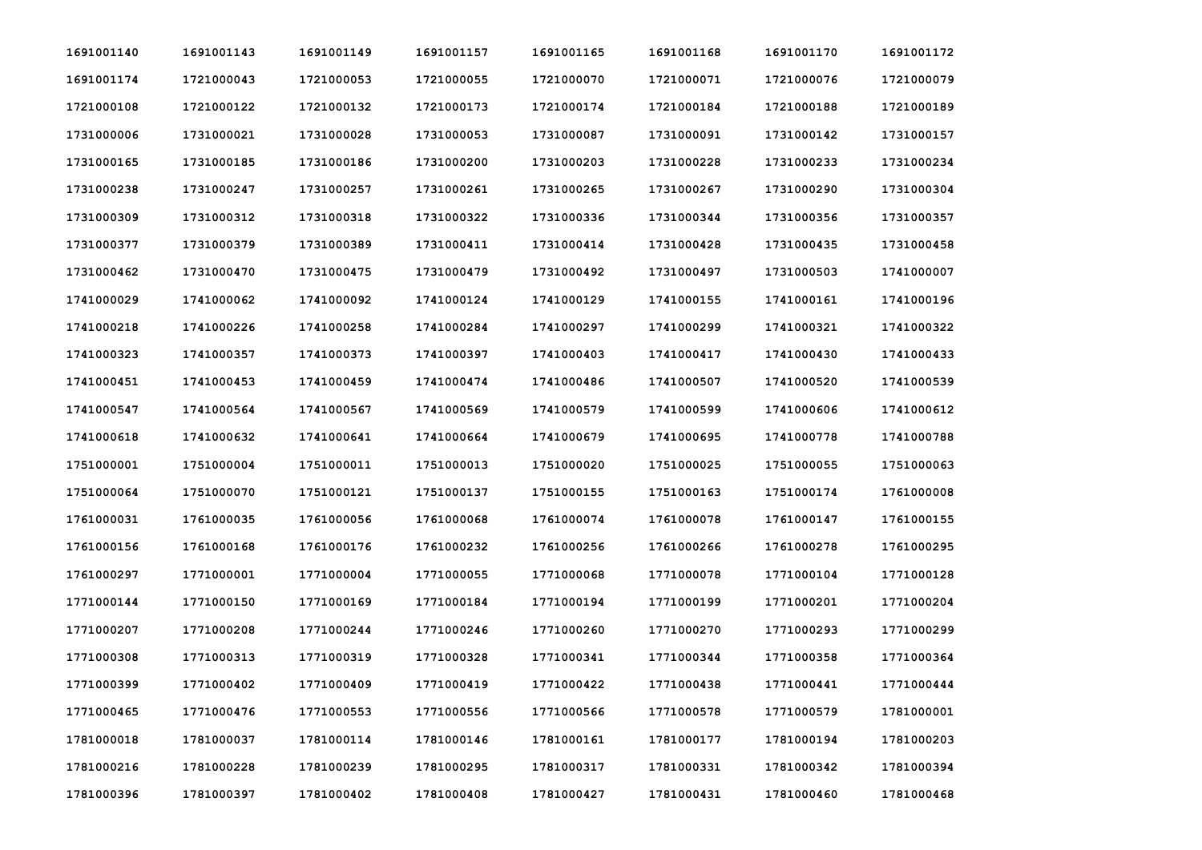| 1691001140 | 1691001143 | 1691001149 | 1691001157 | 1691001165 | 1691001168 | 1691001170 | 1691001172 |
|------------|------------|------------|------------|------------|------------|------------|------------|
| 1691001174 | 1721000043 | 1721000053 | 1721000055 | 1721000070 | 1721000071 | 1721000076 | 1721000079 |
| 1721000108 | 1721000122 | 1721000132 | 1721000173 | 1721000174 | 1721000184 | 1721000188 | 1721000189 |
| 1731000006 | 1731000021 | 1731000028 | 1731000053 | 1731000087 | 1731000091 | 1731000142 | 1731000157 |
| 1731000165 | 1731000185 | 1731000186 | 1731000200 | 1731000203 | 1731000228 | 1731000233 | 1731000234 |
| 1731000238 | 1731000247 | 1731000257 | 1731000261 | 1731000265 | 1731000267 | 1731000290 | 1731000304 |
| 1731000309 | 1731000312 | 1731000318 | 1731000322 | 1731000336 | 1731000344 | 1731000356 | 1731000357 |
| 1731000377 | 1731000379 | 1731000389 | 1731000411 | 1731000414 | 1731000428 | 1731000435 | 1731000458 |
| 1731000462 | 1731000470 | 1731000475 | 1731000479 | 1731000492 | 1731000497 | 1731000503 | 1741000007 |
| 1741000029 | 1741000062 | 1741000092 | 1741000124 | 1741000129 | 1741000155 | 1741000161 | 1741000196 |
| 1741000218 | 1741000226 | 1741000258 | 1741000284 | 1741000297 | 1741000299 | 1741000321 | 1741000322 |
| 1741000323 | 1741000357 | 1741000373 | 1741000397 | 1741000403 | 1741000417 | 1741000430 | 1741000433 |
| 1741000451 | 1741000453 | 1741000459 | 1741000474 | 1741000486 | 1741000507 | 1741000520 | 1741000539 |
| 1741000547 | 1741000564 | 1741000567 | 1741000569 | 1741000579 | 1741000599 | 1741000606 | 1741000612 |
| 1741000618 | 1741000632 | 1741000641 | 1741000664 | 1741000679 | 1741000695 | 1741000778 | 1741000788 |
| 1751000001 | 1751000004 | 1751000011 | 1751000013 | 1751000020 | 1751000025 | 1751000055 | 1751000063 |
| 1751000064 | 1751000070 | 1751000121 | 1751000137 | 1751000155 | 1751000163 | 1751000174 | 1761000008 |
| 1761000031 | 1761000035 | 1761000056 | 1761000068 | 1761000074 | 1761000078 | 1761000147 | 1761000155 |
| 1761000156 | 1761000168 | 1761000176 | 1761000232 | 1761000256 | 1761000266 | 1761000278 | 1761000295 |
| 1761000297 | 1771000001 | 1771000004 | 1771000055 | 1771000068 | 1771000078 | 1771000104 | 1771000128 |
| 1771000144 | 1771000150 | 1771000169 | 1771000184 | 1771000194 | 1771000199 | 1771000201 | 1771000204 |
| 1771000207 | 1771000208 | 1771000244 | 1771000246 | 1771000260 | 1771000270 | 1771000293 | 1771000299 |
| 1771000308 | 1771000313 | 1771000319 | 1771000328 | 1771000341 | 1771000344 | 1771000358 | 1771000364 |
| 1771000399 | 1771000402 | 1771000409 | 1771000419 | 1771000422 | 1771000438 | 1771000441 | 1771000444 |
| 1771000465 | 1771000476 | 1771000553 | 1771000556 | 1771000566 | 1771000578 | 1771000579 | 1781000001 |
| 1781000018 | 1781000037 | 1781000114 | 1781000146 | 1781000161 | 1781000177 | 1781000194 | 1781000203 |
| 1781000216 | 1781000228 | 1781000239 | 1781000295 | 1781000317 | 1781000331 | 1781000342 | 1781000394 |
| 1781000396 | 1781000397 | 1781000402 | 1781000408 | 1781000427 | 1781000431 | 1781000460 | 1781000468 |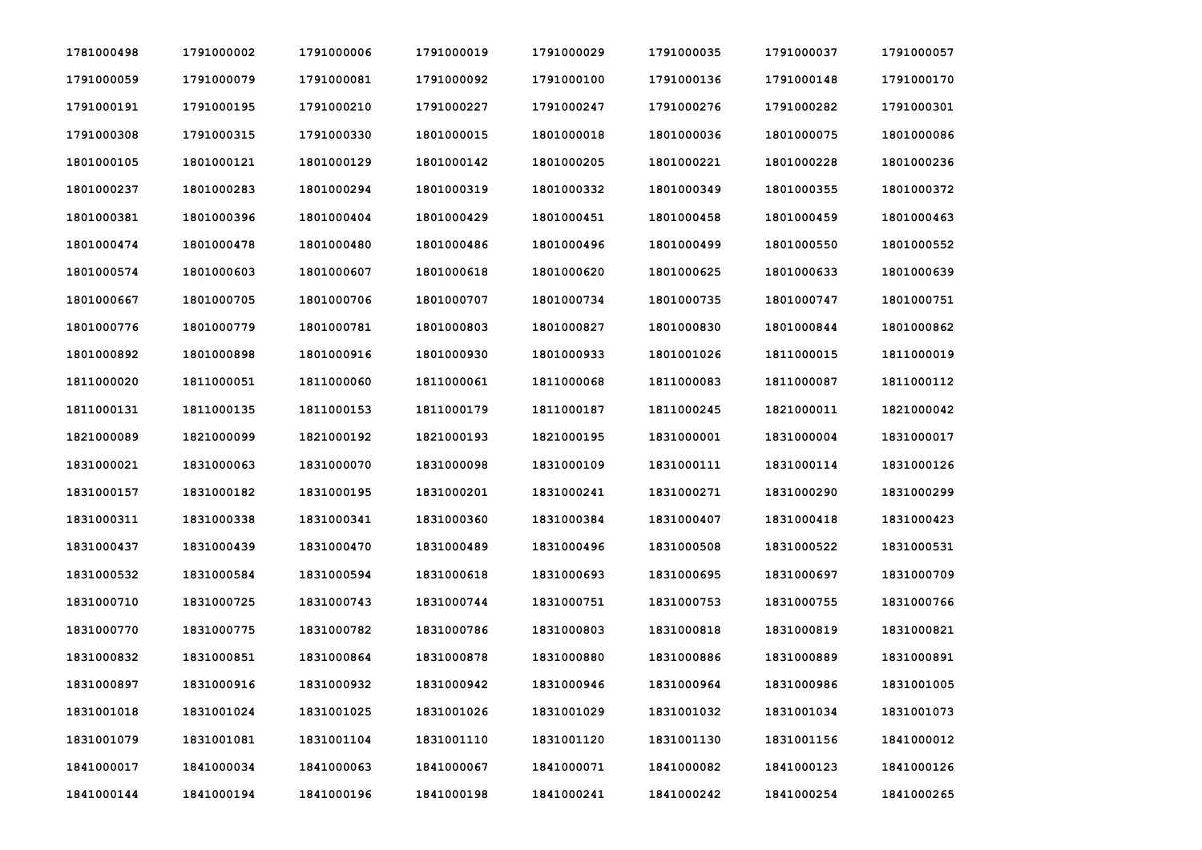| 1781000498 | 1791000002 | 1791000006 | 1791000019 | 1791000029 | 1791000035 | 1791000037 | 1791000057 |
|------------|------------|------------|------------|------------|------------|------------|------------|
| 1791000059 | 1791000079 | 1791000081 | 1791000092 | 1791000100 | 1791000136 | 1791000148 | 1791000170 |
| 1791000191 | 1791000195 | 1791000210 | 1791000227 | 1791000247 | 1791000276 | 1791000282 | 1791000301 |
| 1791000308 | 1791000315 | 1791000330 | 1801000015 | 1801000018 | 1801000036 | 1801000075 | 1801000086 |
| 1801000105 | 1801000121 | 1801000129 | 1801000142 | 1801000205 | 1801000221 | 1801000228 | 1801000236 |
| 1801000237 | 1801000283 | 1801000294 | 1801000319 | 1801000332 | 1801000349 | 1801000355 | 1801000372 |
| 1801000381 | 1801000396 | 1801000404 | 1801000429 | 1801000451 | 1801000458 | 1801000459 | 1801000463 |
| 1801000474 | 1801000478 | 1801000480 | 1801000486 | 1801000496 | 1801000499 | 1801000550 | 1801000552 |
| 1801000574 | 1801000603 | 1801000607 | 1801000618 | 1801000620 | 1801000625 | 1801000633 | 1801000639 |
| 1801000667 | 1801000705 | 1801000706 | 1801000707 | 1801000734 | 1801000735 | 1801000747 | 1801000751 |
| 1801000776 | 1801000779 | 1801000781 | 1801000803 | 1801000827 | 1801000830 | 1801000844 | 1801000862 |
| 1801000892 | 1801000898 | 1801000916 | 1801000930 | 1801000933 | 1801001026 | 1811000015 | 1811000019 |
| 1811000020 | 1811000051 | 1811000060 | 1811000061 | 1811000068 | 1811000083 | 1811000087 | 1811000112 |
| 1811000131 | 1811000135 | 1811000153 | 1811000179 | 1811000187 | 1811000245 | 1821000011 | 1821000042 |
| 1821000089 | 1821000099 | 1821000192 | 1821000193 | 1821000195 | 1831000001 | 1831000004 | 1831000017 |
| 1831000021 | 1831000063 | 1831000070 | 1831000098 | 1831000109 | 1831000111 | 1831000114 | 1831000126 |
| 1831000157 | 1831000182 | 1831000195 | 1831000201 | 1831000241 | 1831000271 | 1831000290 | 1831000299 |
| 1831000311 | 1831000338 | 1831000341 | 1831000360 | 1831000384 | 1831000407 | 1831000418 | 1831000423 |
| 1831000437 | 1831000439 | 1831000470 | 1831000489 | 1831000496 | 1831000508 | 1831000522 | 1831000531 |
| 1831000532 | 1831000584 | 1831000594 | 1831000618 | 1831000693 | 1831000695 | 1831000697 | 1831000709 |
| 1831000710 | 1831000725 | 1831000743 | 1831000744 | 1831000751 | 1831000753 | 1831000755 | 1831000766 |
| 1831000770 | 1831000775 | 1831000782 | 1831000786 | 1831000803 | 1831000818 | 1831000819 | 1831000821 |
| 1831000832 | 1831000851 | 1831000864 | 1831000878 | 1831000880 | 1831000886 | 1831000889 | 1831000891 |
| 1831000897 | 1831000916 | 1831000932 | 1831000942 | 1831000946 | 1831000964 | 1831000986 | 1831001005 |
| 1831001018 | 1831001024 | 1831001025 | 1831001026 | 1831001029 | 1831001032 | 1831001034 | 1831001073 |
| 1831001079 | 1831001081 | 1831001104 | 1831001110 | 1831001120 | 1831001130 | 1831001156 | 1841000012 |
| 1841000017 | 1841000034 | 1841000063 | 1841000067 | 1841000071 | 1841000082 | 1841000123 | 1841000126 |
| 1841000144 | 1841000194 | 1841000196 | 1841000198 | 1841000241 | 1841000242 | 1841000254 | 1841000265 |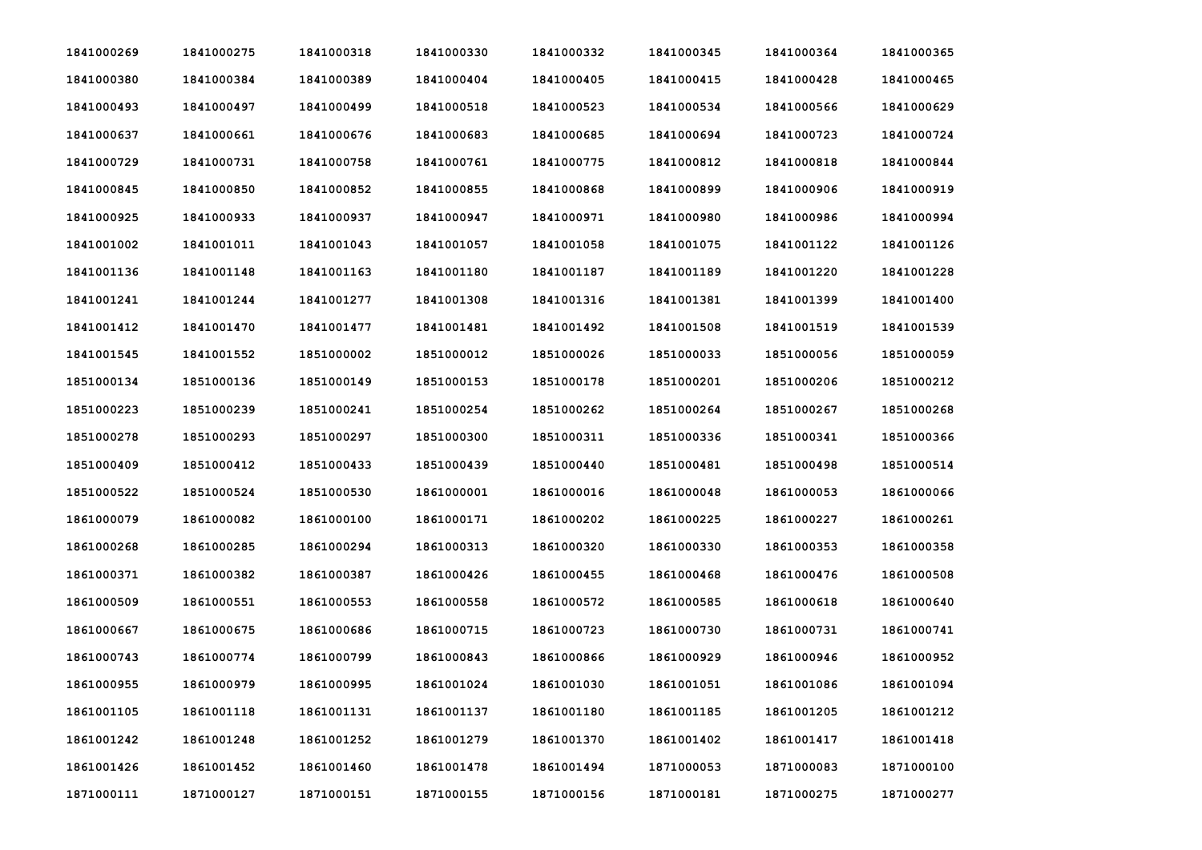| 1841000269 | 1841000275 | 1841000318 | 1841000330 | 1841000332 | 1841000345 | 1841000364 | 1841000365 |
|------------|------------|------------|------------|------------|------------|------------|------------|
| 1841000380 | 1841000384 | 1841000389 | 1841000404 | 1841000405 | 1841000415 | 1841000428 | 1841000465 |
| 1841000493 | 1841000497 | 1841000499 | 1841000518 | 1841000523 | 1841000534 | 1841000566 | 1841000629 |
| 1841000637 | 1841000661 | 1841000676 | 1841000683 | 1841000685 | 1841000694 | 1841000723 | 1841000724 |
| 1841000729 | 1841000731 | 1841000758 | 1841000761 | 1841000775 | 1841000812 | 1841000818 | 1841000844 |
| 1841000845 | 1841000850 | 1841000852 | 1841000855 | 1841000868 | 1841000899 | 1841000906 | 1841000919 |
| 1841000925 | 1841000933 | 1841000937 | 1841000947 | 1841000971 | 1841000980 | 1841000986 | 1841000994 |
| 1841001002 | 1841001011 | 1841001043 | 1841001057 | 1841001058 | 1841001075 | 1841001122 | 1841001126 |
| 1841001136 | 1841001148 | 1841001163 | 1841001180 | 1841001187 | 1841001189 | 1841001220 | 1841001228 |
| 1841001241 | 1841001244 | 1841001277 | 1841001308 | 1841001316 | 1841001381 | 1841001399 | 1841001400 |
| 1841001412 | 1841001470 | 1841001477 | 1841001481 | 1841001492 | 1841001508 | 1841001519 | 1841001539 |
| 1841001545 | 1841001552 | 1851000002 | 1851000012 | 1851000026 | 1851000033 | 1851000056 | 1851000059 |
| 1851000134 | 1851000136 | 1851000149 | 1851000153 | 1851000178 | 1851000201 | 1851000206 | 1851000212 |
| 1851000223 | 1851000239 | 1851000241 | 1851000254 | 1851000262 | 1851000264 | 1851000267 | 1851000268 |
| 1851000278 | 1851000293 | 1851000297 | 1851000300 | 1851000311 | 1851000336 | 1851000341 | 1851000366 |
| 1851000409 | 1851000412 | 1851000433 | 1851000439 | 1851000440 | 1851000481 | 1851000498 | 1851000514 |
| 1851000522 | 1851000524 | 1851000530 | 1861000001 | 1861000016 | 1861000048 | 1861000053 | 1861000066 |
| 1861000079 | 1861000082 | 1861000100 | 1861000171 | 1861000202 | 1861000225 | 1861000227 | 1861000261 |
| 1861000268 | 1861000285 | 1861000294 | 1861000313 | 1861000320 | 1861000330 | 1861000353 | 1861000358 |
| 1861000371 | 1861000382 | 1861000387 | 1861000426 | 1861000455 | 1861000468 | 1861000476 | 1861000508 |
| 1861000509 | 1861000551 | 1861000553 | 1861000558 | 1861000572 | 1861000585 | 1861000618 | 1861000640 |
| 1861000667 | 1861000675 | 1861000686 | 1861000715 | 1861000723 | 1861000730 | 1861000731 | 1861000741 |
| 1861000743 | 1861000774 | 1861000799 | 1861000843 | 1861000866 | 1861000929 | 1861000946 | 1861000952 |
| 1861000955 | 1861000979 | 1861000995 | 1861001024 | 1861001030 | 1861001051 | 1861001086 | 1861001094 |
| 1861001105 | 1861001118 | 1861001131 | 1861001137 | 1861001180 | 1861001185 | 1861001205 | 1861001212 |
| 1861001242 | 1861001248 | 1861001252 | 1861001279 | 1861001370 | 1861001402 | 1861001417 | 1861001418 |
| 1861001426 | 1861001452 | 1861001460 | 1861001478 | 1861001494 | 1871000053 | 1871000083 | 1871000100 |
| 1871000111 | 1871000127 | 1871000151 | 1871000155 | 1871000156 | 1871000181 | 1871000275 | 1871000277 |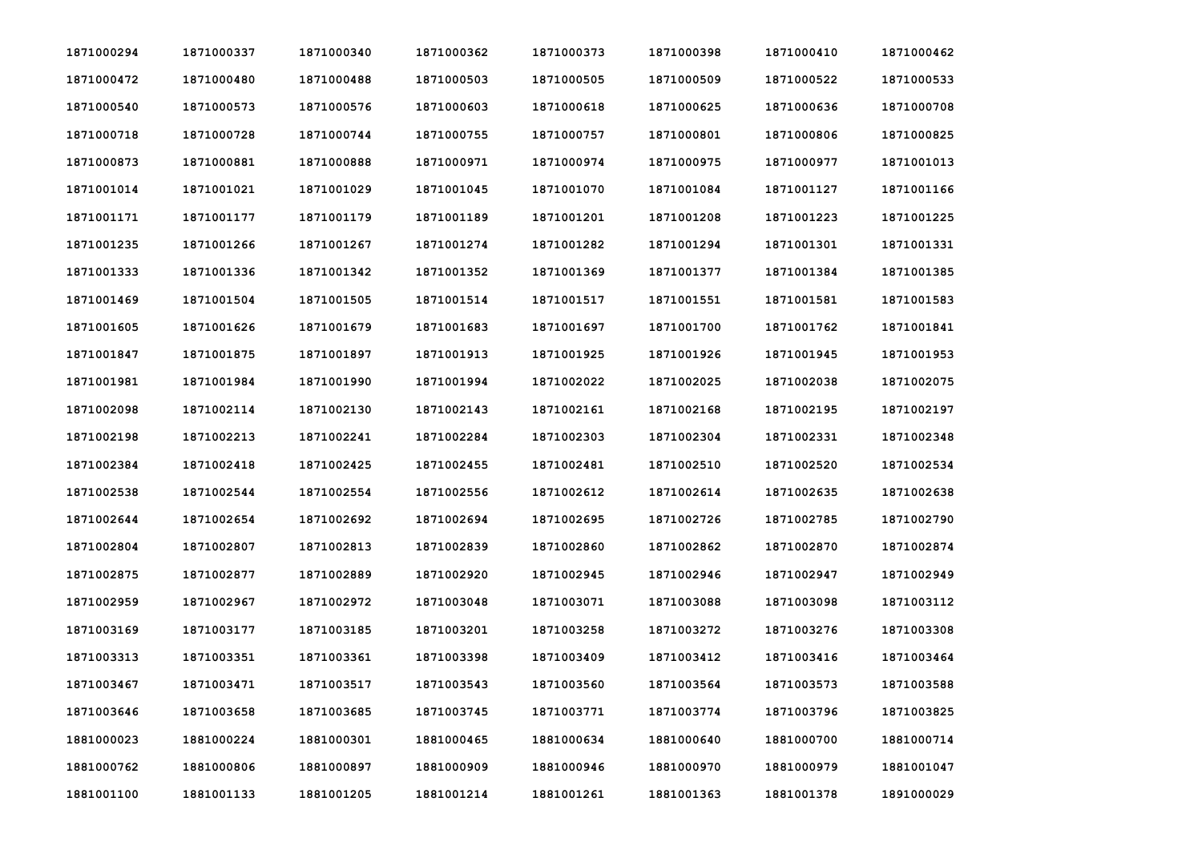| 1871000294 | 1871000337 | 1871000340 | 1871000362 | 1871000373 | 1871000398 | 1871000410 | 1871000462 |
|------------|------------|------------|------------|------------|------------|------------|------------|
| 1871000472 | 1871000480 | 1871000488 | 1871000503 | 1871000505 | 1871000509 | 1871000522 | 1871000533 |
| 1871000540 | 1871000573 | 1871000576 | 1871000603 | 1871000618 | 1871000625 | 1871000636 | 1871000708 |
| 1871000718 | 1871000728 | 1871000744 | 1871000755 | 1871000757 | 1871000801 | 1871000806 | 1871000825 |
| 1871000873 | 1871000881 | 1871000888 | 1871000971 | 1871000974 | 1871000975 | 1871000977 | 1871001013 |
| 1871001014 | 1871001021 | 1871001029 | 1871001045 | 1871001070 | 1871001084 | 1871001127 | 1871001166 |
| 1871001171 | 1871001177 | 1871001179 | 1871001189 | 1871001201 | 1871001208 | 1871001223 | 1871001225 |
| 1871001235 | 1871001266 | 1871001267 | 1871001274 | 1871001282 | 1871001294 | 1871001301 | 1871001331 |
| 1871001333 | 1871001336 | 1871001342 | 1871001352 | 1871001369 | 1871001377 | 1871001384 | 1871001385 |
| 1871001469 | 1871001504 | 1871001505 | 1871001514 | 1871001517 | 1871001551 | 1871001581 | 1871001583 |
| 1871001605 | 1871001626 | 1871001679 | 1871001683 | 1871001697 | 1871001700 | 1871001762 | 1871001841 |
| 1871001847 | 1871001875 | 1871001897 | 1871001913 | 1871001925 | 1871001926 | 1871001945 | 1871001953 |
| 1871001981 | 1871001984 | 1871001990 | 1871001994 | 1871002022 | 1871002025 | 1871002038 | 1871002075 |
| 1871002098 | 1871002114 | 1871002130 | 1871002143 | 1871002161 | 1871002168 | 1871002195 | 1871002197 |
| 1871002198 | 1871002213 | 1871002241 | 1871002284 | 1871002303 | 1871002304 | 1871002331 | 1871002348 |
| 1871002384 | 1871002418 | 1871002425 | 1871002455 | 1871002481 | 1871002510 | 1871002520 | 1871002534 |
| 1871002538 | 1871002544 | 1871002554 | 1871002556 | 1871002612 | 1871002614 | 1871002635 | 1871002638 |
| 1871002644 | 1871002654 | 1871002692 | 1871002694 | 1871002695 | 1871002726 | 1871002785 | 1871002790 |
| 1871002804 | 1871002807 | 1871002813 | 1871002839 | 1871002860 | 1871002862 | 1871002870 | 1871002874 |
| 1871002875 | 1871002877 | 1871002889 | 1871002920 | 1871002945 | 1871002946 | 1871002947 | 1871002949 |
| 1871002959 | 1871002967 | 1871002972 | 1871003048 | 1871003071 | 1871003088 | 1871003098 | 1871003112 |
| 1871003169 | 1871003177 | 1871003185 | 1871003201 | 1871003258 | 1871003272 | 1871003276 | 1871003308 |
| 1871003313 | 1871003351 | 1871003361 | 1871003398 | 1871003409 | 1871003412 | 1871003416 | 1871003464 |
| 1871003467 | 1871003471 | 1871003517 | 1871003543 | 1871003560 | 1871003564 | 1871003573 | 1871003588 |
| 1871003646 | 1871003658 | 1871003685 | 1871003745 | 1871003771 | 1871003774 | 1871003796 | 1871003825 |
| 1881000023 | 1881000224 | 1881000301 | 1881000465 | 1881000634 | 1881000640 | 1881000700 | 1881000714 |
| 1881000762 | 1881000806 | 1881000897 | 1881000909 | 1881000946 | 1881000970 | 1881000979 | 1881001047 |
| 1881001100 | 1881001133 | 1881001205 | 1881001214 | 1881001261 | 1881001363 | 1881001378 | 1891000029 |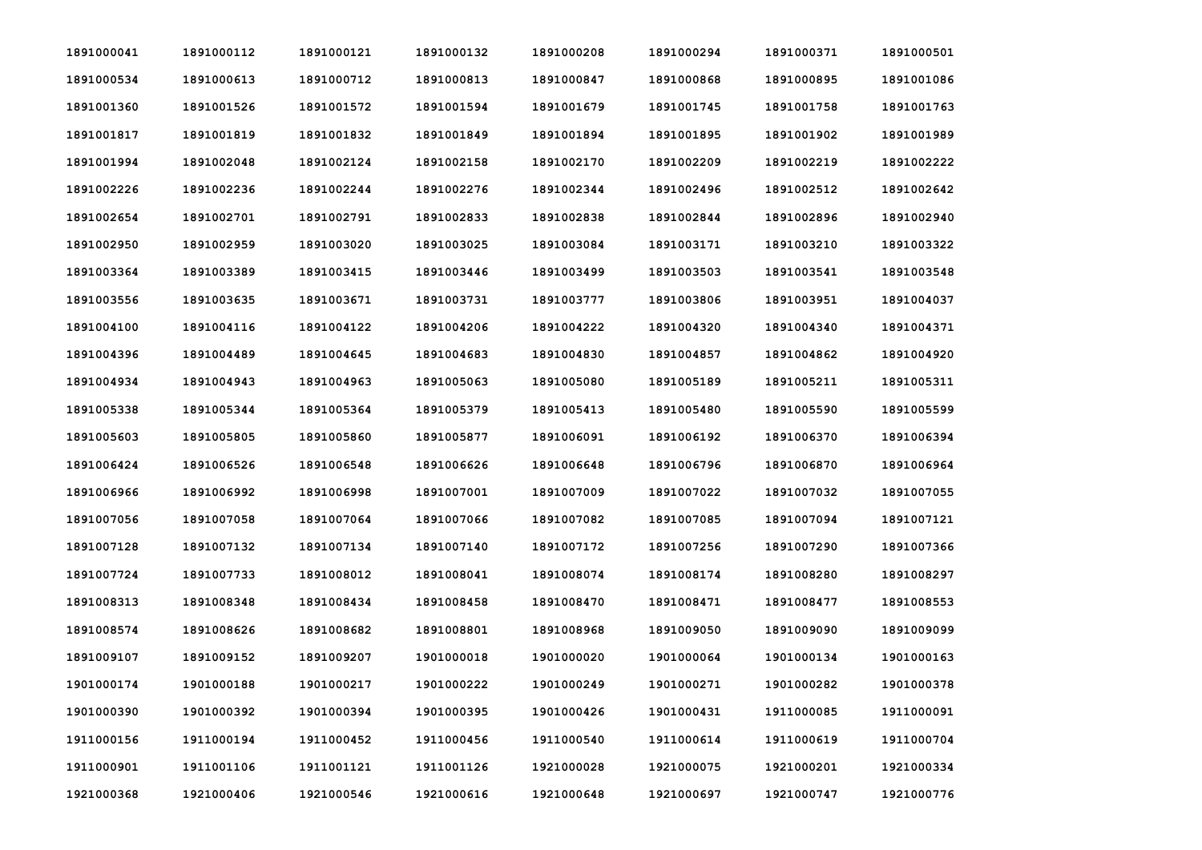| 1891000041 | 1891000112 | 1891000121 | 1891000132 | 1891000208 | 1891000294 | 1891000371 | 1891000501 |
|------------|------------|------------|------------|------------|------------|------------|------------|
| 1891000534 | 1891000613 | 1891000712 | 1891000813 | 1891000847 | 1891000868 | 1891000895 | 1891001086 |
| 1891001360 | 1891001526 | 1891001572 | 1891001594 | 1891001679 | 1891001745 | 1891001758 | 1891001763 |
| 1891001817 | 1891001819 | 1891001832 | 1891001849 | 1891001894 | 1891001895 | 1891001902 | 1891001989 |
| 1891001994 | 1891002048 | 1891002124 | 1891002158 | 1891002170 | 1891002209 | 1891002219 | 1891002222 |
| 1891002226 | 1891002236 | 1891002244 | 1891002276 | 1891002344 | 1891002496 | 1891002512 | 1891002642 |
| 1891002654 | 1891002701 | 1891002791 | 1891002833 | 1891002838 | 1891002844 | 1891002896 | 1891002940 |
| 1891002950 | 1891002959 | 1891003020 | 1891003025 | 1891003084 | 1891003171 | 1891003210 | 1891003322 |
| 1891003364 | 1891003389 | 1891003415 | 1891003446 | 1891003499 | 1891003503 | 1891003541 | 1891003548 |
| 1891003556 | 1891003635 | 1891003671 | 1891003731 | 1891003777 | 1891003806 | 1891003951 | 1891004037 |
| 1891004100 | 1891004116 | 1891004122 | 1891004206 | 1891004222 | 1891004320 | 1891004340 | 1891004371 |
| 1891004396 | 1891004489 | 1891004645 | 1891004683 | 1891004830 | 1891004857 | 1891004862 | 1891004920 |
| 1891004934 | 1891004943 | 1891004963 | 1891005063 | 1891005080 | 1891005189 | 1891005211 | 1891005311 |
| 1891005338 | 1891005344 | 1891005364 | 1891005379 | 1891005413 | 1891005480 | 1891005590 | 1891005599 |
| 1891005603 | 1891005805 | 1891005860 | 1891005877 | 1891006091 | 1891006192 | 1891006370 | 1891006394 |
| 1891006424 | 1891006526 | 1891006548 | 1891006626 | 1891006648 | 1891006796 | 1891006870 | 1891006964 |
| 1891006966 | 1891006992 | 1891006998 | 1891007001 | 1891007009 | 1891007022 | 1891007032 | 1891007055 |
| 1891007056 | 1891007058 | 1891007064 | 1891007066 | 1891007082 | 1891007085 | 1891007094 | 1891007121 |
| 1891007128 | 1891007132 | 1891007134 | 1891007140 | 1891007172 | 1891007256 | 1891007290 | 1891007366 |
| 1891007724 | 1891007733 | 1891008012 | 1891008041 | 1891008074 | 1891008174 | 1891008280 | 1891008297 |
| 1891008313 | 1891008348 | 1891008434 | 1891008458 | 1891008470 | 1891008471 | 1891008477 | 1891008553 |
| 1891008574 | 1891008626 | 1891008682 | 1891008801 | 1891008968 | 1891009050 | 1891009090 | 1891009099 |
| 1891009107 | 1891009152 | 1891009207 | 1901000018 | 1901000020 | 1901000064 | 1901000134 | 1901000163 |
| 1901000174 | 1901000188 | 1901000217 | 1901000222 | 1901000249 | 1901000271 | 1901000282 | 1901000378 |
| 1901000390 | 1901000392 | 1901000394 | 1901000395 | 1901000426 | 1901000431 | 1911000085 | 1911000091 |
| 1911000156 | 1911000194 | 1911000452 | 1911000456 | 1911000540 | 1911000614 | 1911000619 | 1911000704 |
| 1911000901 | 1911001106 | 1911001121 | 1911001126 | 1921000028 | 1921000075 | 1921000201 | 1921000334 |
| 1921000368 | 1921000406 | 1921000546 | 1921000616 | 1921000648 | 1921000697 | 1921000747 | 1921000776 |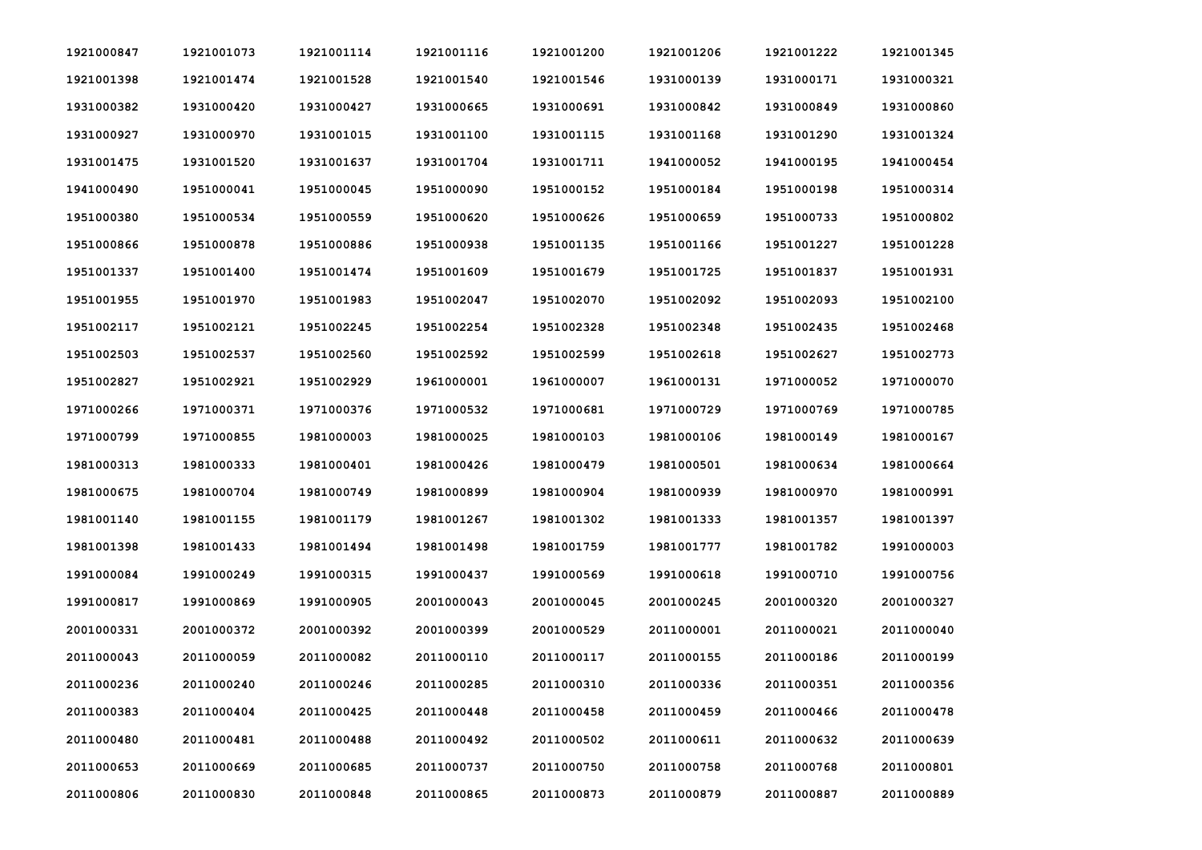| 1921000847 | 1921001073 | 1921001114 | 1921001116 | 1921001200 | 1921001206 | 1921001222 | 1921001345 |
|------------|------------|------------|------------|------------|------------|------------|------------|
| 1921001398 | 1921001474 | 1921001528 | 1921001540 | 1921001546 | 1931000139 | 1931000171 | 1931000321 |
| 1931000382 | 1931000420 | 1931000427 | 1931000665 | 1931000691 | 1931000842 | 1931000849 | 1931000860 |
| 1931000927 | 1931000970 | 1931001015 | 1931001100 | 1931001115 | 1931001168 | 1931001290 | 1931001324 |
| 1931001475 | 1931001520 | 1931001637 | 1931001704 | 1931001711 | 1941000052 | 1941000195 | 1941000454 |
| 1941000490 | 1951000041 | 1951000045 | 1951000090 | 1951000152 | 1951000184 | 1951000198 | 1951000314 |
| 1951000380 | 1951000534 | 1951000559 | 1951000620 | 1951000626 | 1951000659 | 1951000733 | 1951000802 |
| 1951000866 | 1951000878 | 1951000886 | 1951000938 | 1951001135 | 1951001166 | 1951001227 | 1951001228 |
| 1951001337 | 1951001400 | 1951001474 | 1951001609 | 1951001679 | 1951001725 | 1951001837 | 1951001931 |
| 1951001955 | 1951001970 | 1951001983 | 1951002047 | 1951002070 | 1951002092 | 1951002093 | 1951002100 |
| 1951002117 | 1951002121 | 1951002245 | 1951002254 | 1951002328 | 1951002348 | 1951002435 | 1951002468 |
| 1951002503 | 1951002537 | 1951002560 | 1951002592 | 1951002599 | 1951002618 | 1951002627 | 1951002773 |
| 1951002827 | 1951002921 | 1951002929 | 1961000001 | 1961000007 | 1961000131 | 1971000052 | 1971000070 |
| 1971000266 | 1971000371 | 1971000376 | 1971000532 | 1971000681 | 1971000729 | 1971000769 | 1971000785 |
| 1971000799 | 1971000855 | 1981000003 | 1981000025 | 1981000103 | 1981000106 | 1981000149 | 1981000167 |
| 1981000313 | 1981000333 | 1981000401 | 1981000426 | 1981000479 | 1981000501 | 1981000634 | 1981000664 |
| 1981000675 | 1981000704 | 1981000749 | 1981000899 | 1981000904 | 1981000939 | 1981000970 | 1981000991 |
| 1981001140 | 1981001155 | 1981001179 | 1981001267 | 1981001302 | 1981001333 | 1981001357 | 1981001397 |
| 1981001398 | 1981001433 | 1981001494 | 1981001498 | 1981001759 | 1981001777 | 1981001782 | 1991000003 |
| 1991000084 | 1991000249 | 1991000315 | 1991000437 | 1991000569 | 1991000618 | 1991000710 | 1991000756 |
| 1991000817 | 1991000869 | 1991000905 | 2001000043 | 2001000045 | 2001000245 | 2001000320 | 2001000327 |
| 2001000331 | 2001000372 | 2001000392 | 2001000399 | 2001000529 | 2011000001 | 2011000021 | 2011000040 |
| 2011000043 | 2011000059 | 2011000082 | 2011000110 | 2011000117 | 2011000155 | 2011000186 | 2011000199 |
| 2011000236 | 2011000240 | 2011000246 | 2011000285 | 2011000310 | 2011000336 | 2011000351 | 2011000356 |
| 2011000383 | 2011000404 | 2011000425 | 2011000448 | 2011000458 | 2011000459 | 2011000466 | 2011000478 |
| 2011000480 | 2011000481 | 2011000488 | 2011000492 | 2011000502 | 2011000611 | 2011000632 | 2011000639 |
| 2011000653 | 2011000669 | 2011000685 | 2011000737 | 2011000750 | 2011000758 | 2011000768 | 2011000801 |
| 2011000806 | 2011000830 | 2011000848 | 2011000865 | 2011000873 | 2011000879 | 2011000887 | 2011000889 |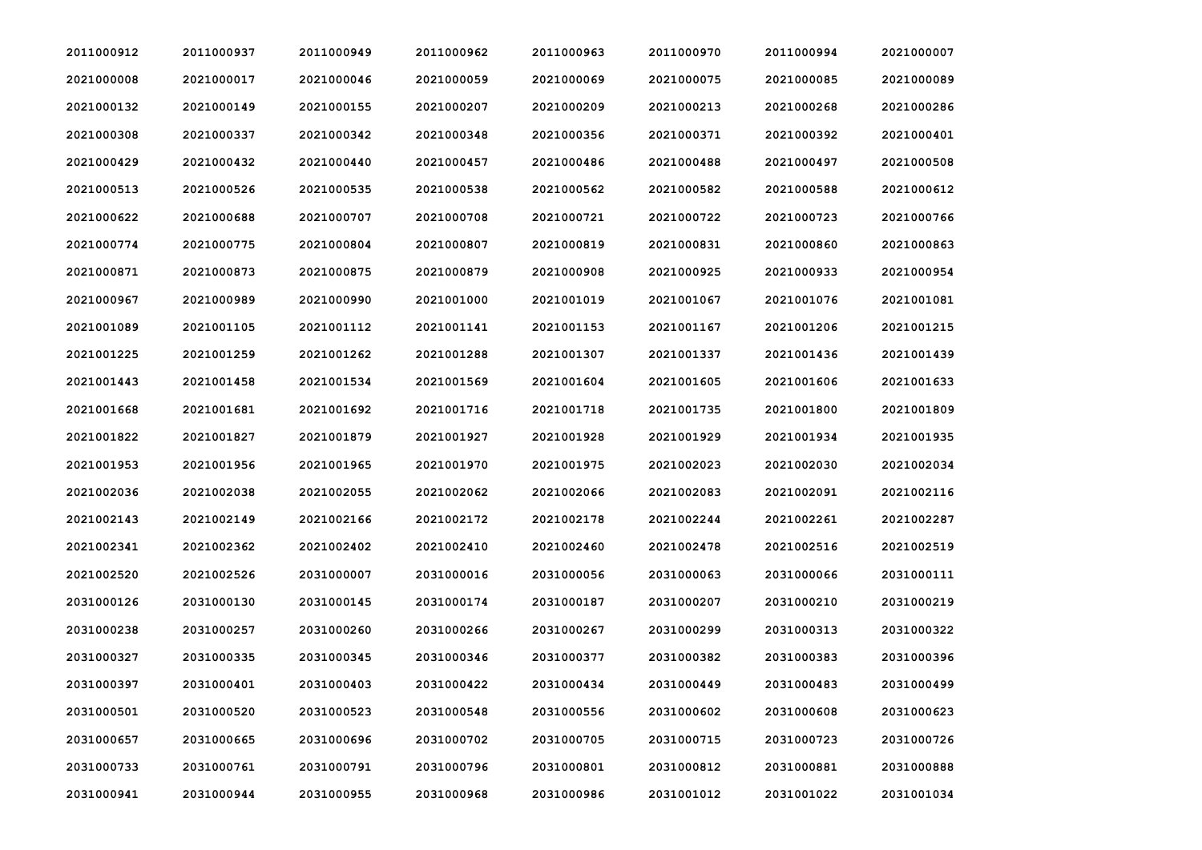| 2011000912 | 2011000937 | 2011000949 | 2011000962 | 2011000963 | 2011000970 | 2011000994 | 2021000007 |
|------------|------------|------------|------------|------------|------------|------------|------------|
| 2021000008 | 2021000017 | 2021000046 | 2021000059 | 2021000069 | 2021000075 | 2021000085 | 2021000089 |
| 2021000132 | 2021000149 | 2021000155 | 2021000207 | 2021000209 | 2021000213 | 2021000268 | 2021000286 |
| 2021000308 | 2021000337 | 2021000342 | 2021000348 | 2021000356 | 2021000371 | 2021000392 | 2021000401 |
| 2021000429 | 2021000432 | 2021000440 | 2021000457 | 2021000486 | 2021000488 | 2021000497 | 2021000508 |
| 2021000513 | 2021000526 | 2021000535 | 2021000538 | 2021000562 | 2021000582 | 2021000588 | 2021000612 |
| 2021000622 | 2021000688 | 2021000707 | 2021000708 | 2021000721 | 2021000722 | 2021000723 | 2021000766 |
| 2021000774 | 2021000775 | 2021000804 | 2021000807 | 2021000819 | 2021000831 | 2021000860 | 2021000863 |
| 2021000871 | 2021000873 | 2021000875 | 2021000879 | 2021000908 | 2021000925 | 2021000933 | 2021000954 |
| 2021000967 | 2021000989 | 2021000990 | 2021001000 | 2021001019 | 2021001067 | 2021001076 | 2021001081 |
| 2021001089 | 2021001105 | 2021001112 | 2021001141 | 2021001153 | 2021001167 | 2021001206 | 2021001215 |
| 2021001225 | 2021001259 | 2021001262 | 2021001288 | 2021001307 | 2021001337 | 2021001436 | 2021001439 |
| 2021001443 | 2021001458 | 2021001534 | 2021001569 | 2021001604 | 2021001605 | 2021001606 | 2021001633 |
| 2021001668 | 2021001681 | 2021001692 | 2021001716 | 2021001718 | 2021001735 | 2021001800 | 2021001809 |
| 2021001822 | 2021001827 | 2021001879 | 2021001927 | 2021001928 | 2021001929 | 2021001934 | 2021001935 |
| 2021001953 | 2021001956 | 2021001965 | 2021001970 | 2021001975 | 2021002023 | 2021002030 | 2021002034 |
| 2021002036 | 2021002038 | 2021002055 | 2021002062 | 2021002066 | 2021002083 | 2021002091 | 2021002116 |
| 2021002143 | 2021002149 | 2021002166 | 2021002172 | 2021002178 | 2021002244 | 2021002261 | 2021002287 |
| 2021002341 | 2021002362 | 2021002402 | 2021002410 | 2021002460 | 2021002478 | 2021002516 | 2021002519 |
| 2021002520 | 2021002526 | 2031000007 | 2031000016 | 2031000056 | 2031000063 | 2031000066 | 2031000111 |
| 2031000126 | 2031000130 | 2031000145 | 2031000174 | 2031000187 | 2031000207 | 2031000210 | 2031000219 |
| 2031000238 | 2031000257 | 2031000260 | 2031000266 | 2031000267 | 2031000299 | 2031000313 | 2031000322 |
| 2031000327 | 2031000335 | 2031000345 | 2031000346 | 2031000377 | 2031000382 | 2031000383 | 2031000396 |
| 2031000397 | 2031000401 | 2031000403 | 2031000422 | 2031000434 | 2031000449 | 2031000483 | 2031000499 |
| 2031000501 | 2031000520 | 2031000523 | 2031000548 | 2031000556 | 2031000602 | 2031000608 | 2031000623 |
| 2031000657 | 2031000665 | 2031000696 | 2031000702 | 2031000705 | 2031000715 | 2031000723 | 2031000726 |
| 2031000733 | 2031000761 | 2031000791 | 2031000796 | 2031000801 | 2031000812 | 2031000881 | 2031000888 |
| 2031000941 | 2031000944 | 2031000955 | 2031000968 | 2031000986 | 2031001012 | 2031001022 | 2031001034 |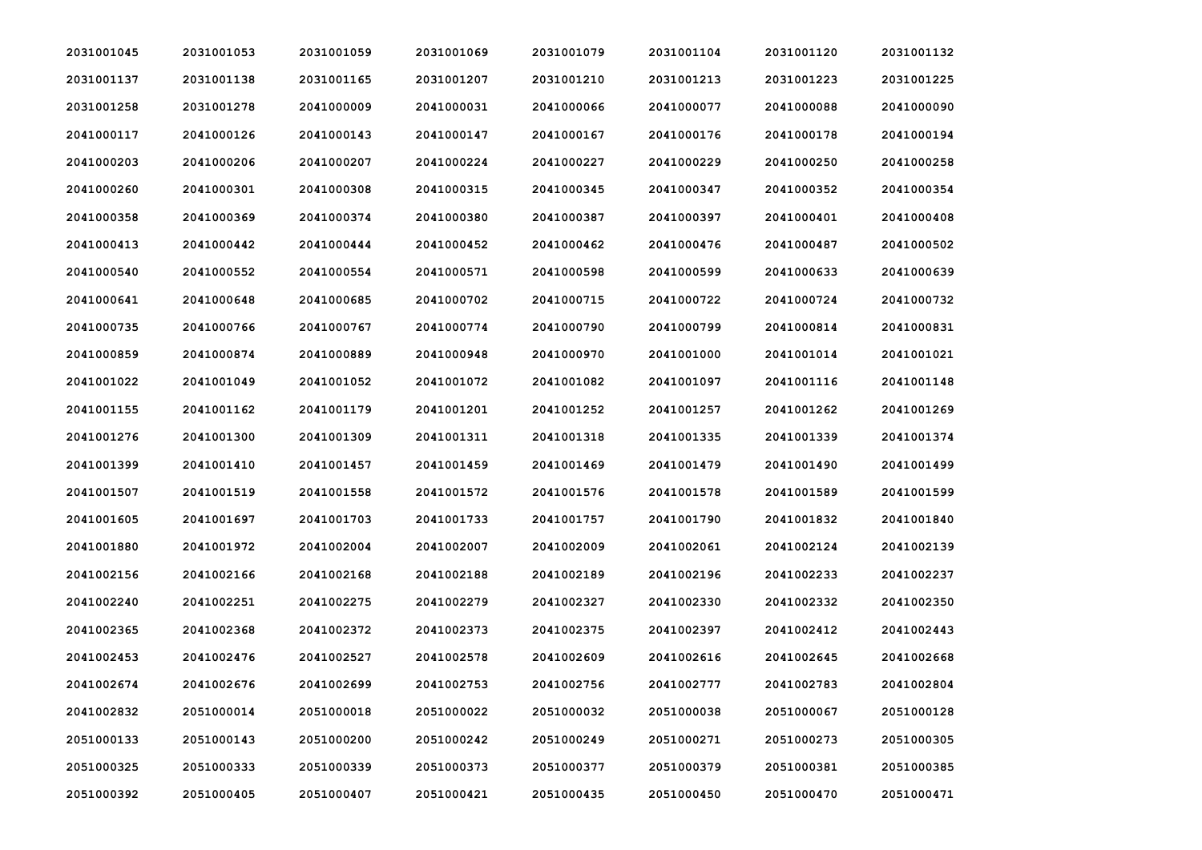| 2031001045 | 2031001053 | 2031001059 | 2031001069 | 2031001079 | 2031001104 | 2031001120 | 2031001132 |
|------------|------------|------------|------------|------------|------------|------------|------------|
| 2031001137 | 2031001138 | 2031001165 | 2031001207 | 2031001210 | 2031001213 | 2031001223 | 2031001225 |
| 2031001258 | 2031001278 | 2041000009 | 2041000031 | 2041000066 | 2041000077 | 2041000088 | 2041000090 |
| 2041000117 | 2041000126 | 2041000143 | 2041000147 | 2041000167 | 2041000176 | 2041000178 | 2041000194 |
| 2041000203 | 2041000206 | 2041000207 | 2041000224 | 2041000227 | 2041000229 | 2041000250 | 2041000258 |
| 2041000260 | 2041000301 | 2041000308 | 2041000315 | 2041000345 | 2041000347 | 2041000352 | 2041000354 |
| 2041000358 | 2041000369 | 2041000374 | 2041000380 | 2041000387 | 2041000397 | 2041000401 | 2041000408 |
| 2041000413 | 2041000442 | 2041000444 | 2041000452 | 2041000462 | 2041000476 | 2041000487 | 2041000502 |
| 2041000540 | 2041000552 | 2041000554 | 2041000571 | 2041000598 | 2041000599 | 2041000633 | 2041000639 |
| 2041000641 | 2041000648 | 2041000685 | 2041000702 | 2041000715 | 2041000722 | 2041000724 | 2041000732 |
| 2041000735 | 2041000766 | 2041000767 | 2041000774 | 2041000790 | 2041000799 | 2041000814 | 2041000831 |
| 2041000859 | 2041000874 | 2041000889 | 2041000948 | 2041000970 | 2041001000 | 2041001014 | 2041001021 |
| 2041001022 | 2041001049 | 2041001052 | 2041001072 | 2041001082 | 2041001097 | 2041001116 | 2041001148 |
| 2041001155 | 2041001162 | 2041001179 | 2041001201 | 2041001252 | 2041001257 | 2041001262 | 2041001269 |
| 2041001276 | 2041001300 | 2041001309 | 2041001311 | 2041001318 | 2041001335 | 2041001339 | 2041001374 |
| 2041001399 | 2041001410 | 2041001457 | 2041001459 | 2041001469 | 2041001479 | 2041001490 | 2041001499 |
| 2041001507 | 2041001519 | 2041001558 | 2041001572 | 2041001576 | 2041001578 | 2041001589 | 2041001599 |
| 2041001605 | 2041001697 | 2041001703 | 2041001733 | 2041001757 | 2041001790 | 2041001832 | 2041001840 |
| 2041001880 | 2041001972 | 2041002004 | 2041002007 | 2041002009 | 2041002061 | 2041002124 | 2041002139 |
| 2041002156 | 2041002166 | 2041002168 | 2041002188 | 2041002189 | 2041002196 | 2041002233 | 2041002237 |
| 2041002240 | 2041002251 | 2041002275 | 2041002279 | 2041002327 | 2041002330 | 2041002332 | 2041002350 |
| 2041002365 | 2041002368 | 2041002372 | 2041002373 | 2041002375 | 2041002397 | 2041002412 | 2041002443 |
| 2041002453 | 2041002476 | 2041002527 | 2041002578 | 2041002609 | 2041002616 | 2041002645 | 2041002668 |
| 2041002674 | 2041002676 | 2041002699 | 2041002753 | 2041002756 | 2041002777 | 2041002783 | 2041002804 |
| 2041002832 | 2051000014 | 2051000018 | 2051000022 | 2051000032 | 2051000038 | 2051000067 | 2051000128 |
| 2051000133 | 2051000143 | 2051000200 | 2051000242 | 2051000249 | 2051000271 | 2051000273 | 2051000305 |
| 2051000325 | 2051000333 | 2051000339 | 2051000373 | 2051000377 | 2051000379 | 2051000381 | 2051000385 |
| 2051000392 | 2051000405 | 2051000407 | 2051000421 | 2051000435 | 2051000450 | 2051000470 | 2051000471 |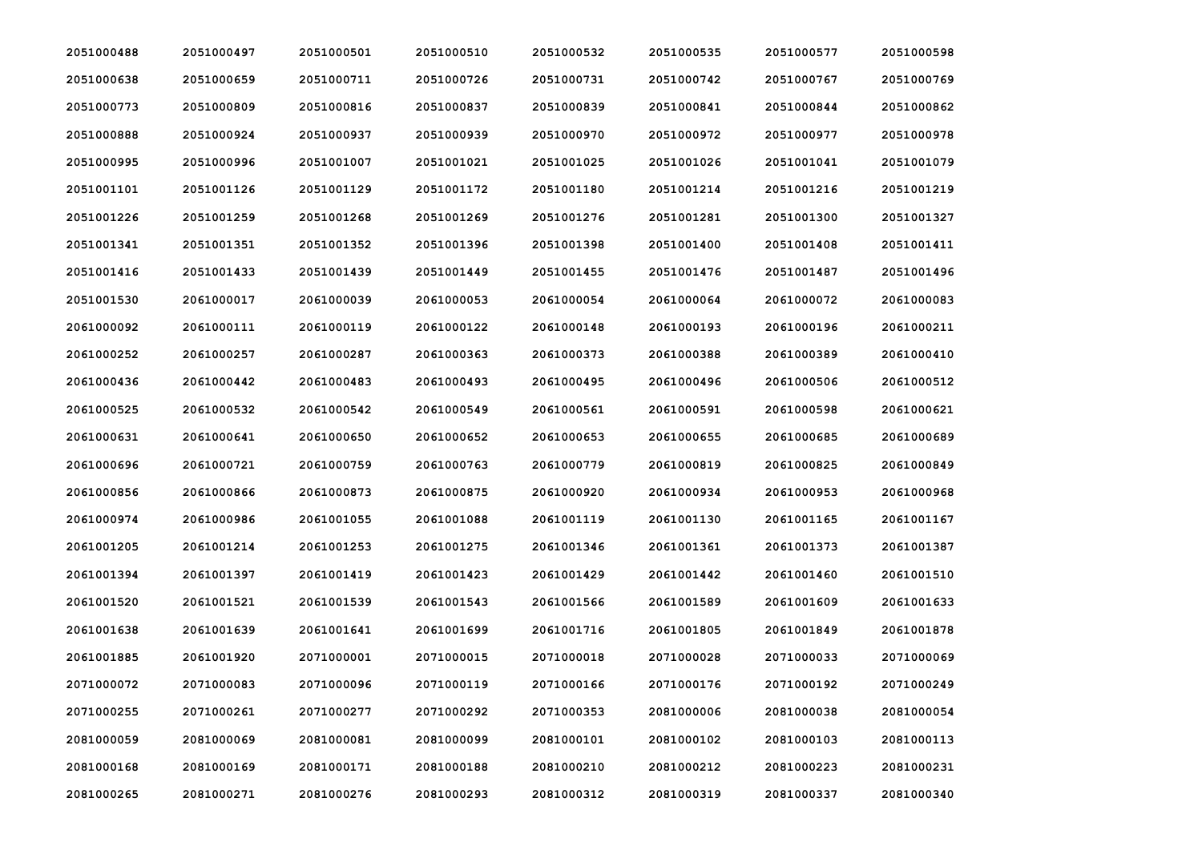| 2051000488 | 2051000497 | 2051000501 | 2051000510 | 2051000532 | 2051000535 | 2051000577 | 2051000598 |
|------------|------------|------------|------------|------------|------------|------------|------------|
| 2051000638 | 2051000659 | 2051000711 | 2051000726 | 2051000731 | 2051000742 | 2051000767 | 2051000769 |
| 2051000773 | 2051000809 | 2051000816 | 2051000837 | 2051000839 | 2051000841 | 2051000844 | 2051000862 |
| 2051000888 | 2051000924 | 2051000937 | 2051000939 | 2051000970 | 2051000972 | 2051000977 | 2051000978 |
| 2051000995 | 2051000996 | 2051001007 | 2051001021 | 2051001025 | 2051001026 | 2051001041 | 2051001079 |
| 2051001101 | 2051001126 | 2051001129 | 2051001172 | 2051001180 | 2051001214 | 2051001216 | 2051001219 |
| 2051001226 | 2051001259 | 2051001268 | 2051001269 | 2051001276 | 2051001281 | 2051001300 | 2051001327 |
| 2051001341 | 2051001351 | 2051001352 | 2051001396 | 2051001398 | 2051001400 | 2051001408 | 2051001411 |
| 2051001416 | 2051001433 | 2051001439 | 2051001449 | 2051001455 | 2051001476 | 2051001487 | 2051001496 |
| 2051001530 | 2061000017 | 2061000039 | 2061000053 | 2061000054 | 2061000064 | 2061000072 | 2061000083 |
| 2061000092 | 2061000111 | 2061000119 | 2061000122 | 2061000148 | 2061000193 | 2061000196 | 2061000211 |
| 2061000252 | 2061000257 | 2061000287 | 2061000363 | 2061000373 | 2061000388 | 2061000389 | 2061000410 |
| 2061000436 | 2061000442 | 2061000483 | 2061000493 | 2061000495 | 2061000496 | 2061000506 | 2061000512 |
| 2061000525 | 2061000532 | 2061000542 | 2061000549 | 2061000561 | 2061000591 | 2061000598 | 2061000621 |
| 2061000631 | 2061000641 | 2061000650 | 2061000652 | 2061000653 | 2061000655 | 2061000685 | 2061000689 |
| 2061000696 | 2061000721 | 2061000759 | 2061000763 | 2061000779 | 2061000819 | 2061000825 | 2061000849 |
| 2061000856 | 2061000866 | 2061000873 | 2061000875 | 2061000920 | 2061000934 | 2061000953 | 2061000968 |
| 2061000974 | 2061000986 | 2061001055 | 2061001088 | 2061001119 | 2061001130 | 2061001165 | 2061001167 |
| 2061001205 | 2061001214 | 2061001253 | 2061001275 | 2061001346 | 2061001361 | 2061001373 | 2061001387 |
| 2061001394 | 2061001397 | 2061001419 | 2061001423 | 2061001429 | 2061001442 | 2061001460 | 2061001510 |
| 2061001520 | 2061001521 | 2061001539 | 2061001543 | 2061001566 | 2061001589 | 2061001609 | 2061001633 |
| 2061001638 | 2061001639 | 2061001641 | 2061001699 | 2061001716 | 2061001805 | 2061001849 | 2061001878 |
| 2061001885 | 2061001920 | 2071000001 | 2071000015 | 2071000018 | 2071000028 | 2071000033 | 2071000069 |
| 2071000072 | 2071000083 | 2071000096 | 2071000119 | 2071000166 | 2071000176 | 2071000192 | 2071000249 |
| 2071000255 | 2071000261 | 2071000277 | 2071000292 | 2071000353 | 2081000006 | 2081000038 | 2081000054 |
| 2081000059 | 2081000069 | 2081000081 | 2081000099 | 2081000101 | 2081000102 | 2081000103 | 2081000113 |
| 2081000168 | 2081000169 | 2081000171 | 2081000188 | 2081000210 | 2081000212 | 2081000223 | 2081000231 |
| 2081000265 | 2081000271 | 2081000276 | 2081000293 | 2081000312 | 2081000319 | 2081000337 | 2081000340 |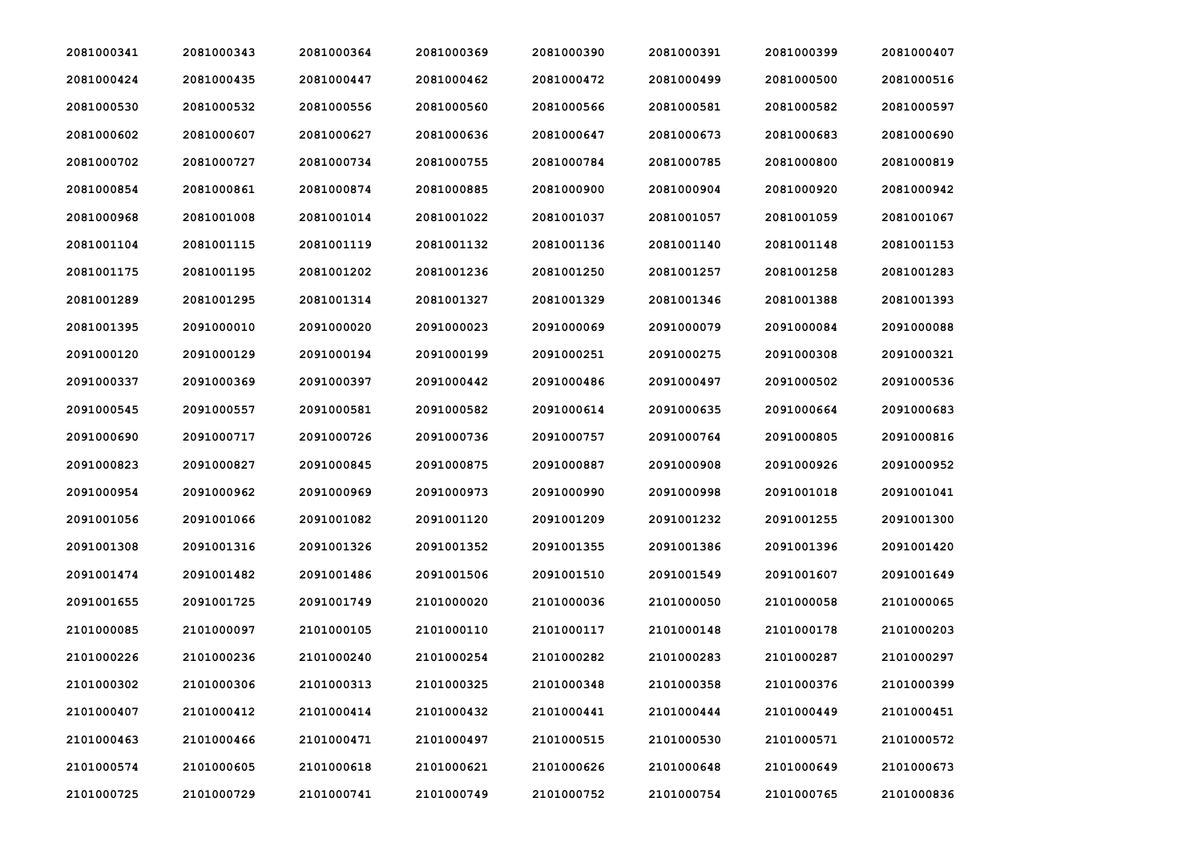| 2081000341 | 2081000343 | 2081000364 | 2081000369 | 2081000390 | 2081000391 | 2081000399 | 2081000407 |
|------------|------------|------------|------------|------------|------------|------------|------------|
| 2081000424 | 2081000435 | 2081000447 | 2081000462 | 2081000472 | 2081000499 | 2081000500 | 2081000516 |
| 2081000530 | 2081000532 | 2081000556 | 2081000560 | 2081000566 | 2081000581 | 2081000582 | 2081000597 |
| 2081000602 | 2081000607 | 2081000627 | 2081000636 | 2081000647 | 2081000673 | 2081000683 | 2081000690 |
| 2081000702 | 2081000727 | 2081000734 | 2081000755 | 2081000784 | 2081000785 | 2081000800 | 2081000819 |
| 2081000854 | 2081000861 | 2081000874 | 2081000885 | 2081000900 | 2081000904 | 2081000920 | 2081000942 |
| 2081000968 | 2081001008 | 2081001014 | 2081001022 | 2081001037 | 2081001057 | 2081001059 | 2081001067 |
| 2081001104 | 2081001115 | 2081001119 | 2081001132 | 2081001136 | 2081001140 | 2081001148 | 2081001153 |
| 2081001175 | 2081001195 | 2081001202 | 2081001236 | 2081001250 | 2081001257 | 2081001258 | 2081001283 |
| 2081001289 | 2081001295 | 2081001314 | 2081001327 | 2081001329 | 2081001346 | 2081001388 | 2081001393 |
| 2081001395 | 2091000010 | 2091000020 | 2091000023 | 2091000069 | 2091000079 | 2091000084 | 2091000088 |
| 2091000120 | 2091000129 | 2091000194 | 2091000199 | 2091000251 | 2091000275 | 2091000308 | 2091000321 |
| 2091000337 | 2091000369 | 2091000397 | 2091000442 | 2091000486 | 2091000497 | 2091000502 | 2091000536 |
| 2091000545 | 2091000557 | 2091000581 | 2091000582 | 2091000614 | 2091000635 | 2091000664 | 2091000683 |
| 2091000690 | 2091000717 | 2091000726 | 2091000736 | 2091000757 | 2091000764 | 2091000805 | 2091000816 |
| 2091000823 | 2091000827 | 2091000845 | 2091000875 | 2091000887 | 2091000908 | 2091000926 | 2091000952 |
| 2091000954 | 2091000962 | 2091000969 | 2091000973 | 2091000990 | 2091000998 | 2091001018 | 2091001041 |
| 2091001056 | 2091001066 | 2091001082 | 2091001120 | 2091001209 | 2091001232 | 2091001255 | 2091001300 |
| 2091001308 | 2091001316 | 2091001326 | 2091001352 | 2091001355 | 2091001386 | 2091001396 | 2091001420 |
| 2091001474 | 2091001482 | 2091001486 | 2091001506 | 2091001510 | 2091001549 | 2091001607 | 2091001649 |
| 2091001655 | 2091001725 | 2091001749 | 2101000020 | 2101000036 | 2101000050 | 2101000058 | 2101000065 |
| 2101000085 | 2101000097 | 2101000105 | 2101000110 | 2101000117 | 2101000148 | 2101000178 | 2101000203 |
| 2101000226 | 2101000236 | 2101000240 | 2101000254 | 2101000282 | 2101000283 | 2101000287 | 2101000297 |
| 2101000302 | 2101000306 | 2101000313 | 2101000325 | 2101000348 | 2101000358 | 2101000376 | 2101000399 |
| 2101000407 | 2101000412 | 2101000414 | 2101000432 | 2101000441 | 2101000444 | 2101000449 | 2101000451 |
| 2101000463 | 2101000466 | 2101000471 | 2101000497 | 2101000515 | 2101000530 | 2101000571 | 2101000572 |
| 2101000574 | 2101000605 | 2101000618 | 2101000621 | 2101000626 | 2101000648 | 2101000649 | 2101000673 |
| 2101000725 | 2101000729 | 2101000741 | 2101000749 | 2101000752 | 2101000754 | 2101000765 | 2101000836 |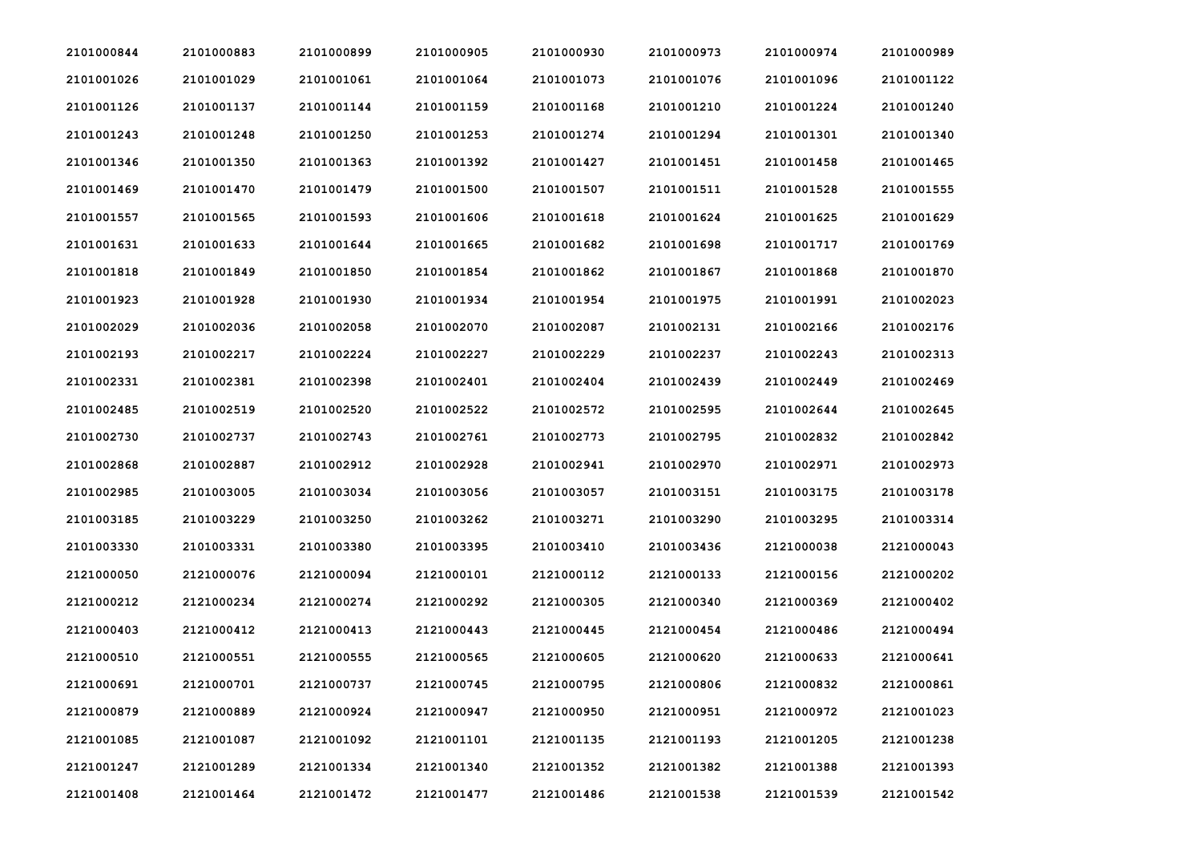| 2101000844 | 2101000883 | 2101000899 | 2101000905 | 2101000930 | 2101000973 | 2101000974 | 2101000989 |
|------------|------------|------------|------------|------------|------------|------------|------------|
| 2101001026 | 2101001029 | 2101001061 | 2101001064 | 2101001073 | 2101001076 | 2101001096 | 2101001122 |
| 2101001126 | 2101001137 | 2101001144 | 2101001159 | 2101001168 | 2101001210 | 2101001224 | 2101001240 |
| 2101001243 | 2101001248 | 2101001250 | 2101001253 | 2101001274 | 2101001294 | 2101001301 | 2101001340 |
| 2101001346 | 2101001350 | 2101001363 | 2101001392 | 2101001427 | 2101001451 | 2101001458 | 2101001465 |
| 2101001469 | 2101001470 | 2101001479 | 2101001500 | 2101001507 | 2101001511 | 2101001528 | 2101001555 |
| 2101001557 | 2101001565 | 2101001593 | 2101001606 | 2101001618 | 2101001624 | 2101001625 | 2101001629 |
| 2101001631 | 2101001633 | 2101001644 | 2101001665 | 2101001682 | 2101001698 | 2101001717 | 2101001769 |
| 2101001818 | 2101001849 | 2101001850 | 2101001854 | 2101001862 | 2101001867 | 2101001868 | 2101001870 |
| 2101001923 | 2101001928 | 2101001930 | 2101001934 | 2101001954 | 2101001975 | 2101001991 | 2101002023 |
| 2101002029 | 2101002036 | 2101002058 | 2101002070 | 2101002087 | 2101002131 | 2101002166 | 2101002176 |
| 2101002193 | 2101002217 | 2101002224 | 2101002227 | 2101002229 | 2101002237 | 2101002243 | 2101002313 |
| 2101002331 | 2101002381 | 2101002398 | 2101002401 | 2101002404 | 2101002439 | 2101002449 | 2101002469 |
| 2101002485 | 2101002519 | 2101002520 | 2101002522 | 2101002572 | 2101002595 | 2101002644 | 2101002645 |
| 2101002730 | 2101002737 | 2101002743 | 2101002761 | 2101002773 | 2101002795 | 2101002832 | 2101002842 |
| 2101002868 | 2101002887 | 2101002912 | 2101002928 | 2101002941 | 2101002970 | 2101002971 | 2101002973 |
| 2101002985 | 2101003005 | 2101003034 | 2101003056 | 2101003057 | 2101003151 | 2101003175 | 2101003178 |
| 2101003185 | 2101003229 | 2101003250 | 2101003262 | 2101003271 | 2101003290 | 2101003295 | 2101003314 |
| 2101003330 | 2101003331 | 2101003380 | 2101003395 | 2101003410 | 2101003436 | 2121000038 | 2121000043 |
| 2121000050 | 2121000076 | 2121000094 | 2121000101 | 2121000112 | 2121000133 | 2121000156 | 2121000202 |
| 2121000212 | 2121000234 | 2121000274 | 2121000292 | 2121000305 | 2121000340 | 2121000369 | 2121000402 |
| 2121000403 | 2121000412 | 2121000413 | 2121000443 | 2121000445 | 2121000454 | 2121000486 | 2121000494 |
| 2121000510 | 2121000551 | 2121000555 | 2121000565 | 2121000605 | 2121000620 | 2121000633 | 2121000641 |
| 2121000691 | 2121000701 | 2121000737 | 2121000745 | 2121000795 | 2121000806 | 2121000832 | 2121000861 |
| 2121000879 | 2121000889 | 2121000924 | 2121000947 | 2121000950 | 2121000951 | 2121000972 | 2121001023 |
| 2121001085 | 2121001087 | 2121001092 | 2121001101 | 2121001135 | 2121001193 | 2121001205 | 2121001238 |
| 2121001247 | 2121001289 | 2121001334 | 2121001340 | 2121001352 | 2121001382 | 2121001388 | 2121001393 |
| 2121001408 | 2121001464 | 2121001472 | 2121001477 | 2121001486 | 2121001538 | 2121001539 | 2121001542 |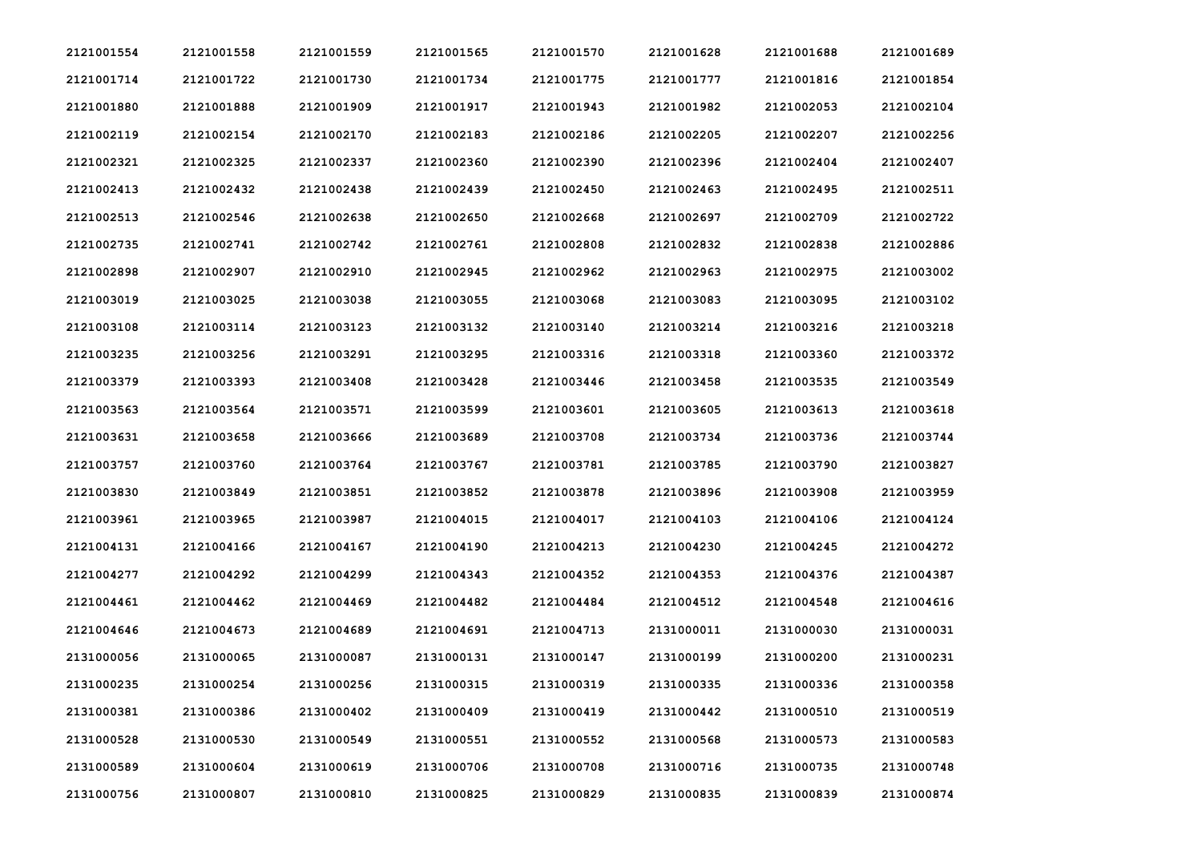| 2121001554 | 2121001558 | 2121001559 | 2121001565 | 2121001570 | 2121001628 | 2121001688 | 2121001689 |
|------------|------------|------------|------------|------------|------------|------------|------------|
| 2121001714 | 2121001722 | 2121001730 | 2121001734 | 2121001775 | 2121001777 | 2121001816 | 2121001854 |
| 2121001880 | 2121001888 | 2121001909 | 2121001917 | 2121001943 | 2121001982 | 2121002053 | 2121002104 |
| 2121002119 | 2121002154 | 2121002170 | 2121002183 | 2121002186 | 2121002205 | 2121002207 | 2121002256 |
| 2121002321 | 2121002325 | 2121002337 | 2121002360 | 2121002390 | 2121002396 | 2121002404 | 2121002407 |
| 2121002413 | 2121002432 | 2121002438 | 2121002439 | 2121002450 | 2121002463 | 2121002495 | 2121002511 |
| 2121002513 | 2121002546 | 2121002638 | 2121002650 | 2121002668 | 2121002697 | 2121002709 | 2121002722 |
| 2121002735 | 2121002741 | 2121002742 | 2121002761 | 2121002808 | 2121002832 | 2121002838 | 2121002886 |
| 2121002898 | 2121002907 | 2121002910 | 2121002945 | 2121002962 | 2121002963 | 2121002975 | 2121003002 |
| 2121003019 | 2121003025 | 2121003038 | 2121003055 | 2121003068 | 2121003083 | 2121003095 | 2121003102 |
| 2121003108 | 2121003114 | 2121003123 | 2121003132 | 2121003140 | 2121003214 | 2121003216 | 2121003218 |
| 2121003235 | 2121003256 | 2121003291 | 2121003295 | 2121003316 | 2121003318 | 2121003360 | 2121003372 |
| 2121003379 | 2121003393 | 2121003408 | 2121003428 | 2121003446 | 2121003458 | 2121003535 | 2121003549 |
| 2121003563 | 2121003564 | 2121003571 | 2121003599 | 2121003601 | 2121003605 | 2121003613 | 2121003618 |
| 2121003631 | 2121003658 | 2121003666 | 2121003689 | 2121003708 | 2121003734 | 2121003736 | 2121003744 |
| 2121003757 | 2121003760 | 2121003764 | 2121003767 | 2121003781 | 2121003785 | 2121003790 | 2121003827 |
| 2121003830 | 2121003849 | 2121003851 | 2121003852 | 2121003878 | 2121003896 | 2121003908 | 2121003959 |
| 2121003961 | 2121003965 | 2121003987 | 2121004015 | 2121004017 | 2121004103 | 2121004106 | 2121004124 |
| 2121004131 | 2121004166 | 2121004167 | 2121004190 | 2121004213 | 2121004230 | 2121004245 | 2121004272 |
| 2121004277 | 2121004292 | 2121004299 | 2121004343 | 2121004352 | 2121004353 | 2121004376 | 2121004387 |
| 2121004461 | 2121004462 | 2121004469 | 2121004482 | 2121004484 | 2121004512 | 2121004548 | 2121004616 |
| 2121004646 | 2121004673 | 2121004689 | 2121004691 | 2121004713 | 2131000011 | 2131000030 | 2131000031 |
| 2131000056 | 2131000065 | 2131000087 | 2131000131 | 2131000147 | 2131000199 | 2131000200 | 2131000231 |
| 2131000235 | 2131000254 | 2131000256 | 2131000315 | 2131000319 | 2131000335 | 2131000336 | 2131000358 |
| 2131000381 | 2131000386 | 2131000402 | 2131000409 | 2131000419 | 2131000442 | 2131000510 | 2131000519 |
| 2131000528 | 2131000530 | 2131000549 | 2131000551 | 2131000552 | 2131000568 | 2131000573 | 2131000583 |
| 2131000589 | 2131000604 | 2131000619 | 2131000706 | 2131000708 | 2131000716 | 2131000735 | 2131000748 |
| 2131000756 | 2131000807 | 2131000810 | 2131000825 | 2131000829 | 2131000835 | 2131000839 | 2131000874 |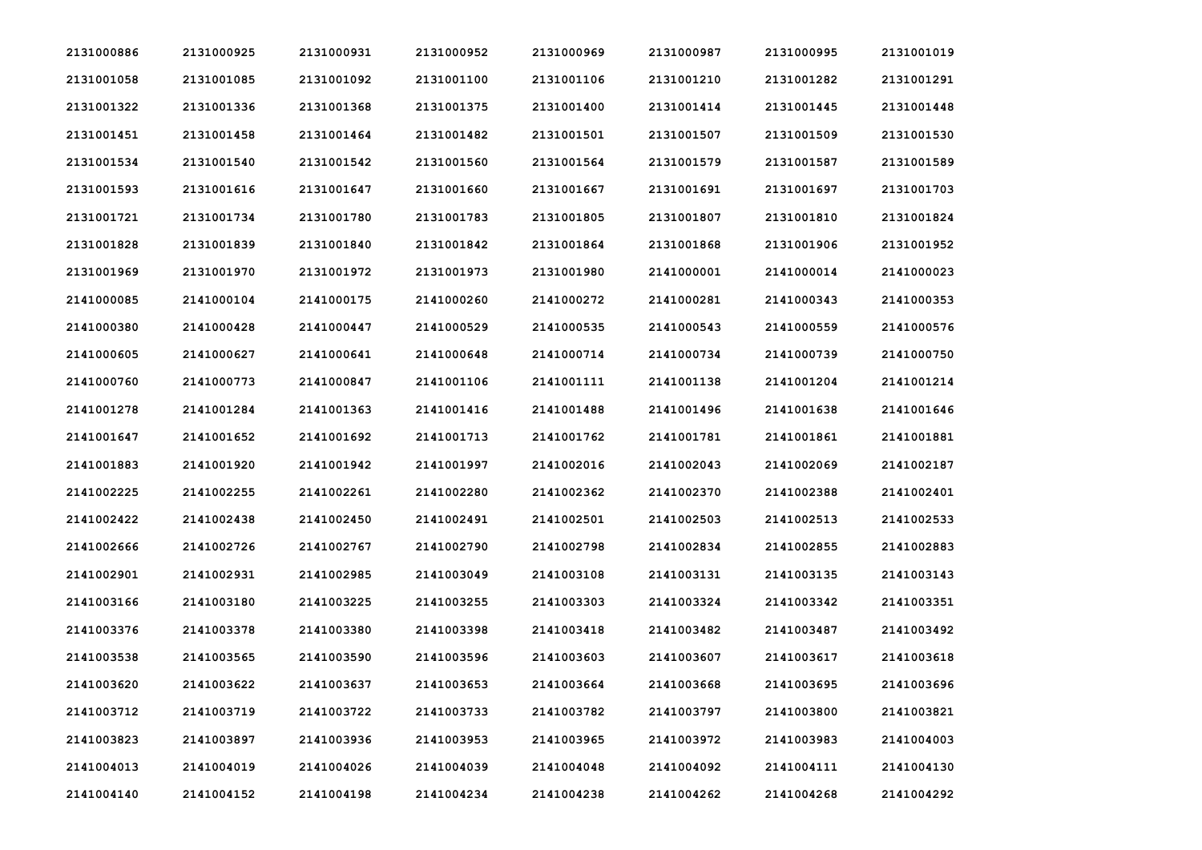| 2131000886 | 2131000925 | 2131000931 | 2131000952 | 2131000969 | 2131000987 | 2131000995 | 2131001019 |
|------------|------------|------------|------------|------------|------------|------------|------------|
| 2131001058 | 2131001085 | 2131001092 | 2131001100 | 2131001106 | 2131001210 | 2131001282 | 2131001291 |
| 2131001322 | 2131001336 | 2131001368 | 2131001375 | 2131001400 | 2131001414 | 2131001445 | 2131001448 |
| 2131001451 | 2131001458 | 2131001464 | 2131001482 | 2131001501 | 2131001507 | 2131001509 | 2131001530 |
| 2131001534 | 2131001540 | 2131001542 | 2131001560 | 2131001564 | 2131001579 | 2131001587 | 2131001589 |
| 2131001593 | 2131001616 | 2131001647 | 2131001660 | 2131001667 | 2131001691 | 2131001697 | 2131001703 |
| 2131001721 | 2131001734 | 2131001780 | 2131001783 | 2131001805 | 2131001807 | 2131001810 | 2131001824 |
| 2131001828 | 2131001839 | 2131001840 | 2131001842 | 2131001864 | 2131001868 | 2131001906 | 2131001952 |
| 2131001969 | 2131001970 | 2131001972 | 2131001973 | 2131001980 | 2141000001 | 2141000014 | 2141000023 |
| 2141000085 | 2141000104 | 2141000175 | 2141000260 | 2141000272 | 2141000281 | 2141000343 | 2141000353 |
| 2141000380 | 2141000428 | 2141000447 | 2141000529 | 2141000535 | 2141000543 | 2141000559 | 2141000576 |
| 2141000605 | 2141000627 | 2141000641 | 2141000648 | 2141000714 | 2141000734 | 2141000739 | 2141000750 |
| 2141000760 | 2141000773 | 2141000847 | 2141001106 | 2141001111 | 2141001138 | 2141001204 | 2141001214 |
| 2141001278 | 2141001284 | 2141001363 | 2141001416 | 2141001488 | 2141001496 | 2141001638 | 2141001646 |
| 2141001647 | 2141001652 | 2141001692 | 2141001713 | 2141001762 | 2141001781 | 2141001861 | 2141001881 |
| 2141001883 | 2141001920 | 2141001942 | 2141001997 | 2141002016 | 2141002043 | 2141002069 | 2141002187 |
| 2141002225 | 2141002255 | 2141002261 | 2141002280 | 2141002362 | 2141002370 | 2141002388 | 2141002401 |
| 2141002422 | 2141002438 | 2141002450 | 2141002491 | 2141002501 | 2141002503 | 2141002513 | 2141002533 |
| 2141002666 | 2141002726 | 2141002767 | 2141002790 | 2141002798 | 2141002834 | 2141002855 | 2141002883 |
| 2141002901 | 2141002931 | 2141002985 | 2141003049 | 2141003108 | 2141003131 | 2141003135 | 2141003143 |
| 2141003166 | 2141003180 | 2141003225 | 2141003255 | 2141003303 | 2141003324 | 2141003342 | 2141003351 |
| 2141003376 | 2141003378 | 2141003380 | 2141003398 | 2141003418 | 2141003482 | 2141003487 | 2141003492 |
| 2141003538 | 2141003565 | 2141003590 | 2141003596 | 2141003603 | 2141003607 | 2141003617 | 2141003618 |
| 2141003620 | 2141003622 | 2141003637 | 2141003653 | 2141003664 | 2141003668 | 2141003695 | 2141003696 |
| 2141003712 | 2141003719 | 2141003722 | 2141003733 | 2141003782 | 2141003797 | 2141003800 | 2141003821 |
| 2141003823 | 2141003897 | 2141003936 | 2141003953 | 2141003965 | 2141003972 | 2141003983 | 2141004003 |
| 2141004013 | 2141004019 | 2141004026 | 2141004039 | 2141004048 | 2141004092 | 2141004111 | 2141004130 |
| 2141004140 | 2141004152 | 2141004198 | 2141004234 | 2141004238 | 2141004262 | 2141004268 | 2141004292 |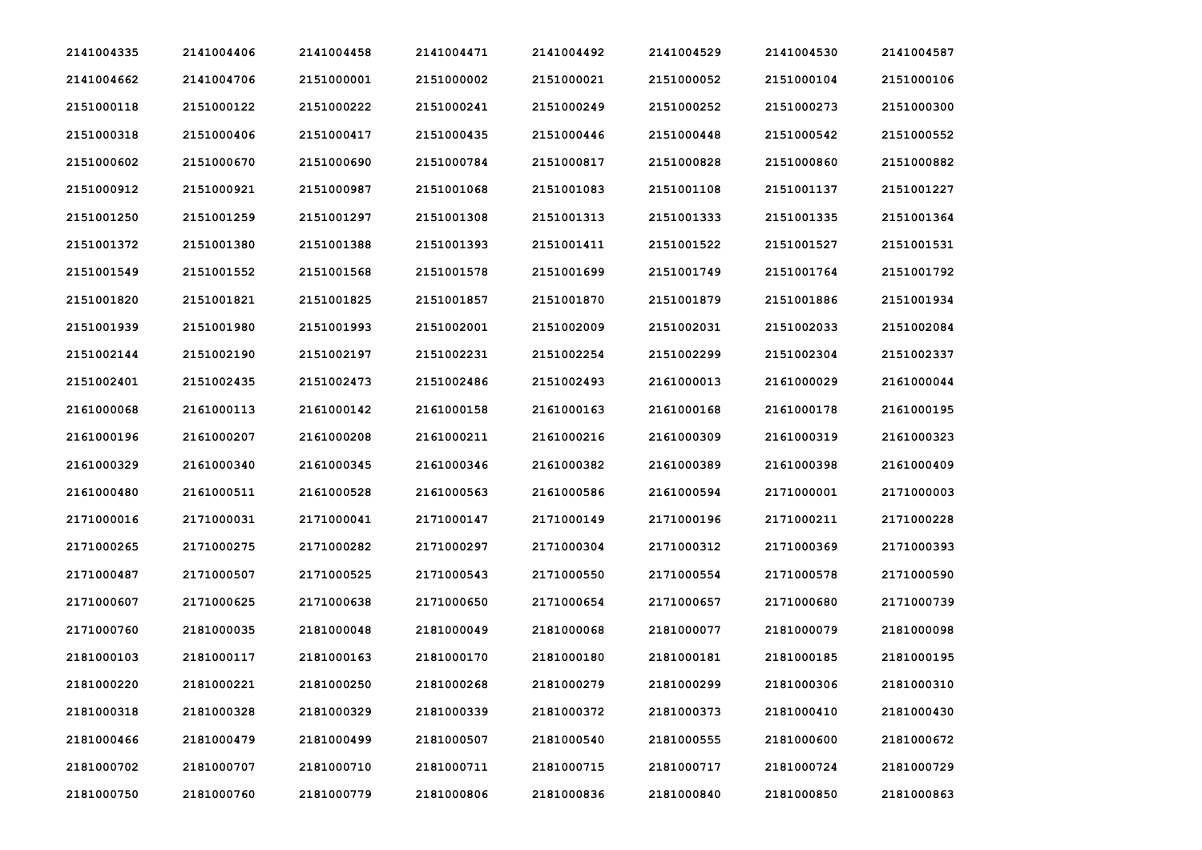| 2141004335 | 2141004406 | 2141004458 | 2141004471 | 2141004492 | 2141004529 | 2141004530 | 2141004587 |
|------------|------------|------------|------------|------------|------------|------------|------------|
| 2141004662 | 2141004706 | 2151000001 | 2151000002 | 2151000021 | 2151000052 | 2151000104 | 2151000106 |
| 2151000118 | 2151000122 | 2151000222 | 2151000241 | 2151000249 | 2151000252 | 2151000273 | 2151000300 |
| 2151000318 | 2151000406 | 2151000417 | 2151000435 | 2151000446 | 2151000448 | 2151000542 | 2151000552 |
| 2151000602 | 2151000670 | 2151000690 | 2151000784 | 2151000817 | 2151000828 | 2151000860 | 2151000882 |
| 2151000912 | 2151000921 | 2151000987 | 2151001068 | 2151001083 | 2151001108 | 2151001137 | 2151001227 |
| 2151001250 | 2151001259 | 2151001297 | 2151001308 | 2151001313 | 2151001333 | 2151001335 | 2151001364 |
| 2151001372 | 2151001380 | 2151001388 | 2151001393 | 2151001411 | 2151001522 | 2151001527 | 2151001531 |
| 2151001549 | 2151001552 | 2151001568 | 2151001578 | 2151001699 | 2151001749 | 2151001764 | 2151001792 |
| 2151001820 | 2151001821 | 2151001825 | 2151001857 | 2151001870 | 2151001879 | 2151001886 | 2151001934 |
| 2151001939 | 2151001980 | 2151001993 | 2151002001 | 2151002009 | 2151002031 | 2151002033 | 2151002084 |
| 2151002144 | 2151002190 | 2151002197 | 2151002231 | 2151002254 | 2151002299 | 2151002304 | 2151002337 |
| 2151002401 | 2151002435 | 2151002473 | 2151002486 | 2151002493 | 2161000013 | 2161000029 | 2161000044 |
| 2161000068 | 2161000113 | 2161000142 | 2161000158 | 2161000163 | 2161000168 | 2161000178 | 2161000195 |
| 2161000196 | 2161000207 | 2161000208 | 2161000211 | 2161000216 | 2161000309 | 2161000319 | 2161000323 |
| 2161000329 | 2161000340 | 2161000345 | 2161000346 | 2161000382 | 2161000389 | 2161000398 | 2161000409 |
| 2161000480 | 2161000511 | 2161000528 | 2161000563 | 2161000586 | 2161000594 | 2171000001 | 2171000003 |
| 2171000016 | 2171000031 | 2171000041 | 2171000147 | 2171000149 | 2171000196 | 2171000211 | 2171000228 |
| 2171000265 | 2171000275 | 2171000282 | 2171000297 | 2171000304 | 2171000312 | 2171000369 | 2171000393 |
| 2171000487 | 2171000507 | 2171000525 | 2171000543 | 2171000550 | 2171000554 | 2171000578 | 2171000590 |
| 2171000607 | 2171000625 | 2171000638 | 2171000650 | 2171000654 | 2171000657 | 2171000680 | 2171000739 |
| 2171000760 | 2181000035 | 2181000048 | 2181000049 | 2181000068 | 2181000077 | 2181000079 | 2181000098 |
| 2181000103 | 2181000117 | 2181000163 | 2181000170 | 2181000180 | 2181000181 | 2181000185 | 2181000195 |
| 2181000220 | 2181000221 | 2181000250 | 2181000268 | 2181000279 | 2181000299 | 2181000306 | 2181000310 |
| 2181000318 | 2181000328 | 2181000329 | 2181000339 | 2181000372 | 2181000373 | 2181000410 | 2181000430 |
| 2181000466 | 2181000479 | 2181000499 | 2181000507 | 2181000540 | 2181000555 | 2181000600 | 2181000672 |
| 2181000702 | 2181000707 | 2181000710 | 2181000711 | 2181000715 | 2181000717 | 2181000724 | 2181000729 |
| 2181000750 | 2181000760 | 2181000779 | 2181000806 | 2181000836 | 2181000840 | 2181000850 | 2181000863 |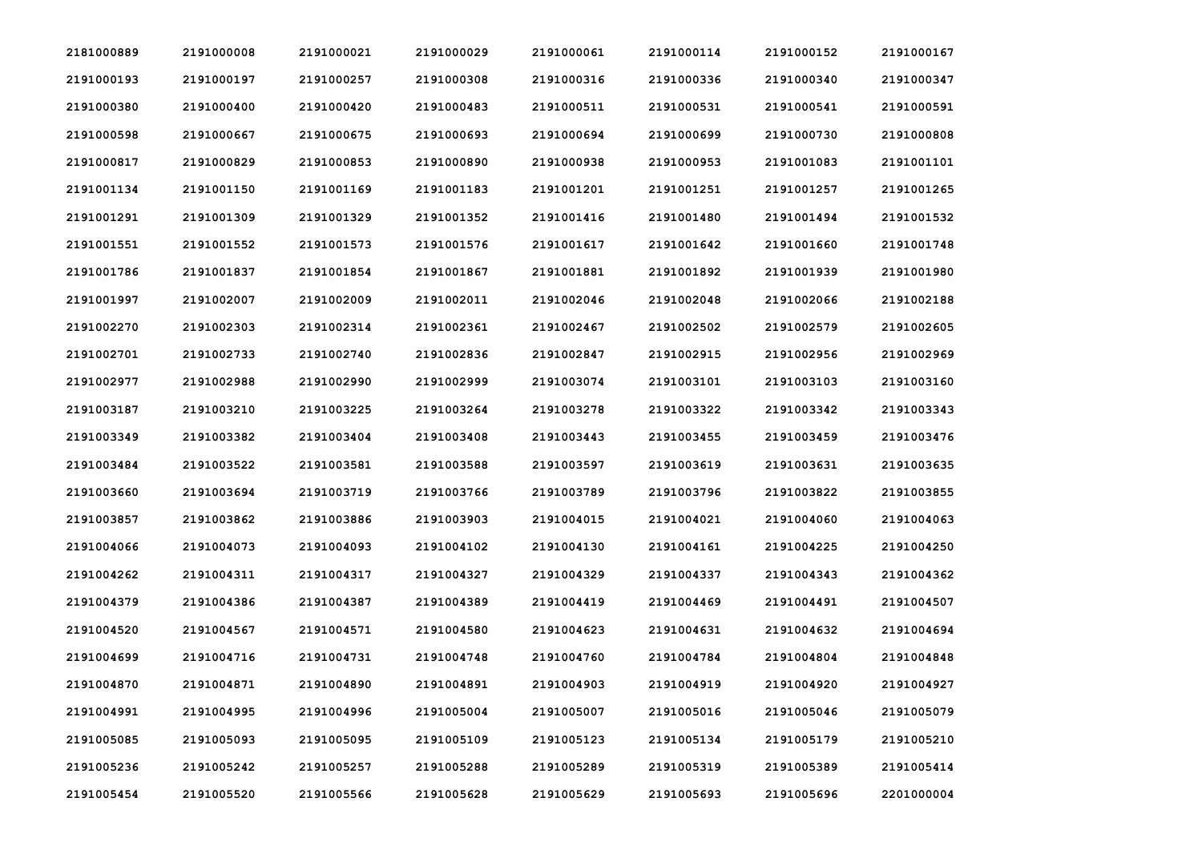| 2181000889 | 2191000008 | 2191000021 | 2191000029 | 2191000061 | 2191000114 | 2191000152 | 2191000167 |
|------------|------------|------------|------------|------------|------------|------------|------------|
| 2191000193 | 2191000197 | 2191000257 | 2191000308 | 2191000316 | 2191000336 | 2191000340 | 2191000347 |
| 2191000380 | 2191000400 | 2191000420 | 2191000483 | 2191000511 | 2191000531 | 2191000541 | 2191000591 |
| 2191000598 | 2191000667 | 2191000675 | 2191000693 | 2191000694 | 2191000699 | 2191000730 | 2191000808 |
| 2191000817 | 2191000829 | 2191000853 | 2191000890 | 2191000938 | 2191000953 | 2191001083 | 2191001101 |
| 2191001134 | 2191001150 | 2191001169 | 2191001183 | 2191001201 | 2191001251 | 2191001257 | 2191001265 |
| 2191001291 | 2191001309 | 2191001329 | 2191001352 | 2191001416 | 2191001480 | 2191001494 | 2191001532 |
| 2191001551 | 2191001552 | 2191001573 | 2191001576 | 2191001617 | 2191001642 | 2191001660 | 2191001748 |
| 2191001786 | 2191001837 | 2191001854 | 2191001867 | 2191001881 | 2191001892 | 2191001939 | 2191001980 |
| 2191001997 | 2191002007 | 2191002009 | 2191002011 | 2191002046 | 2191002048 | 2191002066 | 2191002188 |
| 2191002270 | 2191002303 | 2191002314 | 2191002361 | 2191002467 | 2191002502 | 2191002579 | 2191002605 |
| 2191002701 | 2191002733 | 2191002740 | 2191002836 | 2191002847 | 2191002915 | 2191002956 | 2191002969 |
| 2191002977 | 2191002988 | 2191002990 | 2191002999 | 2191003074 | 2191003101 | 2191003103 | 2191003160 |
| 2191003187 | 2191003210 | 2191003225 | 2191003264 | 2191003278 | 2191003322 | 2191003342 | 2191003343 |
| 2191003349 | 2191003382 | 2191003404 | 2191003408 | 2191003443 | 2191003455 | 2191003459 | 2191003476 |
| 2191003484 | 2191003522 | 2191003581 | 2191003588 | 2191003597 | 2191003619 | 2191003631 | 2191003635 |
| 2191003660 | 2191003694 | 2191003719 | 2191003766 | 2191003789 | 2191003796 | 2191003822 | 2191003855 |
| 2191003857 | 2191003862 | 2191003886 | 2191003903 | 2191004015 | 2191004021 | 2191004060 | 2191004063 |
| 2191004066 | 2191004073 | 2191004093 | 2191004102 | 2191004130 | 2191004161 | 2191004225 | 2191004250 |
| 2191004262 | 2191004311 | 2191004317 | 2191004327 | 2191004329 | 2191004337 | 2191004343 | 2191004362 |
| 2191004379 | 2191004386 | 2191004387 | 2191004389 | 2191004419 | 2191004469 | 2191004491 | 2191004507 |
| 2191004520 | 2191004567 | 2191004571 | 2191004580 | 2191004623 | 2191004631 | 2191004632 | 2191004694 |
| 2191004699 | 2191004716 | 2191004731 | 2191004748 | 2191004760 | 2191004784 | 2191004804 | 2191004848 |
| 2191004870 | 2191004871 | 2191004890 | 2191004891 | 2191004903 | 2191004919 | 2191004920 | 2191004927 |
| 2191004991 | 2191004995 | 2191004996 | 2191005004 | 2191005007 | 2191005016 | 2191005046 | 2191005079 |
| 2191005085 | 2191005093 | 2191005095 | 2191005109 | 2191005123 | 2191005134 | 2191005179 | 2191005210 |
| 2191005236 | 2191005242 | 2191005257 | 2191005288 | 2191005289 | 2191005319 | 2191005389 | 2191005414 |
| 2191005454 | 2191005520 | 2191005566 | 2191005628 | 2191005629 | 2191005693 | 2191005696 | 2201000004 |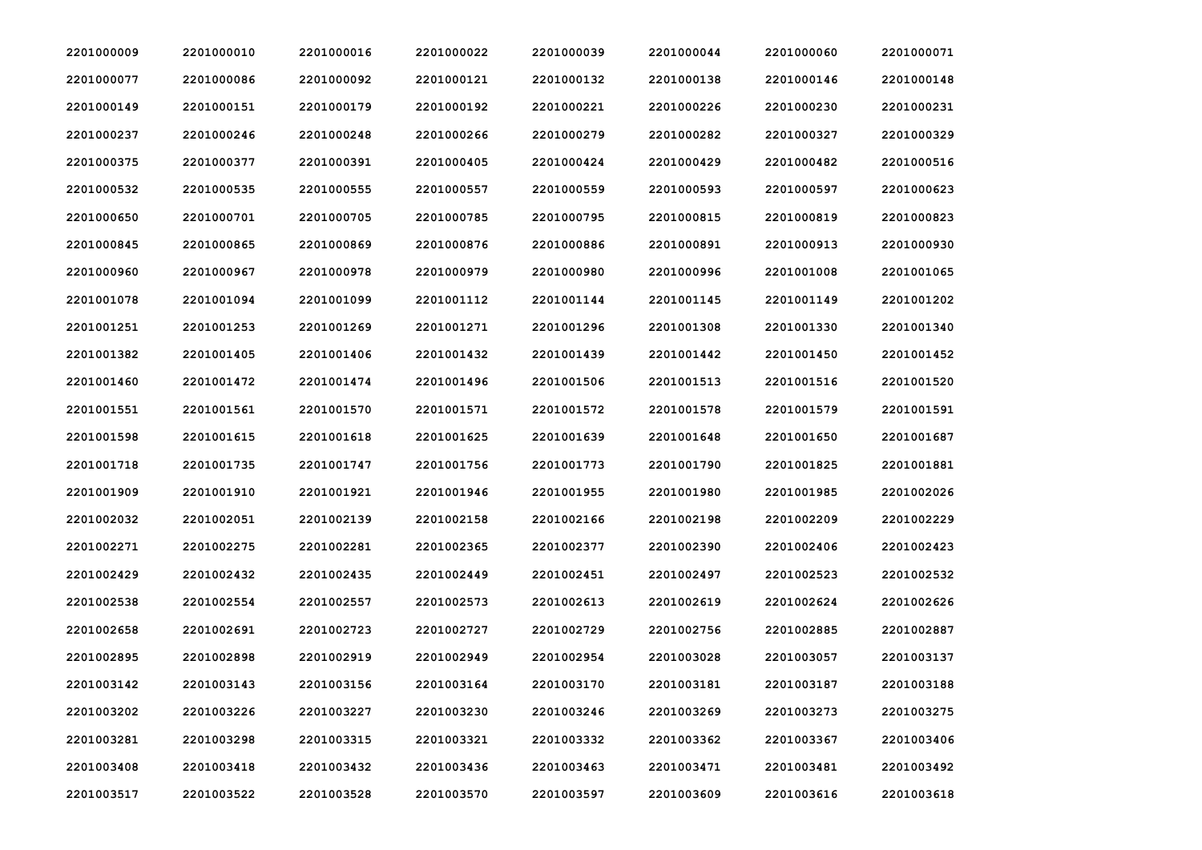| 2201000009 | 2201000010 | 2201000016 | 2201000022 | 2201000039 | 2201000044 | 2201000060 | 2201000071 |
|------------|------------|------------|------------|------------|------------|------------|------------|
| 2201000077 | 2201000086 | 2201000092 | 2201000121 | 2201000132 | 2201000138 | 2201000146 | 2201000148 |
| 2201000149 | 2201000151 | 2201000179 | 2201000192 | 2201000221 | 2201000226 | 2201000230 | 2201000231 |
| 2201000237 | 2201000246 | 2201000248 | 2201000266 | 2201000279 | 2201000282 | 2201000327 | 2201000329 |
| 2201000375 | 2201000377 | 2201000391 | 2201000405 | 2201000424 | 2201000429 | 2201000482 | 2201000516 |
| 2201000532 | 2201000535 | 2201000555 | 2201000557 | 2201000559 | 2201000593 | 2201000597 | 2201000623 |
| 2201000650 | 2201000701 | 2201000705 | 2201000785 | 2201000795 | 2201000815 | 2201000819 | 2201000823 |
| 2201000845 | 2201000865 | 2201000869 | 2201000876 | 2201000886 | 2201000891 | 2201000913 | 2201000930 |
| 2201000960 | 2201000967 | 2201000978 | 2201000979 | 2201000980 | 2201000996 | 2201001008 | 2201001065 |
| 2201001078 | 2201001094 | 2201001099 | 2201001112 | 2201001144 | 2201001145 | 2201001149 | 2201001202 |
| 2201001251 | 2201001253 | 2201001269 | 2201001271 | 2201001296 | 2201001308 | 2201001330 | 2201001340 |
| 2201001382 | 2201001405 | 2201001406 | 2201001432 | 2201001439 | 2201001442 | 2201001450 | 2201001452 |
| 2201001460 | 2201001472 | 2201001474 | 2201001496 | 2201001506 | 2201001513 | 2201001516 | 2201001520 |
| 2201001551 | 2201001561 | 2201001570 | 2201001571 | 2201001572 | 2201001578 | 2201001579 | 2201001591 |
| 2201001598 | 2201001615 | 2201001618 | 2201001625 | 2201001639 | 2201001648 | 2201001650 | 2201001687 |
| 2201001718 | 2201001735 | 2201001747 | 2201001756 | 2201001773 | 2201001790 | 2201001825 | 2201001881 |
| 2201001909 | 2201001910 | 2201001921 | 2201001946 | 2201001955 | 2201001980 | 2201001985 | 2201002026 |
| 2201002032 | 2201002051 | 2201002139 | 2201002158 | 2201002166 | 2201002198 | 2201002209 | 2201002229 |
| 2201002271 | 2201002275 | 2201002281 | 2201002365 | 2201002377 | 2201002390 | 2201002406 | 2201002423 |
| 2201002429 | 2201002432 | 2201002435 | 2201002449 | 2201002451 | 2201002497 | 2201002523 | 2201002532 |
| 2201002538 | 2201002554 | 2201002557 | 2201002573 | 2201002613 | 2201002619 | 2201002624 | 2201002626 |
| 2201002658 | 2201002691 | 2201002723 | 2201002727 | 2201002729 | 2201002756 | 2201002885 | 2201002887 |
| 2201002895 | 2201002898 | 2201002919 | 2201002949 | 2201002954 | 2201003028 | 2201003057 | 2201003137 |
| 2201003142 | 2201003143 | 2201003156 | 2201003164 | 2201003170 | 2201003181 | 2201003187 | 2201003188 |
| 2201003202 | 2201003226 | 2201003227 | 2201003230 | 2201003246 | 2201003269 | 2201003273 | 2201003275 |
| 2201003281 | 2201003298 | 2201003315 | 2201003321 | 2201003332 | 2201003362 | 2201003367 | 2201003406 |
| 2201003408 | 2201003418 | 2201003432 | 2201003436 | 2201003463 | 2201003471 | 2201003481 | 2201003492 |
| 2201003517 | 2201003522 | 2201003528 | 2201003570 | 2201003597 | 2201003609 | 2201003616 | 2201003618 |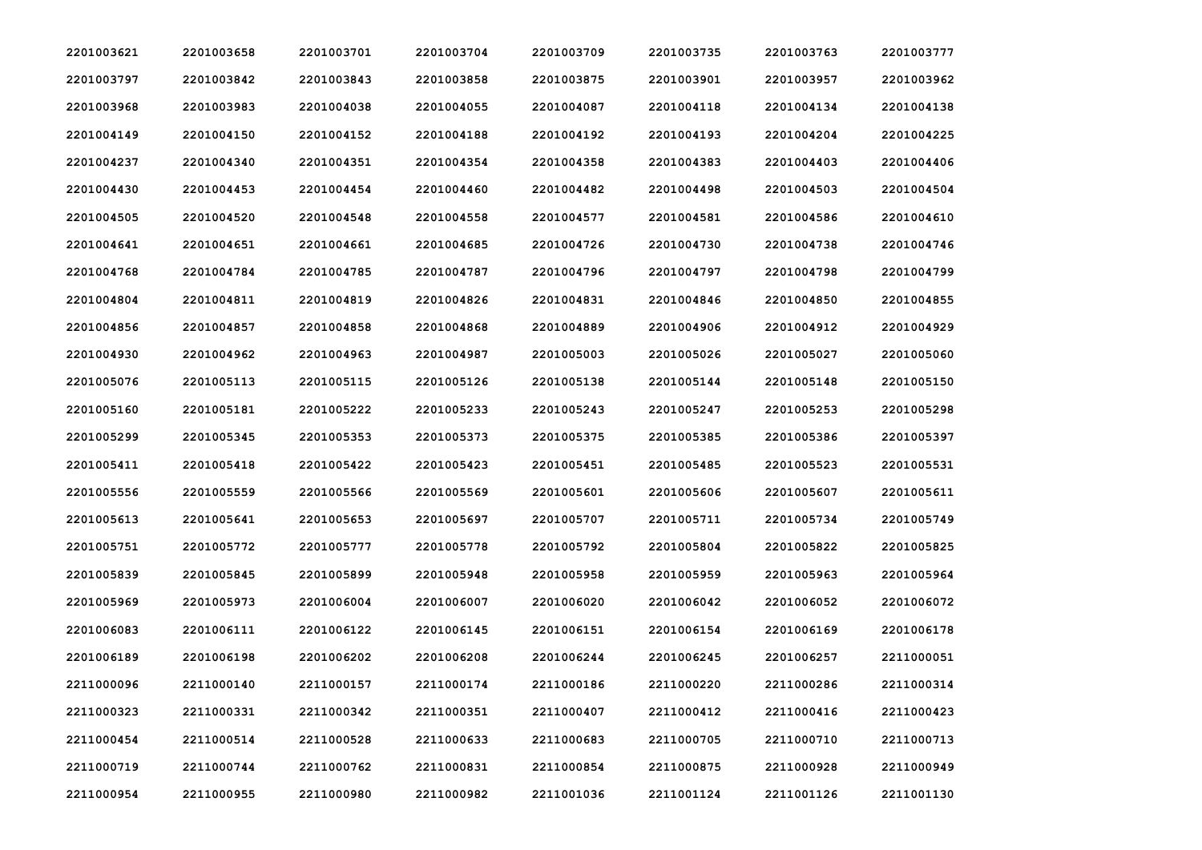| 2201003621 | 2201003658 | 2201003701 | 2201003704 | 2201003709 | 2201003735 | 2201003763 | 2201003777 |
|------------|------------|------------|------------|------------|------------|------------|------------|
| 2201003797 | 2201003842 | 2201003843 | 2201003858 | 2201003875 | 2201003901 | 2201003957 | 2201003962 |
| 2201003968 | 2201003983 | 2201004038 | 2201004055 | 2201004087 | 2201004118 | 2201004134 | 2201004138 |
| 2201004149 | 2201004150 | 2201004152 | 2201004188 | 2201004192 | 2201004193 | 2201004204 | 2201004225 |
| 2201004237 | 2201004340 | 2201004351 | 2201004354 | 2201004358 | 2201004383 | 2201004403 | 2201004406 |
| 2201004430 | 2201004453 | 2201004454 | 2201004460 | 2201004482 | 2201004498 | 2201004503 | 2201004504 |
| 2201004505 | 2201004520 | 2201004548 | 2201004558 | 2201004577 | 2201004581 | 2201004586 | 2201004610 |
| 2201004641 | 2201004651 | 2201004661 | 2201004685 | 2201004726 | 2201004730 | 2201004738 | 2201004746 |
| 2201004768 | 2201004784 | 2201004785 | 2201004787 | 2201004796 | 2201004797 | 2201004798 | 2201004799 |
| 2201004804 | 2201004811 | 2201004819 | 2201004826 | 2201004831 | 2201004846 | 2201004850 | 2201004855 |
| 2201004856 | 2201004857 | 2201004858 | 2201004868 | 2201004889 | 2201004906 | 2201004912 | 2201004929 |
| 2201004930 | 2201004962 | 2201004963 | 2201004987 | 2201005003 | 2201005026 | 2201005027 | 2201005060 |
| 2201005076 | 2201005113 | 2201005115 | 2201005126 | 2201005138 | 2201005144 | 2201005148 | 2201005150 |
| 2201005160 | 2201005181 | 2201005222 | 2201005233 | 2201005243 | 2201005247 | 2201005253 | 2201005298 |
| 2201005299 | 2201005345 | 2201005353 | 2201005373 | 2201005375 | 2201005385 | 2201005386 | 2201005397 |
| 2201005411 | 2201005418 | 2201005422 | 2201005423 | 2201005451 | 2201005485 | 2201005523 | 2201005531 |
| 2201005556 | 2201005559 | 2201005566 | 2201005569 | 2201005601 | 2201005606 | 2201005607 | 2201005611 |
| 2201005613 | 2201005641 | 2201005653 | 2201005697 | 2201005707 | 2201005711 | 2201005734 | 2201005749 |
| 2201005751 | 2201005772 | 2201005777 | 2201005778 | 2201005792 | 2201005804 | 2201005822 | 2201005825 |
| 2201005839 | 2201005845 | 2201005899 | 2201005948 | 2201005958 | 2201005959 | 2201005963 | 2201005964 |
| 2201005969 | 2201005973 | 2201006004 | 2201006007 | 2201006020 | 2201006042 | 2201006052 | 2201006072 |
| 2201006083 | 2201006111 | 2201006122 | 2201006145 | 2201006151 | 2201006154 | 2201006169 | 2201006178 |
| 2201006189 | 2201006198 | 2201006202 | 2201006208 | 2201006244 | 2201006245 | 2201006257 | 2211000051 |
| 2211000096 | 2211000140 | 2211000157 | 2211000174 | 2211000186 | 2211000220 | 2211000286 | 2211000314 |
| 2211000323 | 2211000331 | 2211000342 | 2211000351 | 2211000407 | 2211000412 | 2211000416 | 2211000423 |
| 2211000454 | 2211000514 | 2211000528 | 2211000633 | 2211000683 | 2211000705 | 2211000710 | 2211000713 |
| 2211000719 | 2211000744 | 2211000762 | 2211000831 | 2211000854 | 2211000875 | 2211000928 | 2211000949 |
| 2211000954 | 2211000955 | 2211000980 | 2211000982 | 2211001036 | 2211001124 | 2211001126 | 2211001130 |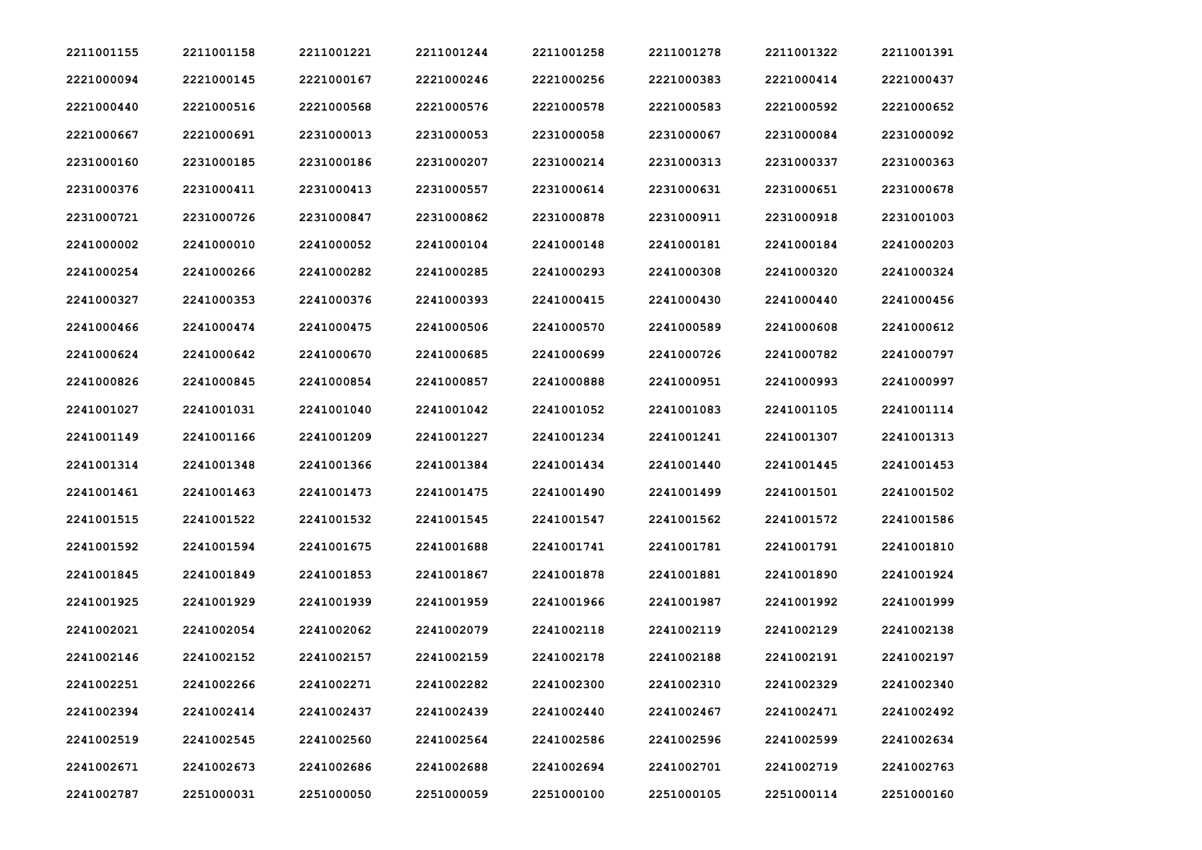| 2211001155 | 2211001158 | 2211001221 | 2211001244 | 2211001258 | 2211001278 | 2211001322 | 2211001391 |
|------------|------------|------------|------------|------------|------------|------------|------------|
| 2221000094 | 2221000145 | 2221000167 | 2221000246 | 2221000256 | 2221000383 | 2221000414 | 2221000437 |
| 2221000440 | 2221000516 | 2221000568 | 2221000576 | 2221000578 | 2221000583 | 2221000592 | 2221000652 |
| 2221000667 | 2221000691 | 2231000013 | 2231000053 | 2231000058 | 2231000067 | 2231000084 | 2231000092 |
| 2231000160 | 2231000185 | 2231000186 | 2231000207 | 2231000214 | 2231000313 | 2231000337 | 2231000363 |
| 2231000376 | 2231000411 | 2231000413 | 2231000557 | 2231000614 | 2231000631 | 2231000651 | 2231000678 |
| 2231000721 | 2231000726 | 2231000847 | 2231000862 | 2231000878 | 2231000911 | 2231000918 | 2231001003 |
| 2241000002 | 2241000010 | 2241000052 | 2241000104 | 2241000148 | 2241000181 | 2241000184 | 2241000203 |
| 2241000254 | 2241000266 | 2241000282 | 2241000285 | 2241000293 | 2241000308 | 2241000320 | 2241000324 |
| 2241000327 | 2241000353 | 2241000376 | 2241000393 | 2241000415 | 2241000430 | 2241000440 | 2241000456 |
| 2241000466 | 2241000474 | 2241000475 | 2241000506 | 2241000570 | 2241000589 | 2241000608 | 2241000612 |
| 2241000624 | 2241000642 | 2241000670 | 2241000685 | 2241000699 | 2241000726 | 2241000782 | 2241000797 |
| 2241000826 | 2241000845 | 2241000854 | 2241000857 | 2241000888 | 2241000951 | 2241000993 | 2241000997 |
| 2241001027 | 2241001031 | 2241001040 | 2241001042 | 2241001052 | 2241001083 | 2241001105 | 2241001114 |
| 2241001149 | 2241001166 | 2241001209 | 2241001227 | 2241001234 | 2241001241 | 2241001307 | 2241001313 |
| 2241001314 | 2241001348 | 2241001366 | 2241001384 | 2241001434 | 2241001440 | 2241001445 | 2241001453 |
| 2241001461 | 2241001463 | 2241001473 | 2241001475 | 2241001490 | 2241001499 | 2241001501 | 2241001502 |
| 2241001515 | 2241001522 | 2241001532 | 2241001545 | 2241001547 | 2241001562 | 2241001572 | 2241001586 |
| 2241001592 | 2241001594 | 2241001675 | 2241001688 | 2241001741 | 2241001781 | 2241001791 | 2241001810 |
| 2241001845 | 2241001849 | 2241001853 | 2241001867 | 2241001878 | 2241001881 | 2241001890 | 2241001924 |
| 2241001925 | 2241001929 | 2241001939 | 2241001959 | 2241001966 | 2241001987 | 2241001992 | 2241001999 |
| 2241002021 | 2241002054 | 2241002062 | 2241002079 | 2241002118 | 2241002119 | 2241002129 | 2241002138 |
| 2241002146 | 2241002152 | 2241002157 | 2241002159 | 2241002178 | 2241002188 | 2241002191 | 2241002197 |
| 2241002251 | 2241002266 | 2241002271 | 2241002282 | 2241002300 | 2241002310 | 2241002329 | 2241002340 |
| 2241002394 | 2241002414 | 2241002437 | 2241002439 | 2241002440 | 2241002467 | 2241002471 | 2241002492 |
| 2241002519 | 2241002545 | 2241002560 | 2241002564 | 2241002586 | 2241002596 | 2241002599 | 2241002634 |
| 2241002671 | 2241002673 | 2241002686 | 2241002688 | 2241002694 | 2241002701 | 2241002719 | 2241002763 |
| 2241002787 | 2251000031 | 2251000050 | 2251000059 | 2251000100 | 2251000105 | 2251000114 | 2251000160 |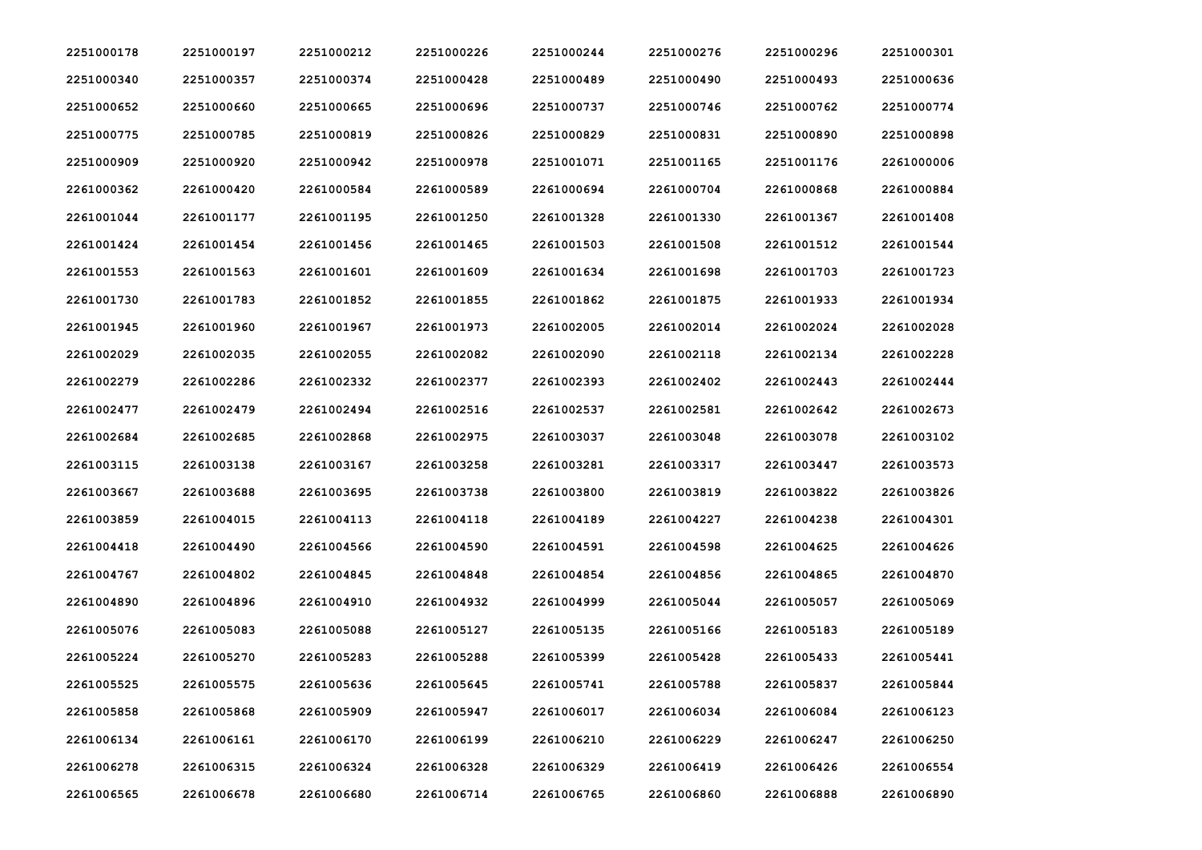| 2251000178 | 2251000197 | 2251000212 | 2251000226 | 2251000244 | 2251000276 | 2251000296 | 2251000301 |
|------------|------------|------------|------------|------------|------------|------------|------------|
| 2251000340 | 2251000357 | 2251000374 | 2251000428 | 2251000489 | 2251000490 | 2251000493 | 2251000636 |
| 2251000652 | 2251000660 | 2251000665 | 2251000696 | 2251000737 | 2251000746 | 2251000762 | 2251000774 |
| 2251000775 | 2251000785 | 2251000819 | 2251000826 | 2251000829 | 2251000831 | 2251000890 | 2251000898 |
| 2251000909 | 2251000920 | 2251000942 | 2251000978 | 2251001071 | 2251001165 | 2251001176 | 2261000006 |
| 2261000362 | 2261000420 | 2261000584 | 2261000589 | 2261000694 | 2261000704 | 2261000868 | 2261000884 |
| 2261001044 | 2261001177 | 2261001195 | 2261001250 | 2261001328 | 2261001330 | 2261001367 | 2261001408 |
| 2261001424 | 2261001454 | 2261001456 | 2261001465 | 2261001503 | 2261001508 | 2261001512 | 2261001544 |
| 2261001553 | 2261001563 | 2261001601 | 2261001609 | 2261001634 | 2261001698 | 2261001703 | 2261001723 |
| 2261001730 | 2261001783 | 2261001852 | 2261001855 | 2261001862 | 2261001875 | 2261001933 | 2261001934 |
| 2261001945 | 2261001960 | 2261001967 | 2261001973 | 2261002005 | 2261002014 | 2261002024 | 2261002028 |
| 2261002029 | 2261002035 | 2261002055 | 2261002082 | 2261002090 | 2261002118 | 2261002134 | 2261002228 |
| 2261002279 | 2261002286 | 2261002332 | 2261002377 | 2261002393 | 2261002402 | 2261002443 | 2261002444 |
| 2261002477 | 2261002479 | 2261002494 | 2261002516 | 2261002537 | 2261002581 | 2261002642 | 2261002673 |
| 2261002684 | 2261002685 | 2261002868 | 2261002975 | 2261003037 | 2261003048 | 2261003078 | 2261003102 |
| 2261003115 | 2261003138 | 2261003167 | 2261003258 | 2261003281 | 2261003317 | 2261003447 | 2261003573 |
| 2261003667 | 2261003688 | 2261003695 | 2261003738 | 2261003800 | 2261003819 | 2261003822 | 2261003826 |
| 2261003859 | 2261004015 | 2261004113 | 2261004118 | 2261004189 | 2261004227 | 2261004238 | 2261004301 |
| 2261004418 | 2261004490 | 2261004566 | 2261004590 | 2261004591 | 2261004598 | 2261004625 | 2261004626 |
| 2261004767 | 2261004802 | 2261004845 | 2261004848 | 2261004854 | 2261004856 | 2261004865 | 2261004870 |
| 2261004890 | 2261004896 | 2261004910 | 2261004932 | 2261004999 | 2261005044 | 2261005057 | 2261005069 |
| 2261005076 | 2261005083 | 2261005088 | 2261005127 | 2261005135 | 2261005166 | 2261005183 | 2261005189 |
| 2261005224 | 2261005270 | 2261005283 | 2261005288 | 2261005399 | 2261005428 | 2261005433 | 2261005441 |
| 2261005525 | 2261005575 | 2261005636 | 2261005645 | 2261005741 | 2261005788 | 2261005837 | 2261005844 |
| 2261005858 | 2261005868 | 2261005909 | 2261005947 | 2261006017 | 2261006034 | 2261006084 | 2261006123 |
| 2261006134 | 2261006161 | 2261006170 | 2261006199 | 2261006210 | 2261006229 | 2261006247 | 2261006250 |
| 2261006278 | 2261006315 | 2261006324 | 2261006328 | 2261006329 | 2261006419 | 2261006426 | 2261006554 |
| 2261006565 | 2261006678 | 2261006680 | 2261006714 | 2261006765 | 2261006860 | 2261006888 | 2261006890 |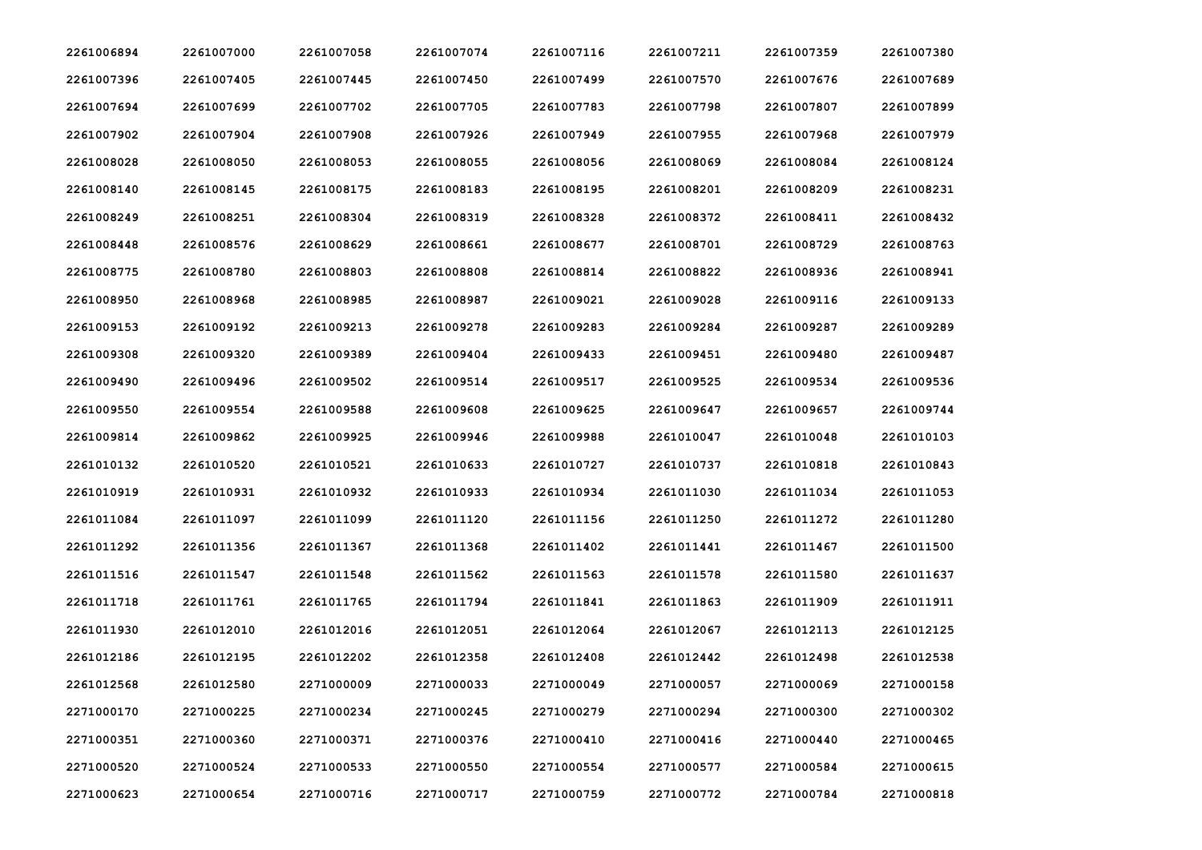| 2261006894 | 2261007000 | 2261007058 | 2261007074 | 2261007116 | 2261007211 | 2261007359 | 2261007380 |
|------------|------------|------------|------------|------------|------------|------------|------------|
| 2261007396 | 2261007405 | 2261007445 | 2261007450 | 2261007499 | 2261007570 | 2261007676 | 2261007689 |
| 2261007694 | 2261007699 | 2261007702 | 2261007705 | 2261007783 | 2261007798 | 2261007807 | 2261007899 |
| 2261007902 | 2261007904 | 2261007908 | 2261007926 | 2261007949 | 2261007955 | 2261007968 | 2261007979 |
| 2261008028 | 2261008050 | 2261008053 | 2261008055 | 2261008056 | 2261008069 | 2261008084 | 2261008124 |
| 2261008140 | 2261008145 | 2261008175 | 2261008183 | 2261008195 | 2261008201 | 2261008209 | 2261008231 |
| 2261008249 | 2261008251 | 2261008304 | 2261008319 | 2261008328 | 2261008372 | 2261008411 | 2261008432 |
| 2261008448 | 2261008576 | 2261008629 | 2261008661 | 2261008677 | 2261008701 | 2261008729 | 2261008763 |
| 2261008775 | 2261008780 | 2261008803 | 2261008808 | 2261008814 | 2261008822 | 2261008936 | 2261008941 |
| 2261008950 | 2261008968 | 2261008985 | 2261008987 | 2261009021 | 2261009028 | 2261009116 | 2261009133 |
| 2261009153 | 2261009192 | 2261009213 | 2261009278 | 2261009283 | 2261009284 | 2261009287 | 2261009289 |
| 2261009308 | 2261009320 | 2261009389 | 2261009404 | 2261009433 | 2261009451 | 2261009480 | 2261009487 |
| 2261009490 | 2261009496 | 2261009502 | 2261009514 | 2261009517 | 2261009525 | 2261009534 | 2261009536 |
| 2261009550 | 2261009554 | 2261009588 | 2261009608 | 2261009625 | 2261009647 | 2261009657 | 2261009744 |
| 2261009814 | 2261009862 | 2261009925 | 2261009946 | 2261009988 | 2261010047 | 2261010048 | 2261010103 |
| 2261010132 | 2261010520 | 2261010521 | 2261010633 | 2261010727 | 2261010737 | 2261010818 | 2261010843 |
| 2261010919 | 2261010931 | 2261010932 | 2261010933 | 2261010934 | 2261011030 | 2261011034 | 2261011053 |
| 2261011084 | 2261011097 | 2261011099 | 2261011120 | 2261011156 | 2261011250 | 2261011272 | 2261011280 |
| 2261011292 | 2261011356 | 2261011367 | 2261011368 | 2261011402 | 2261011441 | 2261011467 | 2261011500 |
| 2261011516 | 2261011547 | 2261011548 | 2261011562 | 2261011563 | 2261011578 | 2261011580 | 2261011637 |
| 2261011718 | 2261011761 | 2261011765 | 2261011794 | 2261011841 | 2261011863 | 2261011909 | 2261011911 |
| 2261011930 | 2261012010 | 2261012016 | 2261012051 | 2261012064 | 2261012067 | 2261012113 | 2261012125 |
| 2261012186 | 2261012195 | 2261012202 | 2261012358 | 2261012408 | 2261012442 | 2261012498 | 2261012538 |
| 2261012568 | 2261012580 | 2271000009 | 2271000033 | 2271000049 | 2271000057 | 2271000069 | 2271000158 |
| 2271000170 | 2271000225 | 2271000234 | 2271000245 | 2271000279 | 2271000294 | 2271000300 | 2271000302 |
| 2271000351 | 2271000360 | 2271000371 | 2271000376 | 2271000410 | 2271000416 | 2271000440 | 2271000465 |
| 2271000520 | 2271000524 | 2271000533 | 2271000550 | 2271000554 | 2271000577 | 2271000584 | 2271000615 |
| 2271000623 | 2271000654 | 2271000716 | 2271000717 | 2271000759 | 2271000772 | 2271000784 | 2271000818 |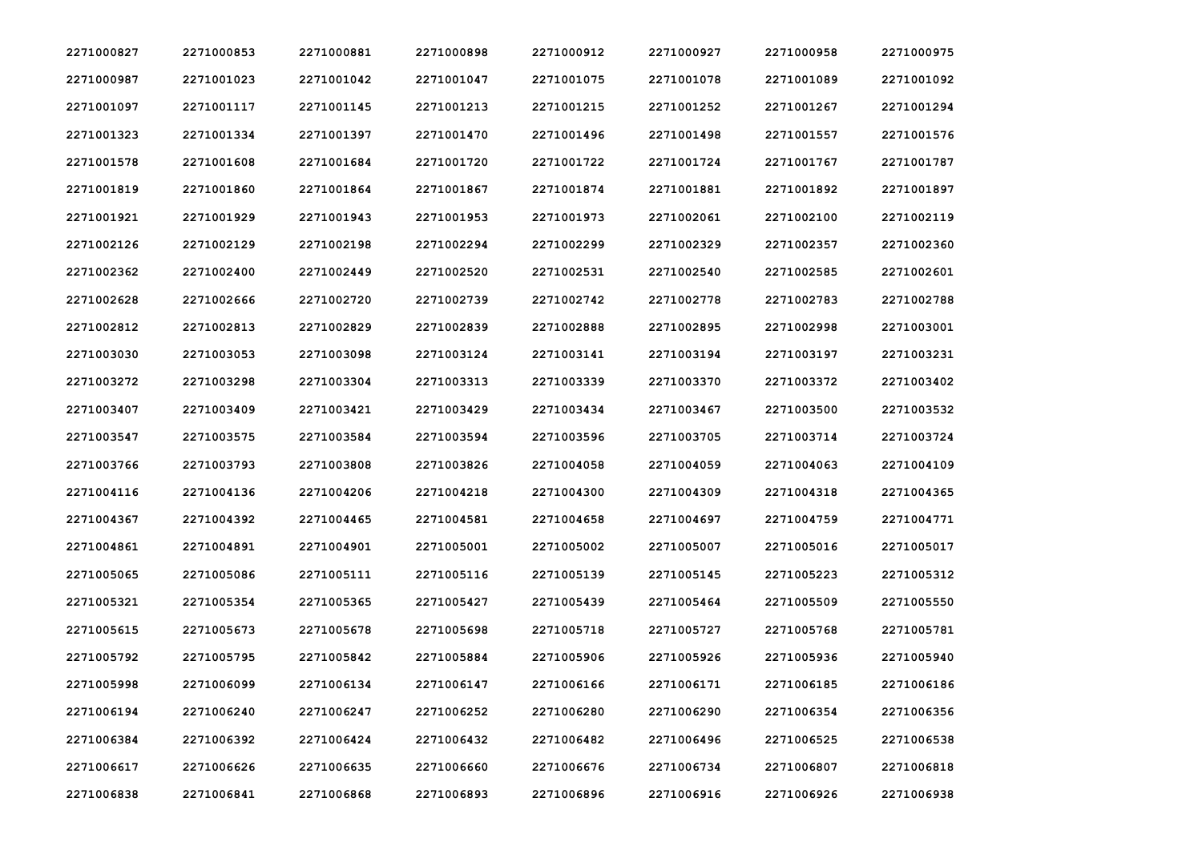| 2271000827 | 2271000853 | 2271000881 | 2271000898 | 2271000912 | 2271000927 | 2271000958 | 2271000975 |
|------------|------------|------------|------------|------------|------------|------------|------------|
| 2271000987 | 2271001023 | 2271001042 | 2271001047 | 2271001075 | 2271001078 | 2271001089 | 2271001092 |
| 2271001097 | 2271001117 | 2271001145 | 2271001213 | 2271001215 | 2271001252 | 2271001267 | 2271001294 |
| 2271001323 | 2271001334 | 2271001397 | 2271001470 | 2271001496 | 2271001498 | 2271001557 | 2271001576 |
| 2271001578 | 2271001608 | 2271001684 | 2271001720 | 2271001722 | 2271001724 | 2271001767 | 2271001787 |
| 2271001819 | 2271001860 | 2271001864 | 2271001867 | 2271001874 | 2271001881 | 2271001892 | 2271001897 |
| 2271001921 | 2271001929 | 2271001943 | 2271001953 | 2271001973 | 2271002061 | 2271002100 | 2271002119 |
| 2271002126 | 2271002129 | 2271002198 | 2271002294 | 2271002299 | 2271002329 | 2271002357 | 2271002360 |
| 2271002362 | 2271002400 | 2271002449 | 2271002520 | 2271002531 | 2271002540 | 2271002585 | 2271002601 |
| 2271002628 | 2271002666 | 2271002720 | 2271002739 | 2271002742 | 2271002778 | 2271002783 | 2271002788 |
| 2271002812 | 2271002813 | 2271002829 | 2271002839 | 2271002888 | 2271002895 | 2271002998 | 2271003001 |
| 2271003030 | 2271003053 | 2271003098 | 2271003124 | 2271003141 | 2271003194 | 2271003197 | 2271003231 |
| 2271003272 | 2271003298 | 2271003304 | 2271003313 | 2271003339 | 2271003370 | 2271003372 | 2271003402 |
| 2271003407 | 2271003409 | 2271003421 | 2271003429 | 2271003434 | 2271003467 | 2271003500 | 2271003532 |
| 2271003547 | 2271003575 | 2271003584 | 2271003594 | 2271003596 | 2271003705 | 2271003714 | 2271003724 |
| 2271003766 | 2271003793 | 2271003808 | 2271003826 | 2271004058 | 2271004059 | 2271004063 | 2271004109 |
| 2271004116 | 2271004136 | 2271004206 | 2271004218 | 2271004300 | 2271004309 | 2271004318 | 2271004365 |
| 2271004367 | 2271004392 | 2271004465 | 2271004581 | 2271004658 | 2271004697 | 2271004759 | 2271004771 |
| 2271004861 | 2271004891 | 2271004901 | 2271005001 | 2271005002 | 2271005007 | 2271005016 | 2271005017 |
| 2271005065 | 2271005086 | 2271005111 | 2271005116 | 2271005139 | 2271005145 | 2271005223 | 2271005312 |
| 2271005321 | 2271005354 | 2271005365 | 2271005427 | 2271005439 | 2271005464 | 2271005509 | 2271005550 |
| 2271005615 | 2271005673 | 2271005678 | 2271005698 | 2271005718 | 2271005727 | 2271005768 | 2271005781 |
| 2271005792 | 2271005795 | 2271005842 | 2271005884 | 2271005906 | 2271005926 | 2271005936 | 2271005940 |
| 2271005998 | 2271006099 | 2271006134 | 2271006147 | 2271006166 | 2271006171 | 2271006185 | 2271006186 |
| 2271006194 | 2271006240 | 2271006247 | 2271006252 | 2271006280 | 2271006290 | 2271006354 | 2271006356 |
| 2271006384 | 2271006392 | 2271006424 | 2271006432 | 2271006482 | 2271006496 | 2271006525 | 2271006538 |
| 2271006617 | 2271006626 | 2271006635 | 2271006660 | 2271006676 | 2271006734 | 2271006807 | 2271006818 |
| 2271006838 | 2271006841 | 2271006868 | 2271006893 | 2271006896 | 2271006916 | 2271006926 | 2271006938 |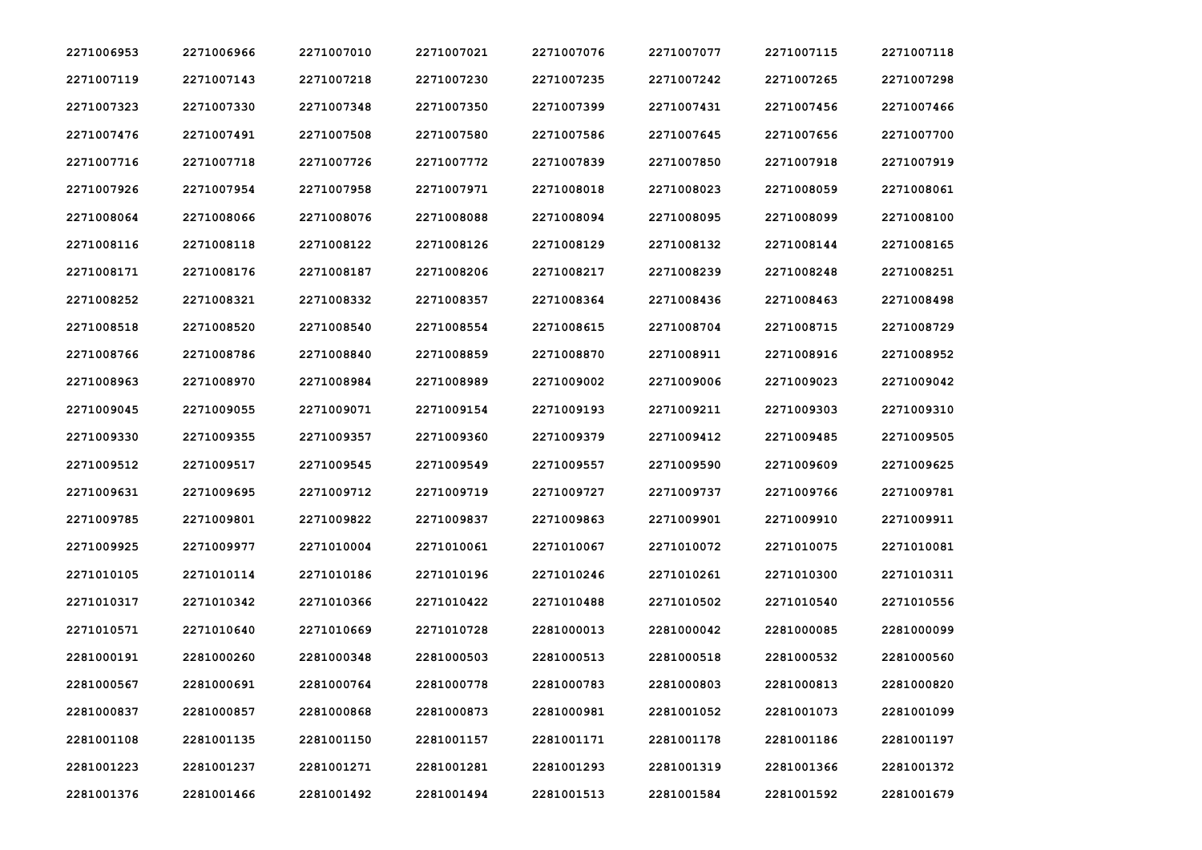| 2271006953 | 2271006966 | 2271007010 | 2271007021 | 2271007076 | 2271007077 | 2271007115 | 2271007118 |
|------------|------------|------------|------------|------------|------------|------------|------------|
| 2271007119 | 2271007143 | 2271007218 | 2271007230 | 2271007235 | 2271007242 | 2271007265 | 2271007298 |
| 2271007323 | 2271007330 | 2271007348 | 2271007350 | 2271007399 | 2271007431 | 2271007456 | 2271007466 |
| 2271007476 | 2271007491 | 2271007508 | 2271007580 | 2271007586 | 2271007645 | 2271007656 | 2271007700 |
| 2271007716 | 2271007718 | 2271007726 | 2271007772 | 2271007839 | 2271007850 | 2271007918 | 2271007919 |
| 2271007926 | 2271007954 | 2271007958 | 2271007971 | 2271008018 | 2271008023 | 2271008059 | 2271008061 |
| 2271008064 | 2271008066 | 2271008076 | 2271008088 | 2271008094 | 2271008095 | 2271008099 | 2271008100 |
| 2271008116 | 2271008118 | 2271008122 | 2271008126 | 2271008129 | 2271008132 | 2271008144 | 2271008165 |
| 2271008171 | 2271008176 | 2271008187 | 2271008206 | 2271008217 | 2271008239 | 2271008248 | 2271008251 |
| 2271008252 | 2271008321 | 2271008332 | 2271008357 | 2271008364 | 2271008436 | 2271008463 | 2271008498 |
| 2271008518 | 2271008520 | 2271008540 | 2271008554 | 2271008615 | 2271008704 | 2271008715 | 2271008729 |
| 2271008766 | 2271008786 | 2271008840 | 2271008859 | 2271008870 | 2271008911 | 2271008916 | 2271008952 |
| 2271008963 | 2271008970 | 2271008984 | 2271008989 | 2271009002 | 2271009006 | 2271009023 | 2271009042 |
| 2271009045 | 2271009055 | 2271009071 | 2271009154 | 2271009193 | 2271009211 | 2271009303 | 2271009310 |
| 2271009330 | 2271009355 | 2271009357 | 2271009360 | 2271009379 | 2271009412 | 2271009485 | 2271009505 |
| 2271009512 | 2271009517 | 2271009545 | 2271009549 | 2271009557 | 2271009590 | 2271009609 | 2271009625 |
| 2271009631 | 2271009695 | 2271009712 | 2271009719 | 2271009727 | 2271009737 | 2271009766 | 2271009781 |
| 2271009785 | 2271009801 | 2271009822 | 2271009837 | 2271009863 | 2271009901 | 2271009910 | 2271009911 |
| 2271009925 | 2271009977 | 2271010004 | 2271010061 | 2271010067 | 2271010072 | 2271010075 | 2271010081 |
| 2271010105 | 2271010114 | 2271010186 | 2271010196 | 2271010246 | 2271010261 | 2271010300 | 2271010311 |
| 2271010317 | 2271010342 | 2271010366 | 2271010422 | 2271010488 | 2271010502 | 2271010540 | 2271010556 |
| 2271010571 | 2271010640 | 2271010669 | 2271010728 | 2281000013 | 2281000042 | 2281000085 | 2281000099 |
| 2281000191 | 2281000260 | 2281000348 | 2281000503 | 2281000513 | 2281000518 | 2281000532 | 2281000560 |
| 2281000567 | 2281000691 | 2281000764 | 2281000778 | 2281000783 | 2281000803 | 2281000813 | 2281000820 |
| 2281000837 | 2281000857 | 2281000868 | 2281000873 | 2281000981 | 2281001052 | 2281001073 | 2281001099 |
| 2281001108 | 2281001135 | 2281001150 | 2281001157 | 2281001171 | 2281001178 | 2281001186 | 2281001197 |
| 2281001223 | 2281001237 | 2281001271 | 2281001281 | 2281001293 | 2281001319 | 2281001366 | 2281001372 |
| 2281001376 | 2281001466 | 2281001492 | 2281001494 | 2281001513 | 2281001584 | 2281001592 | 2281001679 |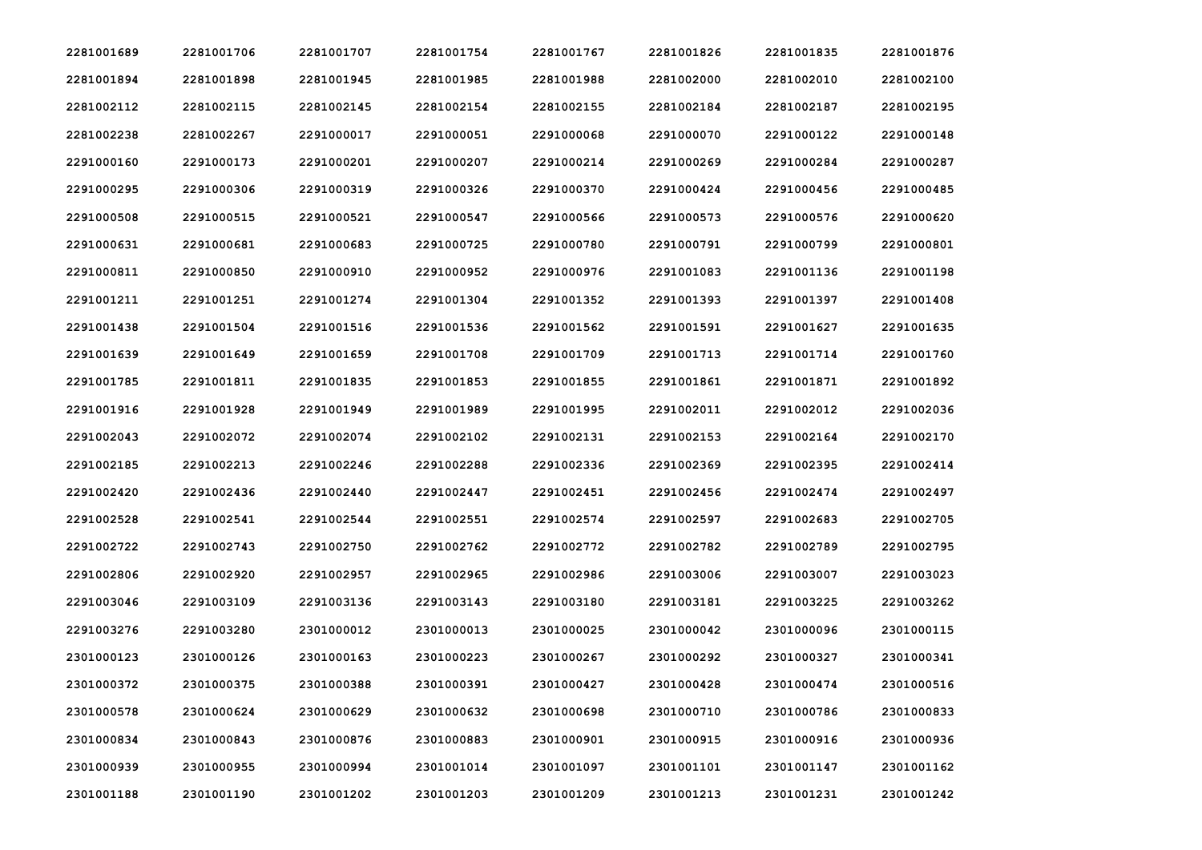| 2281001689 | 2281001706 | 2281001707 | 2281001754 | 2281001767 | 2281001826 | 2281001835 | 2281001876 |
|------------|------------|------------|------------|------------|------------|------------|------------|
| 2281001894 | 2281001898 | 2281001945 | 2281001985 | 2281001988 | 2281002000 | 2281002010 | 2281002100 |
| 2281002112 | 2281002115 | 2281002145 | 2281002154 | 2281002155 | 2281002184 | 2281002187 | 2281002195 |
| 2281002238 | 2281002267 | 2291000017 | 2291000051 | 2291000068 | 2291000070 | 2291000122 | 2291000148 |
| 2291000160 | 2291000173 | 2291000201 | 2291000207 | 2291000214 | 2291000269 | 2291000284 | 2291000287 |
| 2291000295 | 2291000306 | 2291000319 | 2291000326 | 2291000370 | 2291000424 | 2291000456 | 2291000485 |
| 2291000508 | 2291000515 | 2291000521 | 2291000547 | 2291000566 | 2291000573 | 2291000576 | 2291000620 |
| 2291000631 | 2291000681 | 2291000683 | 2291000725 | 2291000780 | 2291000791 | 2291000799 | 2291000801 |
| 2291000811 | 2291000850 | 2291000910 | 2291000952 | 2291000976 | 2291001083 | 2291001136 | 2291001198 |
| 2291001211 | 2291001251 | 2291001274 | 2291001304 | 2291001352 | 2291001393 | 2291001397 | 2291001408 |
| 2291001438 | 2291001504 | 2291001516 | 2291001536 | 2291001562 | 2291001591 | 2291001627 | 2291001635 |
| 2291001639 | 2291001649 | 2291001659 | 2291001708 | 2291001709 | 2291001713 | 2291001714 | 2291001760 |
| 2291001785 | 2291001811 | 2291001835 | 2291001853 | 2291001855 | 2291001861 | 2291001871 | 2291001892 |
| 2291001916 | 2291001928 | 2291001949 | 2291001989 | 2291001995 | 2291002011 | 2291002012 | 2291002036 |
| 2291002043 | 2291002072 | 2291002074 | 2291002102 | 2291002131 | 2291002153 | 2291002164 | 2291002170 |
| 2291002185 | 2291002213 | 2291002246 | 2291002288 | 2291002336 | 2291002369 | 2291002395 | 2291002414 |
| 2291002420 | 2291002436 | 2291002440 | 2291002447 | 2291002451 | 2291002456 | 2291002474 | 2291002497 |
| 2291002528 | 2291002541 | 2291002544 | 2291002551 | 2291002574 | 2291002597 | 2291002683 | 2291002705 |
| 2291002722 | 2291002743 | 2291002750 | 2291002762 | 2291002772 | 2291002782 | 2291002789 | 2291002795 |
| 2291002806 | 2291002920 | 2291002957 | 2291002965 | 2291002986 | 2291003006 | 2291003007 | 2291003023 |
| 2291003046 | 2291003109 | 2291003136 | 2291003143 | 2291003180 | 2291003181 | 2291003225 | 2291003262 |
| 2291003276 | 2291003280 | 2301000012 | 2301000013 | 2301000025 | 2301000042 | 2301000096 | 2301000115 |
| 2301000123 | 2301000126 | 2301000163 | 2301000223 | 2301000267 | 2301000292 | 2301000327 | 2301000341 |
| 2301000372 | 2301000375 | 2301000388 | 2301000391 | 2301000427 | 2301000428 | 2301000474 | 2301000516 |
| 2301000578 | 2301000624 | 2301000629 | 2301000632 | 2301000698 | 2301000710 | 2301000786 | 2301000833 |
| 2301000834 | 2301000843 | 2301000876 | 2301000883 | 2301000901 | 2301000915 | 2301000916 | 2301000936 |
| 2301000939 | 2301000955 | 2301000994 | 2301001014 | 2301001097 | 2301001101 | 2301001147 | 2301001162 |
| 2301001188 | 2301001190 | 2301001202 | 2301001203 | 2301001209 | 2301001213 | 2301001231 | 2301001242 |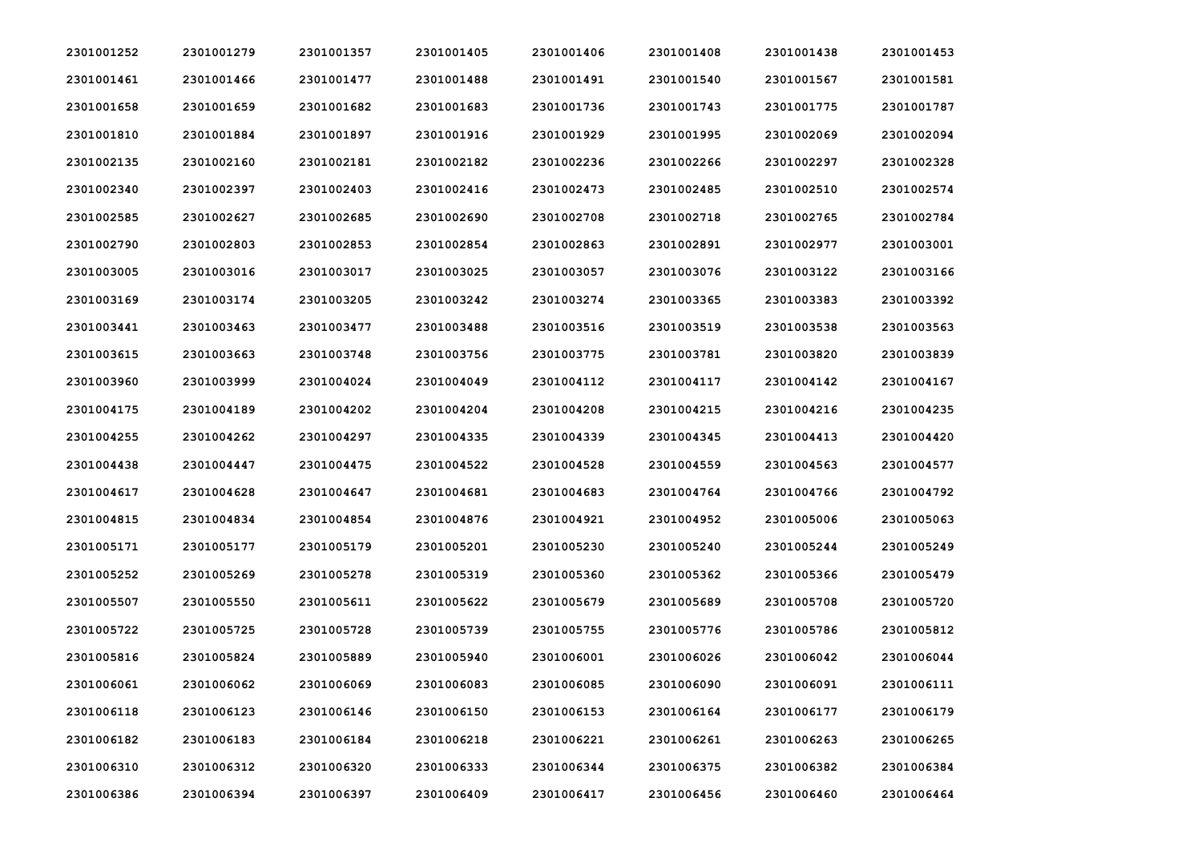| 2301001252 | 2301001279 | 2301001357 | 2301001405 | 2301001406 | 2301001408 | 2301001438 | 2301001453 |
|------------|------------|------------|------------|------------|------------|------------|------------|
| 2301001461 | 2301001466 | 2301001477 | 2301001488 | 2301001491 | 2301001540 | 2301001567 | 2301001581 |
| 2301001658 | 2301001659 | 2301001682 | 2301001683 | 2301001736 | 2301001743 | 2301001775 | 2301001787 |
| 2301001810 | 2301001884 | 2301001897 | 2301001916 | 2301001929 | 2301001995 | 2301002069 | 2301002094 |
| 2301002135 | 2301002160 | 2301002181 | 2301002182 | 2301002236 | 2301002266 | 2301002297 | 2301002328 |
| 2301002340 | 2301002397 | 2301002403 | 2301002416 | 2301002473 | 2301002485 | 2301002510 | 2301002574 |
| 2301002585 | 2301002627 | 2301002685 | 2301002690 | 2301002708 | 2301002718 | 2301002765 | 2301002784 |
| 2301002790 | 2301002803 | 2301002853 | 2301002854 | 2301002863 | 2301002891 | 2301002977 | 2301003001 |
| 2301003005 | 2301003016 | 2301003017 | 2301003025 | 2301003057 | 2301003076 | 2301003122 | 2301003166 |
| 2301003169 | 2301003174 | 2301003205 | 2301003242 | 2301003274 | 2301003365 | 2301003383 | 2301003392 |
| 2301003441 | 2301003463 | 2301003477 | 2301003488 | 2301003516 | 2301003519 | 2301003538 | 2301003563 |
| 2301003615 | 2301003663 | 2301003748 | 2301003756 | 2301003775 | 2301003781 | 2301003820 | 2301003839 |
| 2301003960 | 2301003999 | 2301004024 | 2301004049 | 2301004112 | 2301004117 | 2301004142 | 2301004167 |
| 2301004175 | 2301004189 | 2301004202 | 2301004204 | 2301004208 | 2301004215 | 2301004216 | 2301004235 |
| 2301004255 | 2301004262 | 2301004297 | 2301004335 | 2301004339 | 2301004345 | 2301004413 | 2301004420 |
| 2301004438 | 2301004447 | 2301004475 | 2301004522 | 2301004528 | 2301004559 | 2301004563 | 2301004577 |
| 2301004617 | 2301004628 | 2301004647 | 2301004681 | 2301004683 | 2301004764 | 2301004766 | 2301004792 |
| 2301004815 | 2301004834 | 2301004854 | 2301004876 | 2301004921 | 2301004952 | 2301005006 | 2301005063 |
| 2301005171 | 2301005177 | 2301005179 | 2301005201 | 2301005230 | 2301005240 | 2301005244 | 2301005249 |
| 2301005252 | 2301005269 | 2301005278 | 2301005319 | 2301005360 | 2301005362 | 2301005366 | 2301005479 |
| 2301005507 | 2301005550 | 2301005611 | 2301005622 | 2301005679 | 2301005689 | 2301005708 | 2301005720 |
| 2301005722 | 2301005725 | 2301005728 | 2301005739 | 2301005755 | 2301005776 | 2301005786 | 2301005812 |
| 2301005816 | 2301005824 | 2301005889 | 2301005940 | 2301006001 | 2301006026 | 2301006042 | 2301006044 |
| 2301006061 | 2301006062 | 2301006069 | 2301006083 | 2301006085 | 2301006090 | 2301006091 | 2301006111 |
| 2301006118 | 2301006123 | 2301006146 | 2301006150 | 2301006153 | 2301006164 | 2301006177 | 2301006179 |
| 2301006182 | 2301006183 | 2301006184 | 2301006218 | 2301006221 | 2301006261 | 2301006263 | 2301006265 |
| 2301006310 | 2301006312 | 2301006320 | 2301006333 | 2301006344 | 2301006375 | 2301006382 | 2301006384 |
| 2301006386 | 2301006394 | 2301006397 | 2301006409 | 2301006417 | 2301006456 | 2301006460 | 2301006464 |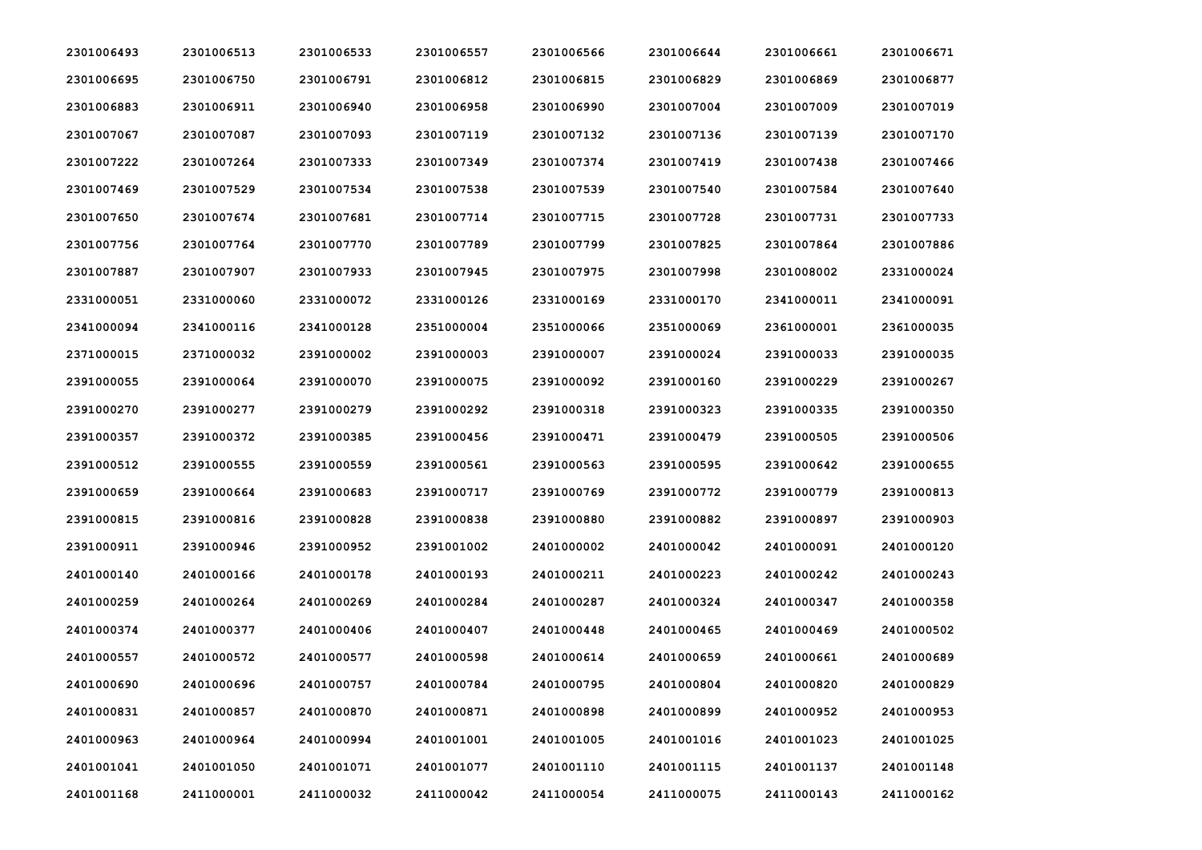| 2301006493 | 2301006513 | 2301006533 | 2301006557 | 2301006566 | 2301006644 | 2301006661 | 2301006671 |
|------------|------------|------------|------------|------------|------------|------------|------------|
| 2301006695 | 2301006750 | 2301006791 | 2301006812 | 2301006815 | 2301006829 | 2301006869 | 2301006877 |
| 2301006883 | 2301006911 | 2301006940 | 2301006958 | 2301006990 | 2301007004 | 2301007009 | 2301007019 |
| 2301007067 | 2301007087 | 2301007093 | 2301007119 | 2301007132 | 2301007136 | 2301007139 | 2301007170 |
| 2301007222 | 2301007264 | 2301007333 | 2301007349 | 2301007374 | 2301007419 | 2301007438 | 2301007466 |
| 2301007469 | 2301007529 | 2301007534 | 2301007538 | 2301007539 | 2301007540 | 2301007584 | 2301007640 |
| 2301007650 | 2301007674 | 2301007681 | 2301007714 | 2301007715 | 2301007728 | 2301007731 | 2301007733 |
| 2301007756 | 2301007764 | 2301007770 | 2301007789 | 2301007799 | 2301007825 | 2301007864 | 2301007886 |
| 2301007887 | 2301007907 | 2301007933 | 2301007945 | 2301007975 | 2301007998 | 2301008002 | 2331000024 |
| 2331000051 | 2331000060 | 2331000072 | 2331000126 | 2331000169 | 2331000170 | 2341000011 | 2341000091 |
| 2341000094 | 2341000116 | 2341000128 | 2351000004 | 2351000066 | 2351000069 | 2361000001 | 2361000035 |
| 2371000015 | 2371000032 | 2391000002 | 2391000003 | 2391000007 | 2391000024 | 2391000033 | 2391000035 |
| 2391000055 | 2391000064 | 2391000070 | 2391000075 | 2391000092 | 2391000160 | 2391000229 | 2391000267 |
| 2391000270 | 2391000277 | 2391000279 | 2391000292 | 2391000318 | 2391000323 | 2391000335 | 2391000350 |
| 2391000357 | 2391000372 | 2391000385 | 2391000456 | 2391000471 | 2391000479 | 2391000505 | 2391000506 |
| 2391000512 | 2391000555 | 2391000559 | 2391000561 | 2391000563 | 2391000595 | 2391000642 | 2391000655 |
| 2391000659 | 2391000664 | 2391000683 | 2391000717 | 2391000769 | 2391000772 | 2391000779 | 2391000813 |
| 2391000815 | 2391000816 | 2391000828 | 2391000838 | 2391000880 | 2391000882 | 2391000897 | 2391000903 |
| 2391000911 | 2391000946 | 2391000952 | 2391001002 | 2401000002 | 2401000042 | 2401000091 | 2401000120 |
| 2401000140 | 2401000166 | 2401000178 | 2401000193 | 2401000211 | 2401000223 | 2401000242 | 2401000243 |
| 2401000259 | 2401000264 | 2401000269 | 2401000284 | 2401000287 | 2401000324 | 2401000347 | 2401000358 |
| 2401000374 | 2401000377 | 2401000406 | 2401000407 | 2401000448 | 2401000465 | 2401000469 | 2401000502 |
| 2401000557 | 2401000572 | 2401000577 | 2401000598 | 2401000614 | 2401000659 | 2401000661 | 2401000689 |
| 2401000690 | 2401000696 | 2401000757 | 2401000784 | 2401000795 | 2401000804 | 2401000820 | 2401000829 |
| 2401000831 | 2401000857 | 2401000870 | 2401000871 | 2401000898 | 2401000899 | 2401000952 | 2401000953 |
| 2401000963 | 2401000964 | 2401000994 | 2401001001 | 2401001005 | 2401001016 | 2401001023 | 2401001025 |
| 2401001041 | 2401001050 | 2401001071 | 2401001077 | 2401001110 | 2401001115 | 2401001137 | 2401001148 |
| 2401001168 | 2411000001 | 2411000032 | 2411000042 | 2411000054 | 2411000075 | 2411000143 | 2411000162 |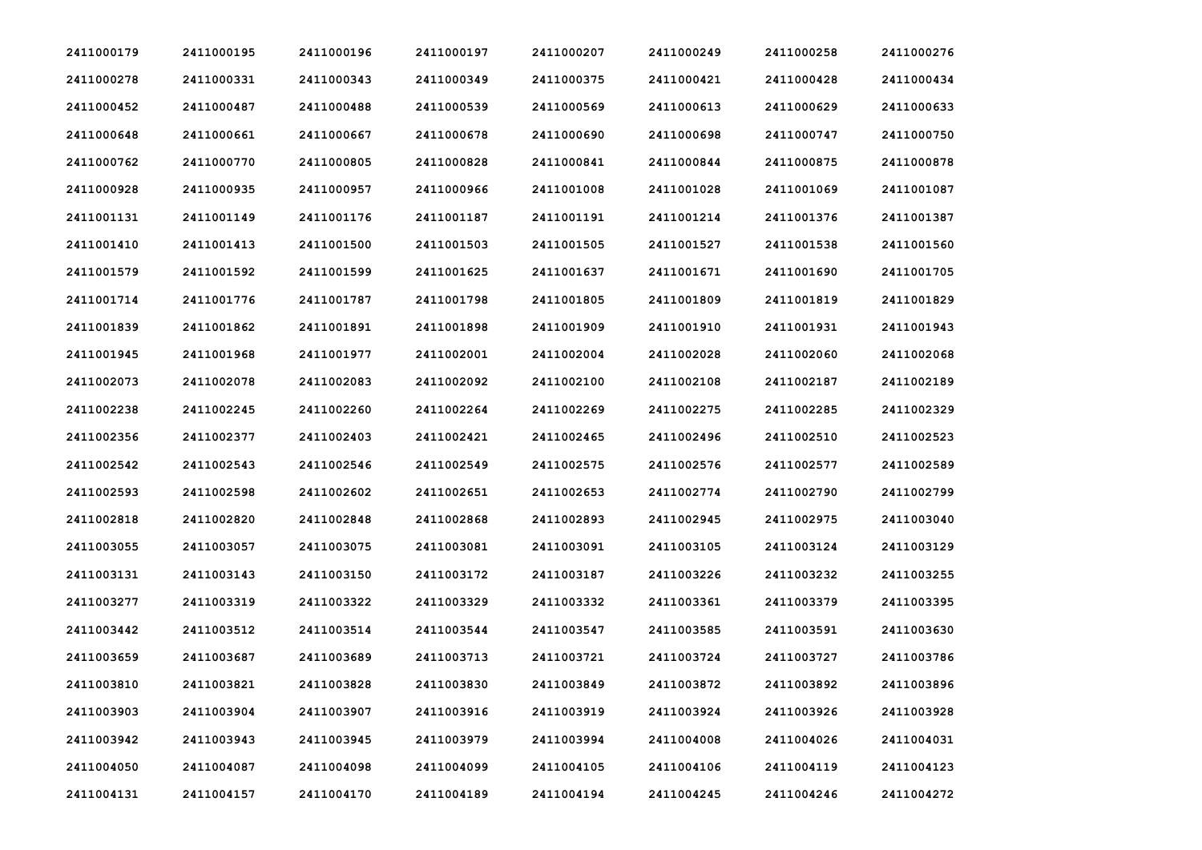| 2411000179 | 2411000195 | 2411000196 | 2411000197 | 2411000207 | 2411000249 | 2411000258 | 2411000276 |
|------------|------------|------------|------------|------------|------------|------------|------------|
| 2411000278 | 2411000331 | 2411000343 | 2411000349 | 2411000375 | 2411000421 | 2411000428 | 2411000434 |
| 2411000452 | 2411000487 | 2411000488 | 2411000539 | 2411000569 | 2411000613 | 2411000629 | 2411000633 |
| 2411000648 | 2411000661 | 2411000667 | 2411000678 | 2411000690 | 2411000698 | 2411000747 | 2411000750 |
| 2411000762 | 2411000770 | 2411000805 | 2411000828 | 2411000841 | 2411000844 | 2411000875 | 2411000878 |
| 2411000928 | 2411000935 | 2411000957 | 2411000966 | 2411001008 | 2411001028 | 2411001069 | 2411001087 |
| 2411001131 | 2411001149 | 2411001176 | 2411001187 | 2411001191 | 2411001214 | 2411001376 | 2411001387 |
| 2411001410 | 2411001413 | 2411001500 | 2411001503 | 2411001505 | 2411001527 | 2411001538 | 2411001560 |
| 2411001579 | 2411001592 | 2411001599 | 2411001625 | 2411001637 | 2411001671 | 2411001690 | 2411001705 |
| 2411001714 | 2411001776 | 2411001787 | 2411001798 | 2411001805 | 2411001809 | 2411001819 | 2411001829 |
| 2411001839 | 2411001862 | 2411001891 | 2411001898 | 2411001909 | 2411001910 | 2411001931 | 2411001943 |
| 2411001945 | 2411001968 | 2411001977 | 2411002001 | 2411002004 | 2411002028 | 2411002060 | 2411002068 |
| 2411002073 | 2411002078 | 2411002083 | 2411002092 | 2411002100 | 2411002108 | 2411002187 | 2411002189 |
| 2411002238 | 2411002245 | 2411002260 | 2411002264 | 2411002269 | 2411002275 | 2411002285 | 2411002329 |
| 2411002356 | 2411002377 | 2411002403 | 2411002421 | 2411002465 | 2411002496 | 2411002510 | 2411002523 |
| 2411002542 | 2411002543 | 2411002546 | 2411002549 | 2411002575 | 2411002576 | 2411002577 | 2411002589 |
| 2411002593 | 2411002598 | 2411002602 | 2411002651 | 2411002653 | 2411002774 | 2411002790 | 2411002799 |
| 2411002818 | 2411002820 | 2411002848 | 2411002868 | 2411002893 | 2411002945 | 2411002975 | 2411003040 |
| 2411003055 | 2411003057 | 2411003075 | 2411003081 | 2411003091 | 2411003105 | 2411003124 | 2411003129 |
| 2411003131 | 2411003143 | 2411003150 | 2411003172 | 2411003187 | 2411003226 | 2411003232 | 2411003255 |
| 2411003277 | 2411003319 | 2411003322 | 2411003329 | 2411003332 | 2411003361 | 2411003379 | 2411003395 |
| 2411003442 | 2411003512 | 2411003514 | 2411003544 | 2411003547 | 2411003585 | 2411003591 | 2411003630 |
| 2411003659 | 2411003687 | 2411003689 | 2411003713 | 2411003721 | 2411003724 | 2411003727 | 2411003786 |
| 2411003810 | 2411003821 | 2411003828 | 2411003830 | 2411003849 | 2411003872 | 2411003892 | 2411003896 |
| 2411003903 | 2411003904 | 2411003907 | 2411003916 | 2411003919 | 2411003924 | 2411003926 | 2411003928 |
| 2411003942 | 2411003943 | 2411003945 | 2411003979 | 2411003994 | 2411004008 | 2411004026 | 2411004031 |
| 2411004050 | 2411004087 | 2411004098 | 2411004099 | 2411004105 | 2411004106 | 2411004119 | 2411004123 |
| 2411004131 | 2411004157 | 2411004170 | 2411004189 | 2411004194 | 2411004245 | 2411004246 | 2411004272 |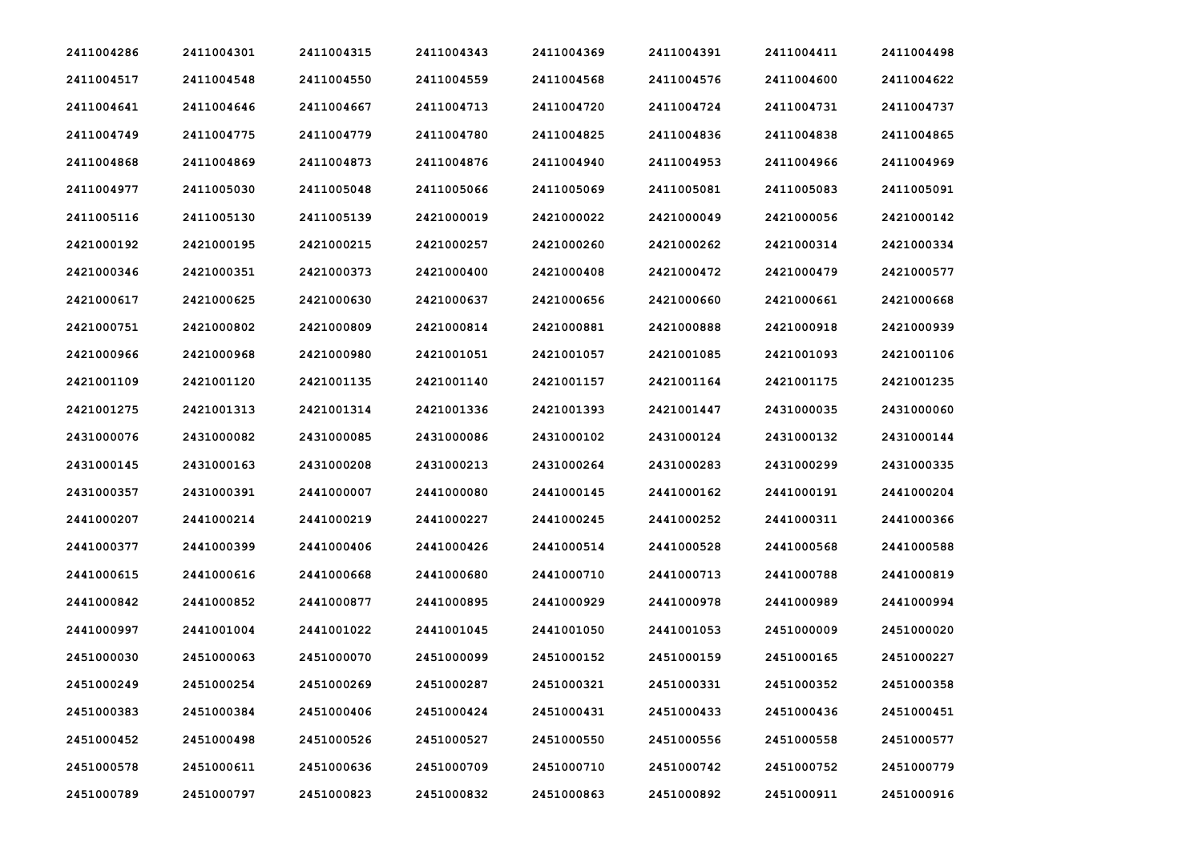| 2411004286 | 2411004301 | 2411004315 | 2411004343 | 2411004369 | 2411004391 | 2411004411 | 2411004498 |
|------------|------------|------------|------------|------------|------------|------------|------------|
| 2411004517 | 2411004548 | 2411004550 | 2411004559 | 2411004568 | 2411004576 | 2411004600 | 2411004622 |
| 2411004641 | 2411004646 | 2411004667 | 2411004713 | 2411004720 | 2411004724 | 2411004731 | 2411004737 |
| 2411004749 | 2411004775 | 2411004779 | 2411004780 | 2411004825 | 2411004836 | 2411004838 | 2411004865 |
| 2411004868 | 2411004869 | 2411004873 | 2411004876 | 2411004940 | 2411004953 | 2411004966 | 2411004969 |
| 2411004977 | 2411005030 | 2411005048 | 2411005066 | 2411005069 | 2411005081 | 2411005083 | 2411005091 |
| 2411005116 | 2411005130 | 2411005139 | 2421000019 | 2421000022 | 2421000049 | 2421000056 | 2421000142 |
| 2421000192 | 2421000195 | 2421000215 | 2421000257 | 2421000260 | 2421000262 | 2421000314 | 2421000334 |
| 2421000346 | 2421000351 | 2421000373 | 2421000400 | 2421000408 | 2421000472 | 2421000479 | 2421000577 |
| 2421000617 | 2421000625 | 2421000630 | 2421000637 | 2421000656 | 2421000660 | 2421000661 | 2421000668 |
| 2421000751 | 2421000802 | 2421000809 | 2421000814 | 2421000881 | 2421000888 | 2421000918 | 2421000939 |
| 2421000966 | 2421000968 | 2421000980 | 2421001051 | 2421001057 | 2421001085 | 2421001093 | 2421001106 |
| 2421001109 | 2421001120 | 2421001135 | 2421001140 | 2421001157 | 2421001164 | 2421001175 | 2421001235 |
| 2421001275 | 2421001313 | 2421001314 | 2421001336 | 2421001393 | 2421001447 | 2431000035 | 2431000060 |
| 2431000076 | 2431000082 | 2431000085 | 2431000086 | 2431000102 | 2431000124 | 2431000132 | 2431000144 |
| 2431000145 | 2431000163 | 2431000208 | 2431000213 | 2431000264 | 2431000283 | 2431000299 | 2431000335 |
| 2431000357 | 2431000391 | 2441000007 | 2441000080 | 2441000145 | 2441000162 | 2441000191 | 2441000204 |
| 2441000207 | 2441000214 | 2441000219 | 2441000227 | 2441000245 | 2441000252 | 2441000311 | 2441000366 |
| 2441000377 | 2441000399 | 2441000406 | 2441000426 | 2441000514 | 2441000528 | 2441000568 | 2441000588 |
| 2441000615 | 2441000616 | 2441000668 | 2441000680 | 2441000710 | 2441000713 | 2441000788 | 2441000819 |
| 2441000842 | 2441000852 | 2441000877 | 2441000895 | 2441000929 | 2441000978 | 2441000989 | 2441000994 |
| 2441000997 | 2441001004 | 2441001022 | 2441001045 | 2441001050 | 2441001053 | 2451000009 | 2451000020 |
| 2451000030 | 2451000063 | 2451000070 | 2451000099 | 2451000152 | 2451000159 | 2451000165 | 2451000227 |
| 2451000249 | 2451000254 | 2451000269 | 2451000287 | 2451000321 | 2451000331 | 2451000352 | 2451000358 |
| 2451000383 | 2451000384 | 2451000406 | 2451000424 | 2451000431 | 2451000433 | 2451000436 | 2451000451 |
| 2451000452 | 2451000498 | 2451000526 | 2451000527 | 2451000550 | 2451000556 | 2451000558 | 2451000577 |
| 2451000578 | 2451000611 | 2451000636 | 2451000709 | 2451000710 | 2451000742 | 2451000752 | 2451000779 |
| 2451000789 | 2451000797 | 2451000823 | 2451000832 | 2451000863 | 2451000892 | 2451000911 | 2451000916 |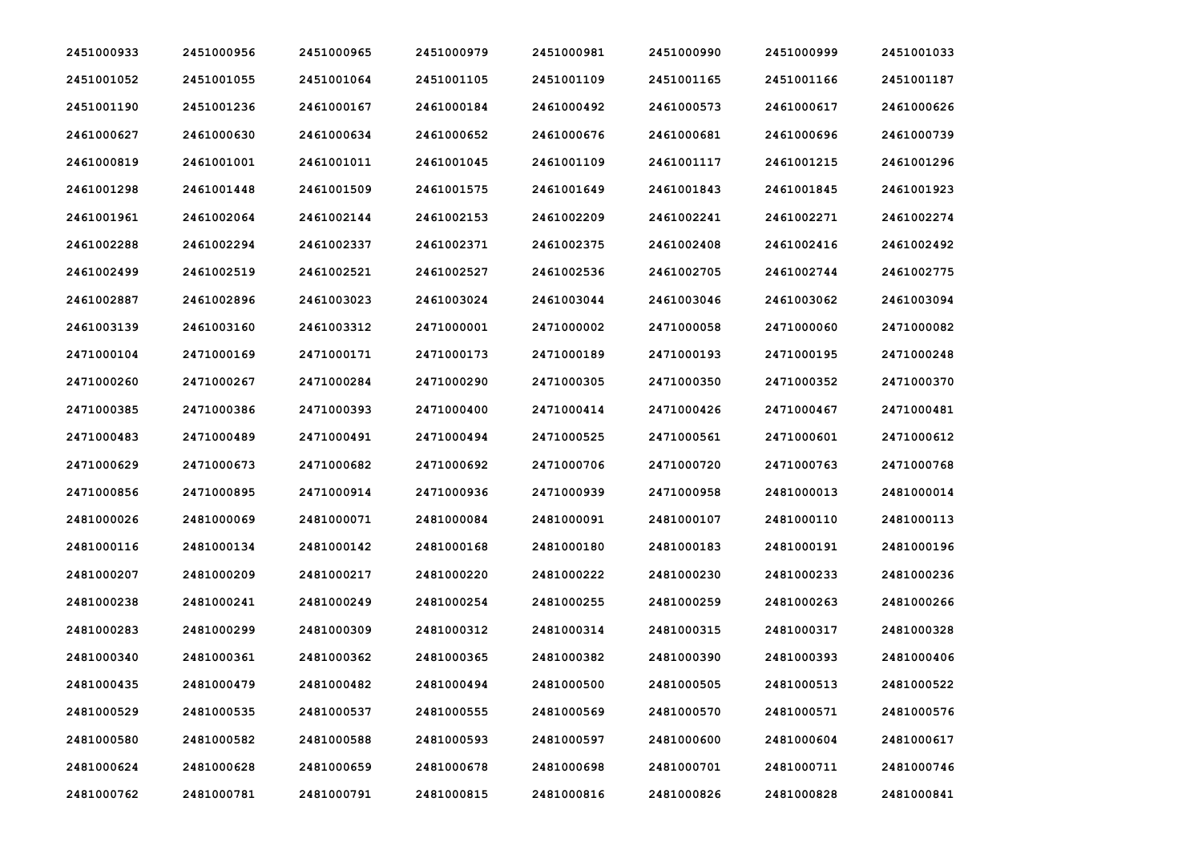| 2451000933 | 2451000956 | 2451000965 | 2451000979 | 2451000981 | 2451000990 | 2451000999 | 2451001033 |
|------------|------------|------------|------------|------------|------------|------------|------------|
| 2451001052 | 2451001055 | 2451001064 | 2451001105 | 2451001109 | 2451001165 | 2451001166 | 2451001187 |
| 2451001190 | 2451001236 | 2461000167 | 2461000184 | 2461000492 | 2461000573 | 2461000617 | 2461000626 |
| 2461000627 | 2461000630 | 2461000634 | 2461000652 | 2461000676 | 2461000681 | 2461000696 | 2461000739 |
| 2461000819 | 2461001001 | 2461001011 | 2461001045 | 2461001109 | 2461001117 | 2461001215 | 2461001296 |
| 2461001298 | 2461001448 | 2461001509 | 2461001575 | 2461001649 | 2461001843 | 2461001845 | 2461001923 |
| 2461001961 | 2461002064 | 2461002144 | 2461002153 | 2461002209 | 2461002241 | 2461002271 | 2461002274 |
| 2461002288 | 2461002294 | 2461002337 | 2461002371 | 2461002375 | 2461002408 | 2461002416 | 2461002492 |
| 2461002499 | 2461002519 | 2461002521 | 2461002527 | 2461002536 | 2461002705 | 2461002744 | 2461002775 |
| 2461002887 | 2461002896 | 2461003023 | 2461003024 | 2461003044 | 2461003046 | 2461003062 | 2461003094 |
| 2461003139 | 2461003160 | 2461003312 | 2471000001 | 2471000002 | 2471000058 | 2471000060 | 2471000082 |
| 2471000104 | 2471000169 | 2471000171 | 2471000173 | 2471000189 | 2471000193 | 2471000195 | 2471000248 |
| 2471000260 | 2471000267 | 2471000284 | 2471000290 | 2471000305 | 2471000350 | 2471000352 | 2471000370 |
| 2471000385 | 2471000386 | 2471000393 | 2471000400 | 2471000414 | 2471000426 | 2471000467 | 2471000481 |
| 2471000483 | 2471000489 | 2471000491 | 2471000494 | 2471000525 | 2471000561 | 2471000601 | 2471000612 |
| 2471000629 | 2471000673 | 2471000682 | 2471000692 | 2471000706 | 2471000720 | 2471000763 | 2471000768 |
| 2471000856 | 2471000895 | 2471000914 | 2471000936 | 2471000939 | 2471000958 | 2481000013 | 2481000014 |
| 2481000026 | 2481000069 | 2481000071 | 2481000084 | 2481000091 | 2481000107 | 2481000110 | 2481000113 |
| 2481000116 | 2481000134 | 2481000142 | 2481000168 | 2481000180 | 2481000183 | 2481000191 | 2481000196 |
| 2481000207 | 2481000209 | 2481000217 | 2481000220 | 2481000222 | 2481000230 | 2481000233 | 2481000236 |
| 2481000238 | 2481000241 | 2481000249 | 2481000254 | 2481000255 | 2481000259 | 2481000263 | 2481000266 |
| 2481000283 | 2481000299 | 2481000309 | 2481000312 | 2481000314 | 2481000315 | 2481000317 | 2481000328 |
| 2481000340 | 2481000361 | 2481000362 | 2481000365 | 2481000382 | 2481000390 | 2481000393 | 2481000406 |
| 2481000435 | 2481000479 | 2481000482 | 2481000494 | 2481000500 | 2481000505 | 2481000513 | 2481000522 |
| 2481000529 | 2481000535 | 2481000537 | 2481000555 | 2481000569 | 2481000570 | 2481000571 | 2481000576 |
| 2481000580 | 2481000582 | 2481000588 | 2481000593 | 2481000597 | 2481000600 | 2481000604 | 2481000617 |
| 2481000624 | 2481000628 | 2481000659 | 2481000678 | 2481000698 | 2481000701 | 2481000711 | 2481000746 |
| 2481000762 | 2481000781 | 2481000791 | 2481000815 | 2481000816 | 2481000826 | 2481000828 | 2481000841 |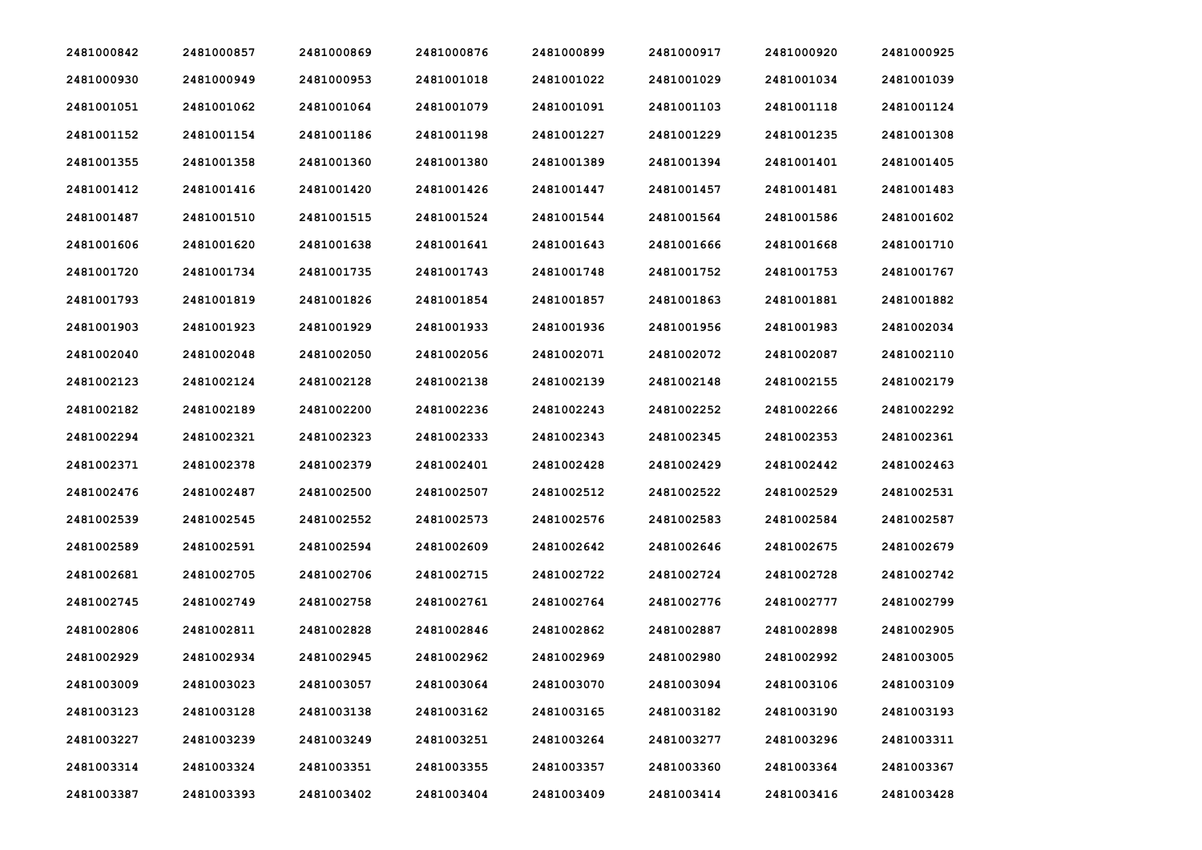| 2481000842 | 2481000857 | 2481000869 | 2481000876 | 2481000899 | 2481000917 | 2481000920 | 2481000925 |
|------------|------------|------------|------------|------------|------------|------------|------------|
| 2481000930 | 2481000949 | 2481000953 | 2481001018 | 2481001022 | 2481001029 | 2481001034 | 2481001039 |
| 2481001051 | 2481001062 | 2481001064 | 2481001079 | 2481001091 | 2481001103 | 2481001118 | 2481001124 |
| 2481001152 | 2481001154 | 2481001186 | 2481001198 | 2481001227 | 2481001229 | 2481001235 | 2481001308 |
| 2481001355 | 2481001358 | 2481001360 | 2481001380 | 2481001389 | 2481001394 | 2481001401 | 2481001405 |
| 2481001412 | 2481001416 | 2481001420 | 2481001426 | 2481001447 | 2481001457 | 2481001481 | 2481001483 |
| 2481001487 | 2481001510 | 2481001515 | 2481001524 | 2481001544 | 2481001564 | 2481001586 | 2481001602 |
| 2481001606 | 2481001620 | 2481001638 | 2481001641 | 2481001643 | 2481001666 | 2481001668 | 2481001710 |
| 2481001720 | 2481001734 | 2481001735 | 2481001743 | 2481001748 | 2481001752 | 2481001753 | 2481001767 |
| 2481001793 | 2481001819 | 2481001826 | 2481001854 | 2481001857 | 2481001863 | 2481001881 | 2481001882 |
| 2481001903 | 2481001923 | 2481001929 | 2481001933 | 2481001936 | 2481001956 | 2481001983 | 2481002034 |
| 2481002040 | 2481002048 | 2481002050 | 2481002056 | 2481002071 | 2481002072 | 2481002087 | 2481002110 |
| 2481002123 | 2481002124 | 2481002128 | 2481002138 | 2481002139 | 2481002148 | 2481002155 | 2481002179 |
| 2481002182 | 2481002189 | 2481002200 | 2481002236 | 2481002243 | 2481002252 | 2481002266 | 2481002292 |
| 2481002294 | 2481002321 | 2481002323 | 2481002333 | 2481002343 | 2481002345 | 2481002353 | 2481002361 |
| 2481002371 | 2481002378 | 2481002379 | 2481002401 | 2481002428 | 2481002429 | 2481002442 | 2481002463 |
| 2481002476 | 2481002487 | 2481002500 | 2481002507 | 2481002512 | 2481002522 | 2481002529 | 2481002531 |
| 2481002539 | 2481002545 | 2481002552 | 2481002573 | 2481002576 | 2481002583 | 2481002584 | 2481002587 |
| 2481002589 | 2481002591 | 2481002594 | 2481002609 | 2481002642 | 2481002646 | 2481002675 | 2481002679 |
| 2481002681 | 2481002705 | 2481002706 | 2481002715 | 2481002722 | 2481002724 | 2481002728 | 2481002742 |
| 2481002745 | 2481002749 | 2481002758 | 2481002761 | 2481002764 | 2481002776 | 2481002777 | 2481002799 |
| 2481002806 | 2481002811 | 2481002828 | 2481002846 | 2481002862 | 2481002887 | 2481002898 | 2481002905 |
| 2481002929 | 2481002934 | 2481002945 | 2481002962 | 2481002969 | 2481002980 | 2481002992 | 2481003005 |
| 2481003009 | 2481003023 | 2481003057 | 2481003064 | 2481003070 | 2481003094 | 2481003106 | 2481003109 |
| 2481003123 | 2481003128 | 2481003138 | 2481003162 | 2481003165 | 2481003182 | 2481003190 | 2481003193 |
| 2481003227 | 2481003239 | 2481003249 | 2481003251 | 2481003264 | 2481003277 | 2481003296 | 2481003311 |
| 2481003314 | 2481003324 | 2481003351 | 2481003355 | 2481003357 | 2481003360 | 2481003364 | 2481003367 |
| 2481003387 | 2481003393 | 2481003402 | 2481003404 | 2481003409 | 2481003414 | 2481003416 | 2481003428 |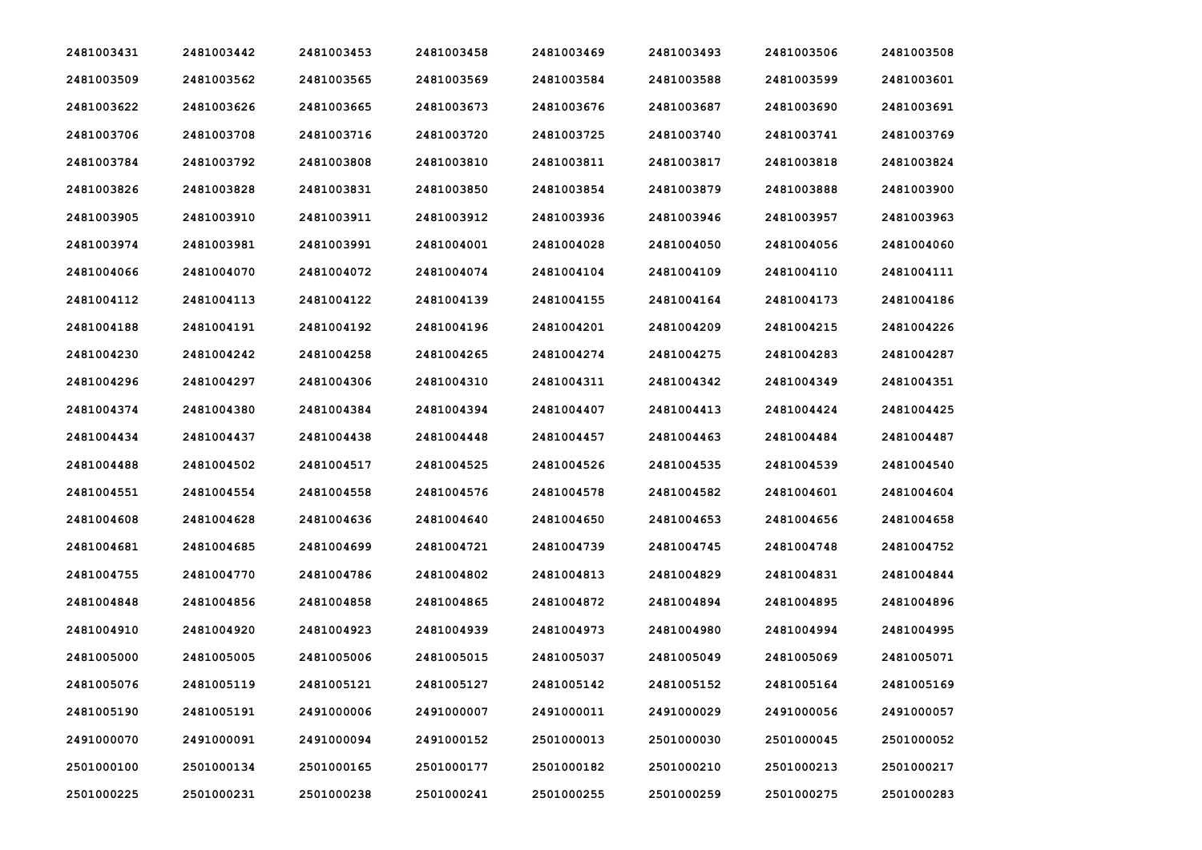| 2481003431 | 2481003442 | 2481003453 | 2481003458 | 2481003469 | 2481003493 | 2481003506 | 2481003508 |
|------------|------------|------------|------------|------------|------------|------------|------------|
| 2481003509 | 2481003562 | 2481003565 | 2481003569 | 2481003584 | 2481003588 | 2481003599 | 2481003601 |
| 2481003622 | 2481003626 | 2481003665 | 2481003673 | 2481003676 | 2481003687 | 2481003690 | 2481003691 |
| 2481003706 | 2481003708 | 2481003716 | 2481003720 | 2481003725 | 2481003740 | 2481003741 | 2481003769 |
| 2481003784 | 2481003792 | 2481003808 | 2481003810 | 2481003811 | 2481003817 | 2481003818 | 2481003824 |
| 2481003826 | 2481003828 | 2481003831 | 2481003850 | 2481003854 | 2481003879 | 2481003888 | 2481003900 |
| 2481003905 | 2481003910 | 2481003911 | 2481003912 | 2481003936 | 2481003946 | 2481003957 | 2481003963 |
| 2481003974 | 2481003981 | 2481003991 | 2481004001 | 2481004028 | 2481004050 | 2481004056 | 2481004060 |
| 2481004066 | 2481004070 | 2481004072 | 2481004074 | 2481004104 | 2481004109 | 2481004110 | 2481004111 |
| 2481004112 | 2481004113 | 2481004122 | 2481004139 | 2481004155 | 2481004164 | 2481004173 | 2481004186 |
| 2481004188 | 2481004191 | 2481004192 | 2481004196 | 2481004201 | 2481004209 | 2481004215 | 2481004226 |
| 2481004230 | 2481004242 | 2481004258 | 2481004265 | 2481004274 | 2481004275 | 2481004283 | 2481004287 |
| 2481004296 | 2481004297 | 2481004306 | 2481004310 | 2481004311 | 2481004342 | 2481004349 | 2481004351 |
| 2481004374 | 2481004380 | 2481004384 | 2481004394 | 2481004407 | 2481004413 | 2481004424 | 2481004425 |
| 2481004434 | 2481004437 | 2481004438 | 2481004448 | 2481004457 | 2481004463 | 2481004484 | 2481004487 |
| 2481004488 | 2481004502 | 2481004517 | 2481004525 | 2481004526 | 2481004535 | 2481004539 | 2481004540 |
| 2481004551 | 2481004554 | 2481004558 | 2481004576 | 2481004578 | 2481004582 | 2481004601 | 2481004604 |
| 2481004608 | 2481004628 | 2481004636 | 2481004640 | 2481004650 | 2481004653 | 2481004656 | 2481004658 |
| 2481004681 | 2481004685 | 2481004699 | 2481004721 | 2481004739 | 2481004745 | 2481004748 | 2481004752 |
| 2481004755 | 2481004770 | 2481004786 | 2481004802 | 2481004813 | 2481004829 | 2481004831 | 2481004844 |
| 2481004848 | 2481004856 | 2481004858 | 2481004865 | 2481004872 | 2481004894 | 2481004895 | 2481004896 |
| 2481004910 | 2481004920 | 2481004923 | 2481004939 | 2481004973 | 2481004980 | 2481004994 | 2481004995 |
| 2481005000 | 2481005005 | 2481005006 | 2481005015 | 2481005037 | 2481005049 | 2481005069 | 2481005071 |
| 2481005076 | 2481005119 | 2481005121 | 2481005127 | 2481005142 | 2481005152 | 2481005164 | 2481005169 |
| 2481005190 | 2481005191 | 2491000006 | 2491000007 | 2491000011 | 2491000029 | 2491000056 | 2491000057 |
| 2491000070 | 2491000091 | 2491000094 | 2491000152 | 2501000013 | 2501000030 | 2501000045 | 2501000052 |
| 2501000100 | 2501000134 | 2501000165 | 2501000177 | 2501000182 | 2501000210 | 2501000213 | 2501000217 |
| 2501000225 | 2501000231 | 2501000238 | 2501000241 | 2501000255 | 2501000259 | 2501000275 | 2501000283 |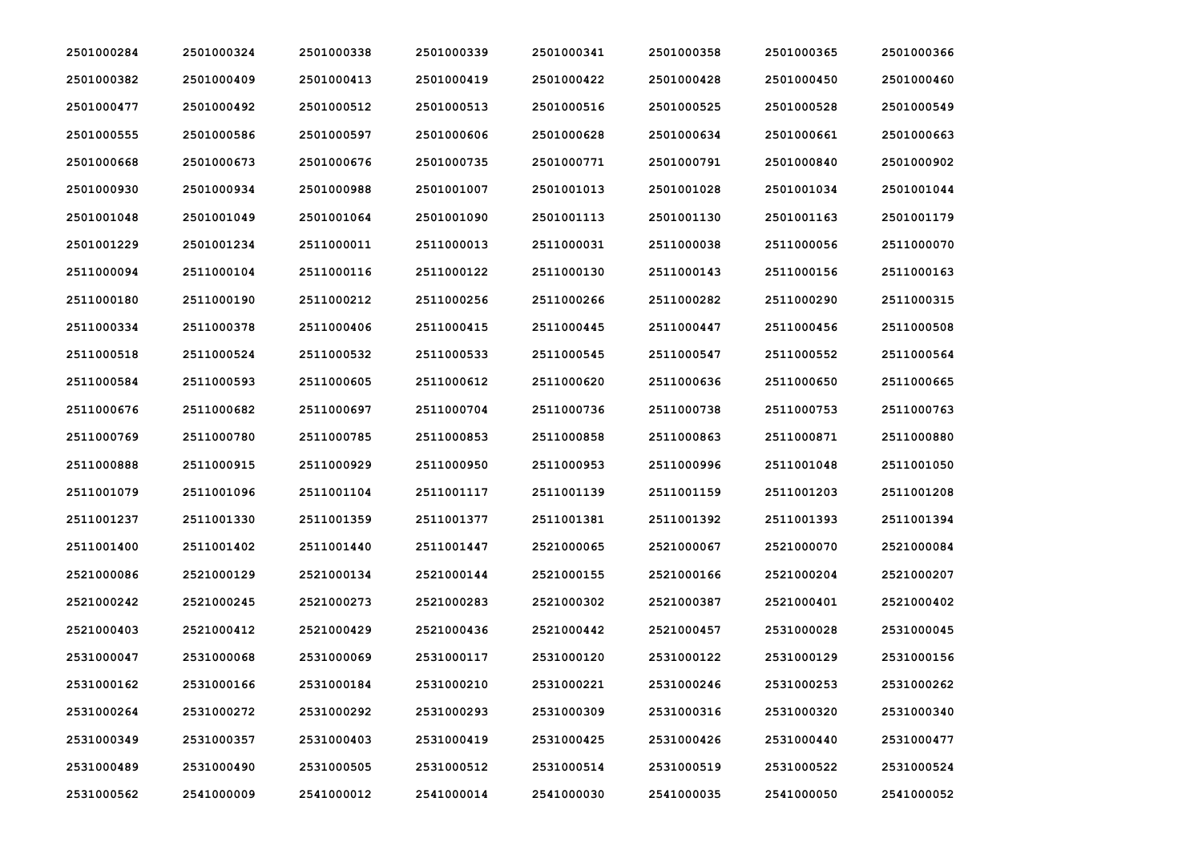| 2501000284 | 2501000324 | 2501000338 | 2501000339 | 2501000341 | 2501000358 | 2501000365 | 2501000366 |
|------------|------------|------------|------------|------------|------------|------------|------------|
| 2501000382 | 2501000409 | 2501000413 | 2501000419 | 2501000422 | 2501000428 | 2501000450 | 2501000460 |
| 2501000477 | 2501000492 | 2501000512 | 2501000513 | 2501000516 | 2501000525 | 2501000528 | 2501000549 |
| 2501000555 | 2501000586 | 2501000597 | 2501000606 | 2501000628 | 2501000634 | 2501000661 | 2501000663 |
| 2501000668 | 2501000673 | 2501000676 | 2501000735 | 2501000771 | 2501000791 | 2501000840 | 2501000902 |
| 2501000930 | 2501000934 | 2501000988 | 2501001007 | 2501001013 | 2501001028 | 2501001034 | 2501001044 |
| 2501001048 | 2501001049 | 2501001064 | 2501001090 | 2501001113 | 2501001130 | 2501001163 | 2501001179 |
| 2501001229 | 2501001234 | 2511000011 | 2511000013 | 2511000031 | 2511000038 | 2511000056 | 2511000070 |
| 2511000094 | 2511000104 | 2511000116 | 2511000122 | 2511000130 | 2511000143 | 2511000156 | 2511000163 |
| 2511000180 | 2511000190 | 2511000212 | 2511000256 | 2511000266 | 2511000282 | 2511000290 | 2511000315 |
| 2511000334 | 2511000378 | 2511000406 | 2511000415 | 2511000445 | 2511000447 | 2511000456 | 2511000508 |
| 2511000518 | 2511000524 | 2511000532 | 2511000533 | 2511000545 | 2511000547 | 2511000552 | 2511000564 |
| 2511000584 | 2511000593 | 2511000605 | 2511000612 | 2511000620 | 2511000636 | 2511000650 | 2511000665 |
| 2511000676 | 2511000682 | 2511000697 | 2511000704 | 2511000736 | 2511000738 | 2511000753 | 2511000763 |
| 2511000769 | 2511000780 | 2511000785 | 2511000853 | 2511000858 | 2511000863 | 2511000871 | 2511000880 |
| 2511000888 | 2511000915 | 2511000929 | 2511000950 | 2511000953 | 2511000996 | 2511001048 | 2511001050 |
| 2511001079 | 2511001096 | 2511001104 | 2511001117 | 2511001139 | 2511001159 | 2511001203 | 2511001208 |
| 2511001237 | 2511001330 | 2511001359 | 2511001377 | 2511001381 | 2511001392 | 2511001393 | 2511001394 |
| 2511001400 | 2511001402 | 2511001440 | 2511001447 | 2521000065 | 2521000067 | 2521000070 | 2521000084 |
| 2521000086 | 2521000129 | 2521000134 | 2521000144 | 2521000155 | 2521000166 | 2521000204 | 2521000207 |
| 2521000242 | 2521000245 | 2521000273 | 2521000283 | 2521000302 | 2521000387 | 2521000401 | 2521000402 |
| 2521000403 | 2521000412 | 2521000429 | 2521000436 | 2521000442 | 2521000457 | 2531000028 | 2531000045 |
| 2531000047 | 2531000068 | 2531000069 | 2531000117 | 2531000120 | 2531000122 | 2531000129 | 2531000156 |
| 2531000162 | 2531000166 | 2531000184 | 2531000210 | 2531000221 | 2531000246 | 2531000253 | 2531000262 |
| 2531000264 | 2531000272 | 2531000292 | 2531000293 | 2531000309 | 2531000316 | 2531000320 | 2531000340 |
| 2531000349 | 2531000357 | 2531000403 | 2531000419 | 2531000425 | 2531000426 | 2531000440 | 2531000477 |
| 2531000489 | 2531000490 | 2531000505 | 2531000512 | 2531000514 | 2531000519 | 2531000522 | 2531000524 |
| 2531000562 | 2541000009 | 2541000012 | 2541000014 | 2541000030 | 2541000035 | 2541000050 | 2541000052 |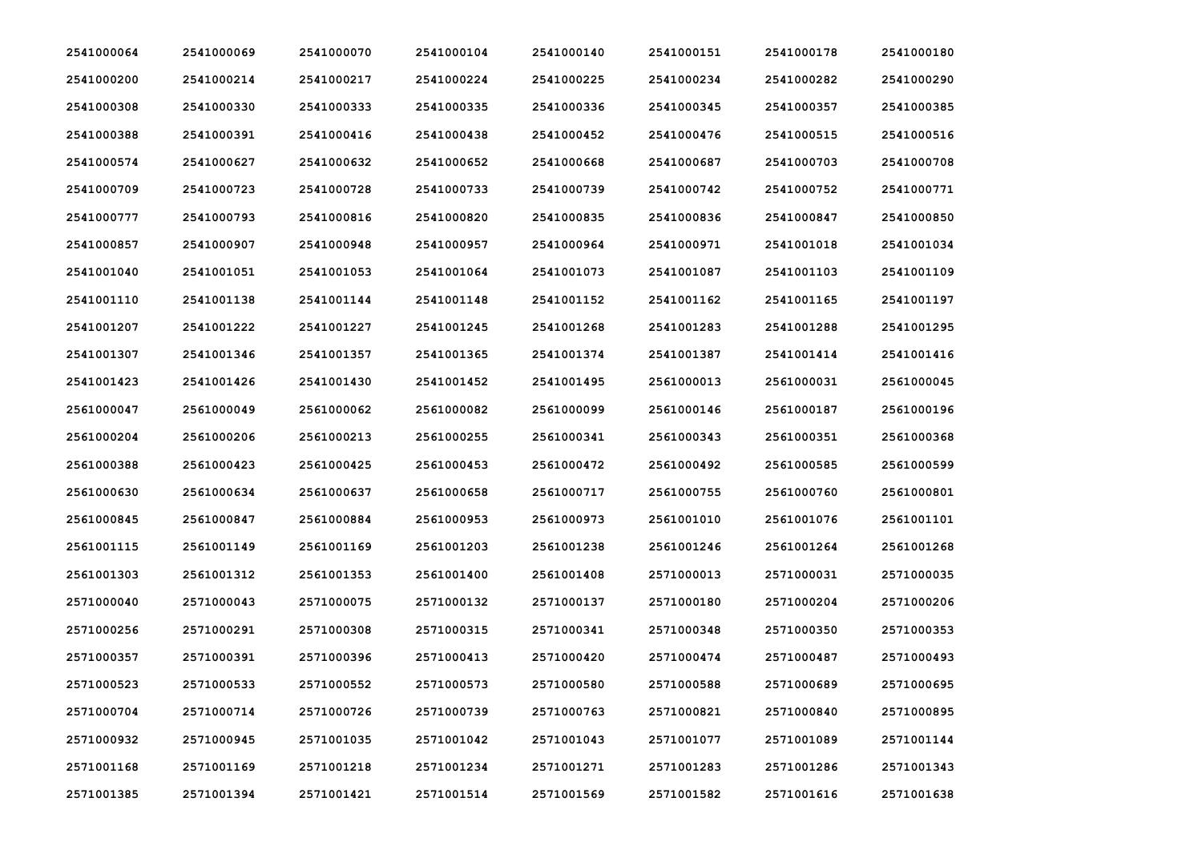| 2541000064 | 2541000069 | 2541000070 | 2541000104 | 2541000140 | 2541000151 | 2541000178 | 2541000180 |
|------------|------------|------------|------------|------------|------------|------------|------------|
| 2541000200 | 2541000214 | 2541000217 | 2541000224 | 2541000225 | 2541000234 | 2541000282 | 2541000290 |
| 2541000308 | 2541000330 | 2541000333 | 2541000335 | 2541000336 | 2541000345 | 2541000357 | 2541000385 |
| 2541000388 | 2541000391 | 2541000416 | 2541000438 | 2541000452 | 2541000476 | 2541000515 | 2541000516 |
| 2541000574 | 2541000627 | 2541000632 | 2541000652 | 2541000668 | 2541000687 | 2541000703 | 2541000708 |
| 2541000709 | 2541000723 | 2541000728 | 2541000733 | 2541000739 | 2541000742 | 2541000752 | 2541000771 |
| 2541000777 | 2541000793 | 2541000816 | 2541000820 | 2541000835 | 2541000836 | 2541000847 | 2541000850 |
| 2541000857 | 2541000907 | 2541000948 | 2541000957 | 2541000964 | 2541000971 | 2541001018 | 2541001034 |
| 2541001040 | 2541001051 | 2541001053 | 2541001064 | 2541001073 | 2541001087 | 2541001103 | 2541001109 |
| 2541001110 | 2541001138 | 2541001144 | 2541001148 | 2541001152 | 2541001162 | 2541001165 | 2541001197 |
| 2541001207 | 2541001222 | 2541001227 | 2541001245 | 2541001268 | 2541001283 | 2541001288 | 2541001295 |
| 2541001307 | 2541001346 | 2541001357 | 2541001365 | 2541001374 | 2541001387 | 2541001414 | 2541001416 |
| 2541001423 | 2541001426 | 2541001430 | 2541001452 | 2541001495 | 2561000013 | 2561000031 | 2561000045 |
| 2561000047 | 2561000049 | 2561000062 | 2561000082 | 2561000099 | 2561000146 | 2561000187 | 2561000196 |
| 2561000204 | 2561000206 | 2561000213 | 2561000255 | 2561000341 | 2561000343 | 2561000351 | 2561000368 |
| 2561000388 | 2561000423 | 2561000425 | 2561000453 | 2561000472 | 2561000492 | 2561000585 | 2561000599 |
| 2561000630 | 2561000634 | 2561000637 | 2561000658 | 2561000717 | 2561000755 | 2561000760 | 2561000801 |
| 2561000845 | 2561000847 | 2561000884 | 2561000953 | 2561000973 | 2561001010 | 2561001076 | 2561001101 |
| 2561001115 | 2561001149 | 2561001169 | 2561001203 | 2561001238 | 2561001246 | 2561001264 | 2561001268 |
| 2561001303 | 2561001312 | 2561001353 | 2561001400 | 2561001408 | 2571000013 | 2571000031 | 2571000035 |
| 2571000040 | 2571000043 | 2571000075 | 2571000132 | 2571000137 | 2571000180 | 2571000204 | 2571000206 |
| 2571000256 | 2571000291 | 2571000308 | 2571000315 | 2571000341 | 2571000348 | 2571000350 | 2571000353 |
| 2571000357 | 2571000391 | 2571000396 | 2571000413 | 2571000420 | 2571000474 | 2571000487 | 2571000493 |
| 2571000523 | 2571000533 | 2571000552 | 2571000573 | 2571000580 | 2571000588 | 2571000689 | 2571000695 |
| 2571000704 | 2571000714 | 2571000726 | 2571000739 | 2571000763 | 2571000821 | 2571000840 | 2571000895 |
| 2571000932 | 2571000945 | 2571001035 | 2571001042 | 2571001043 | 2571001077 | 2571001089 | 2571001144 |
| 2571001168 | 2571001169 | 2571001218 | 2571001234 | 2571001271 | 2571001283 | 2571001286 | 2571001343 |
| 2571001385 | 2571001394 | 2571001421 | 2571001514 | 2571001569 | 2571001582 | 2571001616 | 2571001638 |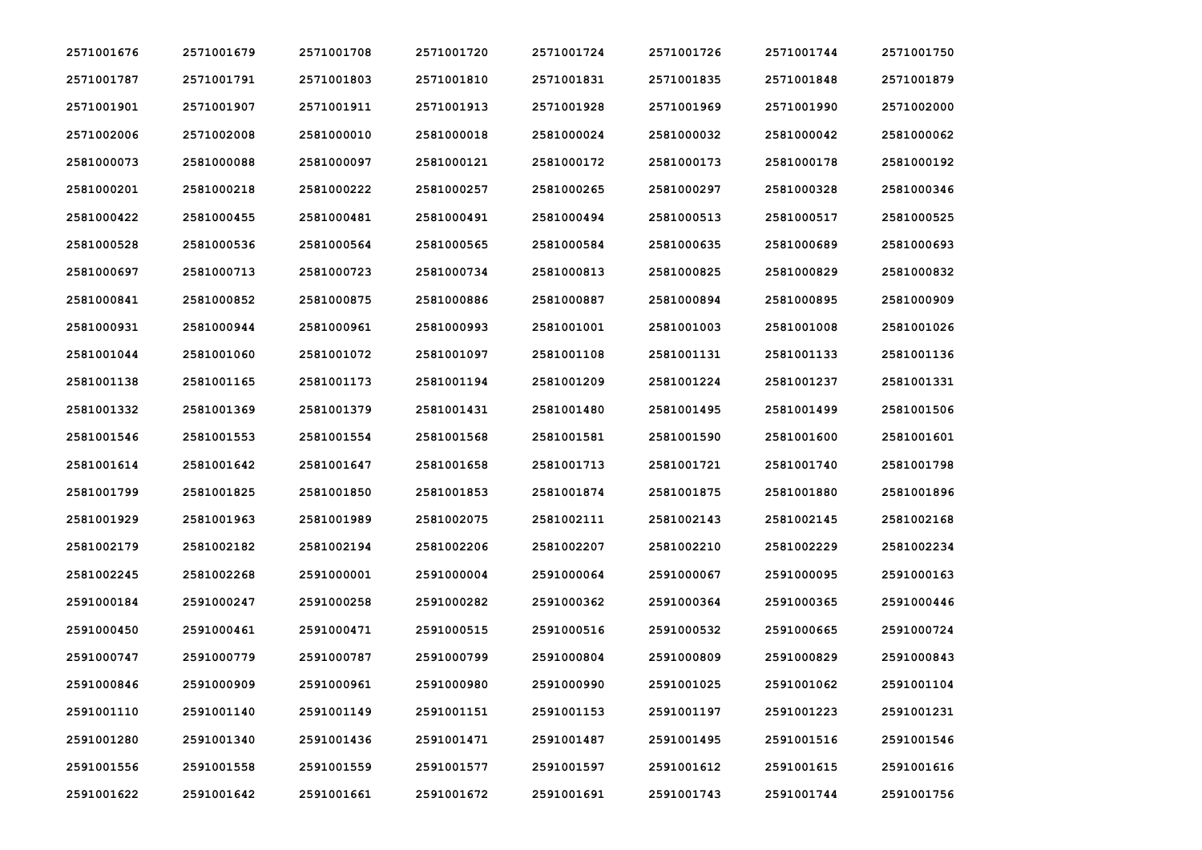| 2571001676 | 2571001679 | 2571001708 | 2571001720 | 2571001724 | 2571001726 | 2571001744 | 2571001750 |
|------------|------------|------------|------------|------------|------------|------------|------------|
| 2571001787 | 2571001791 | 2571001803 | 2571001810 | 2571001831 | 2571001835 | 2571001848 | 2571001879 |
| 2571001901 | 2571001907 | 2571001911 | 2571001913 | 2571001928 | 2571001969 | 2571001990 | 2571002000 |
| 2571002006 | 2571002008 | 2581000010 | 2581000018 | 2581000024 | 2581000032 | 2581000042 | 2581000062 |
| 2581000073 | 2581000088 | 2581000097 | 2581000121 | 2581000172 | 2581000173 | 2581000178 | 2581000192 |
| 2581000201 | 2581000218 | 2581000222 | 2581000257 | 2581000265 | 2581000297 | 2581000328 | 2581000346 |
| 2581000422 | 2581000455 | 2581000481 | 2581000491 | 2581000494 | 2581000513 | 2581000517 | 2581000525 |
| 2581000528 | 2581000536 | 2581000564 | 2581000565 | 2581000584 | 2581000635 | 2581000689 | 2581000693 |
| 2581000697 | 2581000713 | 2581000723 | 2581000734 | 2581000813 | 2581000825 | 2581000829 | 2581000832 |
| 2581000841 | 2581000852 | 2581000875 | 2581000886 | 2581000887 | 2581000894 | 2581000895 | 2581000909 |
| 2581000931 | 2581000944 | 2581000961 | 2581000993 | 2581001001 | 2581001003 | 2581001008 | 2581001026 |
| 2581001044 | 2581001060 | 2581001072 | 2581001097 | 2581001108 | 2581001131 | 2581001133 | 2581001136 |
| 2581001138 | 2581001165 | 2581001173 | 2581001194 | 2581001209 | 2581001224 | 2581001237 | 2581001331 |
| 2581001332 | 2581001369 | 2581001379 | 2581001431 | 2581001480 | 2581001495 | 2581001499 | 2581001506 |
| 2581001546 | 2581001553 | 2581001554 | 2581001568 | 2581001581 | 2581001590 | 2581001600 | 2581001601 |
| 2581001614 | 2581001642 | 2581001647 | 2581001658 | 2581001713 | 2581001721 | 2581001740 | 2581001798 |
| 2581001799 | 2581001825 | 2581001850 | 2581001853 | 2581001874 | 2581001875 | 2581001880 | 2581001896 |
| 2581001929 | 2581001963 | 2581001989 | 2581002075 | 2581002111 | 2581002143 | 2581002145 | 2581002168 |
| 2581002179 | 2581002182 | 2581002194 | 2581002206 | 2581002207 | 2581002210 | 2581002229 | 2581002234 |
| 2581002245 | 2581002268 | 2591000001 | 2591000004 | 2591000064 | 2591000067 | 2591000095 | 2591000163 |
| 2591000184 | 2591000247 | 2591000258 | 2591000282 | 2591000362 | 2591000364 | 2591000365 | 2591000446 |
| 2591000450 | 2591000461 | 2591000471 | 2591000515 | 2591000516 | 2591000532 | 2591000665 | 2591000724 |
| 2591000747 | 2591000779 | 2591000787 | 2591000799 | 2591000804 | 2591000809 | 2591000829 | 2591000843 |
| 2591000846 | 2591000909 | 2591000961 | 2591000980 | 2591000990 | 2591001025 | 2591001062 | 2591001104 |
| 2591001110 | 2591001140 | 2591001149 | 2591001151 | 2591001153 | 2591001197 | 2591001223 | 2591001231 |
| 2591001280 | 2591001340 | 2591001436 | 2591001471 | 2591001487 | 2591001495 | 2591001516 | 2591001546 |
| 2591001556 | 2591001558 | 2591001559 | 2591001577 | 2591001597 | 2591001612 | 2591001615 | 2591001616 |
| 2591001622 | 2591001642 | 2591001661 | 2591001672 | 2591001691 | 2591001743 | 2591001744 | 2591001756 |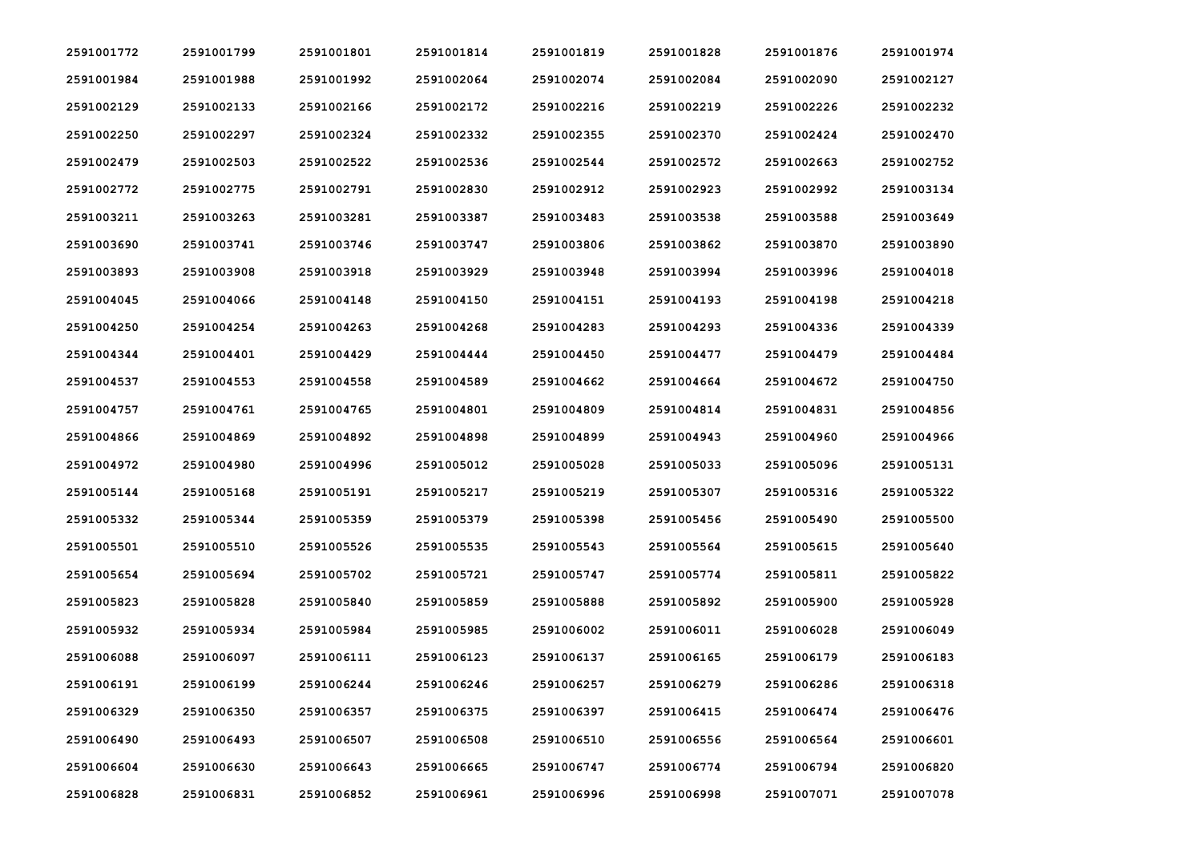| 2591001772 | 2591001799 | 2591001801 | 2591001814 | 2591001819 | 2591001828 | 2591001876 | 2591001974 |
|------------|------------|------------|------------|------------|------------|------------|------------|
| 2591001984 | 2591001988 | 2591001992 | 2591002064 | 2591002074 | 2591002084 | 2591002090 | 2591002127 |
| 2591002129 | 2591002133 | 2591002166 | 2591002172 | 2591002216 | 2591002219 | 2591002226 | 2591002232 |
| 2591002250 | 2591002297 | 2591002324 | 2591002332 | 2591002355 | 2591002370 | 2591002424 | 2591002470 |
| 2591002479 | 2591002503 | 2591002522 | 2591002536 | 2591002544 | 2591002572 | 2591002663 | 2591002752 |
| 2591002772 | 2591002775 | 2591002791 | 2591002830 | 2591002912 | 2591002923 | 2591002992 | 2591003134 |
| 2591003211 | 2591003263 | 2591003281 | 2591003387 | 2591003483 | 2591003538 | 2591003588 | 2591003649 |
| 2591003690 | 2591003741 | 2591003746 | 2591003747 | 2591003806 | 2591003862 | 2591003870 | 2591003890 |
| 2591003893 | 2591003908 | 2591003918 | 2591003929 | 2591003948 | 2591003994 | 2591003996 | 2591004018 |
| 2591004045 | 2591004066 | 2591004148 | 2591004150 | 2591004151 | 2591004193 | 2591004198 | 2591004218 |
| 2591004250 | 2591004254 | 2591004263 | 2591004268 | 2591004283 | 2591004293 | 2591004336 | 2591004339 |
| 2591004344 | 2591004401 | 2591004429 | 2591004444 | 2591004450 | 2591004477 | 2591004479 | 2591004484 |
| 2591004537 | 2591004553 | 2591004558 | 2591004589 | 2591004662 | 2591004664 | 2591004672 | 2591004750 |
| 2591004757 | 2591004761 | 2591004765 | 2591004801 | 2591004809 | 2591004814 | 2591004831 | 2591004856 |
| 2591004866 | 2591004869 | 2591004892 | 2591004898 | 2591004899 | 2591004943 | 2591004960 | 2591004966 |
| 2591004972 | 2591004980 | 2591004996 | 2591005012 | 2591005028 | 2591005033 | 2591005096 | 2591005131 |
| 2591005144 | 2591005168 | 2591005191 | 2591005217 | 2591005219 | 2591005307 | 2591005316 | 2591005322 |
| 2591005332 | 2591005344 | 2591005359 | 2591005379 | 2591005398 | 2591005456 | 2591005490 | 2591005500 |
| 2591005501 | 2591005510 | 2591005526 | 2591005535 | 2591005543 | 2591005564 | 2591005615 | 2591005640 |
| 2591005654 | 2591005694 | 2591005702 | 2591005721 | 2591005747 | 2591005774 | 2591005811 | 2591005822 |
| 2591005823 | 2591005828 | 2591005840 | 2591005859 | 2591005888 | 2591005892 | 2591005900 | 2591005928 |
| 2591005932 | 2591005934 | 2591005984 | 2591005985 | 2591006002 | 2591006011 | 2591006028 | 2591006049 |
| 2591006088 | 2591006097 | 2591006111 | 2591006123 | 2591006137 | 2591006165 | 2591006179 | 2591006183 |
| 2591006191 | 2591006199 | 2591006244 | 2591006246 | 2591006257 | 2591006279 | 2591006286 | 2591006318 |
| 2591006329 | 2591006350 | 2591006357 | 2591006375 | 2591006397 | 2591006415 | 2591006474 | 2591006476 |
| 2591006490 | 2591006493 | 2591006507 | 2591006508 | 2591006510 | 2591006556 | 2591006564 | 2591006601 |
| 2591006604 | 2591006630 | 2591006643 | 2591006665 | 2591006747 | 2591006774 | 2591006794 | 2591006820 |
| 2591006828 | 2591006831 | 2591006852 | 2591006961 | 2591006996 | 2591006998 | 2591007071 | 2591007078 |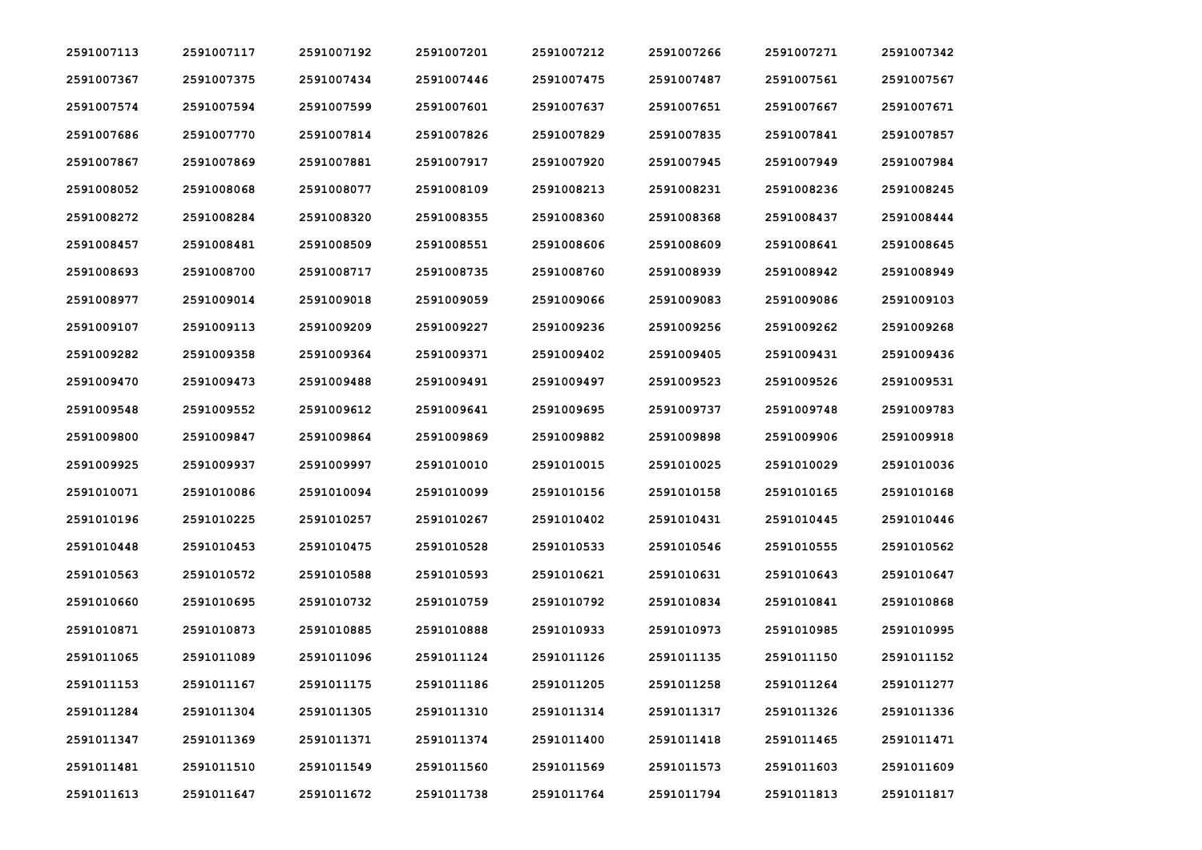| 2591007113 | 2591007117 | 2591007192 | 2591007201 | 2591007212 | 2591007266 | 2591007271 | 2591007342 |
|------------|------------|------------|------------|------------|------------|------------|------------|
| 2591007367 | 2591007375 | 2591007434 | 2591007446 | 2591007475 | 2591007487 | 2591007561 | 2591007567 |
| 2591007574 | 2591007594 | 2591007599 | 2591007601 | 2591007637 | 2591007651 | 2591007667 | 2591007671 |
| 2591007686 | 2591007770 | 2591007814 | 2591007826 | 2591007829 | 2591007835 | 2591007841 | 2591007857 |
| 2591007867 | 2591007869 | 2591007881 | 2591007917 | 2591007920 | 2591007945 | 2591007949 | 2591007984 |
| 2591008052 | 2591008068 | 2591008077 | 2591008109 | 2591008213 | 2591008231 | 2591008236 | 2591008245 |
| 2591008272 | 2591008284 | 2591008320 | 2591008355 | 2591008360 | 2591008368 | 2591008437 | 2591008444 |
| 2591008457 | 2591008481 | 2591008509 | 2591008551 | 2591008606 | 2591008609 | 2591008641 | 2591008645 |
| 2591008693 | 2591008700 | 2591008717 | 2591008735 | 2591008760 | 2591008939 | 2591008942 | 2591008949 |
| 2591008977 | 2591009014 | 2591009018 | 2591009059 | 2591009066 | 2591009083 | 2591009086 | 2591009103 |
| 2591009107 | 2591009113 | 2591009209 | 2591009227 | 2591009236 | 2591009256 | 2591009262 | 2591009268 |
| 2591009282 | 2591009358 | 2591009364 | 2591009371 | 2591009402 | 2591009405 | 2591009431 | 2591009436 |
| 2591009470 | 2591009473 | 2591009488 | 2591009491 | 2591009497 | 2591009523 | 2591009526 | 2591009531 |
| 2591009548 | 2591009552 | 2591009612 | 2591009641 | 2591009695 | 2591009737 | 2591009748 | 2591009783 |
| 2591009800 | 2591009847 | 2591009864 | 2591009869 | 2591009882 | 2591009898 | 2591009906 | 2591009918 |
| 2591009925 | 2591009937 | 2591009997 | 2591010010 | 2591010015 | 2591010025 | 2591010029 | 2591010036 |
| 2591010071 | 2591010086 | 2591010094 | 2591010099 | 2591010156 | 2591010158 | 2591010165 | 2591010168 |
| 2591010196 | 2591010225 | 2591010257 | 2591010267 | 2591010402 | 2591010431 | 2591010445 | 2591010446 |
| 2591010448 | 2591010453 | 2591010475 | 2591010528 | 2591010533 | 2591010546 | 2591010555 | 2591010562 |
| 2591010563 | 2591010572 | 2591010588 | 2591010593 | 2591010621 | 2591010631 | 2591010643 | 2591010647 |
| 2591010660 | 2591010695 | 2591010732 | 2591010759 | 2591010792 | 2591010834 | 2591010841 | 2591010868 |
| 2591010871 | 2591010873 | 2591010885 | 2591010888 | 2591010933 | 2591010973 | 2591010985 | 2591010995 |
| 2591011065 | 2591011089 | 2591011096 | 2591011124 | 2591011126 | 2591011135 | 2591011150 | 2591011152 |
| 2591011153 | 2591011167 | 2591011175 | 2591011186 | 2591011205 | 2591011258 | 2591011264 | 2591011277 |
| 2591011284 | 2591011304 | 2591011305 | 2591011310 | 2591011314 | 2591011317 | 2591011326 | 2591011336 |
| 2591011347 | 2591011369 | 2591011371 | 2591011374 | 2591011400 | 2591011418 | 2591011465 | 2591011471 |
| 2591011481 | 2591011510 | 2591011549 | 2591011560 | 2591011569 | 2591011573 | 2591011603 | 2591011609 |
| 2591011613 | 2591011647 | 2591011672 | 2591011738 | 2591011764 | 2591011794 | 2591011813 | 2591011817 |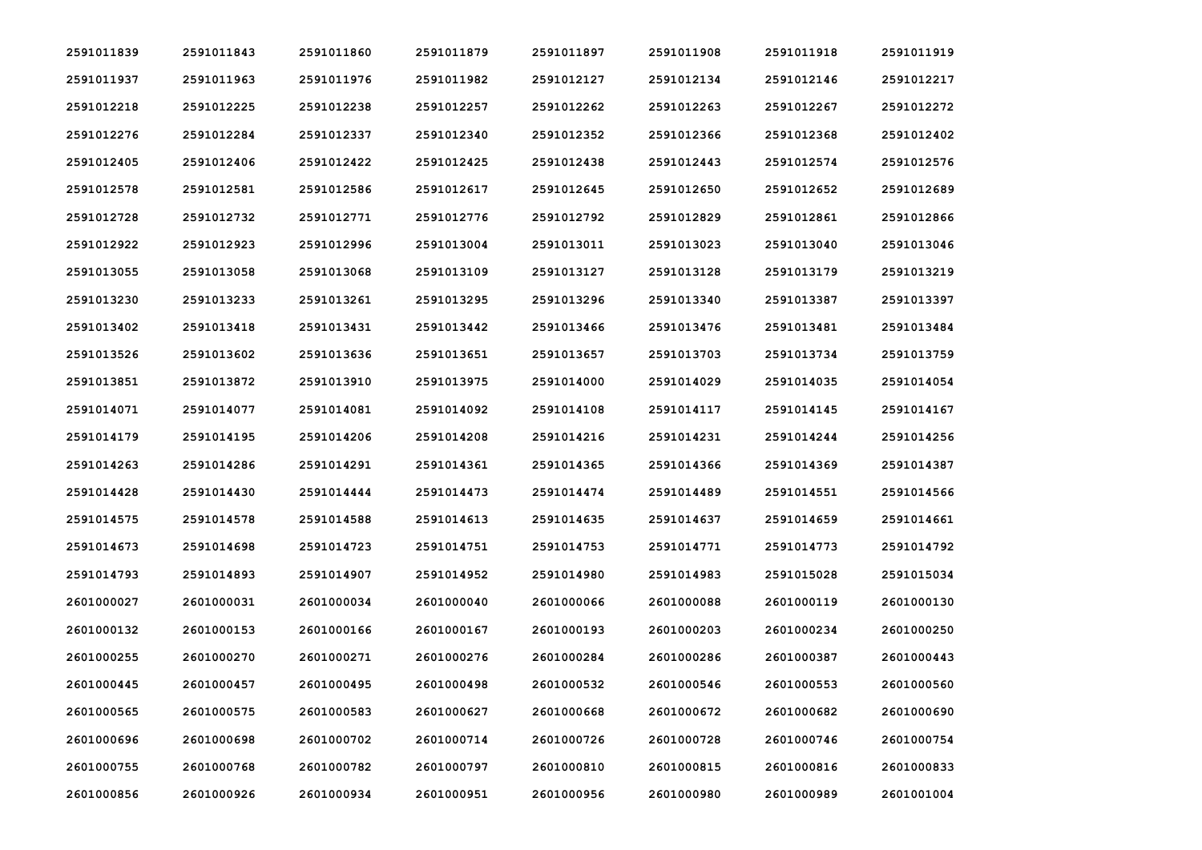| 2591011839 | 2591011843 | 2591011860 | 2591011879 | 2591011897 | 2591011908 | 2591011918 | 2591011919 |
|------------|------------|------------|------------|------------|------------|------------|------------|
| 2591011937 | 2591011963 | 2591011976 | 2591011982 | 2591012127 | 2591012134 | 2591012146 | 2591012217 |
| 2591012218 | 2591012225 | 2591012238 | 2591012257 | 2591012262 | 2591012263 | 2591012267 | 2591012272 |
| 2591012276 | 2591012284 | 2591012337 | 2591012340 | 2591012352 | 2591012366 | 2591012368 | 2591012402 |
| 2591012405 | 2591012406 | 2591012422 | 2591012425 | 2591012438 | 2591012443 | 2591012574 | 2591012576 |
| 2591012578 | 2591012581 | 2591012586 | 2591012617 | 2591012645 | 2591012650 | 2591012652 | 2591012689 |
| 2591012728 | 2591012732 | 2591012771 | 2591012776 | 2591012792 | 2591012829 | 2591012861 | 2591012866 |
| 2591012922 | 2591012923 | 2591012996 | 2591013004 | 2591013011 | 2591013023 | 2591013040 | 2591013046 |
| 2591013055 | 2591013058 | 2591013068 | 2591013109 | 2591013127 | 2591013128 | 2591013179 | 2591013219 |
| 2591013230 | 2591013233 | 2591013261 | 2591013295 | 2591013296 | 2591013340 | 2591013387 | 2591013397 |
| 2591013402 | 2591013418 | 2591013431 | 2591013442 | 2591013466 | 2591013476 | 2591013481 | 2591013484 |
| 2591013526 | 2591013602 | 2591013636 | 2591013651 | 2591013657 | 2591013703 | 2591013734 | 2591013759 |
| 2591013851 | 2591013872 | 2591013910 | 2591013975 | 2591014000 | 2591014029 | 2591014035 | 2591014054 |
| 2591014071 | 2591014077 | 2591014081 | 2591014092 | 2591014108 | 2591014117 | 2591014145 | 2591014167 |
| 2591014179 | 2591014195 | 2591014206 | 2591014208 | 2591014216 | 2591014231 | 2591014244 | 2591014256 |
| 2591014263 | 2591014286 | 2591014291 | 2591014361 | 2591014365 | 2591014366 | 2591014369 | 2591014387 |
| 2591014428 | 2591014430 | 2591014444 | 2591014473 | 2591014474 | 2591014489 | 2591014551 | 2591014566 |
| 2591014575 | 2591014578 | 2591014588 | 2591014613 | 2591014635 | 2591014637 | 2591014659 | 2591014661 |
| 2591014673 | 2591014698 | 2591014723 | 2591014751 | 2591014753 | 2591014771 | 2591014773 | 2591014792 |
| 2591014793 | 2591014893 | 2591014907 | 2591014952 | 2591014980 | 2591014983 | 2591015028 | 2591015034 |
| 2601000027 | 2601000031 | 2601000034 | 2601000040 | 2601000066 | 2601000088 | 2601000119 | 2601000130 |
| 2601000132 | 2601000153 | 2601000166 | 2601000167 | 2601000193 | 2601000203 | 2601000234 | 2601000250 |
| 2601000255 | 2601000270 | 2601000271 | 2601000276 | 2601000284 | 2601000286 | 2601000387 | 2601000443 |
| 2601000445 | 2601000457 | 2601000495 | 2601000498 | 2601000532 | 2601000546 | 2601000553 | 2601000560 |
| 2601000565 | 2601000575 | 2601000583 | 2601000627 | 2601000668 | 2601000672 | 2601000682 | 2601000690 |
| 2601000696 | 2601000698 | 2601000702 | 2601000714 | 2601000726 | 2601000728 | 2601000746 | 2601000754 |
| 2601000755 | 2601000768 | 2601000782 | 2601000797 | 2601000810 | 2601000815 | 2601000816 | 2601000833 |
| 2601000856 | 2601000926 | 2601000934 | 2601000951 | 2601000956 | 2601000980 | 2601000989 | 2601001004 |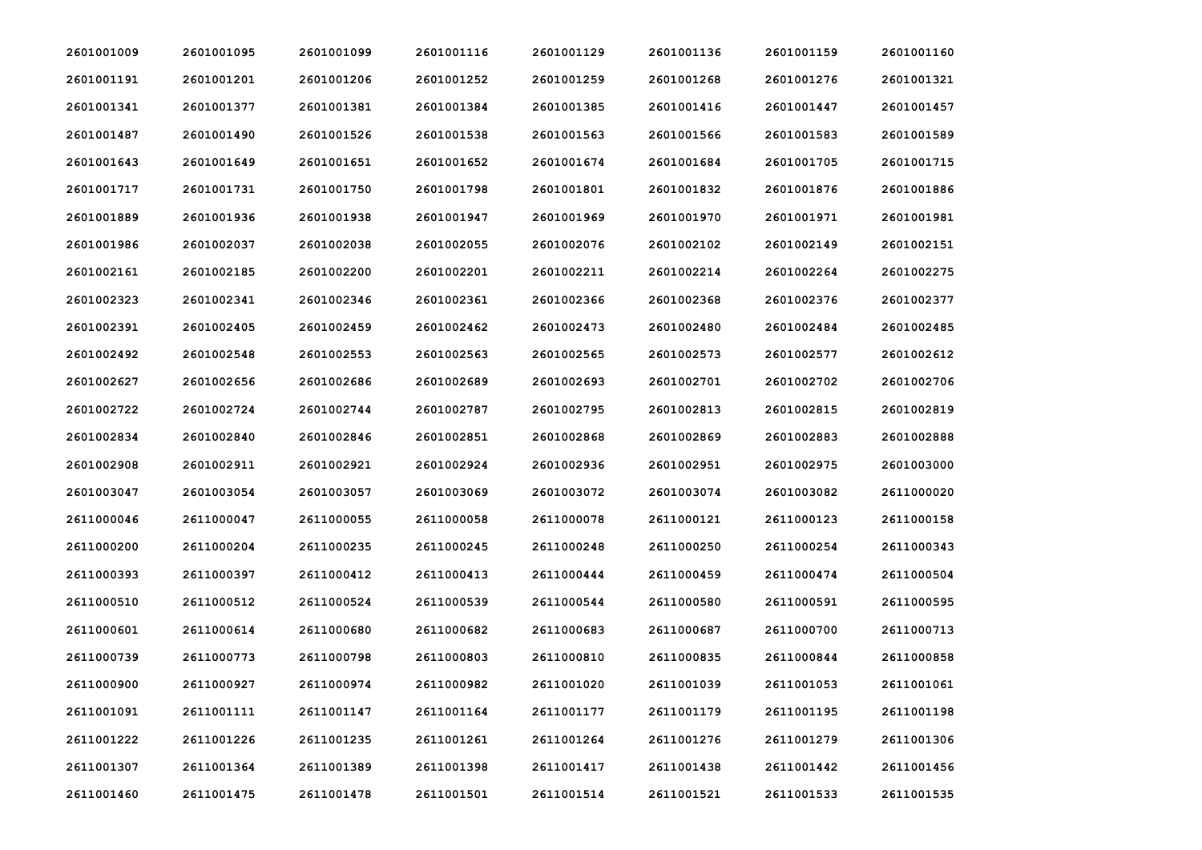| 2601001009 | 2601001095 | 2601001099 | 2601001116 | 2601001129 | 2601001136 | 2601001159 | 2601001160 |
|------------|------------|------------|------------|------------|------------|------------|------------|
| 2601001191 | 2601001201 | 2601001206 | 2601001252 | 2601001259 | 2601001268 | 2601001276 | 2601001321 |
| 2601001341 | 2601001377 | 2601001381 | 2601001384 | 2601001385 | 2601001416 | 2601001447 | 2601001457 |
| 2601001487 | 2601001490 | 2601001526 | 2601001538 | 2601001563 | 2601001566 | 2601001583 | 2601001589 |
| 2601001643 | 2601001649 | 2601001651 | 2601001652 | 2601001674 | 2601001684 | 2601001705 | 2601001715 |
| 2601001717 | 2601001731 | 2601001750 | 2601001798 | 2601001801 | 2601001832 | 2601001876 | 2601001886 |
| 2601001889 | 2601001936 | 2601001938 | 2601001947 | 2601001969 | 2601001970 | 2601001971 | 2601001981 |
| 2601001986 | 2601002037 | 2601002038 | 2601002055 | 2601002076 | 2601002102 | 2601002149 | 2601002151 |
| 2601002161 | 2601002185 | 2601002200 | 2601002201 | 2601002211 | 2601002214 | 2601002264 | 2601002275 |
| 2601002323 | 2601002341 | 2601002346 | 2601002361 | 2601002366 | 2601002368 | 2601002376 | 2601002377 |
| 2601002391 | 2601002405 | 2601002459 | 2601002462 | 2601002473 | 2601002480 | 2601002484 | 2601002485 |
| 2601002492 | 2601002548 | 2601002553 | 2601002563 | 2601002565 | 2601002573 | 2601002577 | 2601002612 |
| 2601002627 | 2601002656 | 2601002686 | 2601002689 | 2601002693 | 2601002701 | 2601002702 | 2601002706 |
| 2601002722 | 2601002724 | 2601002744 | 2601002787 | 2601002795 | 2601002813 | 2601002815 | 2601002819 |
| 2601002834 | 2601002840 | 2601002846 | 2601002851 | 2601002868 | 2601002869 | 2601002883 | 2601002888 |
| 2601002908 | 2601002911 | 2601002921 | 2601002924 | 2601002936 | 2601002951 | 2601002975 | 2601003000 |
| 2601003047 | 2601003054 | 2601003057 | 2601003069 | 2601003072 | 2601003074 | 2601003082 | 2611000020 |
| 2611000046 | 2611000047 | 2611000055 | 2611000058 | 2611000078 | 2611000121 | 2611000123 | 2611000158 |
| 2611000200 | 2611000204 | 2611000235 | 2611000245 | 2611000248 | 2611000250 | 2611000254 | 2611000343 |
| 2611000393 | 2611000397 | 2611000412 | 2611000413 | 2611000444 | 2611000459 | 2611000474 | 2611000504 |
| 2611000510 | 2611000512 | 2611000524 | 2611000539 | 2611000544 | 2611000580 | 2611000591 | 2611000595 |
| 2611000601 | 2611000614 | 2611000680 | 2611000682 | 2611000683 | 2611000687 | 2611000700 | 2611000713 |
| 2611000739 | 2611000773 | 2611000798 | 2611000803 | 2611000810 | 2611000835 | 2611000844 | 2611000858 |
| 2611000900 | 2611000927 | 2611000974 | 2611000982 | 2611001020 | 2611001039 | 2611001053 | 2611001061 |
| 2611001091 | 2611001111 | 2611001147 | 2611001164 | 2611001177 | 2611001179 | 2611001195 | 2611001198 |
| 2611001222 | 2611001226 | 2611001235 | 2611001261 | 2611001264 | 2611001276 | 2611001279 | 2611001306 |
| 2611001307 | 2611001364 | 2611001389 | 2611001398 | 2611001417 | 2611001438 | 2611001442 | 2611001456 |
| 2611001460 | 2611001475 | 2611001478 | 2611001501 | 2611001514 | 2611001521 | 2611001533 | 2611001535 |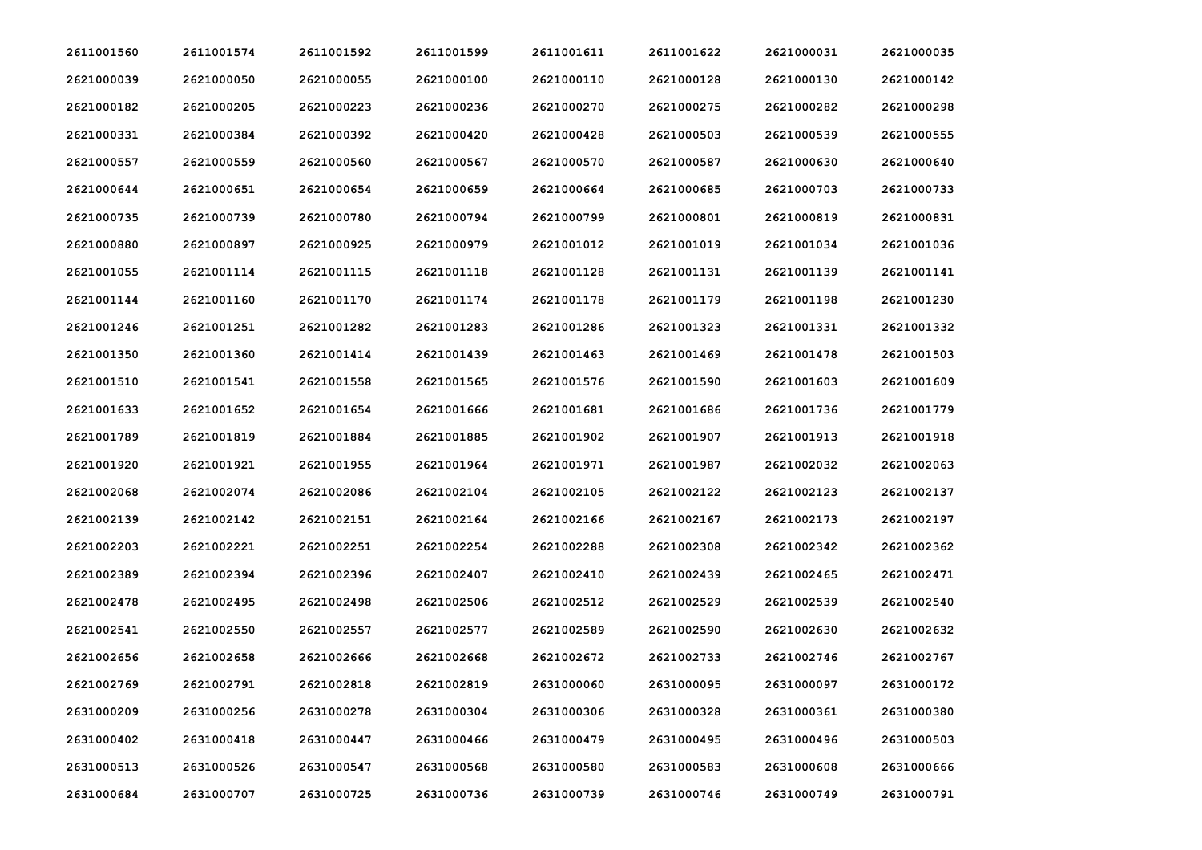| 2611001560 | 2611001574 | 2611001592 | 2611001599 | 2611001611 | 2611001622 | 2621000031 | 2621000035 |
|------------|------------|------------|------------|------------|------------|------------|------------|
| 2621000039 | 2621000050 | 2621000055 | 2621000100 | 2621000110 | 2621000128 | 2621000130 | 2621000142 |
| 2621000182 | 2621000205 | 2621000223 | 2621000236 | 2621000270 | 2621000275 | 2621000282 | 2621000298 |
| 2621000331 | 2621000384 | 2621000392 | 2621000420 | 2621000428 | 2621000503 | 2621000539 | 2621000555 |
| 2621000557 | 2621000559 | 2621000560 | 2621000567 | 2621000570 | 2621000587 | 2621000630 | 2621000640 |
| 2621000644 | 2621000651 | 2621000654 | 2621000659 | 2621000664 | 2621000685 | 2621000703 | 2621000733 |
| 2621000735 | 2621000739 | 2621000780 | 2621000794 | 2621000799 | 2621000801 | 2621000819 | 2621000831 |
| 2621000880 | 2621000897 | 2621000925 | 2621000979 | 2621001012 | 2621001019 | 2621001034 | 2621001036 |
| 2621001055 | 2621001114 | 2621001115 | 2621001118 | 2621001128 | 2621001131 | 2621001139 | 2621001141 |
| 2621001144 | 2621001160 | 2621001170 | 2621001174 | 2621001178 | 2621001179 | 2621001198 | 2621001230 |
| 2621001246 | 2621001251 | 2621001282 | 2621001283 | 2621001286 | 2621001323 | 2621001331 | 2621001332 |
| 2621001350 | 2621001360 | 2621001414 | 2621001439 | 2621001463 | 2621001469 | 2621001478 | 2621001503 |
| 2621001510 | 2621001541 | 2621001558 | 2621001565 | 2621001576 | 2621001590 | 2621001603 | 2621001609 |
| 2621001633 | 2621001652 | 2621001654 | 2621001666 | 2621001681 | 2621001686 | 2621001736 | 2621001779 |
| 2621001789 | 2621001819 | 2621001884 | 2621001885 | 2621001902 | 2621001907 | 2621001913 | 2621001918 |
| 2621001920 | 2621001921 | 2621001955 | 2621001964 | 2621001971 | 2621001987 | 2621002032 | 2621002063 |
| 2621002068 | 2621002074 | 2621002086 | 2621002104 | 2621002105 | 2621002122 | 2621002123 | 2621002137 |
| 2621002139 | 2621002142 | 2621002151 | 2621002164 | 2621002166 | 2621002167 | 2621002173 | 2621002197 |
| 2621002203 | 2621002221 | 2621002251 | 2621002254 | 2621002288 | 2621002308 | 2621002342 | 2621002362 |
| 2621002389 | 2621002394 | 2621002396 | 2621002407 | 2621002410 | 2621002439 | 2621002465 | 2621002471 |
| 2621002478 | 2621002495 | 2621002498 | 2621002506 | 2621002512 | 2621002529 | 2621002539 | 2621002540 |
| 2621002541 | 2621002550 | 2621002557 | 2621002577 | 2621002589 | 2621002590 | 2621002630 | 2621002632 |
| 2621002656 | 2621002658 | 2621002666 | 2621002668 | 2621002672 | 2621002733 | 2621002746 | 2621002767 |
| 2621002769 | 2621002791 | 2621002818 | 2621002819 | 2631000060 | 2631000095 | 2631000097 | 2631000172 |
| 2631000209 | 2631000256 | 2631000278 | 2631000304 | 2631000306 | 2631000328 | 2631000361 | 2631000380 |
| 2631000402 | 2631000418 | 2631000447 | 2631000466 | 2631000479 | 2631000495 | 2631000496 | 2631000503 |
| 2631000513 | 2631000526 | 2631000547 | 2631000568 | 2631000580 | 2631000583 | 2631000608 | 2631000666 |
| 2631000684 | 2631000707 | 2631000725 | 2631000736 | 2631000739 | 2631000746 | 2631000749 | 2631000791 |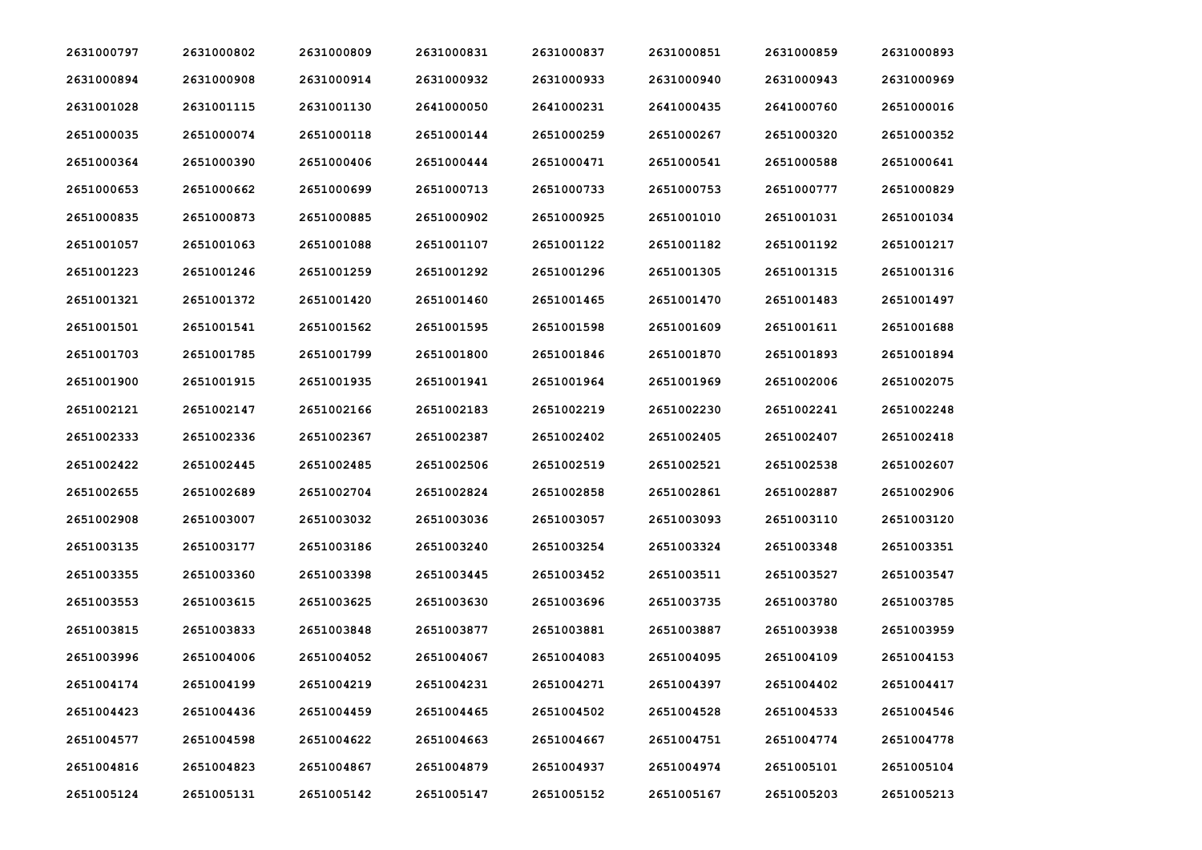| 2631000797 | 2631000802 | 2631000809 | 2631000831 | 2631000837 | 2631000851 | 2631000859 | 2631000893 |
|------------|------------|------------|------------|------------|------------|------------|------------|
| 2631000894 | 2631000908 | 2631000914 | 2631000932 | 2631000933 | 2631000940 | 2631000943 | 2631000969 |
| 2631001028 | 2631001115 | 2631001130 | 2641000050 | 2641000231 | 2641000435 | 2641000760 | 2651000016 |
| 2651000035 | 2651000074 | 2651000118 | 2651000144 | 2651000259 | 2651000267 | 2651000320 | 2651000352 |
| 2651000364 | 2651000390 | 2651000406 | 2651000444 | 2651000471 | 2651000541 | 2651000588 | 2651000641 |
| 2651000653 | 2651000662 | 2651000699 | 2651000713 | 2651000733 | 2651000753 | 2651000777 | 2651000829 |
| 2651000835 | 2651000873 | 2651000885 | 2651000902 | 2651000925 | 2651001010 | 2651001031 | 2651001034 |
| 2651001057 | 2651001063 | 2651001088 | 2651001107 | 2651001122 | 2651001182 | 2651001192 | 2651001217 |
| 2651001223 | 2651001246 | 2651001259 | 2651001292 | 2651001296 | 2651001305 | 2651001315 | 2651001316 |
| 2651001321 | 2651001372 | 2651001420 | 2651001460 | 2651001465 | 2651001470 | 2651001483 | 2651001497 |
| 2651001501 | 2651001541 | 2651001562 | 2651001595 | 2651001598 | 2651001609 | 2651001611 | 2651001688 |
| 2651001703 | 2651001785 | 2651001799 | 2651001800 | 2651001846 | 2651001870 | 2651001893 | 2651001894 |
| 2651001900 | 2651001915 | 2651001935 | 2651001941 | 2651001964 | 2651001969 | 2651002006 | 2651002075 |
| 2651002121 | 2651002147 | 2651002166 | 2651002183 | 2651002219 | 2651002230 | 2651002241 | 2651002248 |
| 2651002333 | 2651002336 | 2651002367 | 2651002387 | 2651002402 | 2651002405 | 2651002407 | 2651002418 |
| 2651002422 | 2651002445 | 2651002485 | 2651002506 | 2651002519 | 2651002521 | 2651002538 | 2651002607 |
| 2651002655 | 2651002689 | 2651002704 | 2651002824 | 2651002858 | 2651002861 | 2651002887 | 2651002906 |
| 2651002908 | 2651003007 | 2651003032 | 2651003036 | 2651003057 | 2651003093 | 2651003110 | 2651003120 |
| 2651003135 | 2651003177 | 2651003186 | 2651003240 | 2651003254 | 2651003324 | 2651003348 | 2651003351 |
| 2651003355 | 2651003360 | 2651003398 | 2651003445 | 2651003452 | 2651003511 | 2651003527 | 2651003547 |
| 2651003553 | 2651003615 | 2651003625 | 2651003630 | 2651003696 | 2651003735 | 2651003780 | 2651003785 |
| 2651003815 | 2651003833 | 2651003848 | 2651003877 | 2651003881 | 2651003887 | 2651003938 | 2651003959 |
| 2651003996 | 2651004006 | 2651004052 | 2651004067 | 2651004083 | 2651004095 | 2651004109 | 2651004153 |
| 2651004174 | 2651004199 | 2651004219 | 2651004231 | 2651004271 | 2651004397 | 2651004402 | 2651004417 |
| 2651004423 | 2651004436 | 2651004459 | 2651004465 | 2651004502 | 2651004528 | 2651004533 | 2651004546 |
| 2651004577 | 2651004598 | 2651004622 | 2651004663 | 2651004667 | 2651004751 | 2651004774 | 2651004778 |
| 2651004816 | 2651004823 | 2651004867 | 2651004879 | 2651004937 | 2651004974 | 2651005101 | 2651005104 |
| 2651005124 | 2651005131 | 2651005142 | 2651005147 | 2651005152 | 2651005167 | 2651005203 | 2651005213 |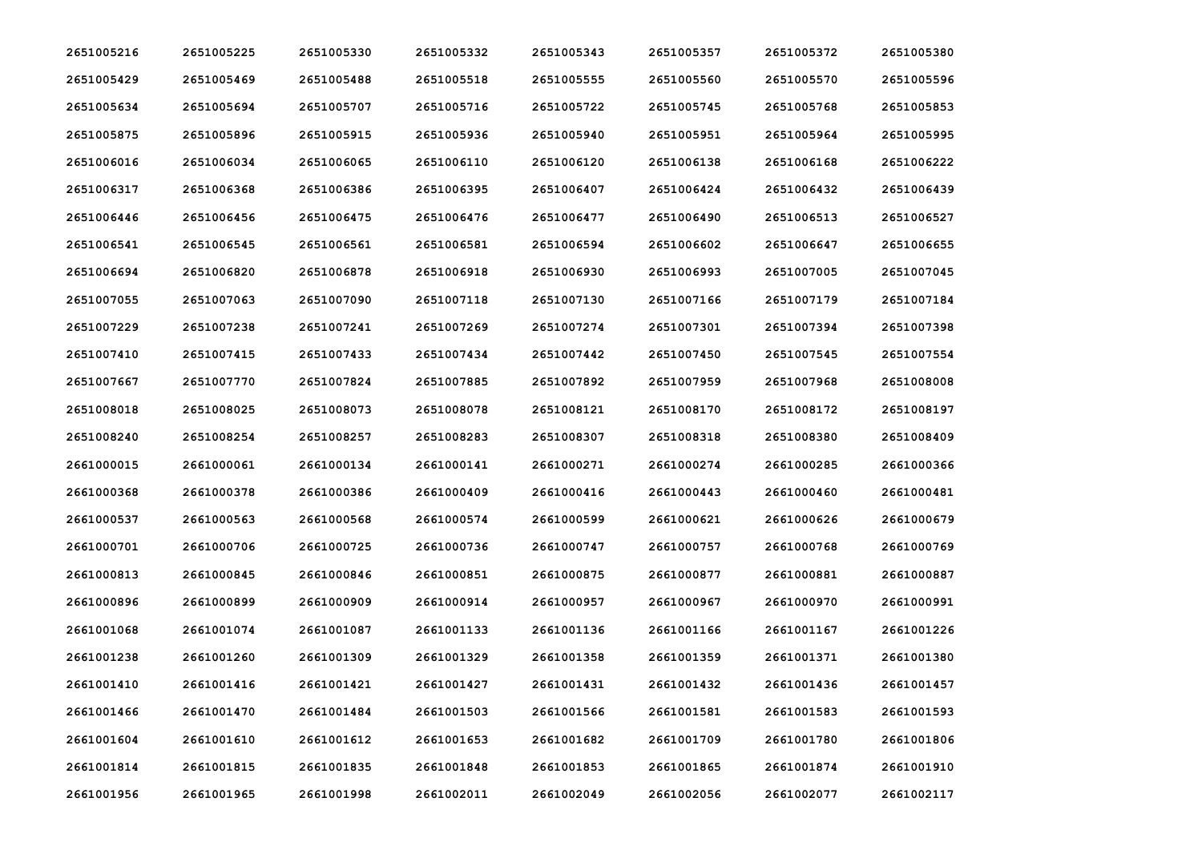| 2651005216 | 2651005225 | 2651005330 | 2651005332 | 2651005343 | 2651005357 | 2651005372 | 2651005380 |
|------------|------------|------------|------------|------------|------------|------------|------------|
| 2651005429 | 2651005469 | 2651005488 | 2651005518 | 2651005555 | 2651005560 | 2651005570 | 2651005596 |
| 2651005634 | 2651005694 | 2651005707 | 2651005716 | 2651005722 | 2651005745 | 2651005768 | 2651005853 |
| 2651005875 | 2651005896 | 2651005915 | 2651005936 | 2651005940 | 2651005951 | 2651005964 | 2651005995 |
| 2651006016 | 2651006034 | 2651006065 | 2651006110 | 2651006120 | 2651006138 | 2651006168 | 2651006222 |
| 2651006317 | 2651006368 | 2651006386 | 2651006395 | 2651006407 | 2651006424 | 2651006432 | 2651006439 |
| 2651006446 | 2651006456 | 2651006475 | 2651006476 | 2651006477 | 2651006490 | 2651006513 | 2651006527 |
| 2651006541 | 2651006545 | 2651006561 | 2651006581 | 2651006594 | 2651006602 | 2651006647 | 2651006655 |
| 2651006694 | 2651006820 | 2651006878 | 2651006918 | 2651006930 | 2651006993 | 2651007005 | 2651007045 |
| 2651007055 | 2651007063 | 2651007090 | 2651007118 | 2651007130 | 2651007166 | 2651007179 | 2651007184 |
| 2651007229 | 2651007238 | 2651007241 | 2651007269 | 2651007274 | 2651007301 | 2651007394 | 2651007398 |
| 2651007410 | 2651007415 | 2651007433 | 2651007434 | 2651007442 | 2651007450 | 2651007545 | 2651007554 |
| 2651007667 | 2651007770 | 2651007824 | 2651007885 | 2651007892 | 2651007959 | 2651007968 | 2651008008 |
| 2651008018 | 2651008025 | 2651008073 | 2651008078 | 2651008121 | 2651008170 | 2651008172 | 2651008197 |
| 2651008240 | 2651008254 | 2651008257 | 2651008283 | 2651008307 | 2651008318 | 2651008380 | 2651008409 |
| 2661000015 | 2661000061 | 2661000134 | 2661000141 | 2661000271 | 2661000274 | 2661000285 | 2661000366 |
| 2661000368 | 2661000378 | 2661000386 | 2661000409 | 2661000416 | 2661000443 | 2661000460 | 2661000481 |
| 2661000537 | 2661000563 | 2661000568 | 2661000574 | 2661000599 | 2661000621 | 2661000626 | 2661000679 |
| 2661000701 | 2661000706 | 2661000725 | 2661000736 | 2661000747 | 2661000757 | 2661000768 | 2661000769 |
| 2661000813 | 2661000845 | 2661000846 | 2661000851 | 2661000875 | 2661000877 | 2661000881 | 2661000887 |
| 2661000896 | 2661000899 | 2661000909 | 2661000914 | 2661000957 | 2661000967 | 2661000970 | 2661000991 |
| 2661001068 | 2661001074 | 2661001087 | 2661001133 | 2661001136 | 2661001166 | 2661001167 | 2661001226 |
| 2661001238 | 2661001260 | 2661001309 | 2661001329 | 2661001358 | 2661001359 | 2661001371 | 2661001380 |
| 2661001410 | 2661001416 | 2661001421 | 2661001427 | 2661001431 | 2661001432 | 2661001436 | 2661001457 |
| 2661001466 | 2661001470 | 2661001484 | 2661001503 | 2661001566 | 2661001581 | 2661001583 | 2661001593 |
| 2661001604 | 2661001610 | 2661001612 | 2661001653 | 2661001682 | 2661001709 | 2661001780 | 2661001806 |
| 2661001814 | 2661001815 | 2661001835 | 2661001848 | 2661001853 | 2661001865 | 2661001874 | 2661001910 |
| 2661001956 | 2661001965 | 2661001998 | 2661002011 | 2661002049 | 2661002056 | 2661002077 | 2661002117 |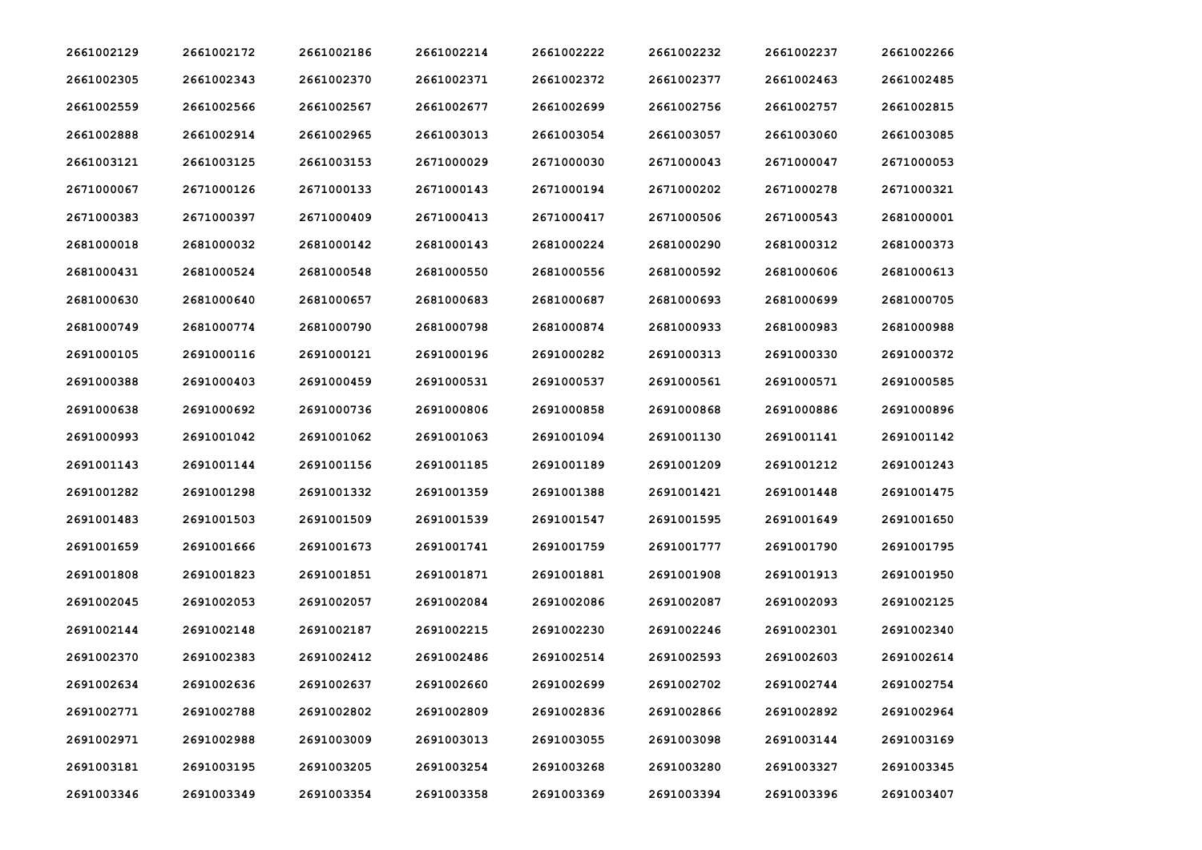| 2661002129 | 2661002172 | 2661002186 | 2661002214 | 2661002222 | 2661002232 | 2661002237 | 2661002266 |
|------------|------------|------------|------------|------------|------------|------------|------------|
| 2661002305 | 2661002343 | 2661002370 | 2661002371 | 2661002372 | 2661002377 | 2661002463 | 2661002485 |
| 2661002559 | 2661002566 | 2661002567 | 2661002677 | 2661002699 | 2661002756 | 2661002757 | 2661002815 |
| 2661002888 | 2661002914 | 2661002965 | 2661003013 | 2661003054 | 2661003057 | 2661003060 | 2661003085 |
| 2661003121 | 2661003125 | 2661003153 | 2671000029 | 2671000030 | 2671000043 | 2671000047 | 2671000053 |
| 2671000067 | 2671000126 | 2671000133 | 2671000143 | 2671000194 | 2671000202 | 2671000278 | 2671000321 |
| 2671000383 | 2671000397 | 2671000409 | 2671000413 | 2671000417 | 2671000506 | 2671000543 | 2681000001 |
| 2681000018 | 2681000032 | 2681000142 | 2681000143 | 2681000224 | 2681000290 | 2681000312 | 2681000373 |
| 2681000431 | 2681000524 | 2681000548 | 2681000550 | 2681000556 | 2681000592 | 2681000606 | 2681000613 |
| 2681000630 | 2681000640 | 2681000657 | 2681000683 | 2681000687 | 2681000693 | 2681000699 | 2681000705 |
| 2681000749 | 2681000774 | 2681000790 | 2681000798 | 2681000874 | 2681000933 | 2681000983 | 2681000988 |
| 2691000105 | 2691000116 | 2691000121 | 2691000196 | 2691000282 | 2691000313 | 2691000330 | 2691000372 |
| 2691000388 | 2691000403 | 2691000459 | 2691000531 | 2691000537 | 2691000561 | 2691000571 | 2691000585 |
| 2691000638 | 2691000692 | 2691000736 | 2691000806 | 2691000858 | 2691000868 | 2691000886 | 2691000896 |
| 2691000993 | 2691001042 | 2691001062 | 2691001063 | 2691001094 | 2691001130 | 2691001141 | 2691001142 |
| 2691001143 | 2691001144 | 2691001156 | 2691001185 | 2691001189 | 2691001209 | 2691001212 | 2691001243 |
| 2691001282 | 2691001298 | 2691001332 | 2691001359 | 2691001388 | 2691001421 | 2691001448 | 2691001475 |
| 2691001483 | 2691001503 | 2691001509 | 2691001539 | 2691001547 | 2691001595 | 2691001649 | 2691001650 |
| 2691001659 | 2691001666 | 2691001673 | 2691001741 | 2691001759 | 2691001777 | 2691001790 | 2691001795 |
| 2691001808 | 2691001823 | 2691001851 | 2691001871 | 2691001881 | 2691001908 | 2691001913 | 2691001950 |
| 2691002045 | 2691002053 | 2691002057 | 2691002084 | 2691002086 | 2691002087 | 2691002093 | 2691002125 |
| 2691002144 | 2691002148 | 2691002187 | 2691002215 | 2691002230 | 2691002246 | 2691002301 | 2691002340 |
| 2691002370 | 2691002383 | 2691002412 | 2691002486 | 2691002514 | 2691002593 | 2691002603 | 2691002614 |
| 2691002634 | 2691002636 | 2691002637 | 2691002660 | 2691002699 | 2691002702 | 2691002744 | 2691002754 |
| 2691002771 | 2691002788 | 2691002802 | 2691002809 | 2691002836 | 2691002866 | 2691002892 | 2691002964 |
| 2691002971 | 2691002988 | 2691003009 | 2691003013 | 2691003055 | 2691003098 | 2691003144 | 2691003169 |
| 2691003181 | 2691003195 | 2691003205 | 2691003254 | 2691003268 | 2691003280 | 2691003327 | 2691003345 |
| 2691003346 | 2691003349 | 2691003354 | 2691003358 | 2691003369 | 2691003394 | 2691003396 | 2691003407 |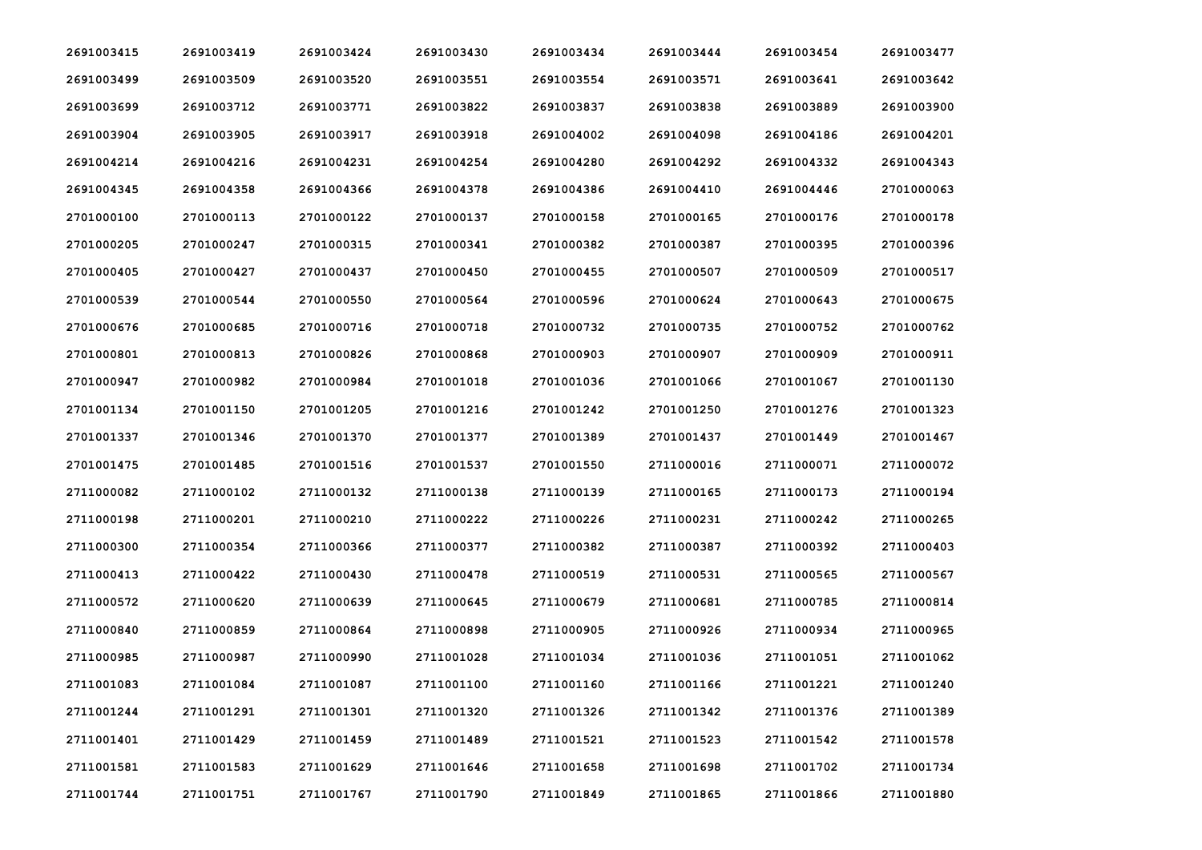| 2691003415 | 2691003419 | 2691003424 | 2691003430 | 2691003434 | 2691003444 | 2691003454 | 2691003477 |
|------------|------------|------------|------------|------------|------------|------------|------------|
| 2691003499 | 2691003509 | 2691003520 | 2691003551 | 2691003554 | 2691003571 | 2691003641 | 2691003642 |
| 2691003699 | 2691003712 | 2691003771 | 2691003822 | 2691003837 | 2691003838 | 2691003889 | 2691003900 |
| 2691003904 | 2691003905 | 2691003917 | 2691003918 | 2691004002 | 2691004098 | 2691004186 | 2691004201 |
| 2691004214 | 2691004216 | 2691004231 | 2691004254 | 2691004280 | 2691004292 | 2691004332 | 2691004343 |
| 2691004345 | 2691004358 | 2691004366 | 2691004378 | 2691004386 | 2691004410 | 2691004446 | 2701000063 |
| 2701000100 | 2701000113 | 2701000122 | 2701000137 | 2701000158 | 2701000165 | 2701000176 | 2701000178 |
| 2701000205 | 2701000247 | 2701000315 | 2701000341 | 2701000382 | 2701000387 | 2701000395 | 2701000396 |
| 2701000405 | 2701000427 | 2701000437 | 2701000450 | 2701000455 | 2701000507 | 2701000509 | 2701000517 |
| 2701000539 | 2701000544 | 2701000550 | 2701000564 | 2701000596 | 2701000624 | 2701000643 | 2701000675 |
| 2701000676 | 2701000685 | 2701000716 | 2701000718 | 2701000732 | 2701000735 | 2701000752 | 2701000762 |
| 2701000801 | 2701000813 | 2701000826 | 2701000868 | 2701000903 | 2701000907 | 2701000909 | 2701000911 |
| 2701000947 | 2701000982 | 2701000984 | 2701001018 | 2701001036 | 2701001066 | 2701001067 | 2701001130 |
| 2701001134 | 2701001150 | 2701001205 | 2701001216 | 2701001242 | 2701001250 | 2701001276 | 2701001323 |
| 2701001337 | 2701001346 | 2701001370 | 2701001377 | 2701001389 | 2701001437 | 2701001449 | 2701001467 |
| 2701001475 | 2701001485 | 2701001516 | 2701001537 | 2701001550 | 2711000016 | 2711000071 | 2711000072 |
| 2711000082 | 2711000102 | 2711000132 | 2711000138 | 2711000139 | 2711000165 | 2711000173 | 2711000194 |
| 2711000198 | 2711000201 | 2711000210 | 2711000222 | 2711000226 | 2711000231 | 2711000242 | 2711000265 |
| 2711000300 | 2711000354 | 2711000366 | 2711000377 | 2711000382 | 2711000387 | 2711000392 | 2711000403 |
| 2711000413 | 2711000422 | 2711000430 | 2711000478 | 2711000519 | 2711000531 | 2711000565 | 2711000567 |
| 2711000572 | 2711000620 | 2711000639 | 2711000645 | 2711000679 | 2711000681 | 2711000785 | 2711000814 |
| 2711000840 | 2711000859 | 2711000864 | 2711000898 | 2711000905 | 2711000926 | 2711000934 | 2711000965 |
| 2711000985 | 2711000987 | 2711000990 | 2711001028 | 2711001034 | 2711001036 | 2711001051 | 2711001062 |
| 2711001083 | 2711001084 | 2711001087 | 2711001100 | 2711001160 | 2711001166 | 2711001221 | 2711001240 |
| 2711001244 | 2711001291 | 2711001301 | 2711001320 | 2711001326 | 2711001342 | 2711001376 | 2711001389 |
| 2711001401 | 2711001429 | 2711001459 | 2711001489 | 2711001521 | 2711001523 | 2711001542 | 2711001578 |
| 2711001581 | 2711001583 | 2711001629 | 2711001646 | 2711001658 | 2711001698 | 2711001702 | 2711001734 |
| 2711001744 | 2711001751 | 2711001767 | 2711001790 | 2711001849 | 2711001865 | 2711001866 | 2711001880 |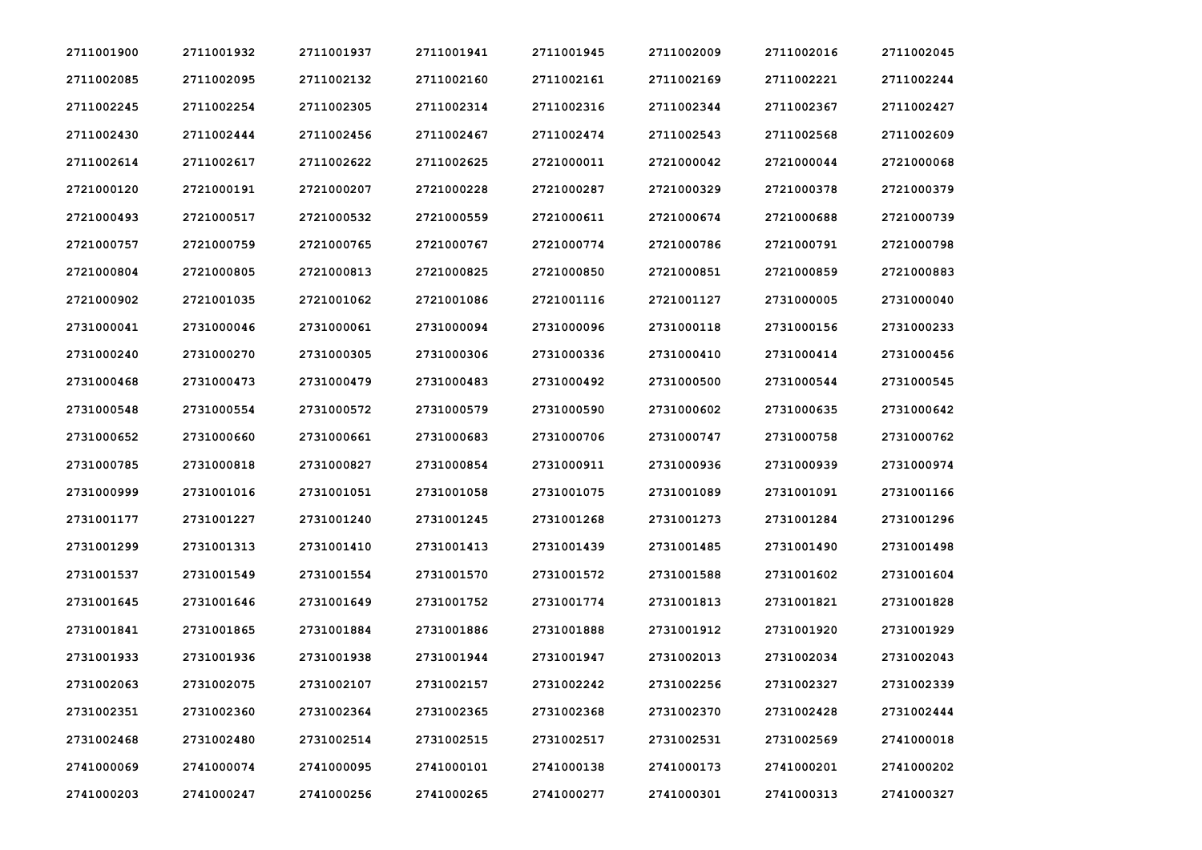| 2711001900 | 2711001932 | 2711001937 | 2711001941 | 2711001945 | 2711002009 | 2711002016 | 2711002045 |
|------------|------------|------------|------------|------------|------------|------------|------------|
| 2711002085 | 2711002095 | 2711002132 | 2711002160 | 2711002161 | 2711002169 | 2711002221 | 2711002244 |
| 2711002245 | 2711002254 | 2711002305 | 2711002314 | 2711002316 | 2711002344 | 2711002367 | 2711002427 |
| 2711002430 | 2711002444 | 2711002456 | 2711002467 | 2711002474 | 2711002543 | 2711002568 | 2711002609 |
| 2711002614 | 2711002617 | 2711002622 | 2711002625 | 2721000011 | 2721000042 | 2721000044 | 2721000068 |
| 2721000120 | 2721000191 | 2721000207 | 2721000228 | 2721000287 | 2721000329 | 2721000378 | 2721000379 |
| 2721000493 | 2721000517 | 2721000532 | 2721000559 | 2721000611 | 2721000674 | 2721000688 | 2721000739 |
| 2721000757 | 2721000759 | 2721000765 | 2721000767 | 2721000774 | 2721000786 | 2721000791 | 2721000798 |
| 2721000804 | 2721000805 | 2721000813 | 2721000825 | 2721000850 | 2721000851 | 2721000859 | 2721000883 |
| 2721000902 | 2721001035 | 2721001062 | 2721001086 | 2721001116 | 2721001127 | 2731000005 | 2731000040 |
| 2731000041 | 2731000046 | 2731000061 | 2731000094 | 2731000096 | 2731000118 | 2731000156 | 2731000233 |
| 2731000240 | 2731000270 | 2731000305 | 2731000306 | 2731000336 | 2731000410 | 2731000414 | 2731000456 |
| 2731000468 | 2731000473 | 2731000479 | 2731000483 | 2731000492 | 2731000500 | 2731000544 | 2731000545 |
| 2731000548 | 2731000554 | 2731000572 | 2731000579 | 2731000590 | 2731000602 | 2731000635 | 2731000642 |
| 2731000652 | 2731000660 | 2731000661 | 2731000683 | 2731000706 | 2731000747 | 2731000758 | 2731000762 |
| 2731000785 | 2731000818 | 2731000827 | 2731000854 | 2731000911 | 2731000936 | 2731000939 | 2731000974 |
| 2731000999 | 2731001016 | 2731001051 | 2731001058 | 2731001075 | 2731001089 | 2731001091 | 2731001166 |
| 2731001177 | 2731001227 | 2731001240 | 2731001245 | 2731001268 | 2731001273 | 2731001284 | 2731001296 |
| 2731001299 | 2731001313 | 2731001410 | 2731001413 | 2731001439 | 2731001485 | 2731001490 | 2731001498 |
| 2731001537 | 2731001549 | 2731001554 | 2731001570 | 2731001572 | 2731001588 | 2731001602 | 2731001604 |
| 2731001645 | 2731001646 | 2731001649 | 2731001752 | 2731001774 | 2731001813 | 2731001821 | 2731001828 |
| 2731001841 | 2731001865 | 2731001884 | 2731001886 | 2731001888 | 2731001912 | 2731001920 | 2731001929 |
| 2731001933 | 2731001936 | 2731001938 | 2731001944 | 2731001947 | 2731002013 | 2731002034 | 2731002043 |
| 2731002063 | 2731002075 | 2731002107 | 2731002157 | 2731002242 | 2731002256 | 2731002327 | 2731002339 |
| 2731002351 | 2731002360 | 2731002364 | 2731002365 | 2731002368 | 2731002370 | 2731002428 | 2731002444 |
| 2731002468 | 2731002480 | 2731002514 | 2731002515 | 2731002517 | 2731002531 | 2731002569 | 2741000018 |
| 2741000069 | 2741000074 | 2741000095 | 2741000101 | 2741000138 | 2741000173 | 2741000201 | 2741000202 |
| 2741000203 | 2741000247 | 2741000256 | 2741000265 | 2741000277 | 2741000301 | 2741000313 | 2741000327 |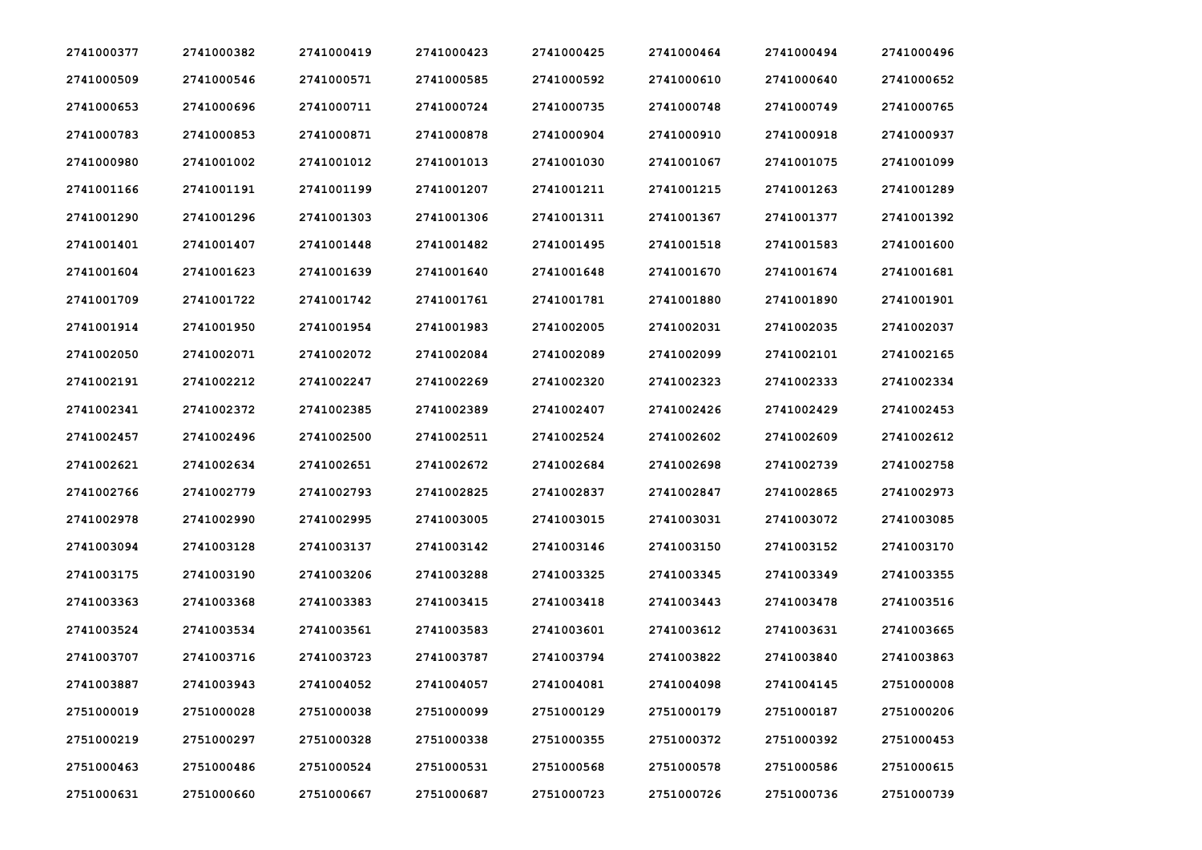| 2741000377 | 2741000382 | 2741000419 | 2741000423 | 2741000425 | 2741000464 | 2741000494 | 2741000496 |
|------------|------------|------------|------------|------------|------------|------------|------------|
| 2741000509 | 2741000546 | 2741000571 | 2741000585 | 2741000592 | 2741000610 | 2741000640 | 2741000652 |
| 2741000653 | 2741000696 | 2741000711 | 2741000724 | 2741000735 | 2741000748 | 2741000749 | 2741000765 |
| 2741000783 | 2741000853 | 2741000871 | 2741000878 | 2741000904 | 2741000910 | 2741000918 | 2741000937 |
| 2741000980 | 2741001002 | 2741001012 | 2741001013 | 2741001030 | 2741001067 | 2741001075 | 2741001099 |
| 2741001166 | 2741001191 | 2741001199 | 2741001207 | 2741001211 | 2741001215 | 2741001263 | 2741001289 |
| 2741001290 | 2741001296 | 2741001303 | 2741001306 | 2741001311 | 2741001367 | 2741001377 | 2741001392 |
| 2741001401 | 2741001407 | 2741001448 | 2741001482 | 2741001495 | 2741001518 | 2741001583 | 2741001600 |
| 2741001604 | 2741001623 | 2741001639 | 2741001640 | 2741001648 | 2741001670 | 2741001674 | 2741001681 |
| 2741001709 | 2741001722 | 2741001742 | 2741001761 | 2741001781 | 2741001880 | 2741001890 | 2741001901 |
| 2741001914 | 2741001950 | 2741001954 | 2741001983 | 2741002005 | 2741002031 | 2741002035 | 2741002037 |
| 2741002050 | 2741002071 | 2741002072 | 2741002084 | 2741002089 | 2741002099 | 2741002101 | 2741002165 |
| 2741002191 | 2741002212 | 2741002247 | 2741002269 | 2741002320 | 2741002323 | 2741002333 | 2741002334 |
| 2741002341 | 2741002372 | 2741002385 | 2741002389 | 2741002407 | 2741002426 | 2741002429 | 2741002453 |
| 2741002457 | 2741002496 | 2741002500 | 2741002511 | 2741002524 | 2741002602 | 2741002609 | 2741002612 |
| 2741002621 | 2741002634 | 2741002651 | 2741002672 | 2741002684 | 2741002698 | 2741002739 | 2741002758 |
| 2741002766 | 2741002779 | 2741002793 | 2741002825 | 2741002837 | 2741002847 | 2741002865 | 2741002973 |
| 2741002978 | 2741002990 | 2741002995 | 2741003005 | 2741003015 | 2741003031 | 2741003072 | 2741003085 |
| 2741003094 | 2741003128 | 2741003137 | 2741003142 | 2741003146 | 2741003150 | 2741003152 | 2741003170 |
| 2741003175 | 2741003190 | 2741003206 | 2741003288 | 2741003325 | 2741003345 | 2741003349 | 2741003355 |
| 2741003363 | 2741003368 | 2741003383 | 2741003415 | 2741003418 | 2741003443 | 2741003478 | 2741003516 |
| 2741003524 | 2741003534 | 2741003561 | 2741003583 | 2741003601 | 2741003612 | 2741003631 | 2741003665 |
| 2741003707 | 2741003716 | 2741003723 | 2741003787 | 2741003794 | 2741003822 | 2741003840 | 2741003863 |
| 2741003887 | 2741003943 | 2741004052 | 2741004057 | 2741004081 | 2741004098 | 2741004145 | 2751000008 |
| 2751000019 | 2751000028 | 2751000038 | 2751000099 | 2751000129 | 2751000179 | 2751000187 | 2751000206 |
| 2751000219 | 2751000297 | 2751000328 | 2751000338 | 2751000355 | 2751000372 | 2751000392 | 2751000453 |
| 2751000463 | 2751000486 | 2751000524 | 2751000531 | 2751000568 | 2751000578 | 2751000586 | 2751000615 |
| 2751000631 | 2751000660 | 2751000667 | 2751000687 | 2751000723 | 2751000726 | 2751000736 | 2751000739 |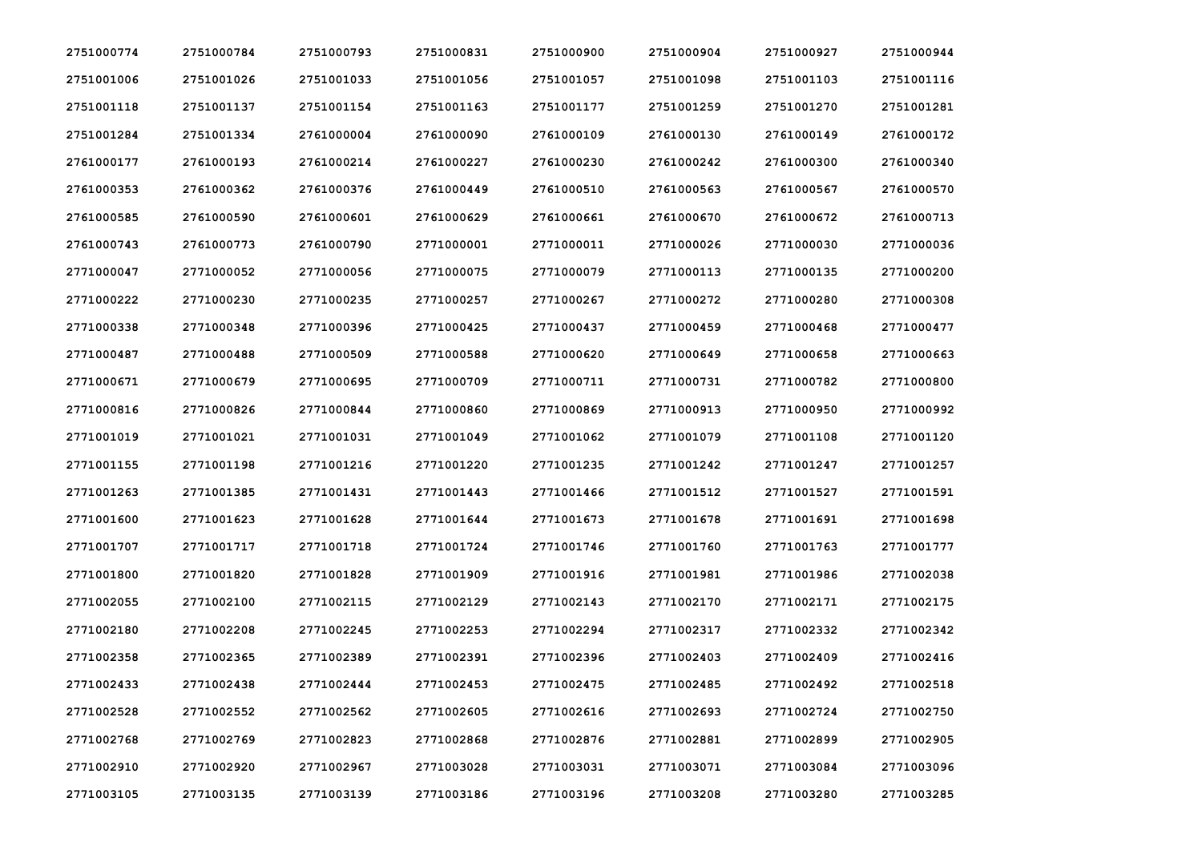| 2751000774 | 2751000784 | 2751000793 | 2751000831 | 2751000900 | 2751000904 | 2751000927 | 2751000944 |
|------------|------------|------------|------------|------------|------------|------------|------------|
| 2751001006 | 2751001026 | 2751001033 | 2751001056 | 2751001057 | 2751001098 | 2751001103 | 2751001116 |
| 2751001118 | 2751001137 | 2751001154 | 2751001163 | 2751001177 | 2751001259 | 2751001270 | 2751001281 |
| 2751001284 | 2751001334 | 2761000004 | 2761000090 | 2761000109 | 2761000130 | 2761000149 | 2761000172 |
| 2761000177 | 2761000193 | 2761000214 | 2761000227 | 2761000230 | 2761000242 | 2761000300 | 2761000340 |
| 2761000353 | 2761000362 | 2761000376 | 2761000449 | 2761000510 | 2761000563 | 2761000567 | 2761000570 |
| 2761000585 | 2761000590 | 2761000601 | 2761000629 | 2761000661 | 2761000670 | 2761000672 | 2761000713 |
| 2761000743 | 2761000773 | 2761000790 | 2771000001 | 2771000011 | 2771000026 | 2771000030 | 2771000036 |
| 2771000047 | 2771000052 | 2771000056 | 2771000075 | 2771000079 | 2771000113 | 2771000135 | 2771000200 |
| 2771000222 | 2771000230 | 2771000235 | 2771000257 | 2771000267 | 2771000272 | 2771000280 | 2771000308 |
| 2771000338 | 2771000348 | 2771000396 | 2771000425 | 2771000437 | 2771000459 | 2771000468 | 2771000477 |
| 2771000487 | 2771000488 | 2771000509 | 2771000588 | 2771000620 | 2771000649 | 2771000658 | 2771000663 |
| 2771000671 | 2771000679 | 2771000695 | 2771000709 | 2771000711 | 2771000731 | 2771000782 | 2771000800 |
| 2771000816 | 2771000826 | 2771000844 | 2771000860 | 2771000869 | 2771000913 | 2771000950 | 2771000992 |
| 2771001019 | 2771001021 | 2771001031 | 2771001049 | 2771001062 | 2771001079 | 2771001108 | 2771001120 |
| 2771001155 | 2771001198 | 2771001216 | 2771001220 | 2771001235 | 2771001242 | 2771001247 | 2771001257 |
| 2771001263 | 2771001385 | 2771001431 | 2771001443 | 2771001466 | 2771001512 | 2771001527 | 2771001591 |
| 2771001600 | 2771001623 | 2771001628 | 2771001644 | 2771001673 | 2771001678 | 2771001691 | 2771001698 |
| 2771001707 | 2771001717 | 2771001718 | 2771001724 | 2771001746 | 2771001760 | 2771001763 | 2771001777 |
| 2771001800 | 2771001820 | 2771001828 | 2771001909 | 2771001916 | 2771001981 | 2771001986 | 2771002038 |
| 2771002055 | 2771002100 | 2771002115 | 2771002129 | 2771002143 | 2771002170 | 2771002171 | 2771002175 |
| 2771002180 | 2771002208 | 2771002245 | 2771002253 | 2771002294 | 2771002317 | 2771002332 | 2771002342 |
| 2771002358 | 2771002365 | 2771002389 | 2771002391 | 2771002396 | 2771002403 | 2771002409 | 2771002416 |
| 2771002433 | 2771002438 | 2771002444 | 2771002453 | 2771002475 | 2771002485 | 2771002492 | 2771002518 |
| 2771002528 | 2771002552 | 2771002562 | 2771002605 | 2771002616 | 2771002693 | 2771002724 | 2771002750 |
| 2771002768 | 2771002769 | 2771002823 | 2771002868 | 2771002876 | 2771002881 | 2771002899 | 2771002905 |
| 2771002910 | 2771002920 | 2771002967 | 2771003028 | 2771003031 | 2771003071 | 2771003084 | 2771003096 |
| 2771003105 | 2771003135 | 2771003139 | 2771003186 | 2771003196 | 2771003208 | 2771003280 | 2771003285 |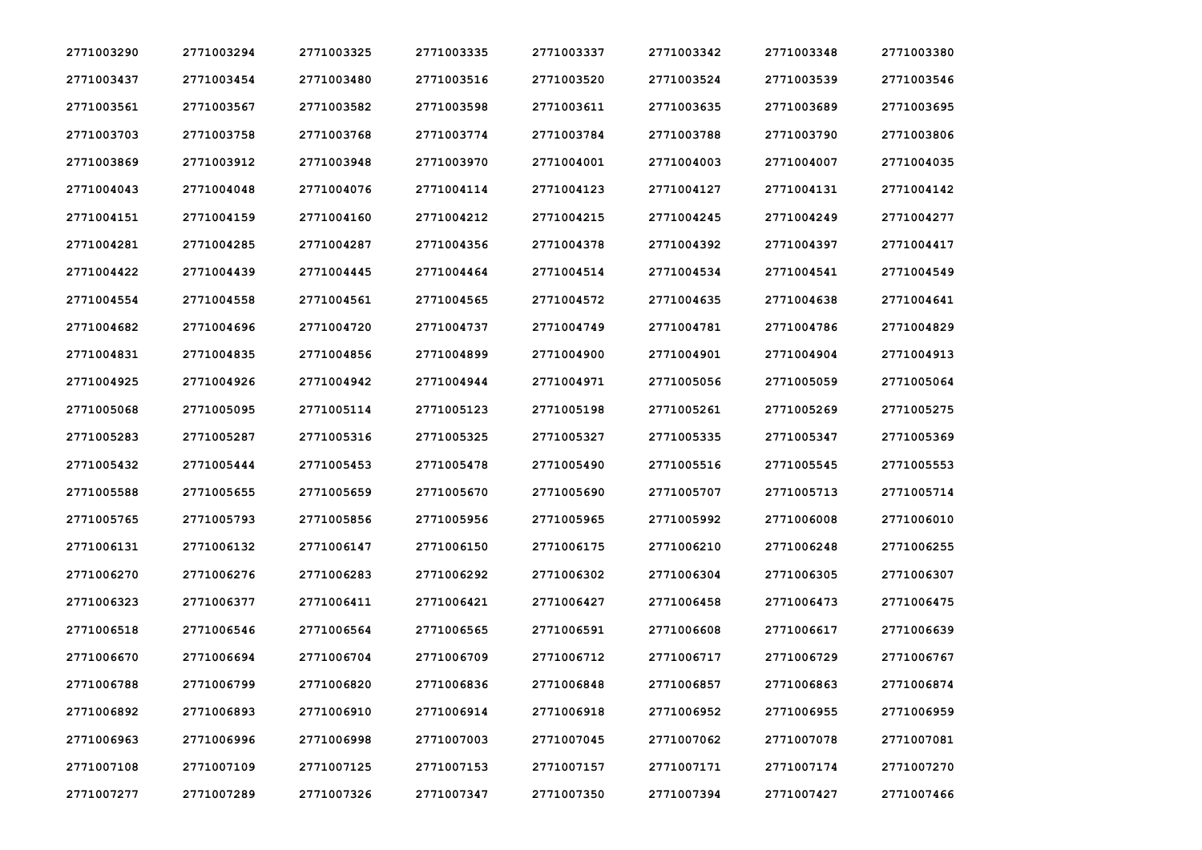| 2771003290 | 2771003294 | 2771003325 | 2771003335 | 2771003337 | 2771003342 | 2771003348 | 2771003380 |
|------------|------------|------------|------------|------------|------------|------------|------------|
| 2771003437 | 2771003454 | 2771003480 | 2771003516 | 2771003520 | 2771003524 | 2771003539 | 2771003546 |
| 2771003561 | 2771003567 | 2771003582 | 2771003598 | 2771003611 | 2771003635 | 2771003689 | 2771003695 |
| 2771003703 | 2771003758 | 2771003768 | 2771003774 | 2771003784 | 2771003788 | 2771003790 | 2771003806 |
| 2771003869 | 2771003912 | 2771003948 | 2771003970 | 2771004001 | 2771004003 | 2771004007 | 2771004035 |
| 2771004043 | 2771004048 | 2771004076 | 2771004114 | 2771004123 | 2771004127 | 2771004131 | 2771004142 |
| 2771004151 | 2771004159 | 2771004160 | 2771004212 | 2771004215 | 2771004245 | 2771004249 | 2771004277 |
| 2771004281 | 2771004285 | 2771004287 | 2771004356 | 2771004378 | 2771004392 | 2771004397 | 2771004417 |
| 2771004422 | 2771004439 | 2771004445 | 2771004464 | 2771004514 | 2771004534 | 2771004541 | 2771004549 |
| 2771004554 | 2771004558 | 2771004561 | 2771004565 | 2771004572 | 2771004635 | 2771004638 | 2771004641 |
| 2771004682 | 2771004696 | 2771004720 | 2771004737 | 2771004749 | 2771004781 | 2771004786 | 2771004829 |
| 2771004831 | 2771004835 | 2771004856 | 2771004899 | 2771004900 | 2771004901 | 2771004904 | 2771004913 |
| 2771004925 | 2771004926 | 2771004942 | 2771004944 | 2771004971 | 2771005056 | 2771005059 | 2771005064 |
| 2771005068 | 2771005095 | 2771005114 | 2771005123 | 2771005198 | 2771005261 | 2771005269 | 2771005275 |
| 2771005283 | 2771005287 | 2771005316 | 2771005325 | 2771005327 | 2771005335 | 2771005347 | 2771005369 |
| 2771005432 | 2771005444 | 2771005453 | 2771005478 | 2771005490 | 2771005516 | 2771005545 | 2771005553 |
| 2771005588 | 2771005655 | 2771005659 | 2771005670 | 2771005690 | 2771005707 | 2771005713 | 2771005714 |
| 2771005765 | 2771005793 | 2771005856 | 2771005956 | 2771005965 | 2771005992 | 2771006008 | 2771006010 |
| 2771006131 | 2771006132 | 2771006147 | 2771006150 | 2771006175 | 2771006210 | 2771006248 | 2771006255 |
| 2771006270 | 2771006276 | 2771006283 | 2771006292 | 2771006302 | 2771006304 | 2771006305 | 2771006307 |
| 2771006323 | 2771006377 | 2771006411 | 2771006421 | 2771006427 | 2771006458 | 2771006473 | 2771006475 |
| 2771006518 | 2771006546 | 2771006564 | 2771006565 | 2771006591 | 2771006608 | 2771006617 | 2771006639 |
| 2771006670 | 2771006694 | 2771006704 | 2771006709 | 2771006712 | 2771006717 | 2771006729 | 2771006767 |
| 2771006788 | 2771006799 | 2771006820 | 2771006836 | 2771006848 | 2771006857 | 2771006863 | 2771006874 |
| 2771006892 | 2771006893 | 2771006910 | 2771006914 | 2771006918 | 2771006952 | 2771006955 | 2771006959 |
| 2771006963 | 2771006996 | 2771006998 | 2771007003 | 2771007045 | 2771007062 | 2771007078 | 2771007081 |
| 2771007108 | 2771007109 | 2771007125 | 2771007153 | 2771007157 | 2771007171 | 2771007174 | 2771007270 |
| 2771007277 | 2771007289 | 2771007326 | 2771007347 | 2771007350 | 2771007394 | 2771007427 | 2771007466 |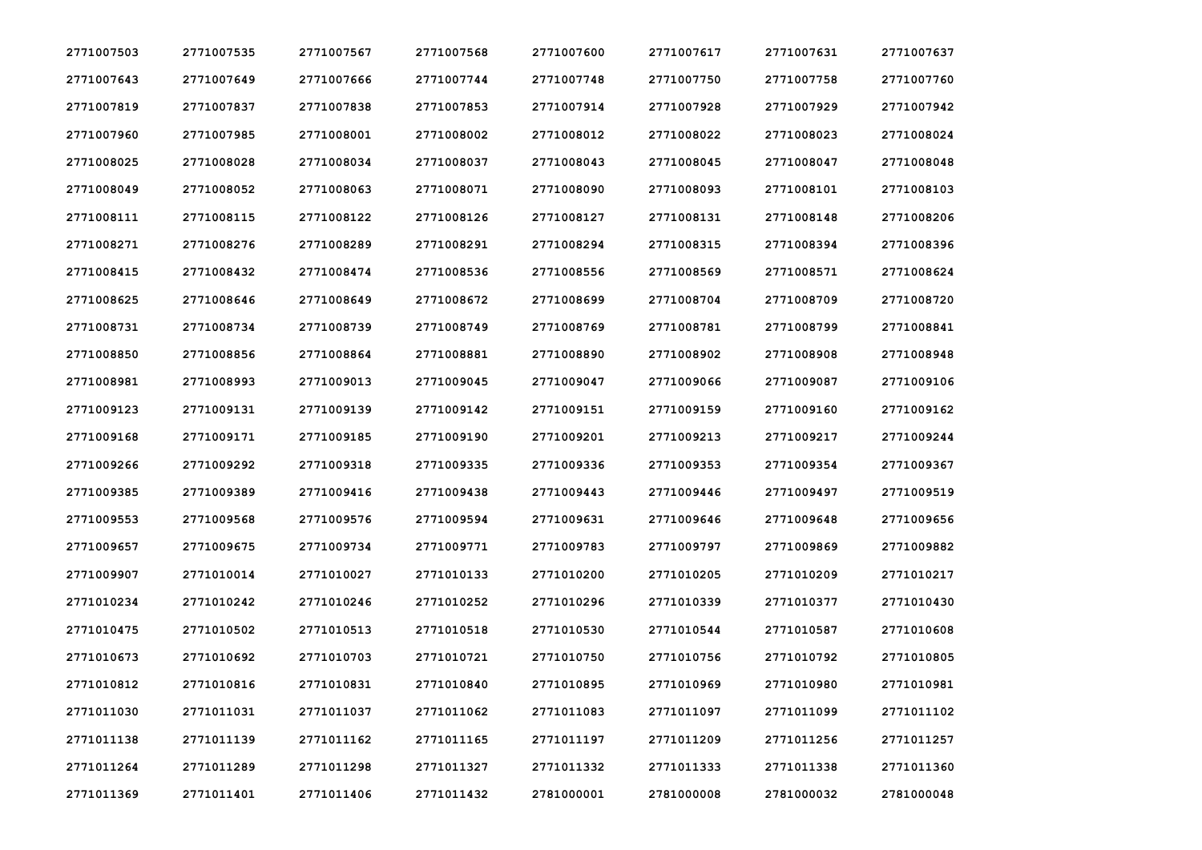| 2771007503 | 2771007535 | 2771007567 | 2771007568 | 2771007600 | 2771007617 | 2771007631 | 2771007637 |
|------------|------------|------------|------------|------------|------------|------------|------------|
| 2771007643 | 2771007649 | 2771007666 | 2771007744 | 2771007748 | 2771007750 | 2771007758 | 2771007760 |
| 2771007819 | 2771007837 | 2771007838 | 2771007853 | 2771007914 | 2771007928 | 2771007929 | 2771007942 |
| 2771007960 | 2771007985 | 2771008001 | 2771008002 | 2771008012 | 2771008022 | 2771008023 | 2771008024 |
| 2771008025 | 2771008028 | 2771008034 | 2771008037 | 2771008043 | 2771008045 | 2771008047 | 2771008048 |
| 2771008049 | 2771008052 | 2771008063 | 2771008071 | 2771008090 | 2771008093 | 2771008101 | 2771008103 |
| 2771008111 | 2771008115 | 2771008122 | 2771008126 | 2771008127 | 2771008131 | 2771008148 | 2771008206 |
| 2771008271 | 2771008276 | 2771008289 | 2771008291 | 2771008294 | 2771008315 | 2771008394 | 2771008396 |
| 2771008415 | 2771008432 | 2771008474 | 2771008536 | 2771008556 | 2771008569 | 2771008571 | 2771008624 |
| 2771008625 | 2771008646 | 2771008649 | 2771008672 | 2771008699 | 2771008704 | 2771008709 | 2771008720 |
| 2771008731 | 2771008734 | 2771008739 | 2771008749 | 2771008769 | 2771008781 | 2771008799 | 2771008841 |
| 2771008850 | 2771008856 | 2771008864 | 2771008881 | 2771008890 | 2771008902 | 2771008908 | 2771008948 |
| 2771008981 | 2771008993 | 2771009013 | 2771009045 | 2771009047 | 2771009066 | 2771009087 | 2771009106 |
| 2771009123 | 2771009131 | 2771009139 | 2771009142 | 2771009151 | 2771009159 | 2771009160 | 2771009162 |
| 2771009168 | 2771009171 | 2771009185 | 2771009190 | 2771009201 | 2771009213 | 2771009217 | 2771009244 |
| 2771009266 | 2771009292 | 2771009318 | 2771009335 | 2771009336 | 2771009353 | 2771009354 | 2771009367 |
| 2771009385 | 2771009389 | 2771009416 | 2771009438 | 2771009443 | 2771009446 | 2771009497 | 2771009519 |
| 2771009553 | 2771009568 | 2771009576 | 2771009594 | 2771009631 | 2771009646 | 2771009648 | 2771009656 |
| 2771009657 | 2771009675 | 2771009734 | 2771009771 | 2771009783 | 2771009797 | 2771009869 | 2771009882 |
| 2771009907 | 2771010014 | 2771010027 | 2771010133 | 2771010200 | 2771010205 | 2771010209 | 2771010217 |
| 2771010234 | 2771010242 | 2771010246 | 2771010252 | 2771010296 | 2771010339 | 2771010377 | 2771010430 |
| 2771010475 | 2771010502 | 2771010513 | 2771010518 | 2771010530 | 2771010544 | 2771010587 | 2771010608 |
| 2771010673 | 2771010692 | 2771010703 | 2771010721 | 2771010750 | 2771010756 | 2771010792 | 2771010805 |
| 2771010812 | 2771010816 | 2771010831 | 2771010840 | 2771010895 | 2771010969 | 2771010980 | 2771010981 |
| 2771011030 | 2771011031 | 2771011037 | 2771011062 | 2771011083 | 2771011097 | 2771011099 | 2771011102 |
| 2771011138 | 2771011139 | 2771011162 | 2771011165 | 2771011197 | 2771011209 | 2771011256 | 2771011257 |
| 2771011264 | 2771011289 | 2771011298 | 2771011327 | 2771011332 | 2771011333 | 2771011338 | 2771011360 |
| 2771011369 | 2771011401 | 2771011406 | 2771011432 | 2781000001 | 2781000008 | 2781000032 | 2781000048 |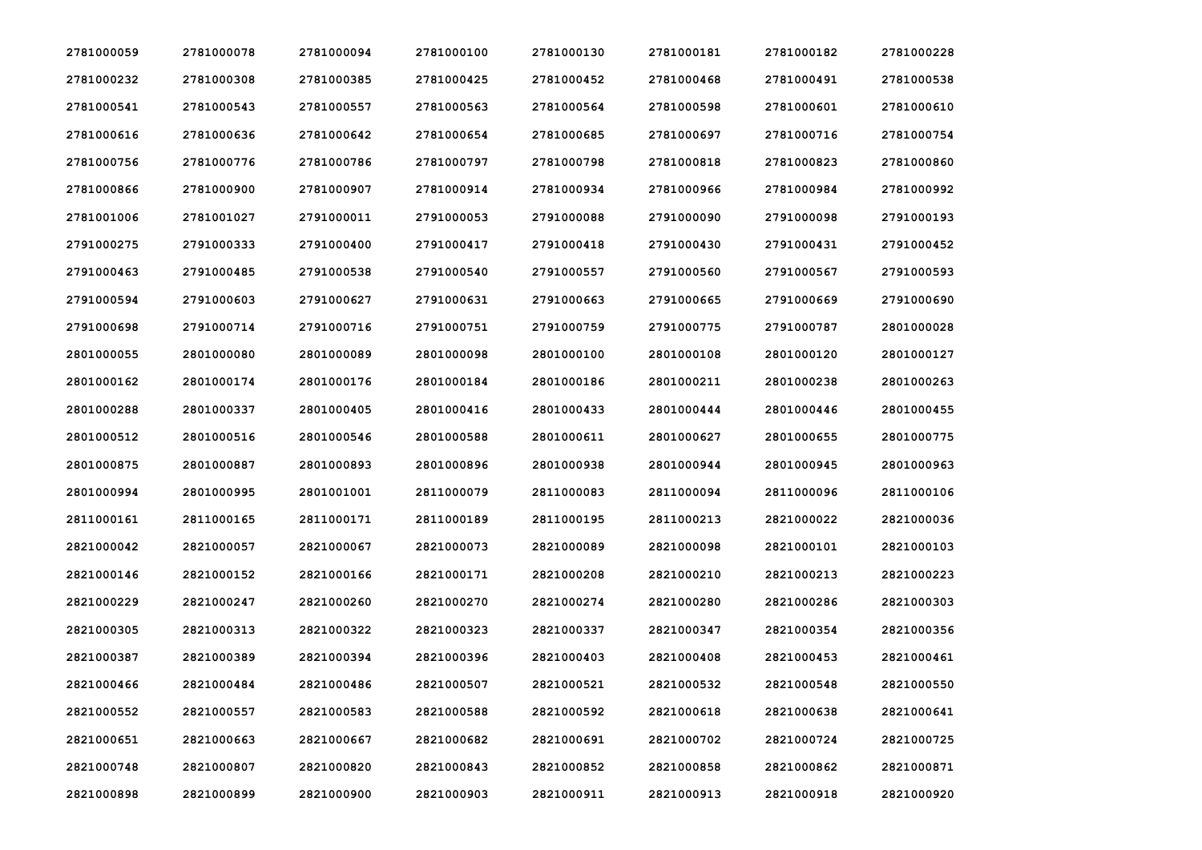| 2781000059 | 2781000078 | 2781000094 | 2781000100 | 2781000130 | 2781000181 | 2781000182 | 2781000228 |
|------------|------------|------------|------------|------------|------------|------------|------------|
| 2781000232 | 2781000308 | 2781000385 | 2781000425 | 2781000452 | 2781000468 | 2781000491 | 2781000538 |
| 2781000541 | 2781000543 | 2781000557 | 2781000563 | 2781000564 | 2781000598 | 2781000601 | 2781000610 |
| 2781000616 | 2781000636 | 2781000642 | 2781000654 | 2781000685 | 2781000697 | 2781000716 | 2781000754 |
| 2781000756 | 2781000776 | 2781000786 | 2781000797 | 2781000798 | 2781000818 | 2781000823 | 2781000860 |
| 2781000866 | 2781000900 | 2781000907 | 2781000914 | 2781000934 | 2781000966 | 2781000984 | 2781000992 |
| 2781001006 | 2781001027 | 2791000011 | 2791000053 | 2791000088 | 2791000090 | 2791000098 | 2791000193 |
| 2791000275 | 2791000333 | 2791000400 | 2791000417 | 2791000418 | 2791000430 | 2791000431 | 2791000452 |
| 2791000463 | 2791000485 | 2791000538 | 2791000540 | 2791000557 | 2791000560 | 2791000567 | 2791000593 |
| 2791000594 | 2791000603 | 2791000627 | 2791000631 | 2791000663 | 2791000665 | 2791000669 | 2791000690 |
| 2791000698 | 2791000714 | 2791000716 | 2791000751 | 2791000759 | 2791000775 | 2791000787 | 2801000028 |
| 2801000055 | 2801000080 | 2801000089 | 2801000098 | 2801000100 | 2801000108 | 2801000120 | 2801000127 |
| 2801000162 | 2801000174 | 2801000176 | 2801000184 | 2801000186 | 2801000211 | 2801000238 | 2801000263 |
| 2801000288 | 2801000337 | 2801000405 | 2801000416 | 2801000433 | 2801000444 | 2801000446 | 2801000455 |
| 2801000512 | 2801000516 | 2801000546 | 2801000588 | 2801000611 | 2801000627 | 2801000655 | 2801000775 |
| 2801000875 | 2801000887 | 2801000893 | 2801000896 | 2801000938 | 2801000944 | 2801000945 | 2801000963 |
| 2801000994 | 2801000995 | 2801001001 | 2811000079 | 2811000083 | 2811000094 | 2811000096 | 2811000106 |
| 2811000161 | 2811000165 | 2811000171 | 2811000189 | 2811000195 | 2811000213 | 2821000022 | 2821000036 |
| 2821000042 | 2821000057 | 2821000067 | 2821000073 | 2821000089 | 2821000098 | 2821000101 | 2821000103 |
| 2821000146 | 2821000152 | 2821000166 | 2821000171 | 2821000208 | 2821000210 | 2821000213 | 2821000223 |
| 2821000229 | 2821000247 | 2821000260 | 2821000270 | 2821000274 | 2821000280 | 2821000286 | 2821000303 |
| 2821000305 | 2821000313 | 2821000322 | 2821000323 | 2821000337 | 2821000347 | 2821000354 | 2821000356 |
| 2821000387 | 2821000389 | 2821000394 | 2821000396 | 2821000403 | 2821000408 | 2821000453 | 2821000461 |
| 2821000466 | 2821000484 | 2821000486 | 2821000507 | 2821000521 | 2821000532 | 2821000548 | 2821000550 |
| 2821000552 | 2821000557 | 2821000583 | 2821000588 | 2821000592 | 2821000618 | 2821000638 | 2821000641 |
| 2821000651 | 2821000663 | 2821000667 | 2821000682 | 2821000691 | 2821000702 | 2821000724 | 2821000725 |
| 2821000748 | 2821000807 | 2821000820 | 2821000843 | 2821000852 | 2821000858 | 2821000862 | 2821000871 |
| 2821000898 | 2821000899 | 2821000900 | 2821000903 | 2821000911 | 2821000913 | 2821000918 | 2821000920 |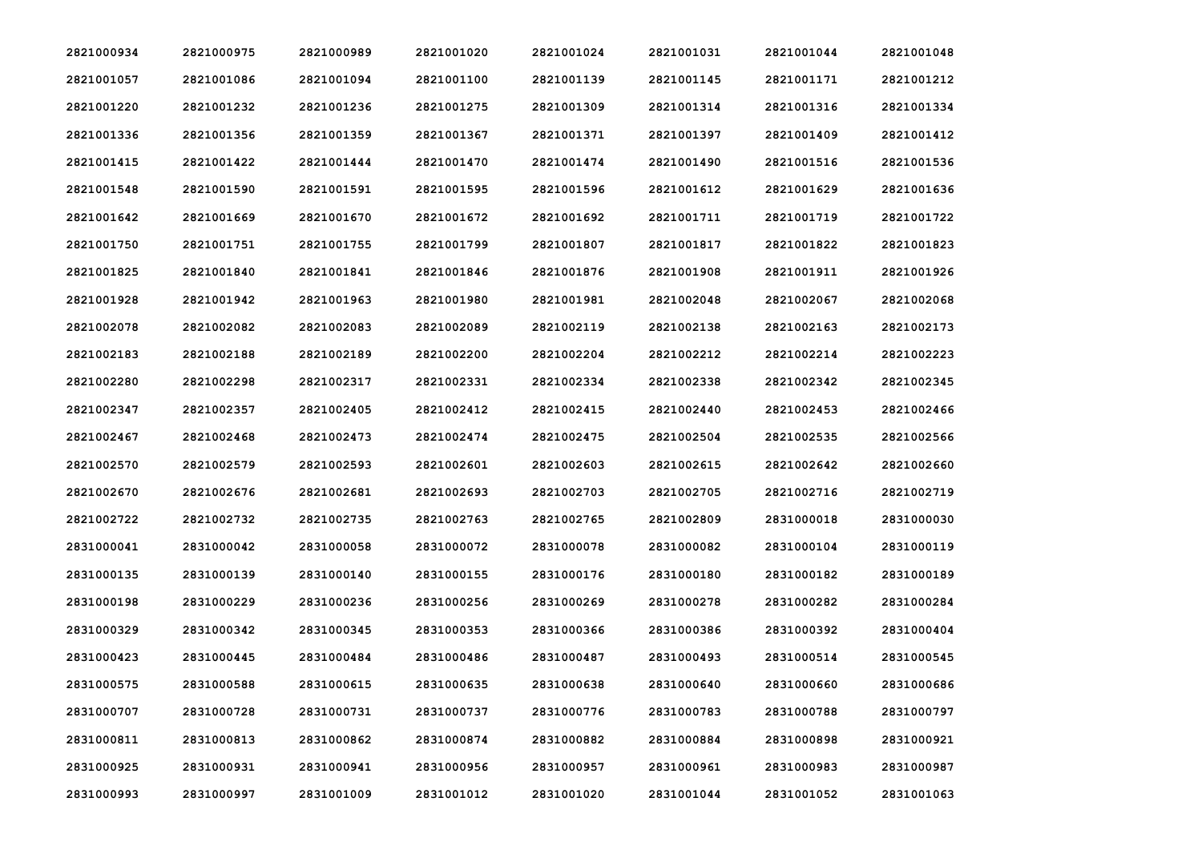| 2821000934 | 2821000975 | 2821000989 | 2821001020 | 2821001024 | 2821001031 | 2821001044 | 2821001048 |
|------------|------------|------------|------------|------------|------------|------------|------------|
| 2821001057 | 2821001086 | 2821001094 | 2821001100 | 2821001139 | 2821001145 | 2821001171 | 2821001212 |
| 2821001220 | 2821001232 | 2821001236 | 2821001275 | 2821001309 | 2821001314 | 2821001316 | 2821001334 |
| 2821001336 | 2821001356 | 2821001359 | 2821001367 | 2821001371 | 2821001397 | 2821001409 | 2821001412 |
| 2821001415 | 2821001422 | 2821001444 | 2821001470 | 2821001474 | 2821001490 | 2821001516 | 2821001536 |
| 2821001548 | 2821001590 | 2821001591 | 2821001595 | 2821001596 | 2821001612 | 2821001629 | 2821001636 |
| 2821001642 | 2821001669 | 2821001670 | 2821001672 | 2821001692 | 2821001711 | 2821001719 | 2821001722 |
| 2821001750 | 2821001751 | 2821001755 | 2821001799 | 2821001807 | 2821001817 | 2821001822 | 2821001823 |
| 2821001825 | 2821001840 | 2821001841 | 2821001846 | 2821001876 | 2821001908 | 2821001911 | 2821001926 |
| 2821001928 | 2821001942 | 2821001963 | 2821001980 | 2821001981 | 2821002048 | 2821002067 | 2821002068 |
| 2821002078 | 2821002082 | 2821002083 | 2821002089 | 2821002119 | 2821002138 | 2821002163 | 2821002173 |
| 2821002183 | 2821002188 | 2821002189 | 2821002200 | 2821002204 | 2821002212 | 2821002214 | 2821002223 |
| 2821002280 | 2821002298 | 2821002317 | 2821002331 | 2821002334 | 2821002338 | 2821002342 | 2821002345 |
| 2821002347 | 2821002357 | 2821002405 | 2821002412 | 2821002415 | 2821002440 | 2821002453 | 2821002466 |
| 2821002467 | 2821002468 | 2821002473 | 2821002474 | 2821002475 | 2821002504 | 2821002535 | 2821002566 |
| 2821002570 | 2821002579 | 2821002593 | 2821002601 | 2821002603 | 2821002615 | 2821002642 | 2821002660 |
| 2821002670 | 2821002676 | 2821002681 | 2821002693 | 2821002703 | 2821002705 | 2821002716 | 2821002719 |
| 2821002722 | 2821002732 | 2821002735 | 2821002763 | 2821002765 | 2821002809 | 2831000018 | 2831000030 |
| 2831000041 | 2831000042 | 2831000058 | 2831000072 | 2831000078 | 2831000082 | 2831000104 | 2831000119 |
| 2831000135 | 2831000139 | 2831000140 | 2831000155 | 2831000176 | 2831000180 | 2831000182 | 2831000189 |
| 2831000198 | 2831000229 | 2831000236 | 2831000256 | 2831000269 | 2831000278 | 2831000282 | 2831000284 |
| 2831000329 | 2831000342 | 2831000345 | 2831000353 | 2831000366 | 2831000386 | 2831000392 | 2831000404 |
| 2831000423 | 2831000445 | 2831000484 | 2831000486 | 2831000487 | 2831000493 | 2831000514 | 2831000545 |
| 2831000575 | 2831000588 | 2831000615 | 2831000635 | 2831000638 | 2831000640 | 2831000660 | 2831000686 |
| 2831000707 | 2831000728 | 2831000731 | 2831000737 | 2831000776 | 2831000783 | 2831000788 | 2831000797 |
| 2831000811 | 2831000813 | 2831000862 | 2831000874 | 2831000882 | 2831000884 | 2831000898 | 2831000921 |
| 2831000925 | 2831000931 | 2831000941 | 2831000956 | 2831000957 | 2831000961 | 2831000983 | 2831000987 |
| 2831000993 | 2831000997 | 2831001009 | 2831001012 | 2831001020 | 2831001044 | 2831001052 | 2831001063 |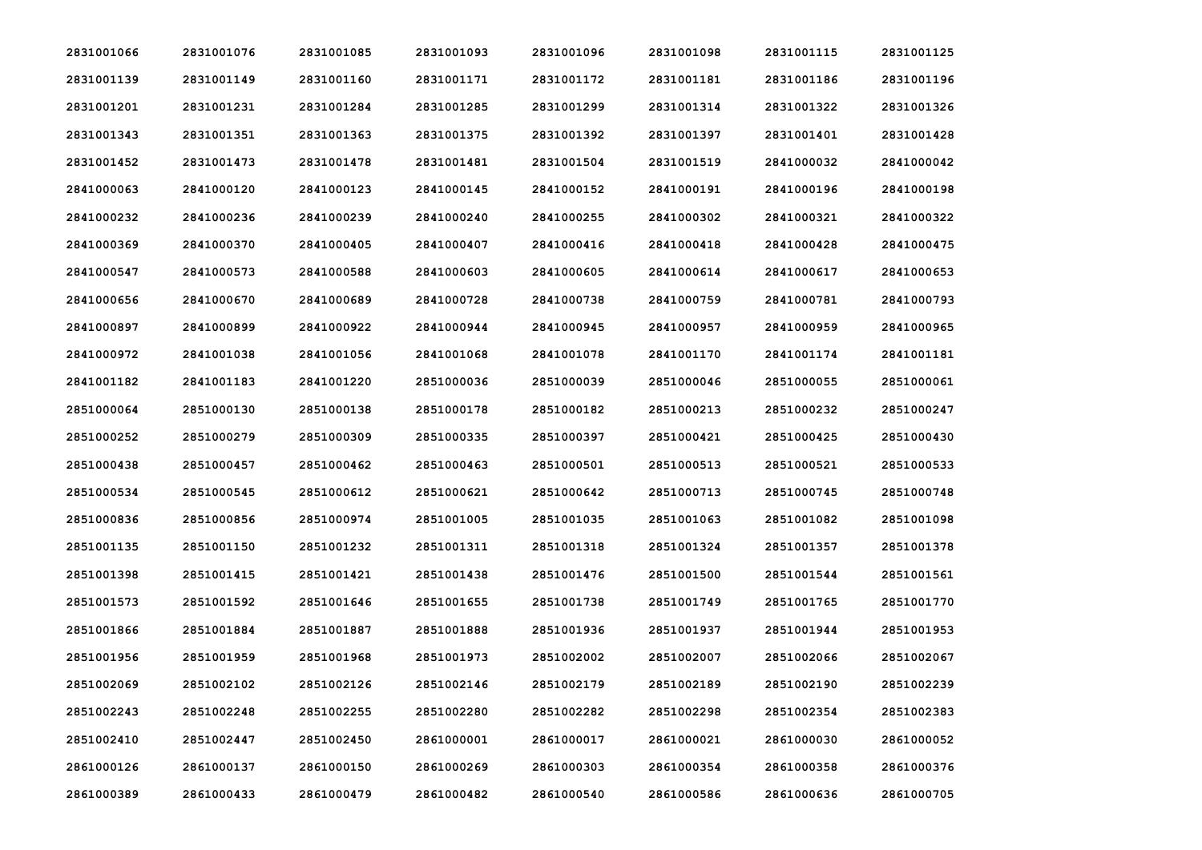| 2831001066 | 2831001076 | 2831001085 | 2831001093 | 2831001096 | 2831001098 | 2831001115 | 2831001125 |
|------------|------------|------------|------------|------------|------------|------------|------------|
| 2831001139 | 2831001149 | 2831001160 | 2831001171 | 2831001172 | 2831001181 | 2831001186 | 2831001196 |
| 2831001201 | 2831001231 | 2831001284 | 2831001285 | 2831001299 | 2831001314 | 2831001322 | 2831001326 |
| 2831001343 | 2831001351 | 2831001363 | 2831001375 | 2831001392 | 2831001397 | 2831001401 | 2831001428 |
| 2831001452 | 2831001473 | 2831001478 | 2831001481 | 2831001504 | 2831001519 | 2841000032 | 2841000042 |
| 2841000063 | 2841000120 | 2841000123 | 2841000145 | 2841000152 | 2841000191 | 2841000196 | 2841000198 |
| 2841000232 | 2841000236 | 2841000239 | 2841000240 | 2841000255 | 2841000302 | 2841000321 | 2841000322 |
| 2841000369 | 2841000370 | 2841000405 | 2841000407 | 2841000416 | 2841000418 | 2841000428 | 2841000475 |
| 2841000547 | 2841000573 | 2841000588 | 2841000603 | 2841000605 | 2841000614 | 2841000617 | 2841000653 |
| 2841000656 | 2841000670 | 2841000689 | 2841000728 | 2841000738 | 2841000759 | 2841000781 | 2841000793 |
| 2841000897 | 2841000899 | 2841000922 | 2841000944 | 2841000945 | 2841000957 | 2841000959 | 2841000965 |
| 2841000972 | 2841001038 | 2841001056 | 2841001068 | 2841001078 | 2841001170 | 2841001174 | 2841001181 |
| 2841001182 | 2841001183 | 2841001220 | 2851000036 | 2851000039 | 2851000046 | 2851000055 | 2851000061 |
| 2851000064 | 2851000130 | 2851000138 | 2851000178 | 2851000182 | 2851000213 | 2851000232 | 2851000247 |
| 2851000252 | 2851000279 | 2851000309 | 2851000335 | 2851000397 | 2851000421 | 2851000425 | 2851000430 |
| 2851000438 | 2851000457 | 2851000462 | 2851000463 | 2851000501 | 2851000513 | 2851000521 | 2851000533 |
| 2851000534 | 2851000545 | 2851000612 | 2851000621 | 2851000642 | 2851000713 | 2851000745 | 2851000748 |
| 2851000836 | 2851000856 | 2851000974 | 2851001005 | 2851001035 | 2851001063 | 2851001082 | 2851001098 |
| 2851001135 | 2851001150 | 2851001232 | 2851001311 | 2851001318 | 2851001324 | 2851001357 | 2851001378 |
| 2851001398 | 2851001415 | 2851001421 | 2851001438 | 2851001476 | 2851001500 | 2851001544 | 2851001561 |
| 2851001573 | 2851001592 | 2851001646 | 2851001655 | 2851001738 | 2851001749 | 2851001765 | 2851001770 |
| 2851001866 | 2851001884 | 2851001887 | 2851001888 | 2851001936 | 2851001937 | 2851001944 | 2851001953 |
| 2851001956 | 2851001959 | 2851001968 | 2851001973 | 2851002002 | 2851002007 | 2851002066 | 2851002067 |
| 2851002069 | 2851002102 | 2851002126 | 2851002146 | 2851002179 | 2851002189 | 2851002190 | 2851002239 |
| 2851002243 | 2851002248 | 2851002255 | 2851002280 | 2851002282 | 2851002298 | 2851002354 | 2851002383 |
| 2851002410 | 2851002447 | 2851002450 | 2861000001 | 2861000017 | 2861000021 | 2861000030 | 2861000052 |
| 2861000126 | 2861000137 | 2861000150 | 2861000269 | 2861000303 | 2861000354 | 2861000358 | 2861000376 |
| 2861000389 | 2861000433 | 2861000479 | 2861000482 | 2861000540 | 2861000586 | 2861000636 | 2861000705 |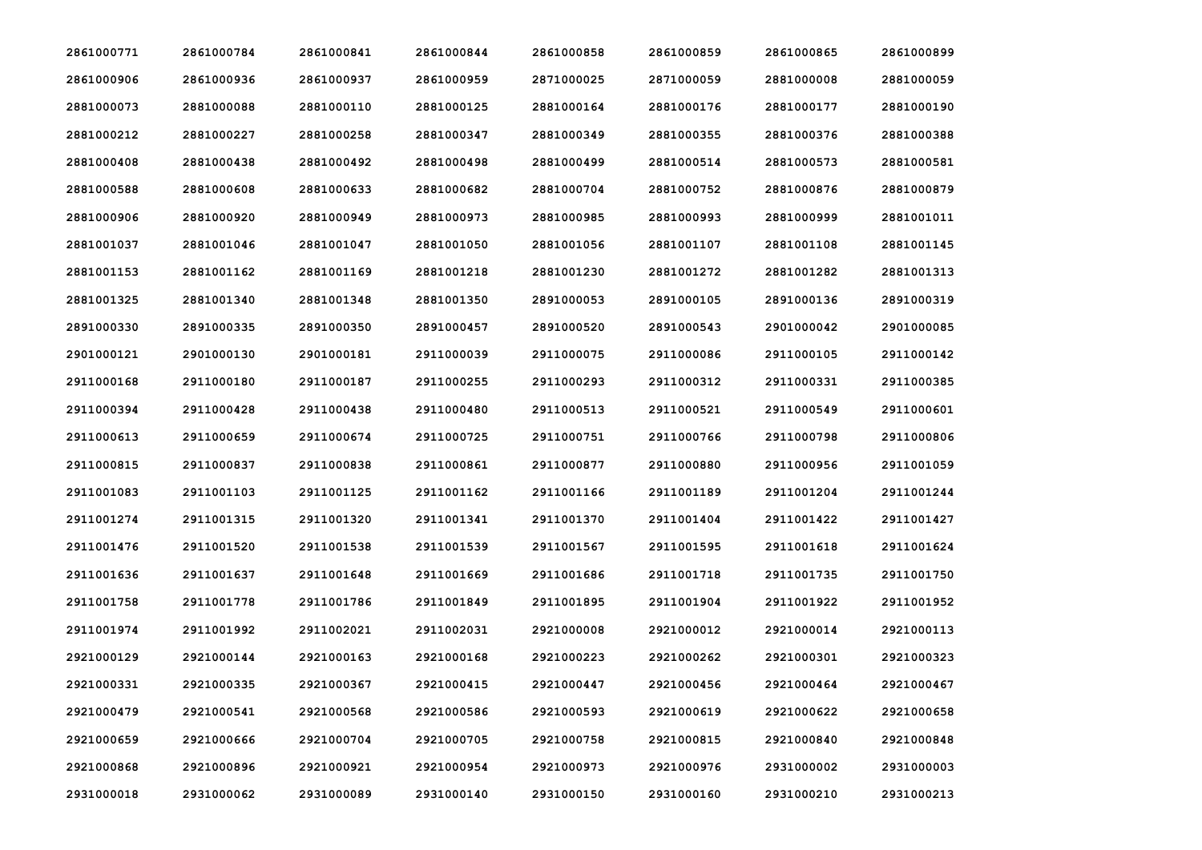| 2861000771 | 2861000784 | 2861000841 | 2861000844 | 2861000858 | 2861000859 | 2861000865 | 2861000899 |
|------------|------------|------------|------------|------------|------------|------------|------------|
| 2861000906 | 2861000936 | 2861000937 | 2861000959 | 2871000025 | 2871000059 | 2881000008 | 2881000059 |
| 2881000073 | 2881000088 | 2881000110 | 2881000125 | 2881000164 | 2881000176 | 2881000177 | 2881000190 |
| 2881000212 | 2881000227 | 2881000258 | 2881000347 | 2881000349 | 2881000355 | 2881000376 | 2881000388 |
| 2881000408 | 2881000438 | 2881000492 | 2881000498 | 2881000499 | 2881000514 | 2881000573 | 2881000581 |
| 2881000588 | 2881000608 | 2881000633 | 2881000682 | 2881000704 | 2881000752 | 2881000876 | 2881000879 |
| 2881000906 | 2881000920 | 2881000949 | 2881000973 | 2881000985 | 2881000993 | 2881000999 | 2881001011 |
| 2881001037 | 2881001046 | 2881001047 | 2881001050 | 2881001056 | 2881001107 | 2881001108 | 2881001145 |
| 2881001153 | 2881001162 | 2881001169 | 2881001218 | 2881001230 | 2881001272 | 2881001282 | 2881001313 |
| 2881001325 | 2881001340 | 2881001348 | 2881001350 | 2891000053 | 2891000105 | 2891000136 | 2891000319 |
| 2891000330 | 2891000335 | 2891000350 | 2891000457 | 2891000520 | 2891000543 | 2901000042 | 2901000085 |
| 2901000121 | 2901000130 | 2901000181 | 2911000039 | 2911000075 | 2911000086 | 2911000105 | 2911000142 |
| 2911000168 | 2911000180 | 2911000187 | 2911000255 | 2911000293 | 2911000312 | 2911000331 | 2911000385 |
| 2911000394 | 2911000428 | 2911000438 | 2911000480 | 2911000513 | 2911000521 | 2911000549 | 2911000601 |
| 2911000613 | 2911000659 | 2911000674 | 2911000725 | 2911000751 | 2911000766 | 2911000798 | 2911000806 |
| 2911000815 | 2911000837 | 2911000838 | 2911000861 | 2911000877 | 2911000880 | 2911000956 | 2911001059 |
| 2911001083 | 2911001103 | 2911001125 | 2911001162 | 2911001166 | 2911001189 | 2911001204 | 2911001244 |
| 2911001274 | 2911001315 | 2911001320 | 2911001341 | 2911001370 | 2911001404 | 2911001422 | 2911001427 |
| 2911001476 | 2911001520 | 2911001538 | 2911001539 | 2911001567 | 2911001595 | 2911001618 | 2911001624 |
| 2911001636 | 2911001637 | 2911001648 | 2911001669 | 2911001686 | 2911001718 | 2911001735 | 2911001750 |
| 2911001758 | 2911001778 | 2911001786 | 2911001849 | 2911001895 | 2911001904 | 2911001922 | 2911001952 |
| 2911001974 | 2911001992 | 2911002021 | 2911002031 | 2921000008 | 2921000012 | 2921000014 | 2921000113 |
| 2921000129 | 2921000144 | 2921000163 | 2921000168 | 2921000223 | 2921000262 | 2921000301 | 2921000323 |
| 2921000331 | 2921000335 | 2921000367 | 2921000415 | 2921000447 | 2921000456 | 2921000464 | 2921000467 |
| 2921000479 | 2921000541 | 2921000568 | 2921000586 | 2921000593 | 2921000619 | 2921000622 | 2921000658 |
| 2921000659 | 2921000666 | 2921000704 | 2921000705 | 2921000758 | 2921000815 | 2921000840 | 2921000848 |
| 2921000868 | 2921000896 | 2921000921 | 2921000954 | 2921000973 | 2921000976 | 2931000002 | 2931000003 |
| 2931000018 | 2931000062 | 2931000089 | 2931000140 | 2931000150 | 2931000160 | 2931000210 | 2931000213 |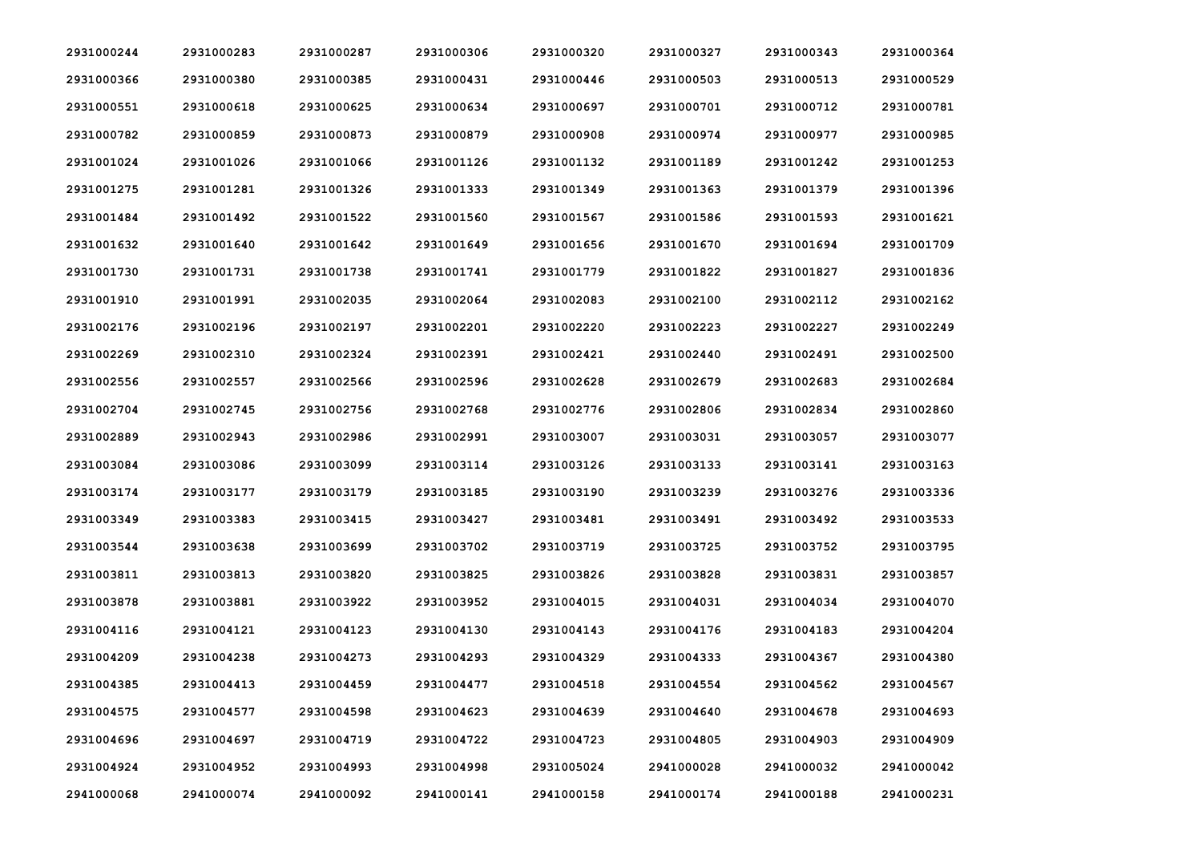| 2931000244 | 2931000283 | 2931000287 | 2931000306 | 2931000320 | 2931000327 | 2931000343 | 2931000364 |
|------------|------------|------------|------------|------------|------------|------------|------------|
| 2931000366 | 2931000380 | 2931000385 | 2931000431 | 2931000446 | 2931000503 | 2931000513 | 2931000529 |
| 2931000551 | 2931000618 | 2931000625 | 2931000634 | 2931000697 | 2931000701 | 2931000712 | 2931000781 |
| 2931000782 | 2931000859 | 2931000873 | 2931000879 | 2931000908 | 2931000974 | 2931000977 | 2931000985 |
| 2931001024 | 2931001026 | 2931001066 | 2931001126 | 2931001132 | 2931001189 | 2931001242 | 2931001253 |
| 2931001275 | 2931001281 | 2931001326 | 2931001333 | 2931001349 | 2931001363 | 2931001379 | 2931001396 |
| 2931001484 | 2931001492 | 2931001522 | 2931001560 | 2931001567 | 2931001586 | 2931001593 | 2931001621 |
| 2931001632 | 2931001640 | 2931001642 | 2931001649 | 2931001656 | 2931001670 | 2931001694 | 2931001709 |
| 2931001730 | 2931001731 | 2931001738 | 2931001741 | 2931001779 | 2931001822 | 2931001827 | 2931001836 |
| 2931001910 | 2931001991 | 2931002035 | 2931002064 | 2931002083 | 2931002100 | 2931002112 | 2931002162 |
| 2931002176 | 2931002196 | 2931002197 | 2931002201 | 2931002220 | 2931002223 | 2931002227 | 2931002249 |
| 2931002269 | 2931002310 | 2931002324 | 2931002391 | 2931002421 | 2931002440 | 2931002491 | 2931002500 |
| 2931002556 | 2931002557 | 2931002566 | 2931002596 | 2931002628 | 2931002679 | 2931002683 | 2931002684 |
| 2931002704 | 2931002745 | 2931002756 | 2931002768 | 2931002776 | 2931002806 | 2931002834 | 2931002860 |
| 2931002889 | 2931002943 | 2931002986 | 2931002991 | 2931003007 | 2931003031 | 2931003057 | 2931003077 |
| 2931003084 | 2931003086 | 2931003099 | 2931003114 | 2931003126 | 2931003133 | 2931003141 | 2931003163 |
| 2931003174 | 2931003177 | 2931003179 | 2931003185 | 2931003190 | 2931003239 | 2931003276 | 2931003336 |
| 2931003349 | 2931003383 | 2931003415 | 2931003427 | 2931003481 | 2931003491 | 2931003492 | 2931003533 |
| 2931003544 | 2931003638 | 2931003699 | 2931003702 | 2931003719 | 2931003725 | 2931003752 | 2931003795 |
| 2931003811 | 2931003813 | 2931003820 | 2931003825 | 2931003826 | 2931003828 | 2931003831 | 2931003857 |
| 2931003878 | 2931003881 | 2931003922 | 2931003952 | 2931004015 | 2931004031 | 2931004034 | 2931004070 |
| 2931004116 | 2931004121 | 2931004123 | 2931004130 | 2931004143 | 2931004176 | 2931004183 | 2931004204 |
| 2931004209 | 2931004238 | 2931004273 | 2931004293 | 2931004329 | 2931004333 | 2931004367 | 2931004380 |
| 2931004385 | 2931004413 | 2931004459 | 2931004477 | 2931004518 | 2931004554 | 2931004562 | 2931004567 |
| 2931004575 | 2931004577 | 2931004598 | 2931004623 | 2931004639 | 2931004640 | 2931004678 | 2931004693 |
| 2931004696 | 2931004697 | 2931004719 | 2931004722 | 2931004723 | 2931004805 | 2931004903 | 2931004909 |
| 2931004924 | 2931004952 | 2931004993 | 2931004998 | 2931005024 | 2941000028 | 2941000032 | 2941000042 |
| 2941000068 | 2941000074 | 2941000092 | 2941000141 | 2941000158 | 2941000174 | 2941000188 | 2941000231 |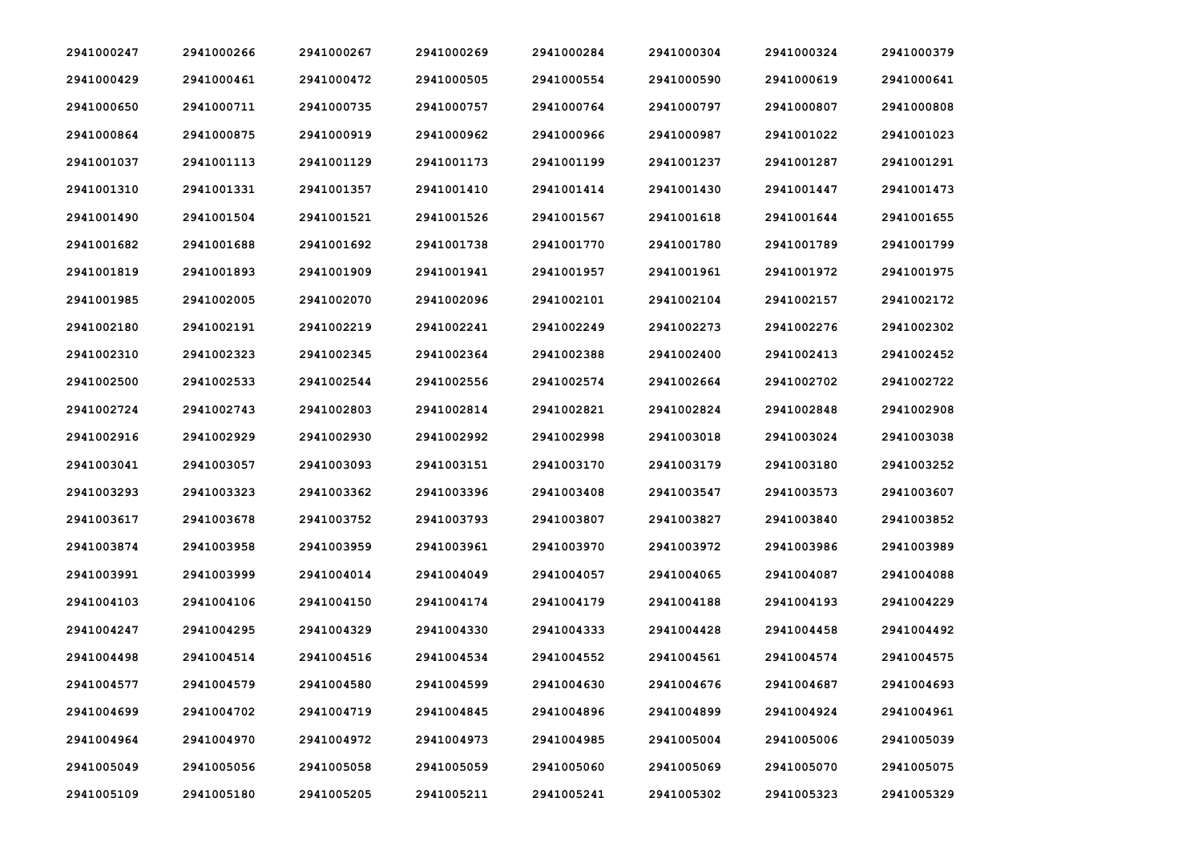| 2941000247 | 2941000266 | 2941000267 | 2941000269 | 2941000284 | 2941000304 | 2941000324 | 2941000379 |
|------------|------------|------------|------------|------------|------------|------------|------------|
| 2941000429 | 2941000461 | 2941000472 | 2941000505 | 2941000554 | 2941000590 | 2941000619 | 2941000641 |
| 2941000650 | 2941000711 | 2941000735 | 2941000757 | 2941000764 | 2941000797 | 2941000807 | 2941000808 |
| 2941000864 | 2941000875 | 2941000919 | 2941000962 | 2941000966 | 2941000987 | 2941001022 | 2941001023 |
| 2941001037 | 2941001113 | 2941001129 | 2941001173 | 2941001199 | 2941001237 | 2941001287 | 2941001291 |
| 2941001310 | 2941001331 | 2941001357 | 2941001410 | 2941001414 | 2941001430 | 2941001447 | 2941001473 |
| 2941001490 | 2941001504 | 2941001521 | 2941001526 | 2941001567 | 2941001618 | 2941001644 | 2941001655 |
| 2941001682 | 2941001688 | 2941001692 | 2941001738 | 2941001770 | 2941001780 | 2941001789 | 2941001799 |
| 2941001819 | 2941001893 | 2941001909 | 2941001941 | 2941001957 | 2941001961 | 2941001972 | 2941001975 |
| 2941001985 | 2941002005 | 2941002070 | 2941002096 | 2941002101 | 2941002104 | 2941002157 | 2941002172 |
| 2941002180 | 2941002191 | 2941002219 | 2941002241 | 2941002249 | 2941002273 | 2941002276 | 2941002302 |
| 2941002310 | 2941002323 | 2941002345 | 2941002364 | 2941002388 | 2941002400 | 2941002413 | 2941002452 |
| 2941002500 | 2941002533 | 2941002544 | 2941002556 | 2941002574 | 2941002664 | 2941002702 | 2941002722 |
| 2941002724 | 2941002743 | 2941002803 | 2941002814 | 2941002821 | 2941002824 | 2941002848 | 2941002908 |
| 2941002916 | 2941002929 | 2941002930 | 2941002992 | 2941002998 | 2941003018 | 2941003024 | 2941003038 |
| 2941003041 | 2941003057 | 2941003093 | 2941003151 | 2941003170 | 2941003179 | 2941003180 | 2941003252 |
| 2941003293 | 2941003323 | 2941003362 | 2941003396 | 2941003408 | 2941003547 | 2941003573 | 2941003607 |
| 2941003617 | 2941003678 | 2941003752 | 2941003793 | 2941003807 | 2941003827 | 2941003840 | 2941003852 |
| 2941003874 | 2941003958 | 2941003959 | 2941003961 | 2941003970 | 2941003972 | 2941003986 | 2941003989 |
| 2941003991 | 2941003999 | 2941004014 | 2941004049 | 2941004057 | 2941004065 | 2941004087 | 2941004088 |
| 2941004103 | 2941004106 | 2941004150 | 2941004174 | 2941004179 | 2941004188 | 2941004193 | 2941004229 |
| 2941004247 | 2941004295 | 2941004329 | 2941004330 | 2941004333 | 2941004428 | 2941004458 | 2941004492 |
| 2941004498 | 2941004514 | 2941004516 | 2941004534 | 2941004552 | 2941004561 | 2941004574 | 2941004575 |
| 2941004577 | 2941004579 | 2941004580 | 2941004599 | 2941004630 | 2941004676 | 2941004687 | 2941004693 |
| 2941004699 | 2941004702 | 2941004719 | 2941004845 | 2941004896 | 2941004899 | 2941004924 | 2941004961 |
| 2941004964 | 2941004970 | 2941004972 | 2941004973 | 2941004985 | 2941005004 | 2941005006 | 2941005039 |
| 2941005049 | 2941005056 | 2941005058 | 2941005059 | 2941005060 | 2941005069 | 2941005070 | 2941005075 |
| 2941005109 | 2941005180 | 2941005205 | 2941005211 | 2941005241 | 2941005302 | 2941005323 | 2941005329 |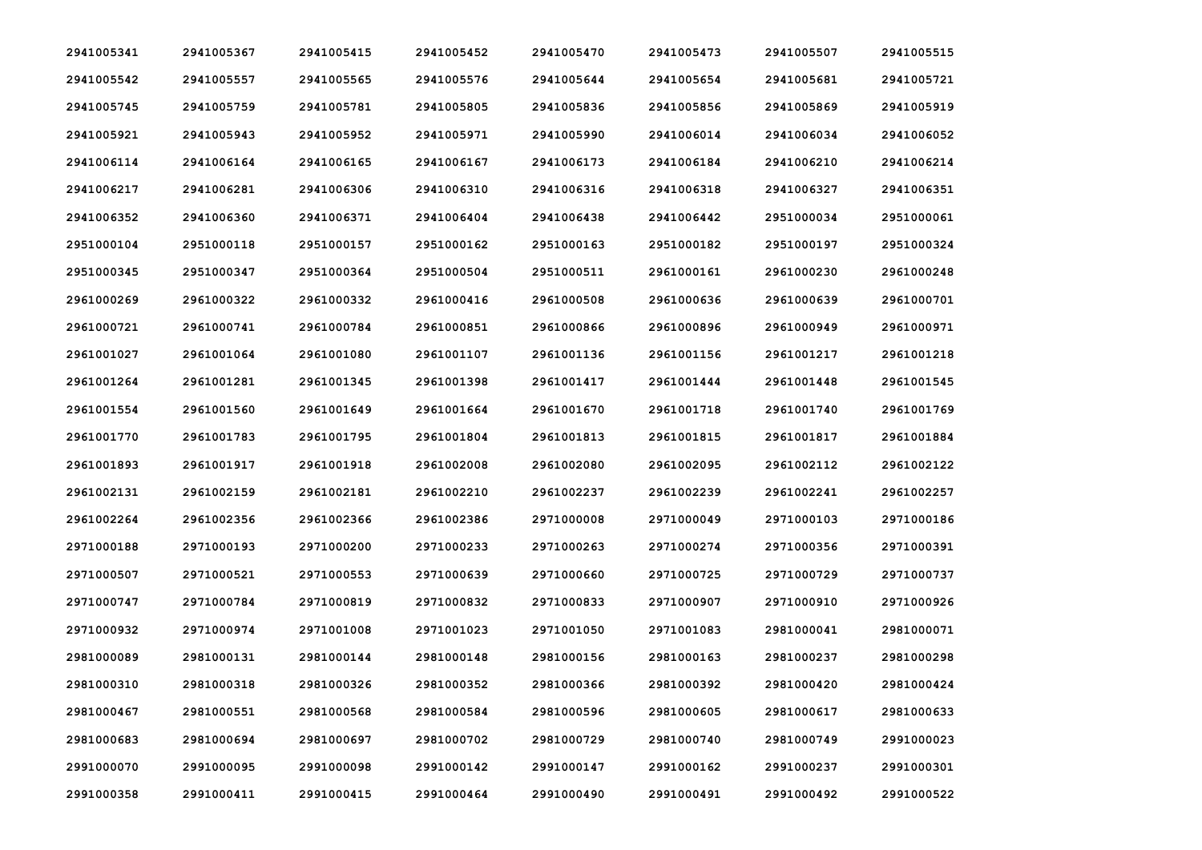| 2941005341 | 2941005367 | 2941005415 | 2941005452 | 2941005470 | 2941005473 | 2941005507 | 2941005515 |
|------------|------------|------------|------------|------------|------------|------------|------------|
| 2941005542 | 2941005557 | 2941005565 | 2941005576 | 2941005644 | 2941005654 | 2941005681 | 2941005721 |
| 2941005745 | 2941005759 | 2941005781 | 2941005805 | 2941005836 | 2941005856 | 2941005869 | 2941005919 |
| 2941005921 | 2941005943 | 2941005952 | 2941005971 | 2941005990 | 2941006014 | 2941006034 | 2941006052 |
| 2941006114 | 2941006164 | 2941006165 | 2941006167 | 2941006173 | 2941006184 | 2941006210 | 2941006214 |
| 2941006217 | 2941006281 | 2941006306 | 2941006310 | 2941006316 | 2941006318 | 2941006327 | 2941006351 |
| 2941006352 | 2941006360 | 2941006371 | 2941006404 | 2941006438 | 2941006442 | 2951000034 | 2951000061 |
| 2951000104 | 2951000118 | 2951000157 | 2951000162 | 2951000163 | 2951000182 | 2951000197 | 2951000324 |
| 2951000345 | 2951000347 | 2951000364 | 2951000504 | 2951000511 | 2961000161 | 2961000230 | 2961000248 |
| 2961000269 | 2961000322 | 2961000332 | 2961000416 | 2961000508 | 2961000636 | 2961000639 | 2961000701 |
| 2961000721 | 2961000741 | 2961000784 | 2961000851 | 2961000866 | 2961000896 | 2961000949 | 2961000971 |
| 2961001027 | 2961001064 | 2961001080 | 2961001107 | 2961001136 | 2961001156 | 2961001217 | 2961001218 |
| 2961001264 | 2961001281 | 2961001345 | 2961001398 | 2961001417 | 2961001444 | 2961001448 | 2961001545 |
| 2961001554 | 2961001560 | 2961001649 | 2961001664 | 2961001670 | 2961001718 | 2961001740 | 2961001769 |
| 2961001770 | 2961001783 | 2961001795 | 2961001804 | 2961001813 | 2961001815 | 2961001817 | 2961001884 |
| 2961001893 | 2961001917 | 2961001918 | 2961002008 | 2961002080 | 2961002095 | 2961002112 | 2961002122 |
| 2961002131 | 2961002159 | 2961002181 | 2961002210 | 2961002237 | 2961002239 | 2961002241 | 2961002257 |
| 2961002264 | 2961002356 | 2961002366 | 2961002386 | 2971000008 | 2971000049 | 2971000103 | 2971000186 |
| 2971000188 | 2971000193 | 2971000200 | 2971000233 | 2971000263 | 2971000274 | 2971000356 | 2971000391 |
| 2971000507 | 2971000521 | 2971000553 | 2971000639 | 2971000660 | 2971000725 | 2971000729 | 2971000737 |
| 2971000747 | 2971000784 | 2971000819 | 2971000832 | 2971000833 | 2971000907 | 2971000910 | 2971000926 |
| 2971000932 | 2971000974 | 2971001008 | 2971001023 | 2971001050 | 2971001083 | 2981000041 | 2981000071 |
| 2981000089 | 2981000131 | 2981000144 | 2981000148 | 2981000156 | 2981000163 | 2981000237 | 2981000298 |
| 2981000310 | 2981000318 | 2981000326 | 2981000352 | 2981000366 | 2981000392 | 2981000420 | 2981000424 |
| 2981000467 | 2981000551 | 2981000568 | 2981000584 | 2981000596 | 2981000605 | 2981000617 | 2981000633 |
| 2981000683 | 2981000694 | 2981000697 | 2981000702 | 2981000729 | 2981000740 | 2981000749 | 2991000023 |
| 2991000070 | 2991000095 | 2991000098 | 2991000142 | 2991000147 | 2991000162 | 2991000237 | 2991000301 |
| 2991000358 | 2991000411 | 2991000415 | 2991000464 | 2991000490 | 2991000491 | 2991000492 | 2991000522 |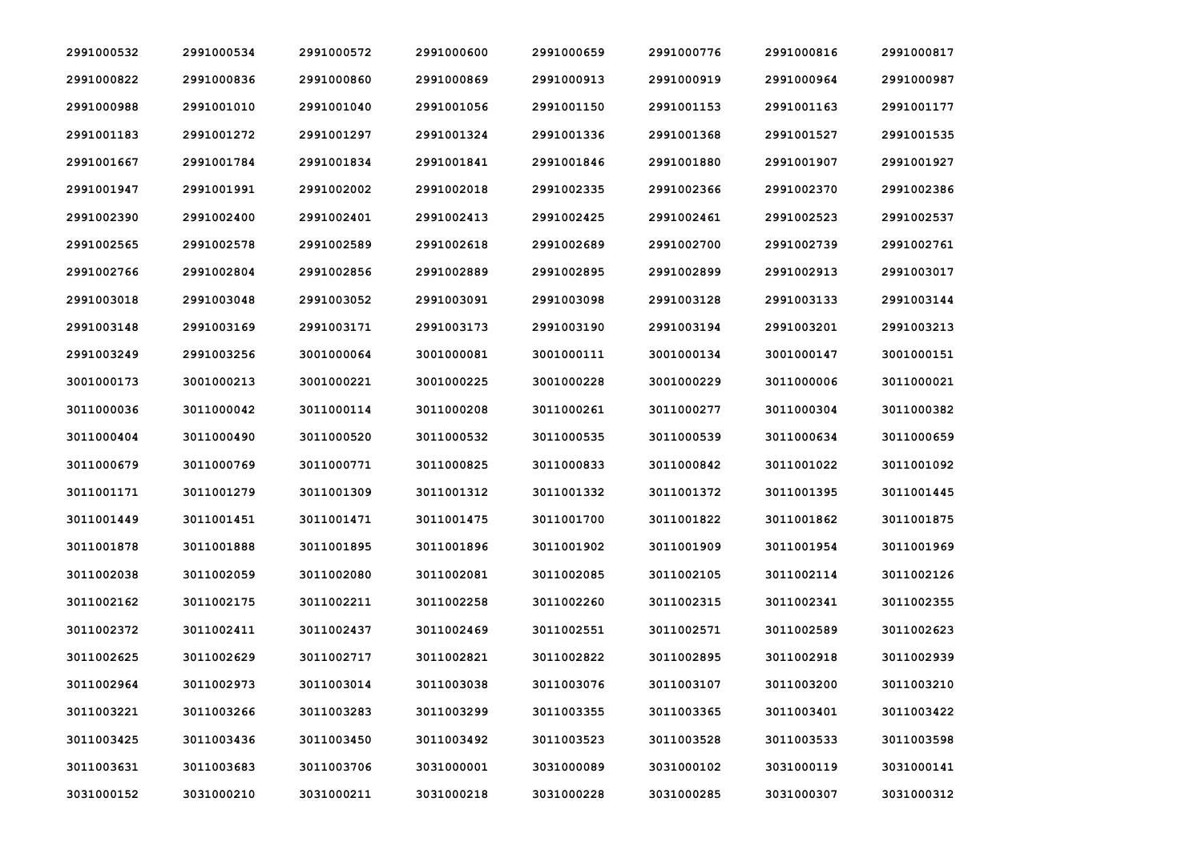| 2991000532 | 2991000534 | 2991000572 | 2991000600 | 2991000659 | 2991000776 | 2991000816 | 2991000817 |
|------------|------------|------------|------------|------------|------------|------------|------------|
| 2991000822 | 2991000836 | 2991000860 | 2991000869 | 2991000913 | 2991000919 | 2991000964 | 2991000987 |
| 2991000988 | 2991001010 | 2991001040 | 2991001056 | 2991001150 | 2991001153 | 2991001163 | 2991001177 |
| 2991001183 | 2991001272 | 2991001297 | 2991001324 | 2991001336 | 2991001368 | 2991001527 | 2991001535 |
| 2991001667 | 2991001784 | 2991001834 | 2991001841 | 2991001846 | 2991001880 | 2991001907 | 2991001927 |
| 2991001947 | 2991001991 | 2991002002 | 2991002018 | 2991002335 | 2991002366 | 2991002370 | 2991002386 |
| 2991002390 | 2991002400 | 2991002401 | 2991002413 | 2991002425 | 2991002461 | 2991002523 | 2991002537 |
| 2991002565 | 2991002578 | 2991002589 | 2991002618 | 2991002689 | 2991002700 | 2991002739 | 2991002761 |
| 2991002766 | 2991002804 | 2991002856 | 2991002889 | 2991002895 | 2991002899 | 2991002913 | 2991003017 |
| 2991003018 | 2991003048 | 2991003052 | 2991003091 | 2991003098 | 2991003128 | 2991003133 | 2991003144 |
| 2991003148 | 2991003169 | 2991003171 | 2991003173 | 2991003190 | 2991003194 | 2991003201 | 2991003213 |
| 2991003249 | 2991003256 | 3001000064 | 3001000081 | 3001000111 | 3001000134 | 3001000147 | 3001000151 |
| 3001000173 | 3001000213 | 3001000221 | 3001000225 | 3001000228 | 3001000229 | 3011000006 | 3011000021 |
| 3011000036 | 3011000042 | 3011000114 | 3011000208 | 3011000261 | 3011000277 | 3011000304 | 3011000382 |
| 3011000404 | 3011000490 | 3011000520 | 3011000532 | 3011000535 | 3011000539 | 3011000634 | 3011000659 |
| 3011000679 | 3011000769 | 3011000771 | 3011000825 | 3011000833 | 3011000842 | 3011001022 | 3011001092 |
| 3011001171 | 3011001279 | 3011001309 | 3011001312 | 3011001332 | 3011001372 | 3011001395 | 3011001445 |
| 3011001449 | 3011001451 | 3011001471 | 3011001475 | 3011001700 | 3011001822 | 3011001862 | 3011001875 |
| 3011001878 | 3011001888 | 3011001895 | 3011001896 | 3011001902 | 3011001909 | 3011001954 | 3011001969 |
| 3011002038 | 3011002059 | 3011002080 | 3011002081 | 3011002085 | 3011002105 | 3011002114 | 3011002126 |
| 3011002162 | 3011002175 | 3011002211 | 3011002258 | 3011002260 | 3011002315 | 3011002341 | 3011002355 |
| 3011002372 | 3011002411 | 3011002437 | 3011002469 | 3011002551 | 3011002571 | 3011002589 | 3011002623 |
| 3011002625 | 3011002629 | 3011002717 | 3011002821 | 3011002822 | 3011002895 | 3011002918 | 3011002939 |
| 3011002964 | 3011002973 | 3011003014 | 3011003038 | 3011003076 | 3011003107 | 3011003200 | 3011003210 |
| 3011003221 | 3011003266 | 3011003283 | 3011003299 | 3011003355 | 3011003365 | 3011003401 | 3011003422 |
| 3011003425 | 3011003436 | 3011003450 | 3011003492 | 3011003523 | 3011003528 | 3011003533 | 3011003598 |
| 3011003631 | 3011003683 | 3011003706 | 3031000001 | 3031000089 | 3031000102 | 3031000119 | 3031000141 |
| 3031000152 | 3031000210 | 3031000211 | 3031000218 | 3031000228 | 3031000285 | 3031000307 | 3031000312 |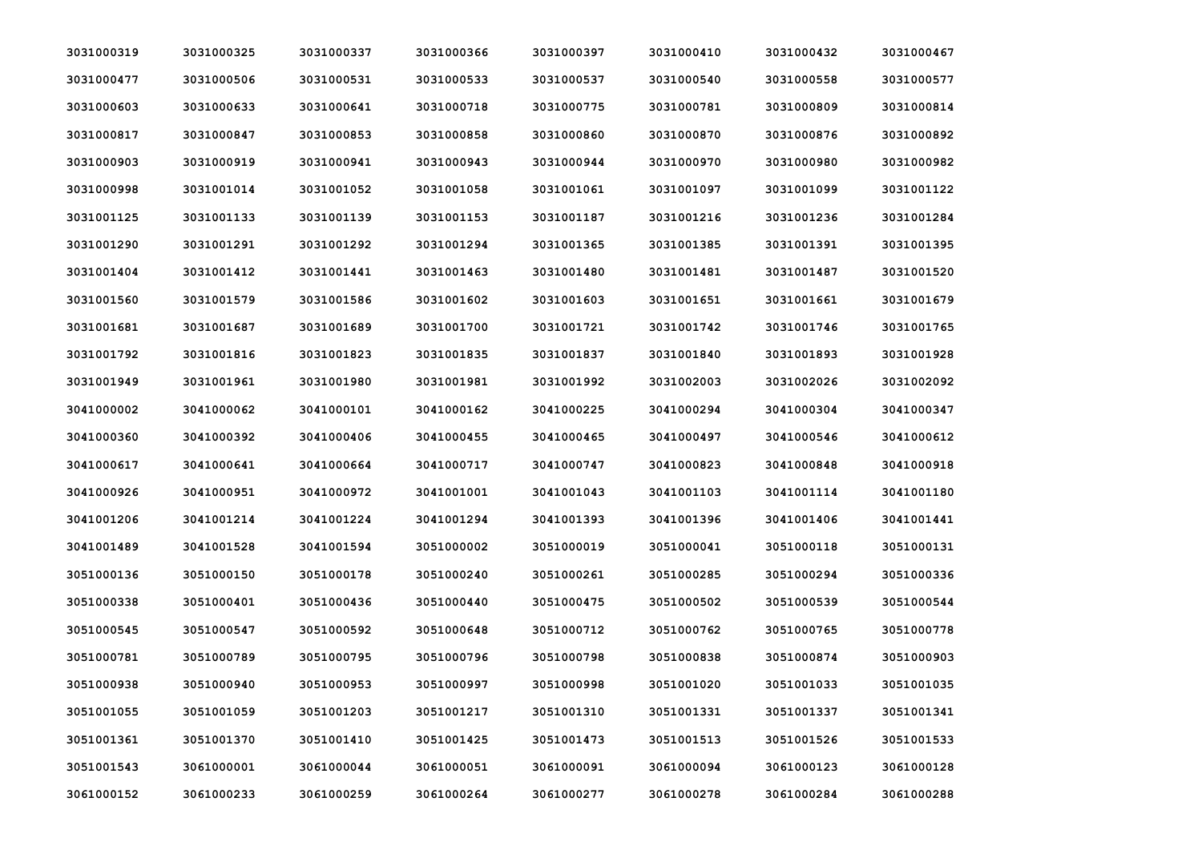| 3031000319 | 3031000325 | 3031000337 | 3031000366 | 3031000397 | 3031000410 | 3031000432 | 3031000467 |
|------------|------------|------------|------------|------------|------------|------------|------------|
| 3031000477 | 3031000506 | 3031000531 | 3031000533 | 3031000537 | 3031000540 | 3031000558 | 3031000577 |
| 3031000603 | 3031000633 | 3031000641 | 3031000718 | 3031000775 | 3031000781 | 3031000809 | 3031000814 |
| 3031000817 | 3031000847 | 3031000853 | 3031000858 | 3031000860 | 3031000870 | 3031000876 | 3031000892 |
| 3031000903 | 3031000919 | 3031000941 | 3031000943 | 3031000944 | 3031000970 | 3031000980 | 3031000982 |
| 3031000998 | 3031001014 | 3031001052 | 3031001058 | 3031001061 | 3031001097 | 3031001099 | 3031001122 |
| 3031001125 | 3031001133 | 3031001139 | 3031001153 | 3031001187 | 3031001216 | 3031001236 | 3031001284 |
| 3031001290 | 3031001291 | 3031001292 | 3031001294 | 3031001365 | 3031001385 | 3031001391 | 3031001395 |
| 3031001404 | 3031001412 | 3031001441 | 3031001463 | 3031001480 | 3031001481 | 3031001487 | 3031001520 |
| 3031001560 | 3031001579 | 3031001586 | 3031001602 | 3031001603 | 3031001651 | 3031001661 | 3031001679 |
| 3031001681 | 3031001687 | 3031001689 | 3031001700 | 3031001721 | 3031001742 | 3031001746 | 3031001765 |
| 3031001792 | 3031001816 | 3031001823 | 3031001835 | 3031001837 | 3031001840 | 3031001893 | 3031001928 |
| 3031001949 | 3031001961 | 3031001980 | 3031001981 | 3031001992 | 3031002003 | 3031002026 | 3031002092 |
| 3041000002 | 3041000062 | 3041000101 | 3041000162 | 3041000225 | 3041000294 | 3041000304 | 3041000347 |
| 3041000360 | 3041000392 | 3041000406 | 3041000455 | 3041000465 | 3041000497 | 3041000546 | 3041000612 |
| 3041000617 | 3041000641 | 3041000664 | 3041000717 | 3041000747 | 3041000823 | 3041000848 | 3041000918 |
| 3041000926 | 3041000951 | 3041000972 | 3041001001 | 3041001043 | 3041001103 | 3041001114 | 3041001180 |
| 3041001206 | 3041001214 | 3041001224 | 3041001294 | 3041001393 | 3041001396 | 3041001406 | 3041001441 |
| 3041001489 | 3041001528 | 3041001594 | 3051000002 | 3051000019 | 3051000041 | 3051000118 | 3051000131 |
| 3051000136 | 3051000150 | 3051000178 | 3051000240 | 3051000261 | 3051000285 | 3051000294 | 3051000336 |
| 3051000338 | 3051000401 | 3051000436 | 3051000440 | 3051000475 | 3051000502 | 3051000539 | 3051000544 |
| 3051000545 | 3051000547 | 3051000592 | 3051000648 | 3051000712 | 3051000762 | 3051000765 | 3051000778 |
| 3051000781 | 3051000789 | 3051000795 | 3051000796 | 3051000798 | 3051000838 | 3051000874 | 3051000903 |
| 3051000938 | 3051000940 | 3051000953 | 3051000997 | 3051000998 | 3051001020 | 3051001033 | 3051001035 |
| 3051001055 | 3051001059 | 3051001203 | 3051001217 | 3051001310 | 3051001331 | 3051001337 | 3051001341 |
| 3051001361 | 3051001370 | 3051001410 | 3051001425 | 3051001473 | 3051001513 | 3051001526 | 3051001533 |
| 3051001543 | 3061000001 | 3061000044 | 3061000051 | 3061000091 | 3061000094 | 3061000123 | 3061000128 |
| 3061000152 | 3061000233 | 3061000259 | 3061000264 | 3061000277 | 3061000278 | 3061000284 | 3061000288 |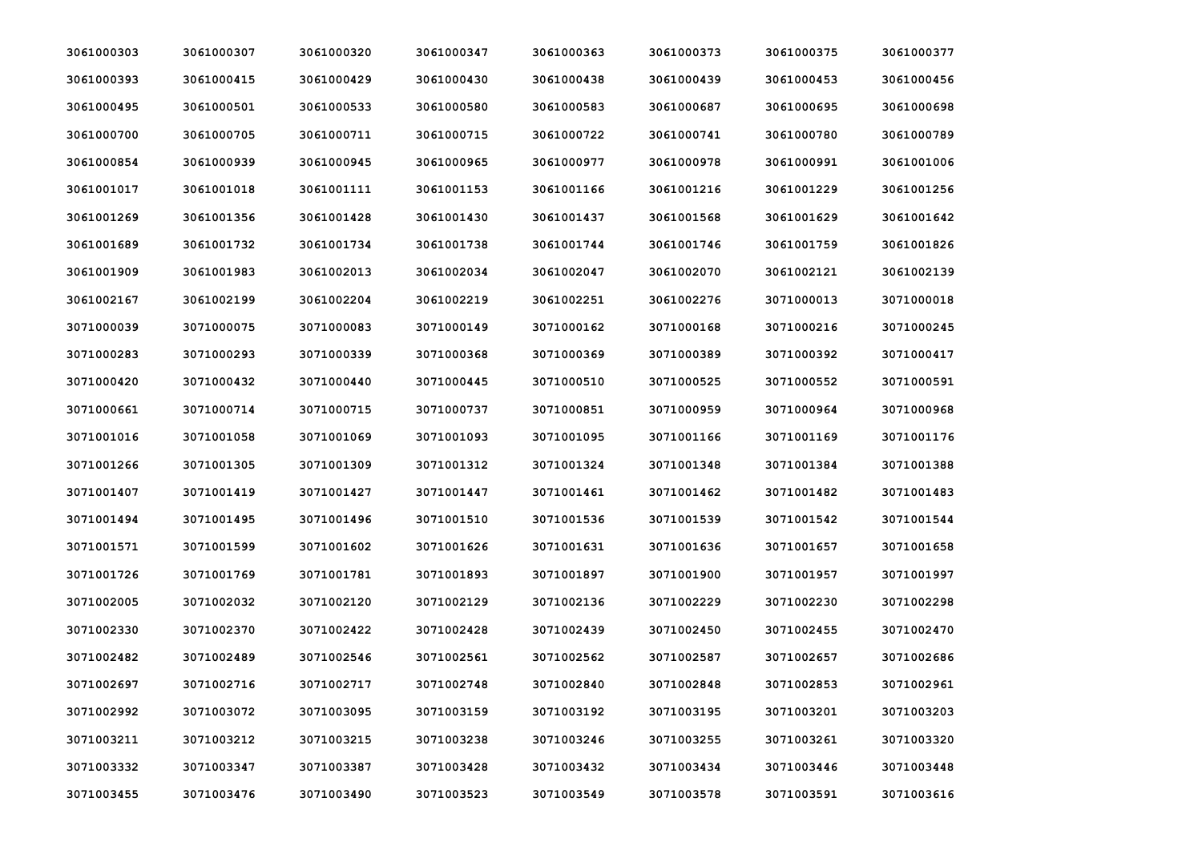| 3061000303 | 3061000307 | 3061000320 | 3061000347 | 3061000363 | 3061000373 | 3061000375 | 3061000377 |
|------------|------------|------------|------------|------------|------------|------------|------------|
| 3061000393 | 3061000415 | 3061000429 | 3061000430 | 3061000438 | 3061000439 | 3061000453 | 3061000456 |
| 3061000495 | 3061000501 | 3061000533 | 3061000580 | 3061000583 | 3061000687 | 3061000695 | 3061000698 |
| 3061000700 | 3061000705 | 3061000711 | 3061000715 | 3061000722 | 3061000741 | 3061000780 | 3061000789 |
| 3061000854 | 3061000939 | 3061000945 | 3061000965 | 3061000977 | 3061000978 | 3061000991 | 3061001006 |
| 3061001017 | 3061001018 | 3061001111 | 3061001153 | 3061001166 | 3061001216 | 3061001229 | 3061001256 |
| 3061001269 | 3061001356 | 3061001428 | 3061001430 | 3061001437 | 3061001568 | 3061001629 | 3061001642 |
| 3061001689 | 3061001732 | 3061001734 | 3061001738 | 3061001744 | 3061001746 | 3061001759 | 3061001826 |
| 3061001909 | 3061001983 | 3061002013 | 3061002034 | 3061002047 | 3061002070 | 3061002121 | 3061002139 |
| 3061002167 | 3061002199 | 3061002204 | 3061002219 | 3061002251 | 3061002276 | 3071000013 | 3071000018 |
| 3071000039 | 3071000075 | 3071000083 | 3071000149 | 3071000162 | 3071000168 | 3071000216 | 3071000245 |
| 3071000283 | 3071000293 | 3071000339 | 3071000368 | 3071000369 | 3071000389 | 3071000392 | 3071000417 |
| 3071000420 | 3071000432 | 3071000440 | 3071000445 | 3071000510 | 3071000525 | 3071000552 | 3071000591 |
| 3071000661 | 3071000714 | 3071000715 | 3071000737 | 3071000851 | 3071000959 | 3071000964 | 3071000968 |
| 3071001016 | 3071001058 | 3071001069 | 3071001093 | 3071001095 | 3071001166 | 3071001169 | 3071001176 |
| 3071001266 | 3071001305 | 3071001309 | 3071001312 | 3071001324 | 3071001348 | 3071001384 | 3071001388 |
| 3071001407 | 3071001419 | 3071001427 | 3071001447 | 3071001461 | 3071001462 | 3071001482 | 3071001483 |
| 3071001494 | 3071001495 | 3071001496 | 3071001510 | 3071001536 | 3071001539 | 3071001542 | 3071001544 |
| 3071001571 | 3071001599 | 3071001602 | 3071001626 | 3071001631 | 3071001636 | 3071001657 | 3071001658 |
| 3071001726 | 3071001769 | 3071001781 | 3071001893 | 3071001897 | 3071001900 | 3071001957 | 3071001997 |
| 3071002005 | 3071002032 | 3071002120 | 3071002129 | 3071002136 | 3071002229 | 3071002230 | 3071002298 |
| 3071002330 | 3071002370 | 3071002422 | 3071002428 | 3071002439 | 3071002450 | 3071002455 | 3071002470 |
| 3071002482 | 3071002489 | 3071002546 | 3071002561 | 3071002562 | 3071002587 | 3071002657 | 3071002686 |
| 3071002697 | 3071002716 | 3071002717 | 3071002748 | 3071002840 | 3071002848 | 3071002853 | 3071002961 |
| 3071002992 | 3071003072 | 3071003095 | 3071003159 | 3071003192 | 3071003195 | 3071003201 | 3071003203 |
| 3071003211 | 3071003212 | 3071003215 | 3071003238 | 3071003246 | 3071003255 | 3071003261 | 3071003320 |
| 3071003332 | 3071003347 | 3071003387 | 3071003428 | 3071003432 | 3071003434 | 3071003446 | 3071003448 |
| 3071003455 | 3071003476 | 3071003490 | 3071003523 | 3071003549 | 3071003578 | 3071003591 | 3071003616 |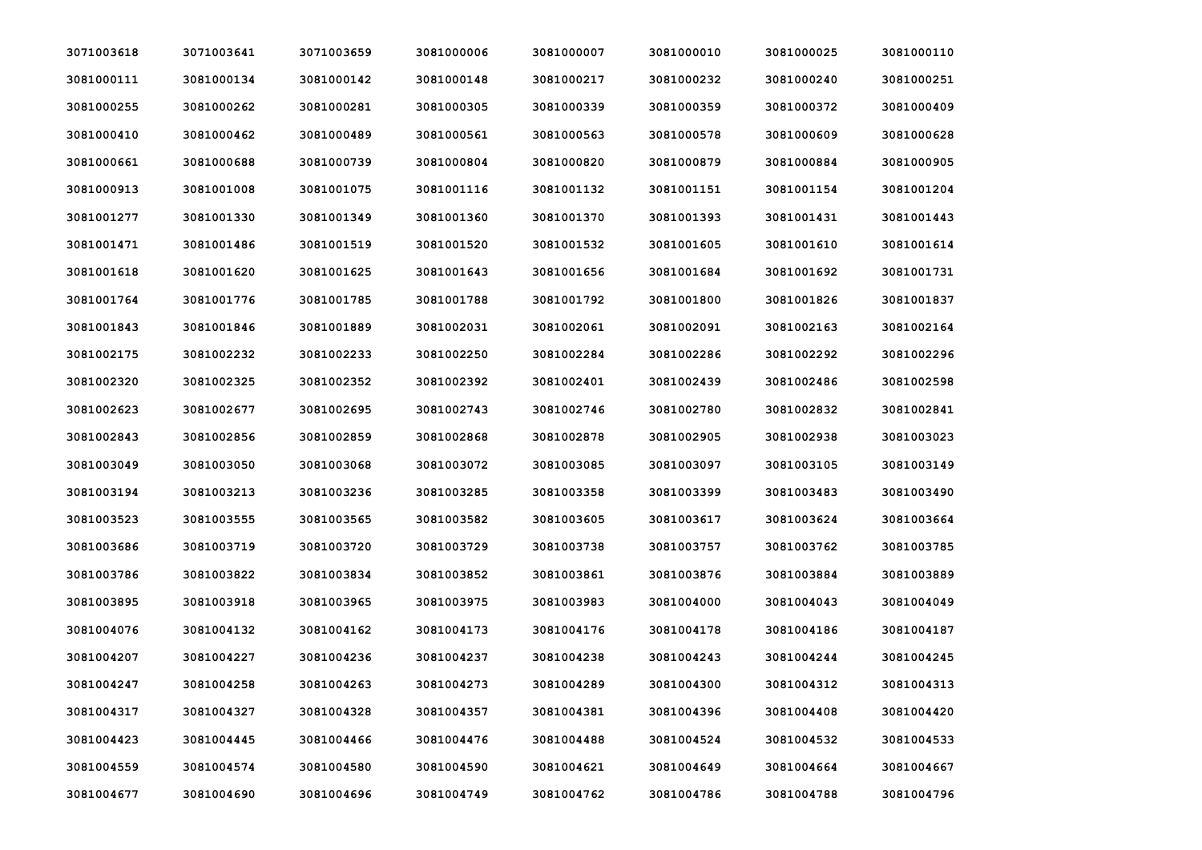| 3071003618 | 3071003641 | 3071003659 | 3081000006 | 3081000007 | 3081000010 | 3081000025 | 3081000110 |
|------------|------------|------------|------------|------------|------------|------------|------------|
| 3081000111 | 3081000134 | 3081000142 | 3081000148 | 3081000217 | 3081000232 | 3081000240 | 3081000251 |
| 3081000255 | 3081000262 | 3081000281 | 3081000305 | 3081000339 | 3081000359 | 3081000372 | 3081000409 |
| 3081000410 | 3081000462 | 3081000489 | 3081000561 | 3081000563 | 3081000578 | 3081000609 | 3081000628 |
| 3081000661 | 3081000688 | 3081000739 | 3081000804 | 3081000820 | 3081000879 | 3081000884 | 3081000905 |
| 3081000913 | 3081001008 | 3081001075 | 3081001116 | 3081001132 | 3081001151 | 3081001154 | 3081001204 |
| 3081001277 | 3081001330 | 3081001349 | 3081001360 | 3081001370 | 3081001393 | 3081001431 | 3081001443 |
| 3081001471 | 3081001486 | 3081001519 | 3081001520 | 3081001532 | 3081001605 | 3081001610 | 3081001614 |
| 3081001618 | 3081001620 | 3081001625 | 3081001643 | 3081001656 | 3081001684 | 3081001692 | 3081001731 |
| 3081001764 | 3081001776 | 3081001785 | 3081001788 | 3081001792 | 3081001800 | 3081001826 | 3081001837 |
| 3081001843 | 3081001846 | 3081001889 | 3081002031 | 3081002061 | 3081002091 | 3081002163 | 3081002164 |
| 3081002175 | 3081002232 | 3081002233 | 3081002250 | 3081002284 | 3081002286 | 3081002292 | 3081002296 |
| 3081002320 | 3081002325 | 3081002352 | 3081002392 | 3081002401 | 3081002439 | 3081002486 | 3081002598 |
| 3081002623 | 3081002677 | 3081002695 | 3081002743 | 3081002746 | 3081002780 | 3081002832 | 3081002841 |
| 3081002843 | 3081002856 | 3081002859 | 3081002868 | 3081002878 | 3081002905 | 3081002938 | 3081003023 |
| 3081003049 | 3081003050 | 3081003068 | 3081003072 | 3081003085 | 3081003097 | 3081003105 | 3081003149 |
| 3081003194 | 3081003213 | 3081003236 | 3081003285 | 3081003358 | 3081003399 | 3081003483 | 3081003490 |
| 3081003523 | 3081003555 | 3081003565 | 3081003582 | 3081003605 | 3081003617 | 3081003624 | 3081003664 |
| 3081003686 | 3081003719 | 3081003720 | 3081003729 | 3081003738 | 3081003757 | 3081003762 | 3081003785 |
| 3081003786 | 3081003822 | 3081003834 | 3081003852 | 3081003861 | 3081003876 | 3081003884 | 3081003889 |
| 3081003895 | 3081003918 | 3081003965 | 3081003975 | 3081003983 | 3081004000 | 3081004043 | 3081004049 |
| 3081004076 | 3081004132 | 3081004162 | 3081004173 | 3081004176 | 3081004178 | 3081004186 | 3081004187 |
| 3081004207 | 3081004227 | 3081004236 | 3081004237 | 3081004238 | 3081004243 | 3081004244 | 3081004245 |
| 3081004247 | 3081004258 | 3081004263 | 3081004273 | 3081004289 | 3081004300 | 3081004312 | 3081004313 |
| 3081004317 | 3081004327 | 3081004328 | 3081004357 | 3081004381 | 3081004396 | 3081004408 | 3081004420 |
| 3081004423 | 3081004445 | 3081004466 | 3081004476 | 3081004488 | 3081004524 | 3081004532 | 3081004533 |
| 3081004559 | 3081004574 | 3081004580 | 3081004590 | 3081004621 | 3081004649 | 3081004664 | 3081004667 |
| 3081004677 | 3081004690 | 3081004696 | 3081004749 | 3081004762 | 3081004786 | 3081004788 | 3081004796 |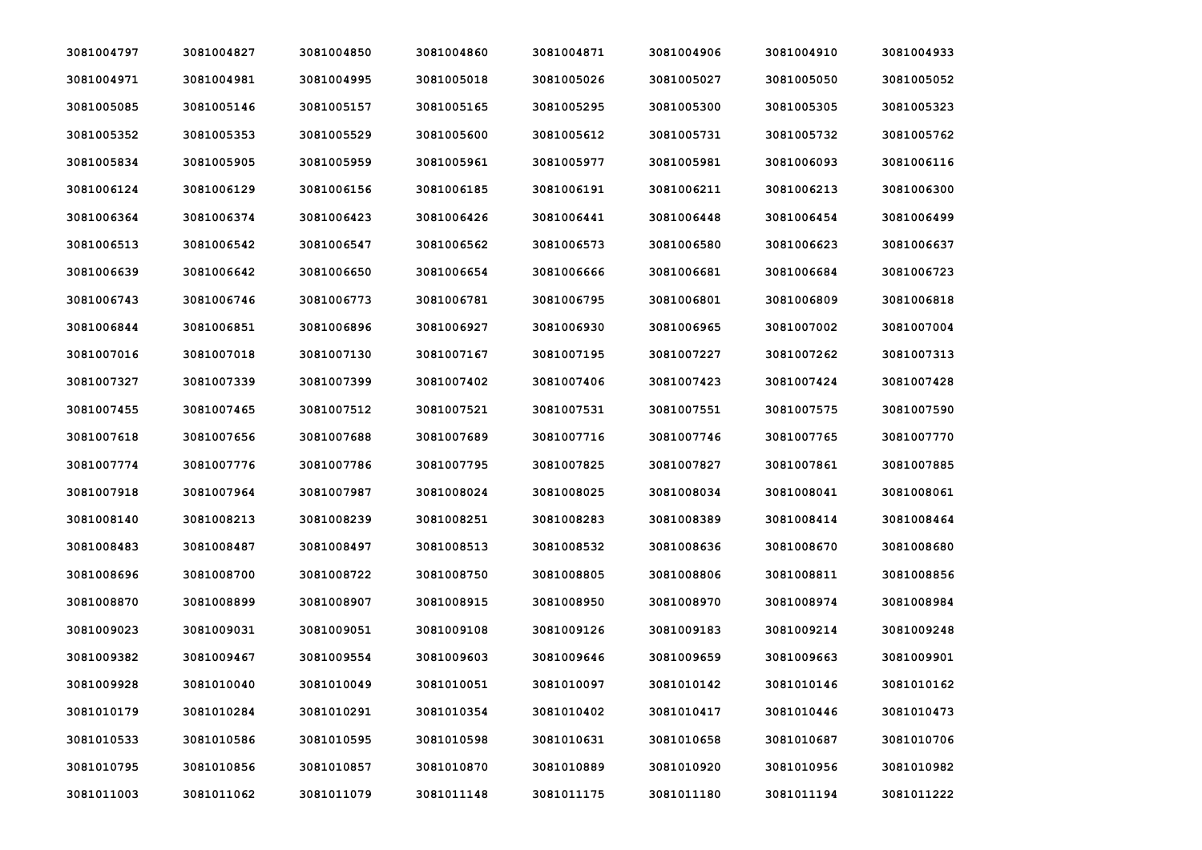| 3081004797 | 3081004827 | 3081004850 | 3081004860 | 3081004871 | 3081004906 | 3081004910 | 3081004933 |
|------------|------------|------------|------------|------------|------------|------------|------------|
| 3081004971 | 3081004981 | 3081004995 | 3081005018 | 3081005026 | 3081005027 | 3081005050 | 3081005052 |
| 3081005085 | 3081005146 | 3081005157 | 3081005165 | 3081005295 | 3081005300 | 3081005305 | 3081005323 |
| 3081005352 | 3081005353 | 3081005529 | 3081005600 | 3081005612 | 3081005731 | 3081005732 | 3081005762 |
| 3081005834 | 3081005905 | 3081005959 | 3081005961 | 3081005977 | 3081005981 | 3081006093 | 3081006116 |
| 3081006124 | 3081006129 | 3081006156 | 3081006185 | 3081006191 | 3081006211 | 3081006213 | 3081006300 |
| 3081006364 | 3081006374 | 3081006423 | 3081006426 | 3081006441 | 3081006448 | 3081006454 | 3081006499 |
| 3081006513 | 3081006542 | 3081006547 | 3081006562 | 3081006573 | 3081006580 | 3081006623 | 3081006637 |
| 3081006639 | 3081006642 | 3081006650 | 3081006654 | 3081006666 | 3081006681 | 3081006684 | 3081006723 |
| 3081006743 | 3081006746 | 3081006773 | 3081006781 | 3081006795 | 3081006801 | 3081006809 | 3081006818 |
| 3081006844 | 3081006851 | 3081006896 | 3081006927 | 3081006930 | 3081006965 | 3081007002 | 3081007004 |
| 3081007016 | 3081007018 | 3081007130 | 3081007167 | 3081007195 | 3081007227 | 3081007262 | 3081007313 |
| 3081007327 | 3081007339 | 3081007399 | 3081007402 | 3081007406 | 3081007423 | 3081007424 | 3081007428 |
| 3081007455 | 3081007465 | 3081007512 | 3081007521 | 3081007531 | 3081007551 | 3081007575 | 3081007590 |
| 3081007618 | 3081007656 | 3081007688 | 3081007689 | 3081007716 | 3081007746 | 3081007765 | 3081007770 |
| 3081007774 | 3081007776 | 3081007786 | 3081007795 | 3081007825 | 3081007827 | 3081007861 | 3081007885 |
| 3081007918 | 3081007964 | 3081007987 | 3081008024 | 3081008025 | 3081008034 | 3081008041 | 3081008061 |
| 3081008140 | 3081008213 | 3081008239 | 3081008251 | 3081008283 | 3081008389 | 3081008414 | 3081008464 |
| 3081008483 | 3081008487 | 3081008497 | 3081008513 | 3081008532 | 3081008636 | 3081008670 | 3081008680 |
| 3081008696 | 3081008700 | 3081008722 | 3081008750 | 3081008805 | 3081008806 | 3081008811 | 3081008856 |
| 3081008870 | 3081008899 | 3081008907 | 3081008915 | 3081008950 | 3081008970 | 3081008974 | 3081008984 |
| 3081009023 | 3081009031 | 3081009051 | 3081009108 | 3081009126 | 3081009183 | 3081009214 | 3081009248 |
| 3081009382 | 3081009467 | 3081009554 | 3081009603 | 3081009646 | 3081009659 | 3081009663 | 3081009901 |
| 3081009928 | 3081010040 | 3081010049 | 3081010051 | 3081010097 | 3081010142 | 3081010146 | 3081010162 |
| 3081010179 | 3081010284 | 3081010291 | 3081010354 | 3081010402 | 3081010417 | 3081010446 | 3081010473 |
| 3081010533 | 3081010586 | 3081010595 | 3081010598 | 3081010631 | 3081010658 | 3081010687 | 3081010706 |
| 3081010795 | 3081010856 | 3081010857 | 3081010870 | 3081010889 | 3081010920 | 3081010956 | 3081010982 |
| 3081011003 | 3081011062 | 3081011079 | 3081011148 | 3081011175 | 3081011180 | 3081011194 | 3081011222 |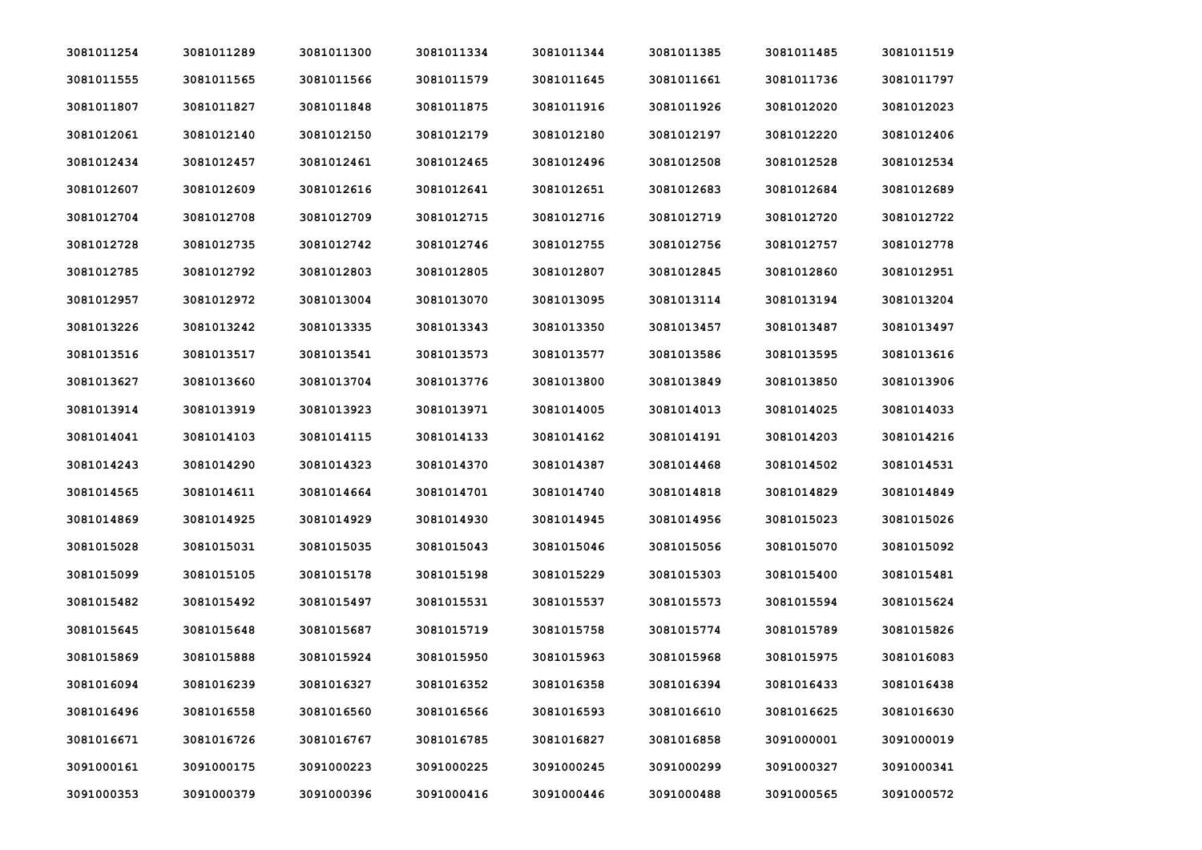| 3081011254 | 3081011289 | 3081011300 | 3081011334 | 3081011344 | 3081011385 | 3081011485 | 3081011519 |
|------------|------------|------------|------------|------------|------------|------------|------------|
| 3081011555 | 3081011565 | 3081011566 | 3081011579 | 3081011645 | 3081011661 | 3081011736 | 3081011797 |
| 3081011807 | 3081011827 | 3081011848 | 3081011875 | 3081011916 | 3081011926 | 3081012020 | 3081012023 |
| 3081012061 | 3081012140 | 3081012150 | 3081012179 | 3081012180 | 3081012197 | 3081012220 | 3081012406 |
| 3081012434 | 3081012457 | 3081012461 | 3081012465 | 3081012496 | 3081012508 | 3081012528 | 3081012534 |
| 3081012607 | 3081012609 | 3081012616 | 3081012641 | 3081012651 | 3081012683 | 3081012684 | 3081012689 |
| 3081012704 | 3081012708 | 3081012709 | 3081012715 | 3081012716 | 3081012719 | 3081012720 | 3081012722 |
| 3081012728 | 3081012735 | 3081012742 | 3081012746 | 3081012755 | 3081012756 | 3081012757 | 3081012778 |
| 3081012785 | 3081012792 | 3081012803 | 3081012805 | 3081012807 | 3081012845 | 3081012860 | 3081012951 |
| 3081012957 | 3081012972 | 3081013004 | 3081013070 | 3081013095 | 3081013114 | 3081013194 | 3081013204 |
| 3081013226 | 3081013242 | 3081013335 | 3081013343 | 3081013350 | 3081013457 | 3081013487 | 3081013497 |
| 3081013516 | 3081013517 | 3081013541 | 3081013573 | 3081013577 | 3081013586 | 3081013595 | 3081013616 |
| 3081013627 | 3081013660 | 3081013704 | 3081013776 | 3081013800 | 3081013849 | 3081013850 | 3081013906 |
| 3081013914 | 3081013919 | 3081013923 | 3081013971 | 3081014005 | 3081014013 | 3081014025 | 3081014033 |
| 3081014041 | 3081014103 | 3081014115 | 3081014133 | 3081014162 | 3081014191 | 3081014203 | 3081014216 |
| 3081014243 | 3081014290 | 3081014323 | 3081014370 | 3081014387 | 3081014468 | 3081014502 | 3081014531 |
| 3081014565 | 3081014611 | 3081014664 | 3081014701 | 3081014740 | 3081014818 | 3081014829 | 3081014849 |
| 3081014869 | 3081014925 | 3081014929 | 3081014930 | 3081014945 | 3081014956 | 3081015023 | 3081015026 |
| 3081015028 | 3081015031 | 3081015035 | 3081015043 | 3081015046 | 3081015056 | 3081015070 | 3081015092 |
| 3081015099 | 3081015105 | 3081015178 | 3081015198 | 3081015229 | 3081015303 | 3081015400 | 3081015481 |
| 3081015482 | 3081015492 | 3081015497 | 3081015531 | 3081015537 | 3081015573 | 3081015594 | 3081015624 |
| 3081015645 | 3081015648 | 3081015687 | 3081015719 | 3081015758 | 3081015774 | 3081015789 | 3081015826 |
| 3081015869 | 3081015888 | 3081015924 | 3081015950 | 3081015963 | 3081015968 | 3081015975 | 3081016083 |
| 3081016094 | 3081016239 | 3081016327 | 3081016352 | 3081016358 | 3081016394 | 3081016433 | 3081016438 |
| 3081016496 | 3081016558 | 3081016560 | 3081016566 | 3081016593 | 3081016610 | 3081016625 | 3081016630 |
| 3081016671 | 3081016726 | 3081016767 | 3081016785 | 3081016827 | 3081016858 | 3091000001 | 3091000019 |
| 3091000161 | 3091000175 | 3091000223 | 3091000225 | 3091000245 | 3091000299 | 3091000327 | 3091000341 |
| 3091000353 | 3091000379 | 3091000396 | 3091000416 | 3091000446 | 3091000488 | 3091000565 | 3091000572 |